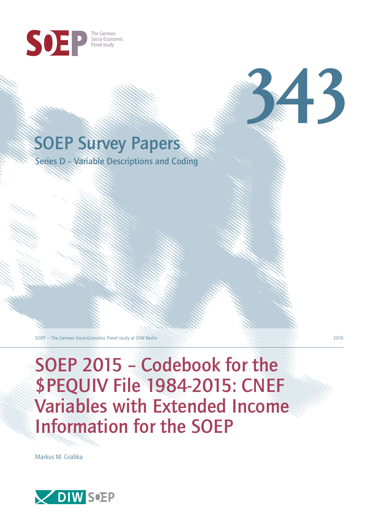

## SOEP Survey Papers

Series D – Variable Descriptions and Coding

SOEP — The German Socio-Economic Panel study at DIW Berlin 2016

SOEP 2015 – Codebook for the \$PEQUIV File 1984-2015: CNEF Variables with Extended Income Information for the SOEP

Markus M. Grabka



**343**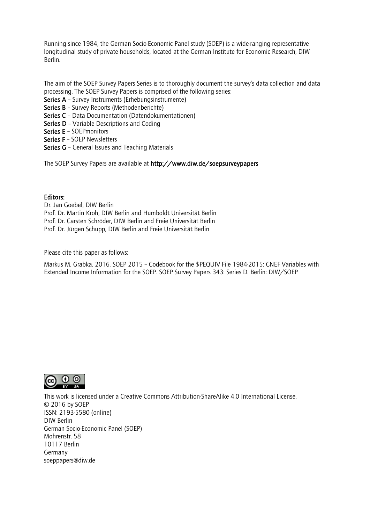Running since 1984, the German Socio-Economic Panel study (SOEP) is a wide-ranging representative longitudinal study of private households, located at the German Institute for Economic Research, DIW Berlin.

The aim of the SOEP Survey Papers Series is to thoroughly document the survey's data collection and data processing. The SOEP Survey Papers is comprised of the following series:

- Series A Survey Instruments (Erhebungsinstrumente)
- Series B Survey Reports (Methodenberichte)
- Series C Data Documentation (Datendokumentationen)
- Series D Variable Descriptions and Coding
- Series E SOEPmonitors
- Series F SOEP Newsletters
- Series G General Issues and Teaching Materials

The SOEP Survey Papers are available at http://www.diw.de/soepsurveypapers

### Editors:

Dr. Jan Goebel, DIW Berlin Prof. Dr. Martin Kroh, DIW Berlin and Humboldt Universität Berlin Prof. Dr. Carsten Schröder, DIW Berlin and Freie Universität Berlin Prof. Dr. Jürgen Schupp, DIW Berlin and Freie Universität Berlin

Please cite this paper as follows:

Markus M. Grabka. 2016. SOEP 2015 – Codebook for the \$PEQUIV File 1984-2015: CNEF Variables with Extended Income Information for the SOEP. SOEP Survey Papers 343: Series D. Berlin: DIW/SOEP



This work is licensed under a [Creative Commons Attribution-ShareAlike 4.0 International License.](http://creativecommons.org/licenses/by-sa/4.0/)  © 2016 by SOEP ISSN: 2193-5580 (online) DIW Berlin German Socio-Economic Panel (SOEP) Mohrenstr. 58 10117 Berlin Germany [soeppapers@diw.de](mailto:soeppapers@diw.de)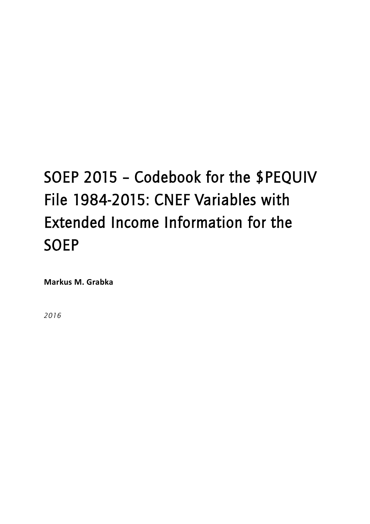# SOEP 2015 – Codebook for the \$PEQUIV File 1984-2015: CNEF Variables with Extended Income Information for the SOEP

**Markus M. Grabka**

*2016*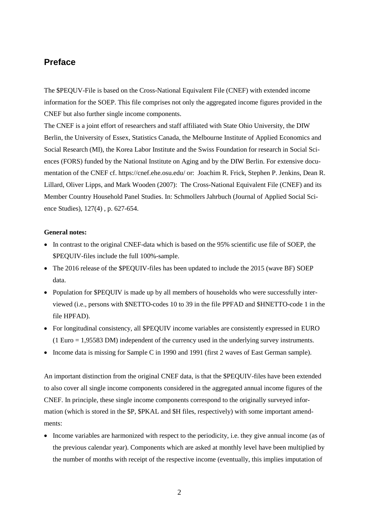## **Preface**

The \$PEQUV-File is based on the Cross-National Equivalent File (CNEF) with extended income information for the SOEP. This file comprises not only the aggregated income figures provided in the CNEF but also further single income components.

The CNEF is a joint effort of researchers and staff affiliated with State Ohio University, the DIW Berlin, the University of Essex, Statistics Canada, the Melbourne Institute of Applied Economics and Social Research (MI), the Korea Labor Institute and the Swiss Foundation for research in Social Sciences (FORS) funded by the National Institute on Aging and by the DIW Berlin. For extensive documentation of the CNEF cf. https://cnef.ehe.osu.edu/ or: Joachim R. Frick, Stephen P. Jenkins, Dean R. Lillard, Oliver Lipps, and Mark Wooden (2007): The Cross-National Equivalent File (CNEF) and its Member Country Household Panel Studies. In: Schmollers Jahrbuch (Journal of Applied Social Science Studies), 127(4) , p. 627-654.

#### **General notes:**

- In contrast to the original CNEF-data which is based on the 95% scientific use file of SOEP, the \$PEQUIV-files include the full 100%-sample.
- The 2016 release of the \$PEQUIV-files has been updated to include the 2015 (wave BF) SOEP data.
- Population for \$PEQUIV is made up by all members of households who were successfully interviewed (i.e., persons with \$NETTO-codes 10 to 39 in the file PPFAD and \$HNETTO-code 1 in the file HPFAD).
- For longitudinal consistency, all \$PEQUIV income variables are consistently expressed in EURO (1 Euro = 1,95583 DM) independent of the currency used in the underlying survey instruments.
- Income data is missing for Sample C in 1990 and 1991 (first 2 waves of East German sample).

An important distinction from the original CNEF data, is that the \$PEQUIV-files have been extended to also cover all single income components considered in the aggregated annual income figures of the CNEF. In principle, these single income components correspond to the originally surveyed information (which is stored in the \$P, \$PKAL and \$H files, respectively) with some important amendments:

• Income variables are harmonized with respect to the periodicity, i.e. they give annual income (as of the previous calendar year). Components which are asked at monthly level have been multiplied by the number of months with receipt of the respective income (eventually, this implies imputation of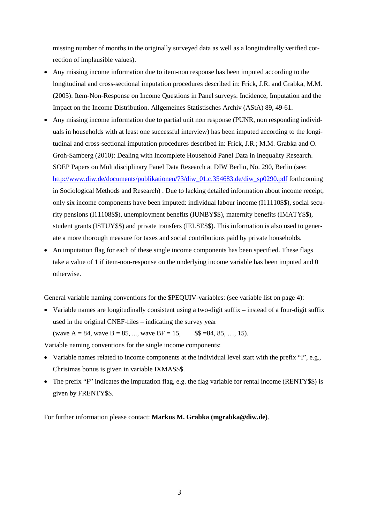missing number of months in the originally surveyed data as well as a longitudinally verified correction of implausible values).

- Any missing income information due to item-non response has been imputed according to the longitudinal and cross-sectional imputation procedures described in: Frick, J.R. and Grabka, M.M. (2005): Item-Non-Response on Income Questions in Panel surveys: Incidence, Imputation and the Impact on the Income Distribution. Allgemeines Statistisches Archiv (AStA) 89, 49-61.
- Any missing income information due to partial unit non response (PUNR, non responding individuals in households with at least one successful interview) has been imputed according to the longitudinal and cross-sectional imputation procedures described in: Frick, J.R.; M.M. Grabka and O. Groh-Samberg (2010): Dealing with Incomplete Household Panel Data in Inequality Research. SOEP Papers on Multidisciplinary Panel Data Research at DIW Berlin, No. 290, Berlin (see: [http://www.diw.de/documents/publikationen/73/diw\\_01.c.354683.de/diw\\_sp0290.pdf](http://www.diw.de/documents/publikationen/73/diw_01.c.354683.de/diw_sp0290.pdf) forthcoming in Sociological Methods and Research) . Due to lacking detailed information about income receipt, only six income components have been imputed: individual labour income (I11110\$\$), social security pensions (I11108\$\$), unemployment benefits (IUNBY\$\$), maternity benefits (IMATY\$\$), student grants (ISTUY\$\$) and private transfers (IELSE\$\$). This information is also used to generate a more thorough measure for taxes and social contributions paid by private households.
- An imputation flag for each of these single income components has been specified. These flags take a value of 1 if item-non-response on the underlying income variable has been imputed and 0 otherwise.

General variable naming conventions for the \$PEQUIV-variables: (see variable list on page 4):

• Variable names are longitudinally consistent using a two-digit suffix – instead of a four-digit suffix used in the original CNEF-files – indicating the survey year (wave  $A = 84$ , wave  $B = 85$ , ..., wave  $BF = 15$ , \$\$ =84, 85, ..., 15).

Variable naming conventions for the single income components:

- Variable names related to income components at the individual level start with the prefix "I", e.g., Christmas bonus is given in variable IXMAS\$\$.
- The prefix "F" indicates the imputation flag, e.g. the flag variable for rental income (RENTY\$\$) is given by FRENTY\$\$.

For further information please contact: **Markus M. Grabka (mgrabka@diw.de)**.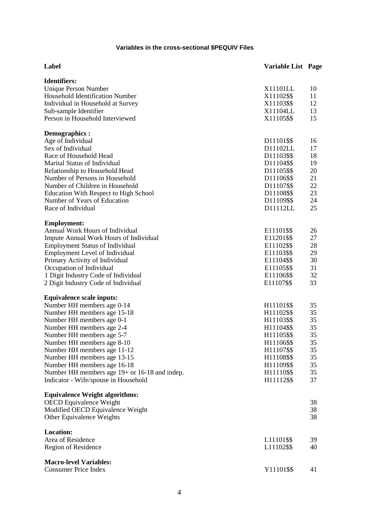### **Variables in the cross-sectional \$PEQUIV Files**

| Label                                         | <b>Variable List Page</b> |    |
|-----------------------------------------------|---------------------------|----|
| <b>Identifiers:</b>                           |                           |    |
| Unique Person Number                          | X11101LL                  | 10 |
| Household Identification Number               | X11102\$\$                | 11 |
| Individual in Household at Survey             | X11103\$\$                | 12 |
| Sub-sample Identifier                         | X11104LL                  | 13 |
| Person in Household Interviewed               | X11105\$\$                | 15 |
| Demographics :                                |                           |    |
| Age of Individual                             | D11101\$\$                | 16 |
| Sex of Individual                             | D11102LL                  | 17 |
| Race of Household Head                        | D11103\$\$                | 18 |
| Marital Status of Individual                  | D11104\$\$                | 19 |
| Relationship to Household Head                | D11105\$\$                | 20 |
| Number of Persons in Household                | D11106\$\$                | 21 |
| Number of Children in Household               | D11107\$\$                | 22 |
| Education With Respect to High School         | D11108\$\$                | 23 |
| Number of Years of Education                  | D11109\$\$                | 24 |
| Race of Individual                            | D11112LL                  | 25 |
| <b>Employment:</b>                            |                           |    |
| Annual Work Hours of Individual               | E11101\$\$                | 26 |
| Impute Annual Work Hours of Individual        | E11201\$\$                | 27 |
| <b>Employment Status of Individual</b>        | E11102\$\$                | 28 |
| Employment Level of Individual                | E11103\$\$                | 29 |
| Primary Activity of Individual                | E11104\$\$                | 30 |
| Occupation of Individual                      | E11105\$\$                | 31 |
| 1 Digit Industry Code of Individual           | E11106\$\$                | 32 |
| 2 Digit Industry Code of Individual           | E11107\$\$                | 33 |
| <b>Equivalence scale inputs:</b>              |                           |    |
| Number HH members age 0-14                    | H11101\$\$                | 35 |
| Number HH members age 15-18                   | H11102\$\$                | 35 |
| Number HH members age 0-1                     | H11103\$\$                | 35 |
| Number HH members age 2-4                     | H11104\$\$                | 35 |
| Number HH members age 5-7                     | H11105\$\$                | 35 |
| Number HH members age 8-10                    | H11106\$\$                | 35 |
| Number HH members age 11-12                   | H11107\$\$                | 35 |
| Number HH members age 13-15                   | H11108\$\$                | 35 |
| Number HH members age 16-18                   | H11109\$\$                | 35 |
| Number HH members age 19+ or 16-18 and indep. | H11110\$\$                | 35 |
| Indicator - Wife/spouse in Household          | H11112\$\$                | 37 |
| <b>Equivalence Weight algorithms:</b>         |                           |    |
| <b>OECD</b> Equivalence Weight                |                           | 38 |
| Modified OECD Equivalence Weight              |                           | 38 |
| Other Equivalence Weights                     |                           | 38 |
| <b>Location:</b>                              |                           |    |
| Area of Residence                             | L11101\$\$                | 39 |
| Region of Residence                           | L11102\$\$                | 40 |
| <b>Macro-level Variables:</b>                 |                           |    |
| <b>Consumer Price Index</b>                   | Y11101\$\$                | 41 |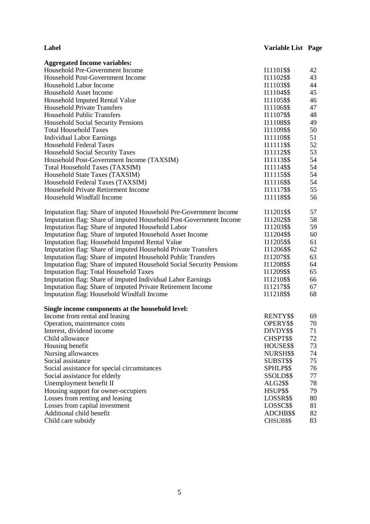| Label | <b>Variable List Page</b> |  |
|-------|---------------------------|--|
|       |                           |  |

| <b>Aggregated Income variables:</b>                                  |                  |    |
|----------------------------------------------------------------------|------------------|----|
| Household Pre-Government Income                                      | I11101\$\$       | 42 |
| Household Post-Government Income                                     | I11102\$\$       | 43 |
| Household Labor Income                                               | I11103\$\$       | 44 |
| Household Asset Income                                               | I11104\$\$       | 45 |
| Household Imputed Rental Value                                       | I11105\$\$       | 46 |
| <b>Household Private Transfers</b>                                   | I11106\$\$       | 47 |
| <b>Household Public Transfers</b>                                    | I11107\$\$       | 48 |
| <b>Household Social Security Pensions</b>                            | I11108\$\$       | 49 |
| <b>Total Household Taxes</b>                                         | I11109\$\$       | 50 |
| <b>Individual Labor Earnings</b>                                     | I11110\$\$       | 51 |
| <b>Household Federal Taxes</b>                                       | I11111\$\$       | 52 |
| Household Social Security Taxes                                      | I11112\$\$       | 53 |
| Household Post-Government Income (TAXSIM)                            | I11113\$\$       | 54 |
| <b>Total Household Taxes (TAXSIM)</b>                                | I11114\$\$       | 54 |
| Household State Taxes (TAXSIM)                                       | I11115\$\$       | 54 |
| Household Federal Taxes (TAXSIM)                                     | I11116\$\$       | 54 |
| Household Private Retirement Income                                  | I11117\$\$       | 55 |
| Household Windfall Income                                            | I11118\$\$       | 56 |
|                                                                      |                  |    |
| Imputation flag: Share of imputed Household Pre-Government Income    | I11201\$\$       | 57 |
| Imputation flag: Share of imputed Household Post-Government Income   | I11202\$\$       | 58 |
| Imputation flag: Share of imputed Household Labor                    | I11203\$\$       | 59 |
| Imputation flag: Share of imputed Household Asset Income             | I11204\$\$       | 60 |
| Imputation flag: Household Imputed Rental Value                      | I11205\$\$       | 61 |
| Imputation flag: Share of imputed Household Private Transfers        | I11206\$\$       | 62 |
| Imputation flag: Share of imputed Household Public Transfers         | I11207\$\$       | 63 |
| Imputation flag: Share of imputed Household Social Security Pensions | I11208\$\$       | 64 |
| <b>Imputation flag: Total Household Taxes</b>                        | I11209\$\$       | 65 |
| Imputation flag: Share of imputed Individual Labor Earnings          | I11210\$\$       | 66 |
| Imputation flag: Share of imputed Private Retirement Income          | I11217\$\$       | 67 |
| Imputation flag: Household Windfall Income                           | I11218\$\$       | 68 |
|                                                                      |                  |    |
| Single income components at the household level:                     |                  |    |
| Income from rental and leasing                                       | RENTY\$\$        | 69 |
| Operation, maintenance costs                                         | OPERY\$\$        | 70 |
| Interest, dividend income                                            | DIVDY\$\$        | 71 |
| Child allowance                                                      | CHSPT\$\$        | 72 |
| Housing benefit                                                      | HOUSE\$\$        | 73 |
| Nursing allowances                                                   | NURSH\$\$        | 74 |
| Social assistance                                                    | SUBST\$\$        | 75 |
| Social assistance for special circumstances                          | SPHLP\$\$        | 76 |
| Social assistance for elderly                                        | SSOLD\$\$        | 77 |
| Unemployment benefit II                                              | ALG2\$\$         | 78 |
| Housing support for owner-occupiers                                  | HSUP\$\$         | 79 |
| Losses from renting and leasing                                      | LOSSR\$\$        | 80 |
| Losses from capital investment                                       | LOSSC\$\$        | 81 |
| Additional child benefit                                             | ADCHB\$\$        | 82 |
| Child care subsidy                                                   | <b>CHSUB\$\$</b> | 83 |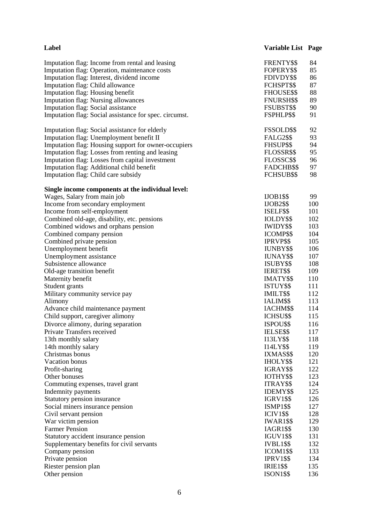| Label                                                                            | <b>Variable List Page</b>     |            |
|----------------------------------------------------------------------------------|-------------------------------|------------|
| Imputation flag: Income from rental and leasing                                  | FRENTY\$\$                    | 84         |
| Imputation flag: Operation, maintenance costs                                    | FOPERY\$\$                    | 85         |
| Imputation flag: Interest, dividend income                                       | FDIVDY\$\$                    | 86         |
| Imputation flag: Child allowance                                                 | FCHSPT\$\$                    | 87         |
| Imputation flag: Housing benefit                                                 | FHOUSE\$\$                    | 88         |
| <b>Imputation flag: Nursing allowances</b>                                       | <b>FNURSH\$\$</b>             | 89         |
| <b>Imputation flag: Social assistance</b>                                        | FSUBST\$\$                    | 90         |
| Imputation flag: Social assistance for spec. circumst.                           | FSPHLP\$\$                    | 91         |
| Imputation flag: Social assistance for elderly                                   | FSSOLD\$\$                    | 92         |
| Imputation flag: Unemployment benefit II                                         | <b>FALG2\$\$</b>              | 93         |
| Imputation flag: Housing support for owner-occupiers                             | FHSUP\$\$                     | 94         |
| Imputation flag: Losses from renting and leasing                                 | FLOSSR\$\$                    | 95         |
| Imputation flag: Losses from capital investment                                  | FLOSSC\$\$                    | 96         |
| Imputation flag: Additional child benefit                                        | FADCHB\$\$                    | 97         |
| Imputation flag: Child care subsidy                                              | FCHSUB\$\$                    | 98         |
| Single income components at the individual level:<br>Wages, Salary from main job | $IJOB1$ \$\$                  | 99         |
| Income from secondary employment                                                 | <b>IJOB2\$\$</b>              | 100        |
| Income from self-employment                                                      | ISELF\$\$                     | 101        |
| Combined old-age, disability, etc. pensions                                      | IOLDY\$\$                     | 102        |
| Combined widows and orphans pension                                              | <b>IWIDY\$\$</b>              | 103        |
| Combined company pension                                                         | ICOMP\$\$                     | 104        |
| Combined private pension                                                         | <b>IPRVP\$\$</b>              | 105        |
| Unemployment benefit                                                             | <b>IUNBY\$\$</b>              | 106        |
| Unemployment assistance                                                          | IUNAY\$\$                     | 107        |
| Subsistence allowance                                                            | <b>ISUBY\$\$</b>              | 108        |
| Old-age transition benefit                                                       | <b>IERET\$\$</b>              | 109        |
| Maternity benefit                                                                | IMATY\$\$                     | 110        |
| Student grants                                                                   | ISTUY\$\$                     | 111        |
| Military community service pay                                                   | IMILT\$\$                     | 112        |
| Alimony                                                                          | IALIM\$\$                     | 113        |
| Advance child maintenance payment                                                | IACHM\$\$                     | 114        |
| Child support, caregiver alimony                                                 | ICHSU\$\$                     | 115        |
| Divorce alimony, during separation                                               | ISPOU\$\$                     | 116        |
| Private Transfers received                                                       | IELSE\$\$                     | 117        |
| 13th monthly salary                                                              | <b>I13LY\$\$</b>              | 118        |
| 14th monthly salary                                                              | <b>I14LY\$\$</b>              | 119        |
| Christmas bonus                                                                  | IXMAS\$\$                     | 120        |
| Vacation bonus                                                                   | <b>IHOLYSS</b>                | 121        |
| Profit-sharing                                                                   | IGRAY\$\$                     | 122        |
| Other bonuses                                                                    | IOTHY\$\$                     | 123        |
| Commuting expenses, travel grant                                                 | <b>ITRAY\$\$</b>              | 124        |
| Indemnity payments                                                               | <b>IDEMY\$\$</b>              | 125        |
| Statutory pension insurance                                                      | <b>IGRV1\$\$</b>              | 126        |
| Social miners insurance pension                                                  | <b>ISMP1\$\$</b>              | 127        |
| Civil servant pension                                                            | <b>ICIV1\$\$</b>              | 128        |
| War victim pension                                                               | <b>IWAR1\$\$</b>              | 129        |
| <b>Farmer Pension</b>                                                            | <b>IAGR1\$\$</b>              | 130        |
| Statutory accident insurance pension                                             | <b>IGUV1\$\$</b>              | 131<br>132 |
| Supplementary benefits for civil servants                                        | <b>IVBL1\$\$</b><br>ICOM1\$\$ | 133        |
| Company pension<br>Private pension                                               | <b>IPRV1\$\$</b>              | 134        |
| Riester pension plan                                                             | <b>IRIE1\$\$</b>              | 135        |
| Other pension                                                                    | <b>ISON1\$\$</b>              | 136        |
|                                                                                  |                               |            |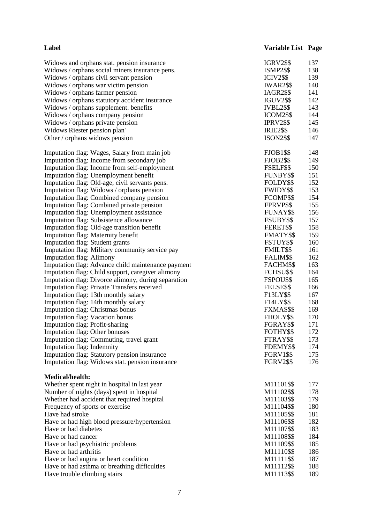| <b>IGRV2\$\$</b>                                                                                            | 137        |
|-------------------------------------------------------------------------------------------------------------|------------|
| Widows and orphans stat. pension insurance                                                                  |            |
| Widows / orphans social miners insurance pens.<br><b>ISMP2\$\$</b>                                          | 138        |
| <b>ICIV2\$\$</b><br>Widows / orphans civil servant pension                                                  | 139        |
| Widows / orphans war victim pension<br><b>IWAR2\$\$</b>                                                     | 140        |
| Widows / orphans farmer pension<br><b>IAGR2\$\$</b>                                                         | 141        |
| <b>IGUV2\$\$</b><br>Widows / orphans statutory accident insurance                                           | 142        |
| Widows / orphans supplement. benefits<br><b>IVBL2\$\$</b>                                                   | 143        |
| Widows / orphans company pension<br>ICOM2\$\$                                                               | 144        |
| Widows / orphans private pension<br><b>IPRV2\$\$</b>                                                        | 145        |
| Widows Riester pension plan'<br><b>IRIE2\$\$</b>                                                            | 146        |
| Other / orphans widows pension<br><b>ISON2\$\$</b>                                                          | 147        |
| <b>FJOB1\$\$</b><br>Imputation flag: Wages, Salary from main job                                            | 148        |
| <b>FJOB2\$\$</b><br>Imputation flag: Income from secondary job                                              | 149        |
| Imputation flag: Income from self-employment<br>FSELF\$\$                                                   | 150        |
| Imputation flag: Unemployment benefit<br>FUNBY\$\$                                                          | 151        |
| Imputation flag: Old-age, civil servants pens.<br>FOLDY\$\$                                                 | 152        |
| Imputation flag: Widows / orphans pension<br><b>FWIDY\$\$</b>                                               | 153        |
| Imputation flag: Combined company pension<br>FCOMP\$\$                                                      | 154        |
| Imputation flag: Combined private pension<br>FPRVP\$\$                                                      | 155        |
| Imputation flag: Unemployment assistance<br>FUNAY\$\$                                                       | 156        |
| Imputation flag: Subsistence allowance<br>FSUBY\$\$                                                         | 157        |
| Imputation flag: Old-age transition benefit<br>FERET\$\$<br>Imputation flag: Maternity benefit<br>FMATY\$\$ | 158<br>159 |
| <b>Imputation flag: Student grants</b><br>FSTUY\$\$                                                         | 160        |
| Imputation flag: Military community service pay<br><b>FMILT\$\$</b>                                         | 161        |
| <b>Imputation flag: Alimony</b><br>FALIM\$\$                                                                | 162        |
| Imputation flag: Advance child maintenance payment<br>FACHM\$\$                                             | 163        |
| Imputation flag: Child support, caregiver alimony<br>FCHSU\$\$                                              | 164        |
| Imputation flag: Divorce alimony, during separation<br>FSPOU\$\$                                            | 165        |
| FELSE\$\$<br><b>Imputation flag: Private Transfers received</b>                                             | 166        |
| Imputation flag: 13th monthly salary<br>F13LY\$\$                                                           | 167        |
| Imputation flag: 14th monthly salary<br>F14LY\$\$                                                           | 168        |
| Imputation flag: Christmas bonus<br>FXMAS\$\$                                                               | 169        |
| Imputation flag: Vacation bonus<br>FHOLY\$\$                                                                | 170        |
| <b>Imputation flag: Profit-sharing</b><br>FGRAY\$\$                                                         | 171        |
| Imputation flag: Other bonuses<br>FOTHY\$\$                                                                 | 172        |
| Imputation flag: Commuting, travel grant<br>FTRAY\$\$                                                       | 173        |
| Imputation flag: Indemnity<br>FDEMY\$\$                                                                     | 174        |
| Imputation flag: Statutory pension insurance<br><b>FGRV1\$\$</b>                                            | 175        |
| Imputation flag: Widows stat. pension insurance<br><b>FGRV2\$\$</b>                                         | 176        |
| <b>Medical/health:</b>                                                                                      |            |
| Whether spent night in hospital in last year<br>M11101\$\$                                                  | 177        |
| Number of nights (days) spent in hospital<br>M11102\$\$                                                     | 178        |
| Whether had accident that required hospital<br>M11103\$\$                                                   | 179        |
| Frequency of sports or exercise<br>M11104\$\$                                                               | 180        |
| Have had stroke<br>M11105\$\$                                                                               | 181        |
| M11106\$\$<br>Have or had high blood pressure/hypertension<br>Have or had diabetes                          | 182        |
| M11107\$\$<br>M11108\$\$<br>Have or had cancer                                                              | 183<br>184 |
| M11109\$\$<br>Have or had psychiatric problems                                                              | 185        |
| Have or had arthritis<br>M11110\$\$                                                                         | 186        |
| Have or had angina or heart condition<br>M11111\$\$                                                         | 187        |
| Have or had asthma or breathing difficulties<br>M11112\$\$                                                  | 188        |
| M11113\$\$<br>Have trouble climbing stairs                                                                  | 189        |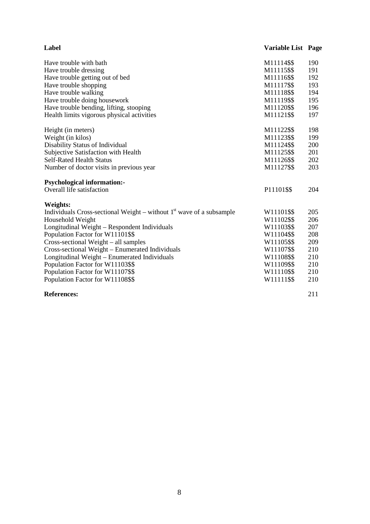| Label                                                                  | <b>Variable List Page</b> |     |
|------------------------------------------------------------------------|---------------------------|-----|
| Have trouble with bath                                                 | M11114\$\$                | 190 |
| Have trouble dressing                                                  | M11115\$\$                | 191 |
| Have trouble getting out of bed                                        | M11116\$\$                | 192 |
| Have trouble shopping                                                  | M11117\$\$                | 193 |
| Have trouble walking                                                   | M11118\$\$                | 194 |
| Have trouble doing housework                                           | M11119\$\$                | 195 |
| Have trouble bending, lifting, stooping                                | M11120\$\$                | 196 |
| Health limits vigorous physical activities                             | M11121\$\$                | 197 |
| Height (in meters)                                                     | M11122\$\$                | 198 |
| Weight (in kilos)                                                      | M11123\$\$                | 199 |
| Disability Status of Individual                                        | M11124\$\$                | 200 |
| Subjective Satisfaction with Health                                    | M11125\$\$                | 201 |
| <b>Self-Rated Health Status</b>                                        | M11126\$\$                | 202 |
| Number of doctor visits in previous year                               | M11127\$\$                | 203 |
| <b>Psychological information:-</b>                                     |                           |     |
| Overall life satisfaction                                              | P11101\$\$                | 204 |
| Weights:                                                               |                           |     |
| Individuals Cross-sectional Weight – without $1st$ wave of a subsample | W11101\$\$                | 205 |
| Household Weight                                                       | W11102\$\$                | 206 |
| Longitudinal Weight - Respondent Individuals                           | W11103\$\$                | 207 |
| Population Factor for W11101\$\$                                       | W11104\$\$                | 208 |
| Cross-sectional Weight – all samples                                   | W11105\$\$                | 209 |
| Cross-sectional Weight - Enumerated Individuals                        | W11107\$\$                | 210 |
| Longitudinal Weight - Enumerated Individuals                           | W11108\$\$                | 210 |
| Population Factor for W11103\$\$                                       | W11109\$\$                | 210 |
| Population Factor for W11107\$\$                                       | W11110\$\$                | 210 |
| Population Factor for W11108\$\$                                       | W11111\$\$                | 210 |
| <b>References:</b>                                                     |                           | 211 |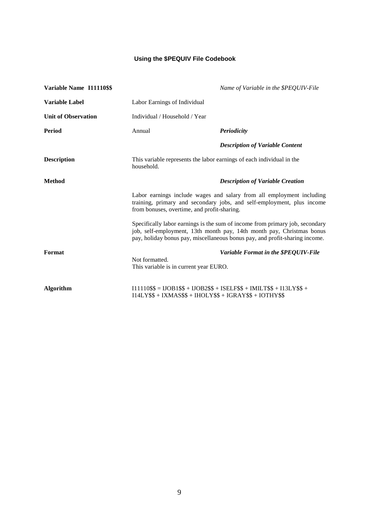## **Using the \$PEQUIV File Codebook**

| Variable Name I11110\$\$   |                                                                                     | Name of Variable in the \$PEQUIV-File                                                                                                                                                                                                |
|----------------------------|-------------------------------------------------------------------------------------|--------------------------------------------------------------------------------------------------------------------------------------------------------------------------------------------------------------------------------------|
| <b>Variable Label</b>      | Labor Earnings of Individual                                                        |                                                                                                                                                                                                                                      |
| <b>Unit of Observation</b> | Individual / Household / Year                                                       |                                                                                                                                                                                                                                      |
| <b>Period</b>              | Annual                                                                              | <b>Periodicity</b>                                                                                                                                                                                                                   |
|                            |                                                                                     | <b>Description of Variable Content</b>                                                                                                                                                                                               |
| <b>Description</b>         | This variable represents the labor earnings of each individual in the<br>household. |                                                                                                                                                                                                                                      |
| <b>Method</b>              | <b>Description of Variable Creation</b>                                             |                                                                                                                                                                                                                                      |
|                            | from bonuses, overtime, and profit-sharing.                                         | Labor earnings include wages and salary from all employment including<br>training, primary and secondary jobs, and self-employment, plus income                                                                                      |
|                            |                                                                                     | Specifically labor earnings is the sum of income from primary job, secondary<br>job, self-employment, 13th month pay, 14th month pay, Christmas bonus<br>pay, holiday bonus pay, miscellaneous bonus pay, and profit-sharing income. |
| Format                     |                                                                                     | Variable Format in the \$PEQUIV-File                                                                                                                                                                                                 |
|                            | Not formatted.<br>This variable is in current year EURO.                            |                                                                                                                                                                                                                                      |
| <b>Algorithm</b>           | $I14LY$ \$\$ + IXMAS\$\$ + IHOLY\$\$ + IGRAY\$\$ + IOTHY\$\$                        | $I11110$ \$\$ = $IJOB1$ \$\$ + $IJOB2$ \$\$ + $ISELF$ \$\$ + $IMILT$ \$\$ + $I13LY$ \$\$ +                                                                                                                                           |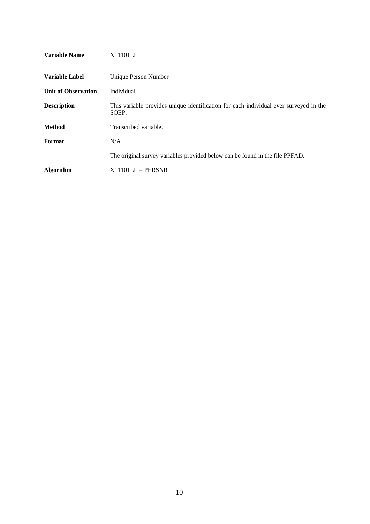| <b>Variable Name</b>       | X11101LL                                                                                       |
|----------------------------|------------------------------------------------------------------------------------------------|
| <b>Variable Label</b>      | Unique Person Number                                                                           |
| <b>Unit of Observation</b> | Individual                                                                                     |
| <b>Description</b>         | This variable provides unique identification for each individual ever surveyed in the<br>SOEP. |
| <b>Method</b>              | Transcribed variable.                                                                          |
| Format                     | N/A                                                                                            |
|                            | The original survey variables provided below can be found in the file PPFAD.                   |
| <b>Algorithm</b>           | $X11101LL = PERSNR$                                                                            |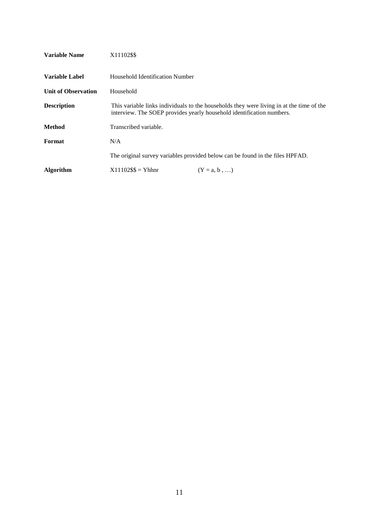| <b>Variable Name</b>       | X11102\$\$                                                                                                                                                        |  |
|----------------------------|-------------------------------------------------------------------------------------------------------------------------------------------------------------------|--|
| Variable Label             | Household Identification Number                                                                                                                                   |  |
| <b>Unit of Observation</b> | Household                                                                                                                                                         |  |
| <b>Description</b>         | This variable links individuals to the households they were living in at the time of the<br>interview. The SOEP provides yearly household identification numbers. |  |
| <b>Method</b>              | Transcribed variable.                                                                                                                                             |  |
| Format                     | N/A                                                                                                                                                               |  |
|                            | The original survey variables provided below can be found in the files HPFAD.                                                                                     |  |
| <b>Algorithm</b>           | $X11102$ \$\$ = Yhhnr<br>$(Y = a, b, \ldots)$                                                                                                                     |  |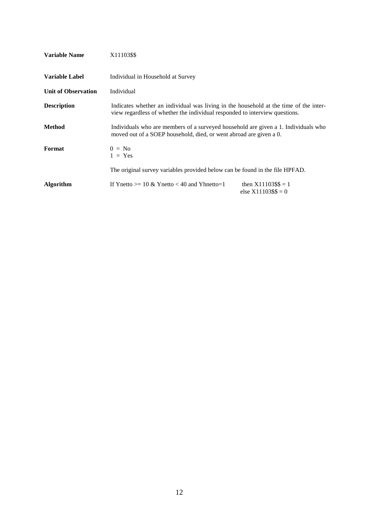| <b>Variable Name</b>       | X11103\$\$                                                                                                                                                           |                                                    |
|----------------------------|----------------------------------------------------------------------------------------------------------------------------------------------------------------------|----------------------------------------------------|
| <b>Variable Label</b>      | Individual in Household at Survey                                                                                                                                    |                                                    |
| <b>Unit of Observation</b> | Individual                                                                                                                                                           |                                                    |
| <b>Description</b>         | Indicates whether an individual was living in the household at the time of the inter-<br>view regardless of whether the individual responded to interview questions. |                                                    |
| Method                     | Individuals who are members of a surveyed household are given a 1. Individuals who<br>moved out of a SOEP household, died, or went abroad are given a 0.             |                                                    |
| Format                     | $0 = No$<br>$1 = Yes$                                                                                                                                                |                                                    |
|                            | The original survey variables provided below can be found in the file HPFAD.                                                                                         |                                                    |
| Algorithm                  | If Ynetto $> = 10 \& Y$ netto < 40 and Yhnetto=1                                                                                                                     | then $X11103$ \$\$ = 1<br>else $X11103$ \$\$ $= 0$ |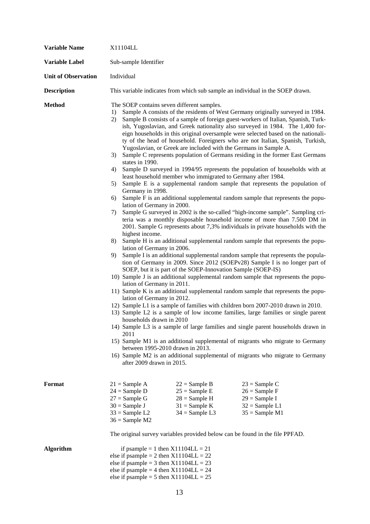| <b>Variable Name</b>       | X11104LL                                                                                                                                                                                                                                                                                                                                                                                                                                                                                                                                                                                                                                                                                                                                                                                                                                                                                                                                                                                                                                                                                                                                                                                                                                                                                                                                                                                                                                                                                                                                                                                                                                                                                                                                                                                                                                                                                                                                                                                                                                                                                                                                                                                                                                                                                                                                                                                                                                                                          |  |  |
|----------------------------|-----------------------------------------------------------------------------------------------------------------------------------------------------------------------------------------------------------------------------------------------------------------------------------------------------------------------------------------------------------------------------------------------------------------------------------------------------------------------------------------------------------------------------------------------------------------------------------------------------------------------------------------------------------------------------------------------------------------------------------------------------------------------------------------------------------------------------------------------------------------------------------------------------------------------------------------------------------------------------------------------------------------------------------------------------------------------------------------------------------------------------------------------------------------------------------------------------------------------------------------------------------------------------------------------------------------------------------------------------------------------------------------------------------------------------------------------------------------------------------------------------------------------------------------------------------------------------------------------------------------------------------------------------------------------------------------------------------------------------------------------------------------------------------------------------------------------------------------------------------------------------------------------------------------------------------------------------------------------------------------------------------------------------------------------------------------------------------------------------------------------------------------------------------------------------------------------------------------------------------------------------------------------------------------------------------------------------------------------------------------------------------------------------------------------------------------------------------------------------------|--|--|
| Variable Label             | Sub-sample Identifier                                                                                                                                                                                                                                                                                                                                                                                                                                                                                                                                                                                                                                                                                                                                                                                                                                                                                                                                                                                                                                                                                                                                                                                                                                                                                                                                                                                                                                                                                                                                                                                                                                                                                                                                                                                                                                                                                                                                                                                                                                                                                                                                                                                                                                                                                                                                                                                                                                                             |  |  |
| <b>Unit of Observation</b> | Individual                                                                                                                                                                                                                                                                                                                                                                                                                                                                                                                                                                                                                                                                                                                                                                                                                                                                                                                                                                                                                                                                                                                                                                                                                                                                                                                                                                                                                                                                                                                                                                                                                                                                                                                                                                                                                                                                                                                                                                                                                                                                                                                                                                                                                                                                                                                                                                                                                                                                        |  |  |
| <b>Description</b>         | This variable indicates from which sub sample an individual in the SOEP drawn.                                                                                                                                                                                                                                                                                                                                                                                                                                                                                                                                                                                                                                                                                                                                                                                                                                                                                                                                                                                                                                                                                                                                                                                                                                                                                                                                                                                                                                                                                                                                                                                                                                                                                                                                                                                                                                                                                                                                                                                                                                                                                                                                                                                                                                                                                                                                                                                                    |  |  |
| <b>Method</b>              | The SOEP contains seven different samples.<br>Sample A consists of the residents of West Germany originally surveyed in 1984.<br>1)<br>Sample B consists of a sample of foreign guest-workers of Italian, Spanish, Turk-<br>2)<br>ish, Yugoslavian, and Greek nationality also surveyed in 1984. The 1,400 for-<br>eign households in this original oversample were selected based on the nationali-<br>ty of the head of household. Foreigners who are not Italian, Spanish, Turkish,<br>Yugoslavian, or Greek are included with the Germans in Sample A.<br>Sample C represents population of Germans residing in the former East Germans<br>3)<br>states in 1990.<br>Sample D surveyed in 1994/95 represents the population of households with at<br>4)<br>least household member who immigrated to Germany after 1984.<br>Sample E is a supplemental random sample that represents the population of<br>5)<br>Germany in 1998.<br>Sample F is an additional supplemental random sample that represents the popu-<br>6)<br>lation of Germany in 2000.<br>Sample G surveyed in 2002 is the so-called "high-income sample". Sampling cri-<br>7)<br>teria was a monthly disposable household income of more than 7.500 DM in<br>2001. Sample G represents about 7,3% individuals in private households with the<br>highest income.<br>Sample H is an additional supplemental random sample that represents the popu-<br>8)<br>lation of Germany in 2006.<br>Sample I is an additional supplemental random sample that represents the popula-<br>9)<br>tion of Germany in 2009. Since 2012 (SOEPv28) Sample I is no longer part of<br>SOEP, but it is part of the SOEP-Innovation Sample (SOEP-IS)<br>10) Sample J is an additional supplemental random sample that represents the popu-<br>lation of Germany in 2011.<br>11) Sample K is an additional supplemental random sample that represents the popu-<br>lation of Germany in 2012.<br>12) Sample L1 is a sample of families with children born 2007-2010 drawn in 2010.<br>13) Sample L2 is a sample of low income families, large families or single parent<br>households drawn in 2010<br>14) Sample L3 is a sample of large families and single parent households drawn in<br>2011<br>15) Sample M1 is an additional supplemental of migrants who migrate to Germany<br>between 1995-2010 drawn in 2013.<br>16) Sample M2 is an additional supplemental of migrants who migrate to Germany<br>after 2009 drawn in 2015. |  |  |
| Format                     | $21 =$ Sample A<br>$22 =$ Sample B<br>$23 =$ Sample C<br>$24 =$ Sample D<br>$25 =$ Sample E<br>$26 =$ Sample F<br>$27 =$ Sample G<br>$28 =$ Sample H<br>$29 =$ Sample I<br>$30 =$ Sample J<br>$31 =$ Sample K<br>$32 =$ Sample L1<br>$33 =$ Sample L2<br>$34 =$ Sample L3<br>$35 =$ Sample M1<br>$36 =$ Sample M2<br>The original survey variables provided below can be found in the file PPFAD.                                                                                                                                                                                                                                                                                                                                                                                                                                                                                                                                                                                                                                                                                                                                                                                                                                                                                                                                                                                                                                                                                                                                                                                                                                                                                                                                                                                                                                                                                                                                                                                                                                                                                                                                                                                                                                                                                                                                                                                                                                                                                 |  |  |
| <b>Algorithm</b>           | if psample = 1 then $X11104LL = 21$<br>else if psample = 2 then $X11104LL = 22$<br>else if psample = 3 then $X11104LL = 23$<br>else if psample = 4 then $X11104LL = 24$<br>else if psample = 5 then $X11104LL = 25$                                                                                                                                                                                                                                                                                                                                                                                                                                                                                                                                                                                                                                                                                                                                                                                                                                                                                                                                                                                                                                                                                                                                                                                                                                                                                                                                                                                                                                                                                                                                                                                                                                                                                                                                                                                                                                                                                                                                                                                                                                                                                                                                                                                                                                                               |  |  |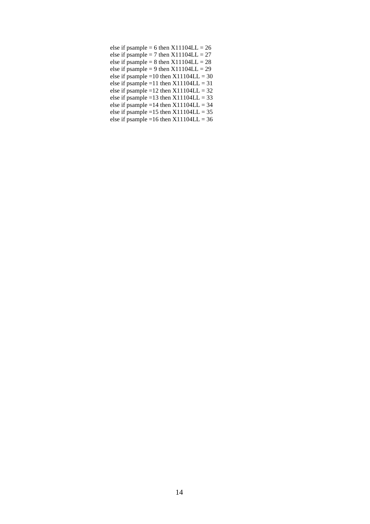| else if psample = 6 then $X11104LL = 26$    |
|---------------------------------------------|
| else if psample = 7 then $X11104LL = 27$    |
| else if psample = 8 then $X11104LL = 28$    |
| else if psample = 9 then $X11104LL = 29$    |
| else if psample = 10 then $X11104LL = 30$   |
| else if psample = 11 then $X11104LL = 31$   |
| else if psample = $12$ then $X11104LL = 32$ |
| else if psample = 13 then $X11104LL = 33$   |
| else if psample = $14$ then $X11104LL = 34$ |
| else if psample = 15 then $X11104LL = 35$   |
| else if psample = 16 then $X11104LL = 36$   |
|                                             |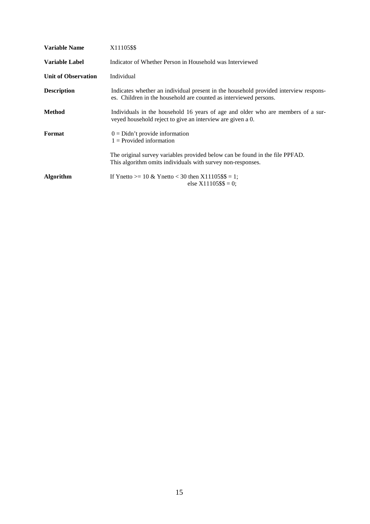| <b>Variable Name</b>       | X11105\$\$                                                                                                                                                |
|----------------------------|-----------------------------------------------------------------------------------------------------------------------------------------------------------|
| <b>Variable Label</b>      | Indicator of Whether Person in Household was Interviewed                                                                                                  |
| <b>Unit of Observation</b> | Individual                                                                                                                                                |
| <b>Description</b>         | Indicates whether an individual present in the household provided interview respons-<br>es. Children in the household are counted as interviewed persons. |
| Method                     | Individuals in the household 16 years of age and older who are members of a sur-<br>veyed household reject to give an interview are given a 0.            |
| Format                     | $0 = Didn't provide information$<br>$1 =$ Provided information                                                                                            |
|                            | The original survey variables provided below can be found in the file PPFAD.<br>This algorithm omits individuals with survey non-responses.               |
| <b>Algorithm</b>           | If Ynetto >= 10 & Ynetto < 30 then $X11105$ \$\$ = 1;<br>else $X11105$ \$\$ = 0;                                                                          |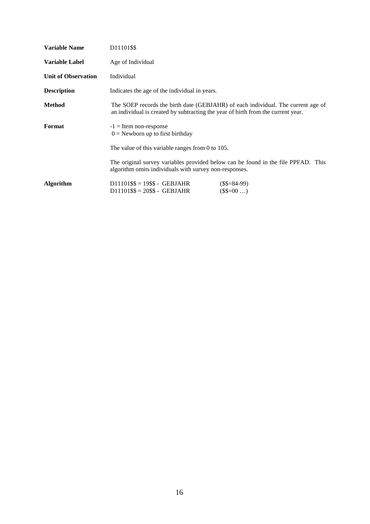| <b>Variable Name</b>       | D11101\$\$                                                                                                                                                           |  |
|----------------------------|----------------------------------------------------------------------------------------------------------------------------------------------------------------------|--|
| Variable Label             | Age of Individual                                                                                                                                                    |  |
| <b>Unit of Observation</b> | Individual                                                                                                                                                           |  |
| <b>Description</b>         | Indicates the age of the individual in years.                                                                                                                        |  |
| Method                     | The SOEP records the birth date (GEBJAHR) of each individual. The current age of<br>an individual is created by subtracting the year of birth from the current year. |  |
| Format                     | $-1$ = Item non-response<br>$0 =$ Newborn up to first birthday                                                                                                       |  |
|                            | The value of this variable ranges from 0 to $105$ .                                                                                                                  |  |
|                            | The original survey variables provided below can be found in the file PPFAD. This<br>algorithm omits individuals with survey non-responses.                          |  |
| Algorithm                  | $D11101$ \$\$ = 19\$\$ - GEBJAHR<br>$($$=84-99)$<br>$(\$$=00$<br>$D11101$ \$\$ = 20\$\$ - GEBJAHR                                                                    |  |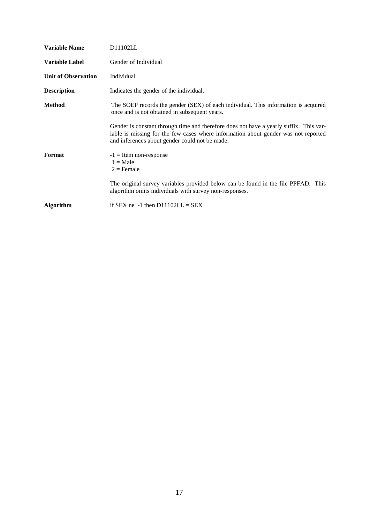| <b>Variable Name</b>       | D11102LL                                                                                                                                                                                                                       |
|----------------------------|--------------------------------------------------------------------------------------------------------------------------------------------------------------------------------------------------------------------------------|
| <b>Variable Label</b>      | Gender of Individual                                                                                                                                                                                                           |
| <b>Unit of Observation</b> | Individual                                                                                                                                                                                                                     |
| <b>Description</b>         | Indicates the gender of the individual.                                                                                                                                                                                        |
| Method                     | The SOEP records the gender (SEX) of each individual. This information is acquired<br>once and is not obtained in subsequent years.                                                                                            |
|                            | Gender is constant through time and therefore does not have a yearly suffix. This var-<br>iable is missing for the few cases where information about gender was not reported<br>and inferences about gender could not be made. |
| Format                     | $-1$ = Item non-response<br>$1 = Male$<br>$2$ = Female                                                                                                                                                                         |
|                            | The original survey variables provided below can be found in the file PPFAD. This<br>algorithm omits individuals with survey non-responses.                                                                                    |
| Algorithm                  | if SEX ne -1 then $D11102LL = SEX$                                                                                                                                                                                             |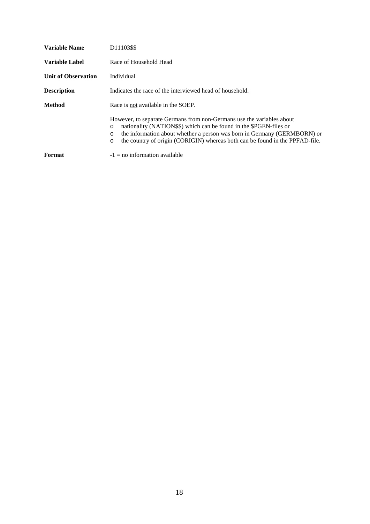| <b>Variable Name</b>  | D11103\$\$                                                                                                                                                                                                                                                                                                                               |
|-----------------------|------------------------------------------------------------------------------------------------------------------------------------------------------------------------------------------------------------------------------------------------------------------------------------------------------------------------------------------|
| <b>Variable Label</b> | Race of Household Head                                                                                                                                                                                                                                                                                                                   |
| Unit of Observation   | Individual                                                                                                                                                                                                                                                                                                                               |
| Description           | Indicates the race of the interviewed head of household.                                                                                                                                                                                                                                                                                 |
| Method                | Race is not available in the SOEP.                                                                                                                                                                                                                                                                                                       |
|                       | However, to separate Germans from non-Germans use the variables about<br>nationality (NATION\$\$) which can be found in the \$PGEN-files or<br>$\circ$<br>the information about whether a person was born in Germany (GERMBORN) or<br>$\circ$<br>the country of origin (CORIGIN) whereas both can be found in the PPFAD-file.<br>$\circ$ |
| Format                | $-1 =$ no information available                                                                                                                                                                                                                                                                                                          |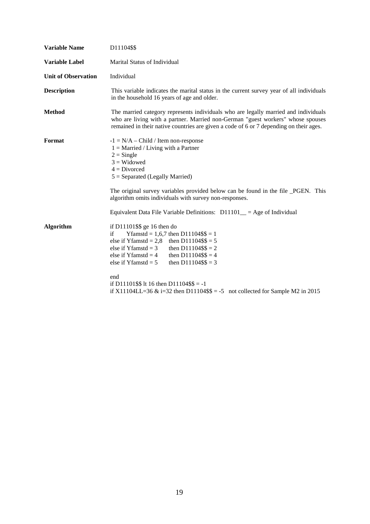| <b>Variable Name</b>       | D11104\$\$                                                                                                                                                                                                                                                                          |  |
|----------------------------|-------------------------------------------------------------------------------------------------------------------------------------------------------------------------------------------------------------------------------------------------------------------------------------|--|
| <b>Variable Label</b>      | Marital Status of Individual                                                                                                                                                                                                                                                        |  |
| <b>Unit of Observation</b> | Individual                                                                                                                                                                                                                                                                          |  |
| <b>Description</b>         | This variable indicates the marital status in the current survey year of all individuals<br>in the household 16 years of age and older.                                                                                                                                             |  |
| <b>Method</b>              | The married category represents individuals who are legally married and individuals<br>who are living with a partner. Married non-German "guest workers" whose spouses<br>remained in their native countries are given a code of 6 or 7 depending on their ages.                    |  |
| Format                     | $-1 = N/A - Child / Item non-response$<br>$1 =$ Married / Living with a Partner<br>$2 =$ Single<br>$3$ = Widowed<br>$4 = Divorced$<br>$5 =$ Separated (Legally Married)                                                                                                             |  |
|                            | The original survey variables provided below can be found in the file _PGEN. This<br>algorithm omits individuals with survey non-responses.                                                                                                                                         |  |
|                            | Equivalent Data File Variable Definitions: $D11101$ = Age of Individual                                                                                                                                                                                                             |  |
| <b>Algorithm</b>           | if D11101\$\$ ge 16 then do<br>Yfamstd = $1,6,7$ then D11104\$\$ = 1<br>if<br>else if Yfamstd = 2,8 then D11104\$\$ = 5<br>else if Yfamst $d = 3$<br>then $D11104$ \$\$ = 2<br>else if Yfamst $d = 4$<br>then $D11104$ \$\$ = 4<br>else if Yfamst $d = 5$<br>then $D11104$ \$\$ = 3 |  |
|                            | end<br>if D11101\$\$ lt 16 then D11104\$\$ = -1<br>if X11104LL=36 & i=32 then D11104\$\$ = -5 not collected for Sample M2 in 2015                                                                                                                                                   |  |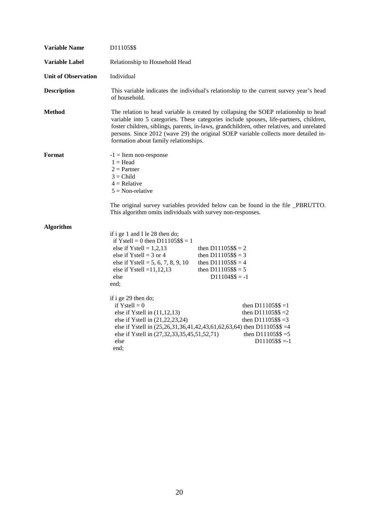| <b>Variable Name</b>       | D11105\$\$                                                                                                                                                                                                                                                                                                                                                                                                          |                                                                                                                            |                                                                       |
|----------------------------|---------------------------------------------------------------------------------------------------------------------------------------------------------------------------------------------------------------------------------------------------------------------------------------------------------------------------------------------------------------------------------------------------------------------|----------------------------------------------------------------------------------------------------------------------------|-----------------------------------------------------------------------|
| Variable Label             | Relationship to Household Head                                                                                                                                                                                                                                                                                                                                                                                      |                                                                                                                            |                                                                       |
| <b>Unit of Observation</b> | Individual                                                                                                                                                                                                                                                                                                                                                                                                          |                                                                                                                            |                                                                       |
| <b>Description</b>         | This variable indicates the individual's relationship to the current survey year's head<br>of household.                                                                                                                                                                                                                                                                                                            |                                                                                                                            |                                                                       |
| <b>Method</b>              | The relation to head variable is created by collapsing the SOEP relationship to head<br>variable into 5 categories. These categories include spouses, life-partners, children,<br>foster children, siblings, parents, in-laws, grandchildren, other relatives, and unrelated<br>persons. Since 2012 (wave 29) the original SOEP variable collects more detailed in-<br>formation about family relationships.        |                                                                                                                            |                                                                       |
| Format                     | $-1$ = Item non-response<br>$1 = Head$<br>$2 =$ Partner<br>$3 = Child$<br>$4 =$ Relative<br>$5 = \text{Non-relative}$<br>The original survey variables provided below can be found in the file _PBRUTTO.<br>This algorithm omits individuals with survey non-responses.                                                                                                                                             |                                                                                                                            |                                                                       |
| Algorithm                  | if i ge 1 and I le 28 then do;<br>if Ystell = 0 then $D11105$ \$\$ = 1<br>else if Ystell = $1,2,13$<br>else if Ystell = $3$ or 4<br>else if Ystell = 5, 6, 7, 8, 9, 10<br>else if Ystell = $11, 12, 13$<br>else<br>end;<br>if i ge 29 then do;<br>if Ystell = $0$<br>else if Ystell in $(11, 12, 13)$<br>else if Ystell in (21,22,23,24)<br>else if Ystell in (25,26,31,36,41,42,43,61,62,63,64) then D11105\$\$ =4 | then $D11105$ \$\$ = 2<br>then $D11105$ \$\$ = 3<br>then $D11105$ \$\$ = 4<br>then $D11105$ \$\$ = 5<br>$D11104$ \$\$ = -1 | then $D11105$ \$\$ =1<br>then D11105\$\$ = 2<br>then $D11105$ \$\$ =3 |
|                            | else if Ystell in (27,32,33,35,45,51,52,71)<br>else<br>end;                                                                                                                                                                                                                                                                                                                                                         |                                                                                                                            | then $D11105$ \$\$ =5<br>$D11105$ \$\$ =-1                            |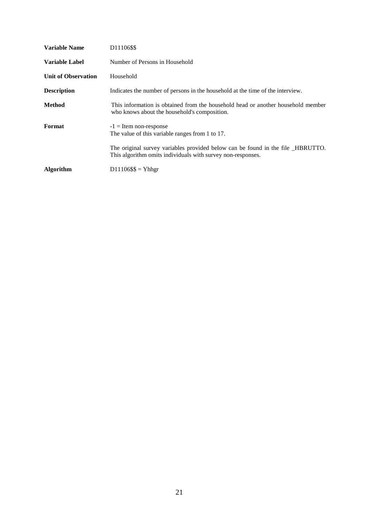| Variable Name              | D11106\$\$                                                                                                                                     |
|----------------------------|------------------------------------------------------------------------------------------------------------------------------------------------|
| Variable Label             | Number of Persons in Household                                                                                                                 |
| <b>Unit of Observation</b> | Household                                                                                                                                      |
| <b>Description</b>         | Indicates the number of persons in the household at the time of the interview.                                                                 |
| <b>Method</b>              | This information is obtained from the household head or another household member<br>who knows about the household's composition.               |
| Format                     | $-1$ = Item non-response<br>The value of this variable ranges from 1 to 17.                                                                    |
|                            | The original survey variables provided below can be found in the file _HBRUTTO.<br>This algorithm omits individuals with survey non-responses. |
| <b>Algorithm</b>           | $D11106$ \$\$ = Yhhgr                                                                                                                          |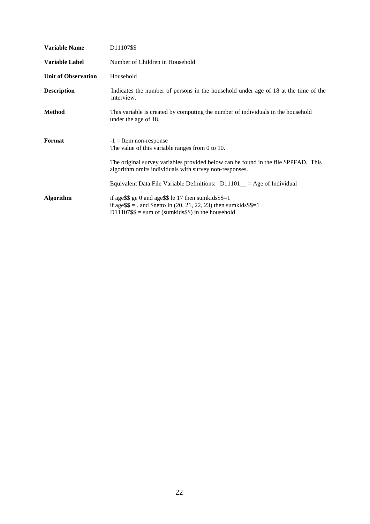| <b>Variable Name</b>       | D11107\$\$                                                                                                                                                                                                                                                                                                   |
|----------------------------|--------------------------------------------------------------------------------------------------------------------------------------------------------------------------------------------------------------------------------------------------------------------------------------------------------------|
| <b>Variable Label</b>      | Number of Children in Household                                                                                                                                                                                                                                                                              |
| <b>Unit of Observation</b> | Household                                                                                                                                                                                                                                                                                                    |
| <b>Description</b>         | Indicates the number of persons in the household under age of 18 at the time of the<br>interview.                                                                                                                                                                                                            |
| Method                     | This variable is created by computing the number of individuals in the household<br>under the age of 18.                                                                                                                                                                                                     |
| Format                     | $-1$ = Item non-response<br>The value of this variable ranges from $0$ to $10$ .<br>The original survey variables provided below can be found in the file \$PPFAD. This<br>algorithm omits individuals with survey non-responses.<br>Equivalent Data File Variable Definitions: $D11101$ = Age of Individual |
| <b>Algorithm</b>           | if age \\$\$ ge 0 and age \\$\$ le 17 then sum kids $\$ =1<br>if age $\$ = and $\$ netto in (20, 21, 22, 23) then sumkids $\$ = 1<br>$D11107$ \$\$ = sum of (sumkids\$\$) in the household                                                                                                                   |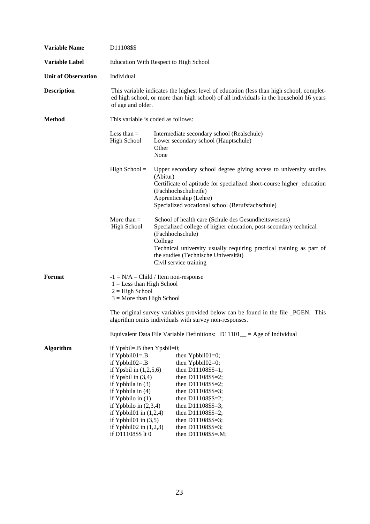| <b>Variable Name</b>       | D11108\$\$                                                                                                                                                                                                                                                                                                                                   |                                                                                                                                                                                                                                                                                                    |
|----------------------------|----------------------------------------------------------------------------------------------------------------------------------------------------------------------------------------------------------------------------------------------------------------------------------------------------------------------------------------------|----------------------------------------------------------------------------------------------------------------------------------------------------------------------------------------------------------------------------------------------------------------------------------------------------|
| <b>Variable Label</b>      | <b>Education With Respect to High School</b>                                                                                                                                                                                                                                                                                                 |                                                                                                                                                                                                                                                                                                    |
| <b>Unit of Observation</b> | Individual                                                                                                                                                                                                                                                                                                                                   |                                                                                                                                                                                                                                                                                                    |
| <b>Description</b>         | This variable indicates the highest level of education (less than high school, complet-<br>ed high school, or more than high school) of all individuals in the household 16 years<br>of age and older.                                                                                                                                       |                                                                                                                                                                                                                                                                                                    |
| <b>Method</b>              | This variable is coded as follows:                                                                                                                                                                                                                                                                                                           |                                                                                                                                                                                                                                                                                                    |
|                            | Less than $=$<br><b>High School</b>                                                                                                                                                                                                                                                                                                          | Intermediate secondary school (Realschule)<br>Lower secondary school (Hauptschule)<br>Other<br>None                                                                                                                                                                                                |
|                            | $High School =$                                                                                                                                                                                                                                                                                                                              | Upper secondary school degree giving access to university studies<br>(Abitur)<br>Certificate of aptitude for specialized short-course higher education<br>(Fachhochschulreife)<br>Apprenticeship (Lehre)<br>Specialized vocational school (Berufsfachschule)                                       |
|                            | More than $=$<br><b>High School</b>                                                                                                                                                                                                                                                                                                          | School of health care (Schule des Gesundheitswesens)<br>Specialized college of higher education, post-secondary technical<br>(Fachhochschule)<br>College<br>Technical university usually requiring practical training as part of<br>the studies (Technische Universität)<br>Civil service training |
| Format                     | $1 =$ Less than High School<br>$2 = High School$<br>$3 =$ More than High School                                                                                                                                                                                                                                                              | $-1 = N/A - Child / Item non-response$<br>The original survey variables provided below can be found in the file _PGEN. This<br>algorithm omits individuals with survey non-responses.<br>Equivalent Data File Variable Definitions: $D11101$ = Age of Individual                                   |
| <b>Algorithm</b>           | if Ypsbil=. $B$ then Ypsbil=0;<br>if $Ypbbil01 = .B$<br>if $Y$ pbbil $02 = B$<br>if Ypsbil in $(1,2,5,6)$<br>if Ypsbil in $(3,4)$<br>if Ypbbila in $(3)$<br>if Ypbbila in $(4)$<br>if Ypbbilo in $(1)$<br>if Ypbbilo in $(2,3,4)$<br>if Ypbbil01 in $(1,2,4)$<br>if Ypbbil $01$ in $(3,5)$<br>if Ypbbil02 in $(1,2,3)$<br>if D11108\$\$ lt 0 | then $Y$ pbbil $01=0$ ;<br>then $Y$ pbbil $02=0$ ;<br>then $D11108$ \$\$=1;<br>then D11108\$\$=2;<br>then D11108\$\$=2;<br>then D11108\$\$=3;<br>then D11108\$\$=2;<br>then $D11108$ \$\$=3;<br>then D11108\$\$=2;<br>then $D11108$ \$\$=3;<br>then D11108\$\$=3;<br>then D11108\$\$=.M;           |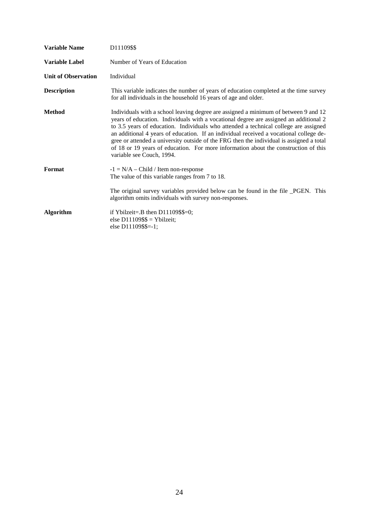| <b>Variable Name</b>       | D11109\$\$                                                                                                                                                                                                                                                                                                                                                                                                                                                                                                                                                                     |
|----------------------------|--------------------------------------------------------------------------------------------------------------------------------------------------------------------------------------------------------------------------------------------------------------------------------------------------------------------------------------------------------------------------------------------------------------------------------------------------------------------------------------------------------------------------------------------------------------------------------|
| <b>Variable Label</b>      | Number of Years of Education                                                                                                                                                                                                                                                                                                                                                                                                                                                                                                                                                   |
| <b>Unit of Observation</b> | Individual                                                                                                                                                                                                                                                                                                                                                                                                                                                                                                                                                                     |
| <b>Description</b>         | This variable indicates the number of years of education completed at the time survey<br>for all individuals in the household 16 years of age and older.                                                                                                                                                                                                                                                                                                                                                                                                                       |
| <b>Method</b>              | Individuals with a school leaving degree are assigned a minimum of between 9 and 12<br>years of education. Individuals with a vocational degree are assigned an additional 2<br>to 3.5 years of education. Individuals who attended a technical college are assigned<br>an additional 4 years of education. If an individual received a vocational college de-<br>gree or attended a university outside of the FRG then the individual is assigned a total<br>of 18 or 19 years of education. For more information about the construction of this<br>variable see Couch, 1994. |
| Format                     | $-1 = N/A - Child / Item non-response$<br>The value of this variable ranges from 7 to 18.                                                                                                                                                                                                                                                                                                                                                                                                                                                                                      |
|                            | The original survey variables provided below can be found in the file _PGEN. This<br>algorithm omits individuals with survey non-responses.                                                                                                                                                                                                                                                                                                                                                                                                                                    |
| <b>Algorithm</b>           | if Ybilzeit=.B then $D11109$ \$\$=0;<br>else $D11109$ \$\$ = Ybilzeit;<br>else $D11109$ \$\$=-1;                                                                                                                                                                                                                                                                                                                                                                                                                                                                               |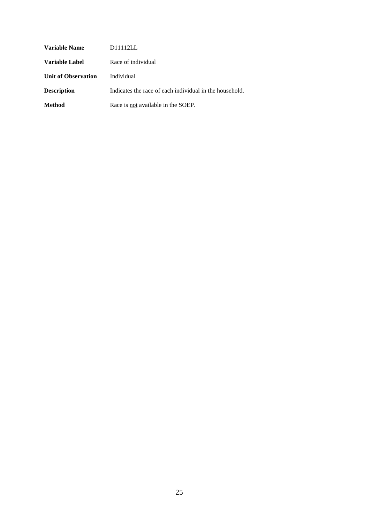| Variable Name              | D11112LL                                                |
|----------------------------|---------------------------------------------------------|
| Variable Label             | Race of individual                                      |
| <b>Unit of Observation</b> | Individual                                              |
| <b>Description</b>         | Indicates the race of each individual in the household. |
| <b>Method</b>              | Race is not available in the SOEP.                      |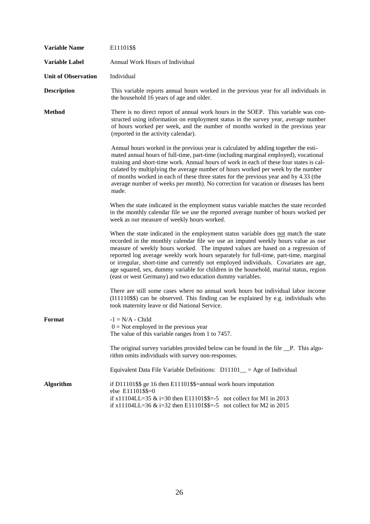| <b>Variable Name</b>       | E11101\$\$                                                                                                                                                                                                                                                                                                                                                                                                                                                                                                                                                                                         |
|----------------------------|----------------------------------------------------------------------------------------------------------------------------------------------------------------------------------------------------------------------------------------------------------------------------------------------------------------------------------------------------------------------------------------------------------------------------------------------------------------------------------------------------------------------------------------------------------------------------------------------------|
| Variable Label             | Annual Work Hours of Individual                                                                                                                                                                                                                                                                                                                                                                                                                                                                                                                                                                    |
| <b>Unit of Observation</b> | Individual                                                                                                                                                                                                                                                                                                                                                                                                                                                                                                                                                                                         |
| <b>Description</b>         | This variable reports annual hours worked in the previous year for all individuals in<br>the household 16 years of age and older.                                                                                                                                                                                                                                                                                                                                                                                                                                                                  |
| <b>Method</b>              | There is no direct report of annual work hours in the SOEP. This variable was con-<br>structed using information on employment status in the survey year, average number<br>of hours worked per week, and the number of months worked in the previous year<br>(reported in the activity calendar).                                                                                                                                                                                                                                                                                                 |
|                            | Annual hours worked in the previous year is calculated by adding together the esti-<br>mated annual hours of full-time, part-time (including marginal employed), vocational<br>training and short-time work. Annual hours of work in each of these four states is cal-<br>culated by multiplying the average number of hours worked per week by the number<br>of months worked in each of these three states for the previous year and by 4.33 (the<br>average number of weeks per month). No correction for vacation or diseases has been<br>made.                                                |
|                            | When the state indicated in the employment status variable matches the state recorded<br>in the monthly calendar file we use the reported average number of hours worked per<br>week as our measure of weekly hours worked.                                                                                                                                                                                                                                                                                                                                                                        |
|                            | When the state indicated in the employment status variable does not match the state<br>recorded in the monthly calendar file we use an imputed weekly hours value as our<br>measure of weekly hours worked. The imputed values are based on a regression of<br>reported log average weekly work hours separately for full-time, part-time, marginal<br>or irregular, short-time and currently not employed individuals. Covariates are age,<br>age squared, sex, dummy variable for children in the household, marital status, region<br>(east or west Germany) and two education dummy variables. |
|                            | There are still some cases where no annual work hours but individual labor income<br>(I11110\$\$) can be observed. This finding can be explained by e.g. individuals who<br>took maternity leave or did National Service.                                                                                                                                                                                                                                                                                                                                                                          |
| Format                     | $-1 = N/A - Child$<br>$0 = Not$ employed in the previous year<br>The value of this variable ranges from 1 to 7457.                                                                                                                                                                                                                                                                                                                                                                                                                                                                                 |
|                            | The original survey variables provided below can be found in the file P. This algo-<br>rithm omits individuals with survey non-responses.                                                                                                                                                                                                                                                                                                                                                                                                                                                          |
|                            | Equivalent Data File Variable Definitions: $D11101$ = Age of Individual                                                                                                                                                                                                                                                                                                                                                                                                                                                                                                                            |
| <b>Algorithm</b>           | if D11101\$\$ ge 16 then E11101\$\$=annual work hours imputation<br>else E11101\$\$=0<br>if $x11104LL = 35$ & i=30 then E11101\$\$=-5 not collect for M1 in 2013<br>if $x11104LL = 36$ & i=32 then E11101\$\$=-5 not collect for M2 in 2015                                                                                                                                                                                                                                                                                                                                                        |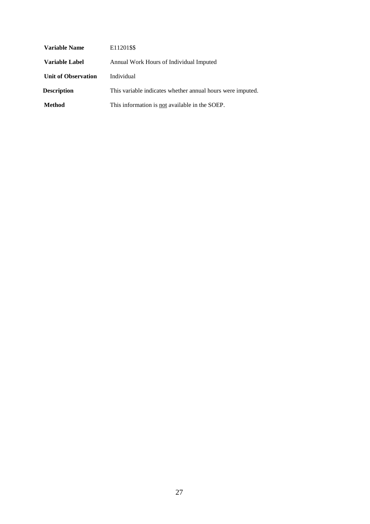| Variable Name              | E11201\$\$                                                 |
|----------------------------|------------------------------------------------------------|
| Variable Label             | Annual Work Hours of Individual Imputed                    |
| <b>Unit of Observation</b> | Individual                                                 |
| <b>Description</b>         | This variable indicates whether annual hours were imputed. |
| <b>Method</b>              | This information is not available in the SOEP.             |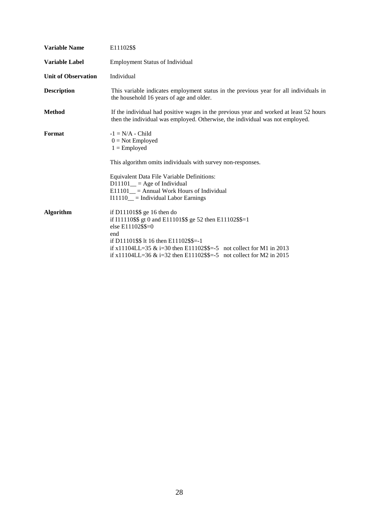| E11102\$\$                                                                                                                                                                                                                                                                                                          |  |  |
|---------------------------------------------------------------------------------------------------------------------------------------------------------------------------------------------------------------------------------------------------------------------------------------------------------------------|--|--|
| <b>Employment Status of Individual</b>                                                                                                                                                                                                                                                                              |  |  |
| Individual                                                                                                                                                                                                                                                                                                          |  |  |
| This variable indicates employment status in the previous year for all individuals in<br>the household 16 years of age and older.                                                                                                                                                                                   |  |  |
| If the individual had positive wages in the previous year and worked at least 52 hours<br>then the individual was employed. Otherwise, the individual was not employed.                                                                                                                                             |  |  |
| $-1 = N/A$ - Child<br>$0 = Not$ Employed<br>$1 =$ Employed                                                                                                                                                                                                                                                          |  |  |
| This algorithm omits individuals with survey non-responses.                                                                                                                                                                                                                                                         |  |  |
| Equivalent Data File Variable Definitions:<br>$D11101$ <sub>--</sub> = Age of Individual<br>$E11101$ = Annual Work Hours of Individual<br>$I11110$ = Individual Labor Earnings                                                                                                                                      |  |  |
| if $D11101$ \$\$ ge 16 then do<br>if I11110\$\$ gt 0 and E11101\$\$ ge 52 then E11102\$\$=1<br>else E11102\$\$=0<br>end<br>if D11101\$\$ lt 16 then E11102\$\$=-1<br>if $x11104LL = 35$ & i=30 then E11102\$\$=-5 not collect for M1 in 2013<br>if x11104LL=36 & i=32 then E11102\$\$=-5 not collect for M2 in 2015 |  |  |
|                                                                                                                                                                                                                                                                                                                     |  |  |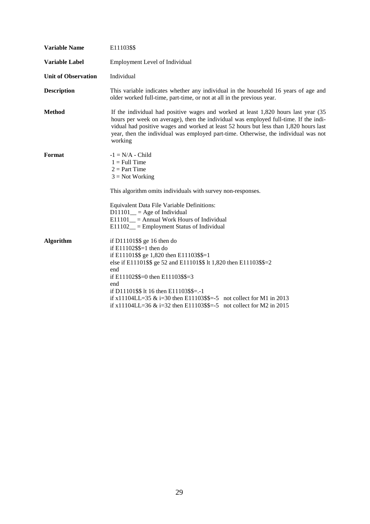| <b>Variable Name</b>       | E11103\$\$                                                                                                                                                                                                                                                                                                                                                                                                        |  |  |
|----------------------------|-------------------------------------------------------------------------------------------------------------------------------------------------------------------------------------------------------------------------------------------------------------------------------------------------------------------------------------------------------------------------------------------------------------------|--|--|
| <b>Variable Label</b>      | Employment Level of Individual                                                                                                                                                                                                                                                                                                                                                                                    |  |  |
| <b>Unit of Observation</b> | Individual                                                                                                                                                                                                                                                                                                                                                                                                        |  |  |
| <b>Description</b>         | This variable indicates whether any individual in the household 16 years of age and<br>older worked full-time, part-time, or not at all in the previous year.                                                                                                                                                                                                                                                     |  |  |
| <b>Method</b>              | If the individual had positive wages and worked at least 1,820 hours last year (35)<br>hours per week on average), then the individual was employed full-time. If the indi-<br>vidual had positive wages and worked at least 52 hours but less than 1,820 hours last<br>year, then the individual was employed part-time. Otherwise, the individual was not<br>working                                            |  |  |
| Format                     | $-1 = N/A$ - Child<br>$1 = Full Time$<br>$2 = Part Time$<br>$3 = Not Working$                                                                                                                                                                                                                                                                                                                                     |  |  |
|                            | This algorithm omits individuals with survey non-responses.                                                                                                                                                                                                                                                                                                                                                       |  |  |
|                            | Equivalent Data File Variable Definitions:<br>$D11101$ <sub>--</sub> = Age of Individual<br>$E11101$ = Annual Work Hours of Individual<br>$E11102$ <sub>--</sub> Employment Status of Individual                                                                                                                                                                                                                  |  |  |
| <b>Algorithm</b>           | if $D11101$ \$\$ ge 16 then do<br>if $E11102$ \$\$=1 then do<br>if E11101\$\$ ge 1,820 then E11103\$\$=1<br>else if E11101\$\$ ge 52 and E11101\$\$ lt 1,820 then E11103\$\$=2<br>end<br>if E11102\$\$=0 then E11103\$\$=3<br>end<br>if D11101\$\$ lt 16 then E11103\$\$=.-1<br>if x11104LL=35 & i=30 then E11103\$\$=-5 not collect for M1 in 2013<br>if $x11104LL = 36 \& \text{ i} = 32 \text{ then } E11103\$ |  |  |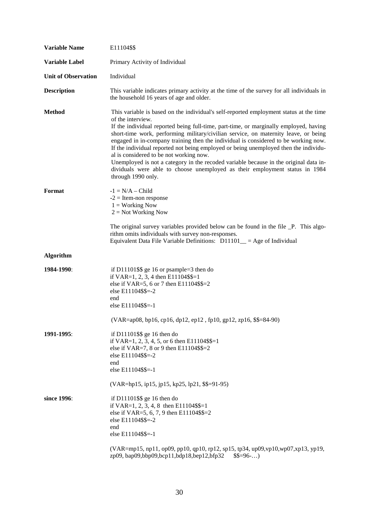| <b>Variable Name</b>       | E11104\$\$                                                                                                                                                                                                                                                                                                                                                                                                                                                                                                                                                                                                                                                                                                          |  |
|----------------------------|---------------------------------------------------------------------------------------------------------------------------------------------------------------------------------------------------------------------------------------------------------------------------------------------------------------------------------------------------------------------------------------------------------------------------------------------------------------------------------------------------------------------------------------------------------------------------------------------------------------------------------------------------------------------------------------------------------------------|--|
| <b>Variable Label</b>      | Primary Activity of Individual                                                                                                                                                                                                                                                                                                                                                                                                                                                                                                                                                                                                                                                                                      |  |
| <b>Unit of Observation</b> | Individual                                                                                                                                                                                                                                                                                                                                                                                                                                                                                                                                                                                                                                                                                                          |  |
| <b>Description</b>         | This variable indicates primary activity at the time of the survey for all individuals in<br>the household 16 years of age and older.                                                                                                                                                                                                                                                                                                                                                                                                                                                                                                                                                                               |  |
| <b>Method</b>              | This variable is based on the individual's self-reported employment status at the time<br>of the interview.<br>If the individual reported being full-time, part-time, or marginally employed, having<br>short-time work, performing military/civilian service, on maternity leave, or being<br>engaged in in-company training then the individual is considered to be working now.<br>If the individual reported not being employed or being unemployed then the individu-<br>al is considered to be not working now.<br>Unemployed is not a category in the recoded variable because in the original data in-<br>dividuals were able to choose unemployed as their employment status in 1984<br>through 1990 only. |  |
| Format                     | $-1 = N/A - Child$<br>$-2$ = Item-non response<br>$1 =$ Working Now<br>$2 = Not Working Now$<br>The original survey variables provided below can be found in the file _P. This algo-<br>rithm omits individuals with survey non-responses.                                                                                                                                                                                                                                                                                                                                                                                                                                                                          |  |
|                            | Equivalent Data File Variable Definitions: $D11101$ = Age of Individual                                                                                                                                                                                                                                                                                                                                                                                                                                                                                                                                                                                                                                             |  |
| <b>Algorithm</b>           |                                                                                                                                                                                                                                                                                                                                                                                                                                                                                                                                                                                                                                                                                                                     |  |
| 1984-1990:                 | if D11101\$\$ ge 16 or psample= $3$ then do<br>if VAR=1, 2, 3, 4 then E11104\$\$=1<br>else if VAR=5, 6 or 7 then E11104\$\$=2<br>else E11104\$\$=-2<br>end<br>else E11104\$\$=-1<br>(VAR=ap08, bp16, cp16, dp12, ep12, fp10, gp12, zp16, \$\$=84-90)                                                                                                                                                                                                                                                                                                                                                                                                                                                                |  |
| 1991-1995:                 | if D11101\$\$ ge 16 then do<br>if VAR=1, 2, 3, 4, 5, or 6 then E11104\$\$=1<br>else if VAR=7, 8 or 9 then E11104\$\$=2<br>else E11104\$\$=-2<br>end<br>else E11104\$\$=-1<br>$(VAR = hp15, ip15, ip15, kp25, lp21, $$=91-95)$                                                                                                                                                                                                                                                                                                                                                                                                                                                                                       |  |
| since 1996:                | if D11101\$\$ ge 16 then do<br>if VAR=1, 2, 3, 4, 8 then E11104\$\$=1<br>else if VAR=5, 6, 7, 9 then E11104\$\$=2<br>else E11104\$\$=-2<br>end<br>else E11104\$\$=-1                                                                                                                                                                                                                                                                                                                                                                                                                                                                                                                                                |  |
|                            | (VAR=mp15, np11, op09, pp10, qp10, rp12, sp15, tp34, up09, vp10, wp07, xp13, yp19,<br>zp09, bap09,bbp09,bcp11,bdp18,bep12,bfp32<br>$$$=96$                                                                                                                                                                                                                                                                                                                                                                                                                                                                                                                                                                          |  |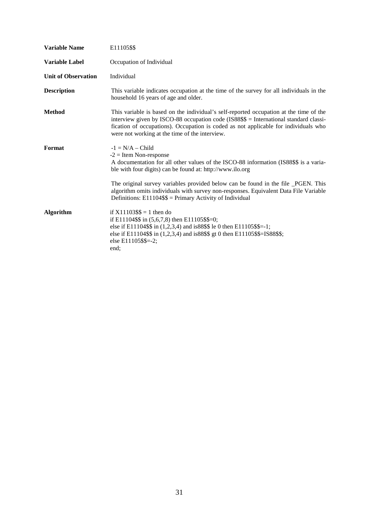| <b>Variable Name</b>       | E11105\$\$                                                                                                                                                                                                                                                                                                               |  |  |
|----------------------------|--------------------------------------------------------------------------------------------------------------------------------------------------------------------------------------------------------------------------------------------------------------------------------------------------------------------------|--|--|
| <b>Variable Label</b>      | Occupation of Individual                                                                                                                                                                                                                                                                                                 |  |  |
| <b>Unit of Observation</b> | Individual                                                                                                                                                                                                                                                                                                               |  |  |
| <b>Description</b>         | This variable indicates occupation at the time of the survey for all individuals in the<br>household 16 years of age and older.                                                                                                                                                                                          |  |  |
| <b>Method</b>              | This variable is based on the individual's self-reported occupation at the time of the<br>interview given by ISCO-88 occupation code (IS88\$\$ = International standard classi-<br>fication of occupations). Occupation is coded as not applicable for individuals who<br>were not working at the time of the interview. |  |  |
| Format                     | $-1 = N/A - Child$<br>$-2$ = Item Non-response<br>A documentation for all other values of the ISCO-88 information (IS88\$\$ is a varia-<br>ble with four digits) can be found at: http://www.ilo.org                                                                                                                     |  |  |
|                            | The original survey variables provided below can be found in the file _PGEN. This<br>algorithm omits individuals with survey non-responses. Equivalent Data File Variable<br>Definitions: $E11104$ \$\$ = Primary Activity of Individual                                                                                 |  |  |
| <b>Algorithm</b>           | if $X11103$ \$\$ = 1 then do<br>if E11104\$\$ in $(5,6,7,8)$ then E11105\$\$=0;<br>else if E11104\$\$ in $(1,2,3,4)$ and is88\$\$ le 0 then E11105\$\$=-1;<br>else if E11104\$\$ in (1,2,3,4) and is88\$\$ gt 0 then E11105\$\$=IS88\$\$;<br>else E11105\$\$=-2;<br>end;                                                 |  |  |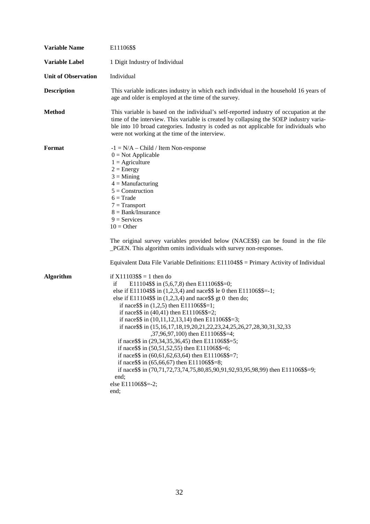| <b>Variable Name</b>       | E11106\$\$                                                                                                                                                                                                                                                                                                                                                                                                                                                                                                                                                                                                                                                                                                                                                                                                                                                                                                                                  |  |  |
|----------------------------|---------------------------------------------------------------------------------------------------------------------------------------------------------------------------------------------------------------------------------------------------------------------------------------------------------------------------------------------------------------------------------------------------------------------------------------------------------------------------------------------------------------------------------------------------------------------------------------------------------------------------------------------------------------------------------------------------------------------------------------------------------------------------------------------------------------------------------------------------------------------------------------------------------------------------------------------|--|--|
| <b>Variable Label</b>      | 1 Digit Industry of Individual                                                                                                                                                                                                                                                                                                                                                                                                                                                                                                                                                                                                                                                                                                                                                                                                                                                                                                              |  |  |
| <b>Unit of Observation</b> | Individual                                                                                                                                                                                                                                                                                                                                                                                                                                                                                                                                                                                                                                                                                                                                                                                                                                                                                                                                  |  |  |
| <b>Description</b>         | This variable indicates industry in which each individual in the household 16 years of<br>age and older is employed at the time of the survey.                                                                                                                                                                                                                                                                                                                                                                                                                                                                                                                                                                                                                                                                                                                                                                                              |  |  |
| <b>Method</b>              | This variable is based on the individual's self-reported industry of occupation at the<br>time of the interview. This variable is created by collapsing the SOEP industry varia-<br>ble into 10 broad categories. Industry is coded as not applicable for individuals who<br>were not working at the time of the interview.                                                                                                                                                                                                                                                                                                                                                                                                                                                                                                                                                                                                                 |  |  |
| Format                     | $-1 = N/A - Child / Item Non-response$<br>$0 = Not Applicable$<br>$1 =$ Agriculture<br>$2 = Energy$<br>$3 =$ Mining<br>$4 =$ Manufacturing<br>$5 =$ Construction<br>$6 = Trade$<br>$7 = Transport$<br>$8 = Bank/Insurance$<br>$9 =$ Services<br>$10 = Other$<br>The original survey variables provided below (NACE\$\$) can be found in the file<br>_PGEN. This algorithm omits individuals with survey non-responses.                                                                                                                                                                                                                                                                                                                                                                                                                                                                                                                      |  |  |
| <b>Algorithm</b>           | Equivalent Data File Variable Definitions: E11104\$\$ = Primary Activity of Individual<br>if $X11103$ \$\$ = 1 then do<br>E11104\$\$ in $(5,6,7,8)$ then E11106\$\$=0;<br>if<br>else if E11104\$\$ in $(1,2,3,4)$ and nace\$\$ le 0 then E11106\$\$=-1;<br>else if E11104\$\$ in $(1,2,3,4)$ and nace\$\$ gt 0 then do;<br>if nace $\$ in (1,2,5) then E11106\$\$=1;<br>if nace $\$ in (40,41) then E11106\$\$=2;<br>if nace $\$ in (10,11,12,13,14) then E11106 $\$ =3;<br>if nace\$\$ in (15,16,17,18,19,20,21,22,23,24,25,26,27,28,30,31,32,33<br>,37,96,97,100) then E11106\$\$=4;<br>if nace \$\$ in $(29,34,35,36,45)$ then E11106\$\$=5;<br>if nace $\$ in (50,51,52,55) then E11106 $\$ =6;<br>if nace $\$ in (60,61,62,63,64) then E11106 $\$ =7;<br>if nace \$\$ in $(65, 66, 67)$ then E11106\$\$=8;<br>if nace \$\$ in (70,71,72,73,74,75,80,85,90,91,92,93,95,98,99) then E11106\$\$=9;<br>end;<br>else E11106\$\$=-2;<br>end; |  |  |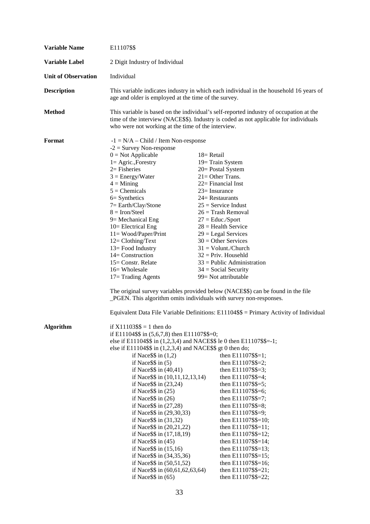| <b>Variable Name</b>       | E11107\$\$                                                                                                                                                                                                                            |                                                 |  |  |
|----------------------------|---------------------------------------------------------------------------------------------------------------------------------------------------------------------------------------------------------------------------------------|-------------------------------------------------|--|--|
| Variable Label             | 2 Digit Industry of Individual                                                                                                                                                                                                        |                                                 |  |  |
| <b>Unit of Observation</b> | Individual                                                                                                                                                                                                                            |                                                 |  |  |
| <b>Description</b>         | This variable indicates industry in which each individual in the household 16 years of<br>age and older is employed at the time of the survey.                                                                                        |                                                 |  |  |
| <b>Method</b>              | This variable is based on the individual's self-reported industry of occupation at the<br>time of the interview (NACE\$\$). Industry is coded as not applicable for individuals<br>who were not working at the time of the interview. |                                                 |  |  |
| Format                     | $-1 = N/A - Child / Item Non-response$                                                                                                                                                                                                |                                                 |  |  |
|                            | $-2$ = Survey Non-response                                                                                                                                                                                                            |                                                 |  |  |
|                            | $0 = Not Applicable$                                                                                                                                                                                                                  | 18 = Retail                                     |  |  |
|                            | $1 = Agric., Forestry$                                                                                                                                                                                                                | 19 = Train System                               |  |  |
|                            | $2=$ Fisheries                                                                                                                                                                                                                        | 20 = Postal System                              |  |  |
|                            | $3 = Energy/Water$<br>$4 =$ Mining                                                                                                                                                                                                    | $21 =$ Other Trans.                             |  |  |
|                            | $5$ = Chemicals                                                                                                                                                                                                                       | 22= Financial Inst<br>$23 =$ Insurance          |  |  |
|                            | $6 =$ Synthetics                                                                                                                                                                                                                      | 24= Restaurants                                 |  |  |
|                            | $7 = Earth/Clay/Stone$                                                                                                                                                                                                                | $25$ = Service Indust                           |  |  |
|                            | $8 =$ Iron/Steel                                                                                                                                                                                                                      | $26 =$ Trash Removal                            |  |  |
|                            | 9 = Mechanical Eng                                                                                                                                                                                                                    | $27 =$ Educ./Sport                              |  |  |
|                            | $10 =$ Electrical Eng                                                                                                                                                                                                                 | $28 =$ Health Service                           |  |  |
|                            | $11 = Wood/Paper/Print$                                                                                                                                                                                                               | $29 =$ Legal Services                           |  |  |
|                            | $12 = \text{Clothing/Text}$                                                                                                                                                                                                           | $30 =$ Other Services                           |  |  |
|                            | 13 = Food Industry                                                                                                                                                                                                                    | $31 = \text{Volume}$ . Church                   |  |  |
|                            | 14= Construction                                                                                                                                                                                                                      | $32$ = Priv. Househld                           |  |  |
|                            | 15 = Constr. Relate<br>16= Wholesale                                                                                                                                                                                                  | $33$ = Public Administration                    |  |  |
|                            | $17 =$ Trading Agents                                                                                                                                                                                                                 | $34 = Social Security$<br>99 = Not attributable |  |  |
|                            | The original survey variables provided below (NACE\$\$) can be found in the file<br>_PGEN. This algorithm omits individuals with survey non-responses.                                                                                |                                                 |  |  |
|                            | Equivalent Data File Variable Definitions: $E11104$ \$\$ = Primary Activity of Individual                                                                                                                                             |                                                 |  |  |
| <b>Algorithm</b>           | if $X11103$ \$\$ = 1 then do                                                                                                                                                                                                          |                                                 |  |  |
|                            | if E11104\$\$ in $(5,6,7,8)$ then E11107\$\$=0;                                                                                                                                                                                       |                                                 |  |  |
|                            | else if E11104\$\$ in (1,2,3,4) and NACE\$\$ le 0 then E11107\$\$=-1;                                                                                                                                                                 |                                                 |  |  |
|                            | else if $E11104$ \$\$ in $(1,2,3,4)$ and NACE\$\$ gt 0 then do;<br>if Nace $\$ in $(1,2)$                                                                                                                                             | then E11107\$\$=1;                              |  |  |
|                            | if Nace $$ \$ {in} (5)                                                                                                                                                                                                                | then E11107\$\$=2;                              |  |  |
|                            | if Nace $\$ in (40,41)                                                                                                                                                                                                                | then E11107\$\$=3;                              |  |  |
|                            | if Nace \$\$ in (10,11,12,13,14)                                                                                                                                                                                                      | then E11107\$\$=4;                              |  |  |
|                            | if Nace $\$ in (23,24)                                                                                                                                                                                                                | then E11107\$\$=5;                              |  |  |
|                            | if Nace $$ \$ in (25)                                                                                                                                                                                                                 | then E11107\$\$=6;                              |  |  |
|                            | if Nace $\$ in (26)                                                                                                                                                                                                                   | then E11107\$\$=7;                              |  |  |
|                            | if Nace $\$ in $(27,28)$                                                                                                                                                                                                              | then $E11107$ \$\$=8;                           |  |  |
|                            | if Nace \$\$ in (29,30,33)                                                                                                                                                                                                            | then E11107\$\$=9;                              |  |  |
|                            | if Nace\$\$ in (31,32)                                                                                                                                                                                                                | then E11107\$\$=10;                             |  |  |
|                            | if Nace \$\$ in (20,21,22)                                                                                                                                                                                                            | then E11107\$\$=11;                             |  |  |
|                            | if Nace \$\$ in (17,18,19)<br>if Nace $$ \$ in (45)                                                                                                                                                                                   | then E11107\$\$=12;<br>then E11107\$\$=14;      |  |  |
|                            | if Nace $\$ in $(15,16)$                                                                                                                                                                                                              | then E11107\$\$=13;                             |  |  |
|                            | if Nace \$\$ in (34,35,36)                                                                                                                                                                                                            | then E11107\$\$=15;                             |  |  |
|                            | if Nace \$\$ in (50,51,52)                                                                                                                                                                                                            | then E11107\$\$=16;                             |  |  |
|                            | if Nace \$\$ in (60,61,62,63,64)                                                                                                                                                                                                      | then E11107\$\$=21;                             |  |  |
|                            | if Nace $\$ in (65)                                                                                                                                                                                                                   | then E11107\$\$=22;                             |  |  |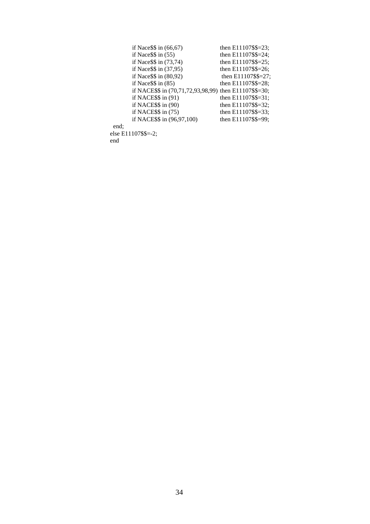| if Nace $\$ in $(66, 67)$                                | then E11107\$\$=23;    |
|----------------------------------------------------------|------------------------|
| if Nace $$ \$ in (55)                                    | then E11107\$\$=24;    |
| if Nace $\$ in (73,74)                                   | then E11107\$\$=25;    |
| if Nace $\$ in (37,95)                                   | then $E11107$ \$\$=26; |
| if Nace $\$ in (80,92)                                   | then $E11107$ \$\$=27; |
| if Nace $$ \$ in (85)                                    | then $E11107$ \$\$=28; |
| if NACE\$\$ in $(70,71,72,93,98,99)$ then E11107\$\$=30; |                        |
| if NACE $$$ in (91)                                      | then $E11107$ \$\$=31; |
| if NACE $$$ in (90)                                      | then $E11107$ \$\$=32; |
| if NACE $$$ in $(75)$                                    | then $E11107$ \$\$=33; |
| if NACE\$\$ in (96,97,100)                               | then E11107\$\$=99;    |
| end:                                                     |                        |
| else E11107\$\$=-2;                                      |                        |
| end                                                      |                        |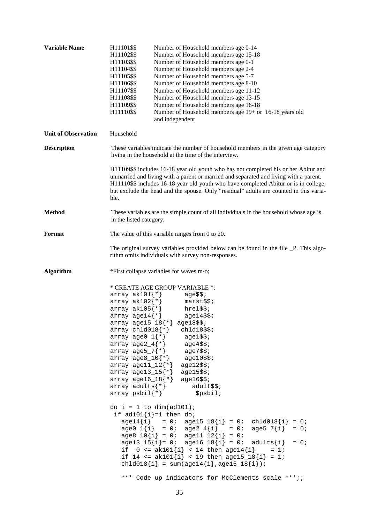| <b>Variable Name</b>       | H11101\$\$<br>Number of Household members age 0-14<br>H11102\$\$<br>Number of Household members age 15-18<br>H11103\$\$<br>Number of Household members age 0-1<br>H11104\$\$<br>Number of Household members age 2-4<br>H11105\$\$<br>Number of Household members age 5-7<br>H11106\$\$<br>Number of Household members age 8-10<br>H11107\$\$<br>Number of Household members age 11-12<br>H11108\$\$<br>Number of Household members age 13-15<br>H11109\$\$<br>Number of Household members age 16-18<br>H11110\$\$<br>Number of Household members age 19+ or 16-18 years old<br>and independent                                                                        |
|----------------------------|-----------------------------------------------------------------------------------------------------------------------------------------------------------------------------------------------------------------------------------------------------------------------------------------------------------------------------------------------------------------------------------------------------------------------------------------------------------------------------------------------------------------------------------------------------------------------------------------------------------------------------------------------------------------------|
| <b>Unit of Observation</b> | Household                                                                                                                                                                                                                                                                                                                                                                                                                                                                                                                                                                                                                                                             |
| <b>Description</b>         | These variables indicate the number of household members in the given age category<br>living in the household at the time of the interview.                                                                                                                                                                                                                                                                                                                                                                                                                                                                                                                           |
|                            | H11109\$\$ includes 16-18 year old youth who has not completed his or her Abitur and<br>unmarried and living with a parent or married and separated and living with a parent.<br>H11110\$\$ includes 16-18 year old youth who have completed Abitur or is in college,<br>but exclude the head and the spouse. Only "residual" adults are counted in this varia-<br>ble.                                                                                                                                                                                                                                                                                               |
| <b>Method</b>              | These variables are the simple count of all individuals in the household whose age is<br>in the listed category.                                                                                                                                                                                                                                                                                                                                                                                                                                                                                                                                                      |
| Format                     | The value of this variable ranges from 0 to 20.                                                                                                                                                                                                                                                                                                                                                                                                                                                                                                                                                                                                                       |
|                            | The original survey variables provided below can be found in the file _P. This algo-<br>rithm omits individuals with survey non-responses.                                                                                                                                                                                                                                                                                                                                                                                                                                                                                                                            |
| <b>Algorithm</b>           | *First collapse variables for waves m-o;                                                                                                                                                                                                                                                                                                                                                                                                                                                                                                                                                                                                                              |
|                            | * CREATE AGE GROUP VARIABLE *;<br>array $ak101$ {*}<br>age\$\$;<br>array $ak102$ {*}<br>marst\$\$;<br>array $ak105$ {*}<br>$hrel$ \$;<br>array age14 $\{\star\}$<br>$age14$ \$\$;<br>$array$ $age15_18*$ $age18$$ ;<br>$array$ chld018 $\{\star\}$ chld18\$\$;<br>$array \text{ arge0_1}$ agel\$\$;<br>$array age2_4[*\ast]$ $age4$$\ast$;$<br>$array age5_7$ age $-7$ age $7$ \$\$;<br>$array \text{ arges}\_10\{\star\}$ age10\$\$;<br>array age $11\_12\{$ $^*$ $\}$<br>$age12$ \$\$;<br>array age13_15 $\{\star\}$<br>$age15$ \$\$;<br>array age16_18 $\{\star\}$<br>$age16$ \$\$;<br>$array$ adults $\{\star\}$<br>adult\$\$;<br>array $psbil$ $*$ }<br>\$psbil; |
|                            | do $i = 1$ to $dim(\text{ad}101)$ ;<br>if $ad101\{i\} = 1$ then do;<br>$age14{i} = 0; age15_18{i} = 0; ch1d018{i} = 0; age0_1{i} = 0; age2_4{i} = 0; age5_7{i} = 0;$<br>$age8_10[i] = 0; age11_12[i] = 0;$<br>$age13_15[i] = 0; age16_18[i] = 0; adults[i] = 0;$<br>if $0 \leq \text{ak}101\{\text{i}\} < 14$ then age14 $\{\text{i}\}$<br>$= 1i$<br>if $14 \leq ak101\{i\} < 19$ then age15_18{i} = 1;<br>chld018{i} = $sum(age14[i], age15_18[i])$ ;                                                                                                                                                                                                                |
|                            | *** Code up indicators for McClements scale ***;;                                                                                                                                                                                                                                                                                                                                                                                                                                                                                                                                                                                                                     |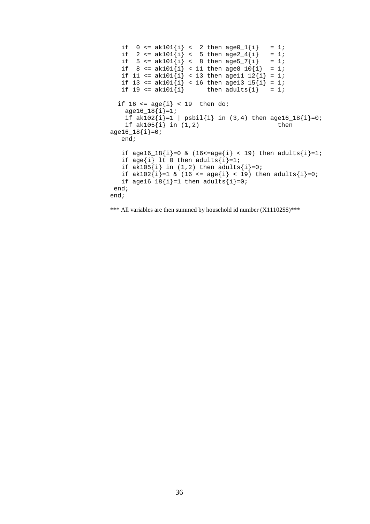```
if 0 \leq \alpha k101{i} < 2 then \alpha qe0_1{i} = 1;<br>if 2 \leq \alpha k101{i} < 5 then \alpha qe2_1{i} = 1;
    if 2 \leq a k 101{i} < 5 then a g e 2 4{i} = 1;<br>if 5 \leq a k 101{i} < 8 then a g e 5 7{i} = 1;if 5 \leq \alpha k 101 \{i\} < 8 then age 5 - 7 \{i\}if 8 \leq \text{ak}101\{i\} < 11 then \text{age8\_10}\{i\} = 1;
    if 11 <= ak101\{i\} < 13 then age11_12\{i\} = 1;
    if 13 \leq a k 101{i} < 16 then aqe13_15{i} = 1;<br>if 19 \leq a k 101{i} then adults{i} = 1;
                                 then adults\{i\} = 1;
  if 16 \leq \text{age}\{i\} \leq 19 then do;
     age16_18[i]=1;if ak102{i} = 1 | psbil{i} in (3,4) then age16_18{i} = 0;<br>if ak105{i} in (1.2) then
     if ak105\{i\} in (1,2)age16_18[i]=0; end; 
    if age16_18[i]=0 & (16&lt;=age[i] < 19) then adults[i]=1;
    if age{i} lt 0 then adults{i}=1;
    if ak105{i} in (1,2) then adults{i}=0;
    if ak102{i}=1 & (16 <= age{i} < 19) then adults{i}=0;
    if age16_18\{i\} = 1 then adults\{i\} = 0;
 end;
end;
```
\*\*\* All variables are then summed by household id number (X11102\$\$)\*\*\*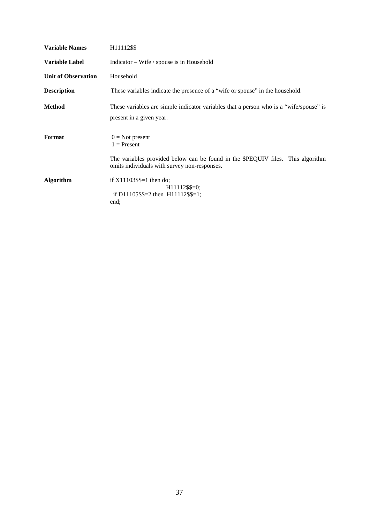| <b>Variable Names</b>      | H <sub>11112</sub> \$\$                                                                                                                                               |
|----------------------------|-----------------------------------------------------------------------------------------------------------------------------------------------------------------------|
| Variable Label             | Indicator – Wife / spouse is in Household                                                                                                                             |
| <b>Unit of Observation</b> | Household                                                                                                                                                             |
| <b>Description</b>         | These variables indicate the presence of a "wife or spouse" in the household.                                                                                         |
| Method                     | These variables are simple indicator variables that a person who is a "wife/spouse" is<br>present in a given year.                                                    |
| Format                     | $0 = Not present$<br>$1 =$ Present<br>The variables provided below can be found in the \$PEQUIV files. This algorithm<br>omits individuals with survey non-responses. |
| <b>Algorithm</b>           | if $X11103\$<br>$H11112$ \$\$=0;<br>if D11105\$\$=2 then $H11112$ \$\$=1;<br>end;                                                                                     |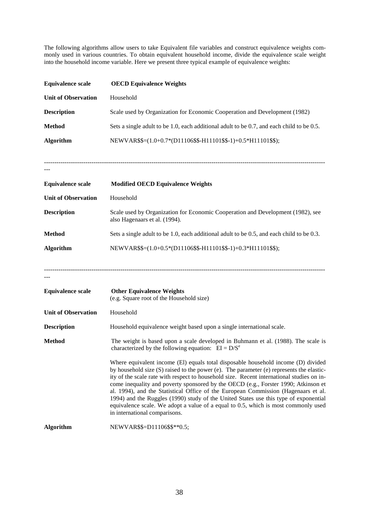The following algorithms allow users to take Equivalent file variables and construct equivalence weights commonly used in various countries. To obtain equivalent household income, divide the equivalence scale weight into the household income variable. Here we present three typical example of equivalence weights:

| <b>Equivalence scale</b>   | <b>OECD Equivalence Weights</b>                                                                                                                                                                                                                                                                                                                                                                                                                                                                                                                                                                                                                                       |  |
|----------------------------|-----------------------------------------------------------------------------------------------------------------------------------------------------------------------------------------------------------------------------------------------------------------------------------------------------------------------------------------------------------------------------------------------------------------------------------------------------------------------------------------------------------------------------------------------------------------------------------------------------------------------------------------------------------------------|--|
| <b>Unit of Observation</b> | Household                                                                                                                                                                                                                                                                                                                                                                                                                                                                                                                                                                                                                                                             |  |
| <b>Description</b>         | Scale used by Organization for Economic Cooperation and Development (1982)                                                                                                                                                                                                                                                                                                                                                                                                                                                                                                                                                                                            |  |
| <b>Method</b>              | Sets a single adult to be 1.0, each additional adult to be 0.7, and each child to be 0.5.                                                                                                                                                                                                                                                                                                                                                                                                                                                                                                                                                                             |  |
| Algorithm                  | NEWVAR\$\$=(1.0+0.7*(D11106\$\$-H11101\$\$-1)+0.5*H11101\$\$);                                                                                                                                                                                                                                                                                                                                                                                                                                                                                                                                                                                                        |  |
|                            |                                                                                                                                                                                                                                                                                                                                                                                                                                                                                                                                                                                                                                                                       |  |
| <b>Equivalence scale</b>   | <b>Modified OECD Equivalence Weights</b>                                                                                                                                                                                                                                                                                                                                                                                                                                                                                                                                                                                                                              |  |
| <b>Unit of Observation</b> | Household                                                                                                                                                                                                                                                                                                                                                                                                                                                                                                                                                                                                                                                             |  |
| <b>Description</b>         | Scale used by Organization for Economic Cooperation and Development (1982), see<br>also Hagenaars et al. (1994).                                                                                                                                                                                                                                                                                                                                                                                                                                                                                                                                                      |  |
| <b>Method</b>              | Sets a single adult to be 1.0, each additional adult to be 0.5, and each child to be 0.3.                                                                                                                                                                                                                                                                                                                                                                                                                                                                                                                                                                             |  |
| <b>Algorithm</b>           | NEWVAR\$\$=(1.0+0.5*(D11106\$\$-H11101\$\$-1)+0.3*H11101\$\$);                                                                                                                                                                                                                                                                                                                                                                                                                                                                                                                                                                                                        |  |
| <b>Equivalence scale</b>   | <b>Other Equivalence Weights</b><br>(e.g. Square root of the Household size)                                                                                                                                                                                                                                                                                                                                                                                                                                                                                                                                                                                          |  |
| <b>Unit of Observation</b> | Household                                                                                                                                                                                                                                                                                                                                                                                                                                                                                                                                                                                                                                                             |  |
| <b>Description</b>         | Household equivalence weight based upon a single international scale.                                                                                                                                                                                                                                                                                                                                                                                                                                                                                                                                                                                                 |  |
| <b>Method</b>              | The weight is based upon a scale developed in Buhmann et al. (1988). The scale is<br>characterized by the following equation: $EI = D/Se$                                                                                                                                                                                                                                                                                                                                                                                                                                                                                                                             |  |
|                            | Where equivalent income (El) equals total disposable household income (D) divided<br>by household size (S) raised to the power (e). The parameter (e) represents the elastic-<br>ity of the scale rate with respect to household size. Recent international studies on in-<br>come inequality and poverty sponsored by the OECD (e.g., Forster 1990; Atkinson et<br>al. 1994), and the Statistical Office of the European Commission (Hagenaars et al.<br>1994) and the Ruggles (1990) study of the United States use this type of exponential<br>equivalence scale. We adopt a value of a equal to 0.5, which is most commonly used<br>in international comparisons. |  |
| <b>Algorithm</b>           | NEWVAR\$\$=D11106\$\$**0.5;                                                                                                                                                                                                                                                                                                                                                                                                                                                                                                                                                                                                                                           |  |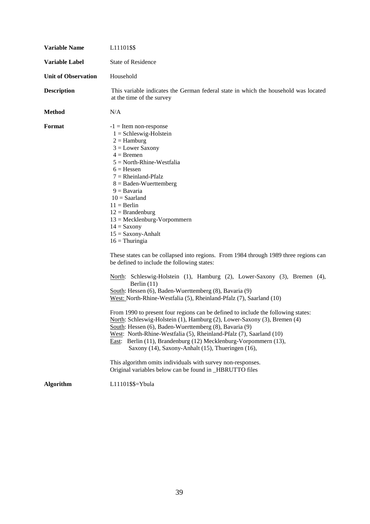| <b>Variable Name</b>       | L <sub>11101</sub> \$\$                                                                                                                                                                                                                                                                                                                                                                                                                                                                                                                                                                                                                                                                                                                                                                                                                                                                                                                                                                                                                                                                                                                                                                                                                                                                                              |
|----------------------------|----------------------------------------------------------------------------------------------------------------------------------------------------------------------------------------------------------------------------------------------------------------------------------------------------------------------------------------------------------------------------------------------------------------------------------------------------------------------------------------------------------------------------------------------------------------------------------------------------------------------------------------------------------------------------------------------------------------------------------------------------------------------------------------------------------------------------------------------------------------------------------------------------------------------------------------------------------------------------------------------------------------------------------------------------------------------------------------------------------------------------------------------------------------------------------------------------------------------------------------------------------------------------------------------------------------------|
| <b>Variable Label</b>      | <b>State of Residence</b>                                                                                                                                                                                                                                                                                                                                                                                                                                                                                                                                                                                                                                                                                                                                                                                                                                                                                                                                                                                                                                                                                                                                                                                                                                                                                            |
| <b>Unit of Observation</b> | Household                                                                                                                                                                                                                                                                                                                                                                                                                                                                                                                                                                                                                                                                                                                                                                                                                                                                                                                                                                                                                                                                                                                                                                                                                                                                                                            |
| <b>Description</b>         | This variable indicates the German federal state in which the household was located<br>at the time of the survey                                                                                                                                                                                                                                                                                                                                                                                                                                                                                                                                                                                                                                                                                                                                                                                                                                                                                                                                                                                                                                                                                                                                                                                                     |
| <b>Method</b>              | N/A                                                                                                                                                                                                                                                                                                                                                                                                                                                                                                                                                                                                                                                                                                                                                                                                                                                                                                                                                                                                                                                                                                                                                                                                                                                                                                                  |
| Format                     | $-1$ = Item non-response<br>$1 = Schleswig-Holstein$<br>$2 =$ Hamburg<br>$3 =$ Lower Saxony<br>$4 = B$ remen<br>$5 = North-Rhine-Westfalia$<br>$6$ = Hessen<br>$7 =$ Rheinland-Pfalz<br>$8 =$ Baden-Wuerttemberg<br>$9 = Bavaria$<br>$10 =$ Saarland<br>$11 = Berlin$<br>$12 = Brandenburg$<br>$13 = Mecklenburg-Vorpommern$<br>$14 =$ Saxony<br>$15 =$ Saxony-Anhalt<br>$16 = Thuringia$<br>These states can be collapsed into regions. From 1984 through 1989 three regions can<br>be defined to include the following states:<br>North: Schleswig-Holstein (1), Hamburg (2), Lower-Saxony (3), Bremen (4),<br>Berlin $(11)$<br>South: Hessen (6), Baden-Wuerttemberg (8), Bavaria (9)<br>West: North-Rhine-Westfalia (5), Rheinland-Pfalz (7), Saarland (10)<br>From 1990 to present four regions can be defined to include the following states:<br>North: Schleswig-Holstein (1), Hamburg (2), Lower-Saxony (3), Bremen (4)<br>South: Hessen (6), Baden-Wuerttemberg (8), Bavaria (9)<br>West: North-Rhine-Westfalia (5), Rheinland-Pfalz (7), Saarland (10)<br>East: Berlin (11), Brandenburg (12) Mecklenburg-Vorpommern (13),<br>Saxony (14), Saxony-Anhalt (15), Thueringen (16),<br>This algorithm omits individuals with survey non-responses.<br>Original variables below can be found in _HBRUTTO files |
| <b>Algorithm</b>           | L11101\$\$=Ybula                                                                                                                                                                                                                                                                                                                                                                                                                                                                                                                                                                                                                                                                                                                                                                                                                                                                                                                                                                                                                                                                                                                                                                                                                                                                                                     |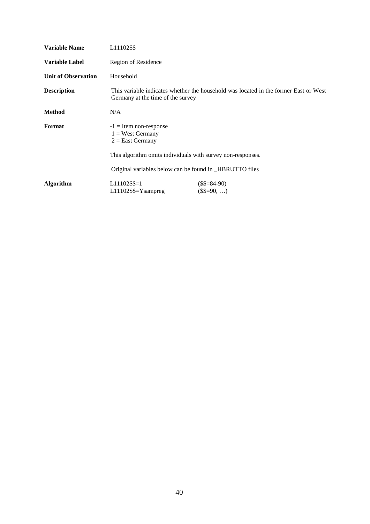| <b>Variable Name</b>       | L <sub>11102</sub> \$\$                                                                                                   |
|----------------------------|---------------------------------------------------------------------------------------------------------------------------|
| <b>Variable Label</b>      | Region of Residence                                                                                                       |
| <b>Unit of Observation</b> | Household                                                                                                                 |
| Description                | This variable indicates whether the household was located in the former East or West<br>Germany at the time of the survey |
| Method                     | N/A                                                                                                                       |
| Format                     | $-1$ = Item non-response<br>$1 =$ West Germany<br>$2 =$ East Germany                                                      |
|                            | This algorithm omits individuals with survey non-responses.                                                               |
|                            | Original variables below can be found in _HBRUTTO files                                                                   |
| Algorithm                  | $L11102$ \$\$=1<br>$($\$=\$4-90)$<br>$L11102$ \$\$= $Y$ sampreg<br>$(\$$=90, )$                                           |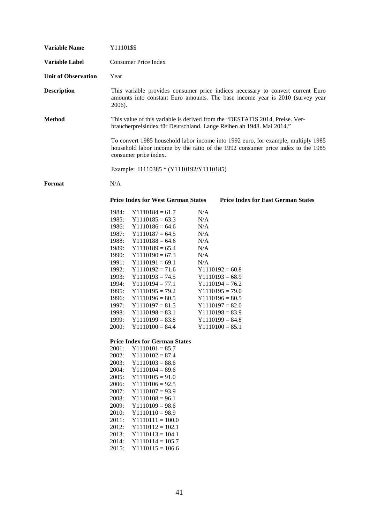| Y11101\$\$                                                                                                                                                                                                                                                                                                                                                                                                                                                                                                                                                                                                                                                                                                                                                                                                                                                                                                                                                                                                                                                                                                                                                                                                                                                                                     |
|------------------------------------------------------------------------------------------------------------------------------------------------------------------------------------------------------------------------------------------------------------------------------------------------------------------------------------------------------------------------------------------------------------------------------------------------------------------------------------------------------------------------------------------------------------------------------------------------------------------------------------------------------------------------------------------------------------------------------------------------------------------------------------------------------------------------------------------------------------------------------------------------------------------------------------------------------------------------------------------------------------------------------------------------------------------------------------------------------------------------------------------------------------------------------------------------------------------------------------------------------------------------------------------------|
| <b>Consumer Price Index</b>                                                                                                                                                                                                                                                                                                                                                                                                                                                                                                                                                                                                                                                                                                                                                                                                                                                                                                                                                                                                                                                                                                                                                                                                                                                                    |
| Year                                                                                                                                                                                                                                                                                                                                                                                                                                                                                                                                                                                                                                                                                                                                                                                                                                                                                                                                                                                                                                                                                                                                                                                                                                                                                           |
| This variable provides consumer price indices necessary to convert current Euro<br>amounts into constant Euro amounts. The base income year is 2010 (survey year<br>2006).                                                                                                                                                                                                                                                                                                                                                                                                                                                                                                                                                                                                                                                                                                                                                                                                                                                                                                                                                                                                                                                                                                                     |
| This value of this variable is derived from the "DESTATIS 2014, Preise. Ver-<br>braucherpreisindex für Deutschland. Lange Reihen ab 1948. Mai 2014."                                                                                                                                                                                                                                                                                                                                                                                                                                                                                                                                                                                                                                                                                                                                                                                                                                                                                                                                                                                                                                                                                                                                           |
| To convert 1985 household labor income into 1992 euro, for example, multiply 1985<br>household labor income by the ratio of the 1992 consumer price index to the 1985<br>consumer price index.                                                                                                                                                                                                                                                                                                                                                                                                                                                                                                                                                                                                                                                                                                                                                                                                                                                                                                                                                                                                                                                                                                 |
| Example: I1110385 * (Y1110192/Y1110185)                                                                                                                                                                                                                                                                                                                                                                                                                                                                                                                                                                                                                                                                                                                                                                                                                                                                                                                                                                                                                                                                                                                                                                                                                                                        |
| N/A                                                                                                                                                                                                                                                                                                                                                                                                                                                                                                                                                                                                                                                                                                                                                                                                                                                                                                                                                                                                                                                                                                                                                                                                                                                                                            |
| <b>Price Index for East German States</b><br><b>Price Index for West German States</b>                                                                                                                                                                                                                                                                                                                                                                                                                                                                                                                                                                                                                                                                                                                                                                                                                                                                                                                                                                                                                                                                                                                                                                                                         |
| 1984:<br>$Y1110184 = 61.7$<br>N/A<br>1985:<br>$Y1110185 = 63.3$<br>N/A<br>1986:<br>N/A<br>$Y1110186 = 64.6$<br>1987:<br>$Y1110187 = 64.5$<br>N/A<br>1988:<br>$Y1110188 = 64.6$<br>N/A<br>1989:<br>$Y1110189 = 65.4$<br>N/A<br>1990:<br>N/A<br>$Y1110190 = 67.3$<br>1991:<br>$Y1110191 = 69.1$<br>N/A<br>1992:<br>$Y1110192 = 71.6$<br>$Y1110192 = 60.8$<br>1993:<br>$Y1110193 = 68.9$<br>$Y1110193 = 74.5$<br>1994:<br>$Y1110194 = 77.1$<br>$Y1110194 = 76.2$<br>1995:<br>$Y1110195 = 79.2$<br>$Y1110195 = 79.0$<br>1996:<br>$Y1110196 = 80.5$<br>$Y1110196 = 80.5$<br>1997:<br>$Y1110197 = 81.5$<br>$Y1110197 = 82.0$<br>1998:<br>$Y1110198 = 83.1$<br>$Y1110198 = 83.9$<br>1999:<br>$Y1110199 = 83.8$<br>$Y1110199 = 84.8$<br>$Y1110100 = 84.4$<br>2000:<br>$Y1110100 = 85.1$<br><b>Price Index for German States</b><br>2001:<br>$Y1110101 = 85.7$<br>2002:<br>$Y1110102 = 87.4$<br>2003:<br>$Y1110103 = 88.6$<br>2004:<br>$Y1110104 = 89.6$<br>2005:<br>$Y1110105 = 91.0$<br>2006:<br>$Y1110106 = 92.5$<br>2007:<br>$Y1110107 = 93.9$<br>2008:<br>$Y1110108 = 96.1$<br>2009:<br>$Y1110109 = 98.6$<br>2010:<br>$Y1110110 = 98.9$<br>2011:<br>$Y1110111 = 100.0$<br>2012:<br>$Y1110112 = 102.1$<br>2013:<br>$Y1110113 = 104.1$<br>2014:<br>$Y1110114 = 105.7$<br>2015:<br>$Y1110115 = 106.6$ |
|                                                                                                                                                                                                                                                                                                                                                                                                                                                                                                                                                                                                                                                                                                                                                                                                                                                                                                                                                                                                                                                                                                                                                                                                                                                                                                |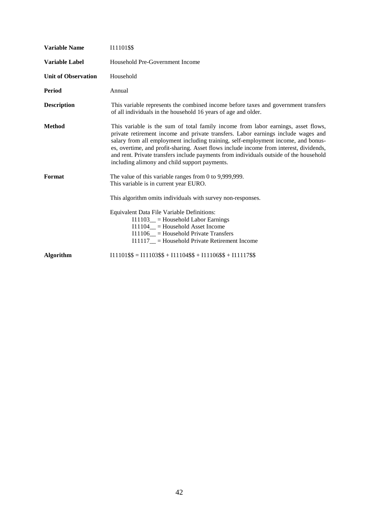| <b>Variable Name</b>       | 111101\$\$                                                                                                                                                                                                                                                                                                                                                                                                                                                                                       |
|----------------------------|--------------------------------------------------------------------------------------------------------------------------------------------------------------------------------------------------------------------------------------------------------------------------------------------------------------------------------------------------------------------------------------------------------------------------------------------------------------------------------------------------|
| <b>Variable Label</b>      | Household Pre-Government Income                                                                                                                                                                                                                                                                                                                                                                                                                                                                  |
| <b>Unit of Observation</b> | Household                                                                                                                                                                                                                                                                                                                                                                                                                                                                                        |
| <b>Period</b>              | Annual                                                                                                                                                                                                                                                                                                                                                                                                                                                                                           |
| <b>Description</b>         | This variable represents the combined income before taxes and government transfers<br>of all individuals in the household 16 years of age and older.                                                                                                                                                                                                                                                                                                                                             |
| <b>Method</b>              | This variable is the sum of total family income from labor earnings, asset flows,<br>private retirement income and private transfers. Labor earnings include wages and<br>salary from all employment including training, self-employment income, and bonus-<br>es, overtime, and profit-sharing. Asset flows include income from interest, dividends,<br>and rent. Private transfers include payments from individuals outside of the household<br>including alimony and child support payments. |
| Format                     | The value of this variable ranges from $0$ to $9,999,999$ .<br>This variable is in current year EURO.<br>This algorithm omits individuals with survey non-responses.<br>Equivalent Data File Variable Definitions:<br>$I11103$ = Household Labor Earnings<br>$I11104$ = Household Asset Income<br>$I11106$ = Household Private Transfers<br>$I11117$ = Household Private Retirement Income                                                                                                       |
| <b>Algorithm</b>           | $I11101$ \$\$ = $I11103$ \$\$ + $I11104$ \$\$ + $I11106$ \$\$ + $I11117$ \$\$                                                                                                                                                                                                                                                                                                                                                                                                                    |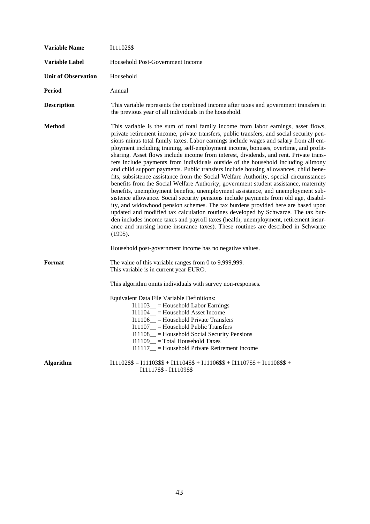| <b>Variable Name</b>       | I11102\$\$                                                                                                                                                                                                                                                                                                                                                                                                                                                                                                                                                                                                                                                                                                                                                                                                                                                                                                                                                                                                                                                                                                                                                                                                                                                                                                                                                      |
|----------------------------|-----------------------------------------------------------------------------------------------------------------------------------------------------------------------------------------------------------------------------------------------------------------------------------------------------------------------------------------------------------------------------------------------------------------------------------------------------------------------------------------------------------------------------------------------------------------------------------------------------------------------------------------------------------------------------------------------------------------------------------------------------------------------------------------------------------------------------------------------------------------------------------------------------------------------------------------------------------------------------------------------------------------------------------------------------------------------------------------------------------------------------------------------------------------------------------------------------------------------------------------------------------------------------------------------------------------------------------------------------------------|
| <b>Variable Label</b>      | Household Post-Government Income                                                                                                                                                                                                                                                                                                                                                                                                                                                                                                                                                                                                                                                                                                                                                                                                                                                                                                                                                                                                                                                                                                                                                                                                                                                                                                                                |
| <b>Unit of Observation</b> | Household                                                                                                                                                                                                                                                                                                                                                                                                                                                                                                                                                                                                                                                                                                                                                                                                                                                                                                                                                                                                                                                                                                                                                                                                                                                                                                                                                       |
| Period                     | Annual                                                                                                                                                                                                                                                                                                                                                                                                                                                                                                                                                                                                                                                                                                                                                                                                                                                                                                                                                                                                                                                                                                                                                                                                                                                                                                                                                          |
| <b>Description</b>         | This variable represents the combined income after taxes and government transfers in<br>the previous year of all individuals in the household.                                                                                                                                                                                                                                                                                                                                                                                                                                                                                                                                                                                                                                                                                                                                                                                                                                                                                                                                                                                                                                                                                                                                                                                                                  |
| <b>Method</b>              | This variable is the sum of total family income from labor earnings, asset flows,<br>private retirement income, private transfers, public transfers, and social security pen-<br>sions minus total family taxes. Labor earnings include wages and salary from all em-<br>ployment including training, self-employment income, bonuses, overtime, and profit-<br>sharing. Asset flows include income from interest, dividends, and rent. Private trans-<br>fers include payments from individuals outside of the household including alimony<br>and child support payments. Public transfers include housing allowances, child bene-<br>fits, subsistence assistance from the Social Welfare Authority, special circumstances<br>benefits from the Social Welfare Authority, government student assistance, maternity<br>benefits, unemployment benefits, unemployment assistance, and unemployment sub-<br>sistence allowance. Social security pensions include payments from old age, disabil-<br>ity, and widowhood pension schemes. The tax burdens provided here are based upon<br>updated and modified tax calculation routines developed by Schwarze. The tax bur-<br>den includes income taxes and payroll taxes (health, unemployment, retirement insur-<br>ance and nursing home insurance taxes). These routines are described in Schwarze<br>(1995). |
|                            | Household post-government income has no negative values.                                                                                                                                                                                                                                                                                                                                                                                                                                                                                                                                                                                                                                                                                                                                                                                                                                                                                                                                                                                                                                                                                                                                                                                                                                                                                                        |
| Format                     | The value of this variable ranges from 0 to 9,999,999.<br>This variable is in current year EURO.                                                                                                                                                                                                                                                                                                                                                                                                                                                                                                                                                                                                                                                                                                                                                                                                                                                                                                                                                                                                                                                                                                                                                                                                                                                                |
|                            | This algorithm omits individuals with survey non-responses.                                                                                                                                                                                                                                                                                                                                                                                                                                                                                                                                                                                                                                                                                                                                                                                                                                                                                                                                                                                                                                                                                                                                                                                                                                                                                                     |
|                            | Equivalent Data File Variable Definitions:<br>$I11103$ <sub>--</sub> Household Labor Earnings<br>$I11104$ <sub>—</sub> = Household Asset Income<br>$I11106$ = Household Private Transfers<br>$I11107$ <sub>--</sub> Household Public Transfers<br>I11108_ = Household Social Security Pensions<br>$I11109$ = Total Household Taxes<br>I11117_ = Household Private Retirement Income                                                                                                                                                                                                                                                                                                                                                                                                                                                                                                                                                                                                                                                                                                                                                                                                                                                                                                                                                                             |
| <b>Algorithm</b>           | $I11102$ \$\$ = $I11103$ \$\$ + $I11104$ \$\$ + $I11106$ \$\$ + $I11107$ \$\$ + $I11108$ \$\$ +<br>I11117\$\$ - I11109\$\$                                                                                                                                                                                                                                                                                                                                                                                                                                                                                                                                                                                                                                                                                                                                                                                                                                                                                                                                                                                                                                                                                                                                                                                                                                      |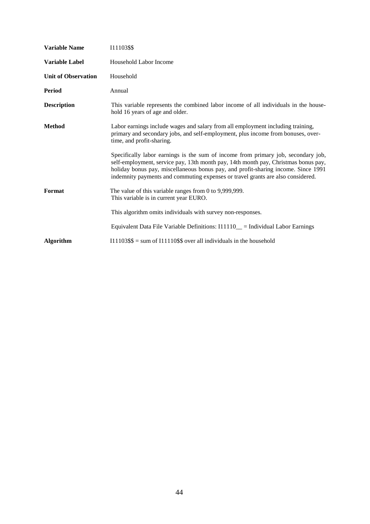| <b>Variable Name</b>       | 111103\$\$                                                                                                                                                                                                                                                                                                                                      |
|----------------------------|-------------------------------------------------------------------------------------------------------------------------------------------------------------------------------------------------------------------------------------------------------------------------------------------------------------------------------------------------|
| <b>Variable Label</b>      | Household Labor Income                                                                                                                                                                                                                                                                                                                          |
| <b>Unit of Observation</b> | Household                                                                                                                                                                                                                                                                                                                                       |
| <b>Period</b>              | Annual                                                                                                                                                                                                                                                                                                                                          |
| <b>Description</b>         | This variable represents the combined labor income of all individuals in the house-<br>hold 16 years of age and older.                                                                                                                                                                                                                          |
| <b>Method</b>              | Labor earnings include wages and salary from all employment including training,<br>primary and secondary jobs, and self-employment, plus income from bonuses, over-<br>time, and profit-sharing.                                                                                                                                                |
|                            | Specifically labor earnings is the sum of income from primary job, secondary job,<br>self-employment, service pay, 13th month pay, 14th month pay, Christmas bonus pay,<br>holiday bonus pay, miscellaneous bonus pay, and profit-sharing income. Since 1991<br>indemnity payments and commuting expenses or travel grants are also considered. |
| Format                     | The value of this variable ranges from 0 to 9,999,999.<br>This variable is in current year EURO.                                                                                                                                                                                                                                                |
|                            | This algorithm omits individuals with survey non-responses.                                                                                                                                                                                                                                                                                     |
|                            | Equivalent Data File Variable Definitions: I11110_ = Individual Labor Earnings                                                                                                                                                                                                                                                                  |
| <b>Algorithm</b>           | $111103$ \$\$ = sum of $111110$ \$\$ over all individuals in the household                                                                                                                                                                                                                                                                      |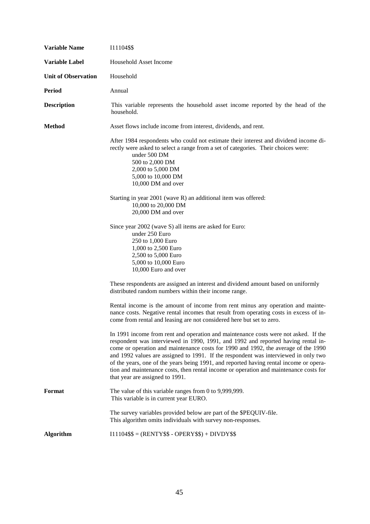| <b>Variable Name</b>       | I11104\$\$                                                                                                                                                                                                                                                                                                                                                                                                                                                                                                                                                                  |
|----------------------------|-----------------------------------------------------------------------------------------------------------------------------------------------------------------------------------------------------------------------------------------------------------------------------------------------------------------------------------------------------------------------------------------------------------------------------------------------------------------------------------------------------------------------------------------------------------------------------|
| <b>Variable Label</b>      | Household Asset Income                                                                                                                                                                                                                                                                                                                                                                                                                                                                                                                                                      |
| <b>Unit of Observation</b> | Household                                                                                                                                                                                                                                                                                                                                                                                                                                                                                                                                                                   |
| <b>Period</b>              | Annual                                                                                                                                                                                                                                                                                                                                                                                                                                                                                                                                                                      |
| <b>Description</b>         | This variable represents the household asset income reported by the head of the<br>household.                                                                                                                                                                                                                                                                                                                                                                                                                                                                               |
| <b>Method</b>              | Asset flows include income from interest, dividends, and rent.                                                                                                                                                                                                                                                                                                                                                                                                                                                                                                              |
|                            | After 1984 respondents who could not estimate their interest and dividend income di-<br>rectly were asked to select a range from a set of categories. Their choices were:<br>under 500 DM<br>500 to 2,000 DM<br>2,000 to 5,000 DM<br>5,000 to 10,000 DM<br>10,000 DM and over<br>Starting in year 2001 (wave R) an additional item was offered:                                                                                                                                                                                                                             |
|                            | 10,000 to 20,000 DM<br>20,000 DM and over                                                                                                                                                                                                                                                                                                                                                                                                                                                                                                                                   |
|                            | Since year 2002 (wave S) all items are asked for Euro:<br>under 250 Euro<br>250 to 1,000 Euro<br>1,000 to 2,500 Euro<br>2,500 to 5,000 Euro<br>5,000 to 10,000 Euro<br>10,000 Euro and over                                                                                                                                                                                                                                                                                                                                                                                 |
|                            | These respondents are assigned an interest and dividend amount based on uniformly<br>distributed random numbers within their income range.                                                                                                                                                                                                                                                                                                                                                                                                                                  |
|                            | Rental income is the amount of income from rent minus any operation and mainte-<br>nance costs. Negative rental incomes that result from operating costs in excess of in-<br>come from rental and leasing are not considered here but set to zero.                                                                                                                                                                                                                                                                                                                          |
|                            | In 1991 income from rent and operation and maintenance costs were not asked. If the<br>respondent was interviewed in 1990, 1991, and 1992 and reported having rental in-<br>come or operation and maintenance costs for 1990 and 1992, the average of the 1990<br>and 1992 values are assigned to 1991. If the respondent was interviewed in only two<br>of the years, one of the years being 1991, and reported having rental income or opera-<br>tion and maintenance costs, then rental income or operation and maintenance costs for<br>that year are assigned to 1991. |
| Format                     | The value of this variable ranges from 0 to 9,999,999.<br>This variable is in current year EURO.                                                                                                                                                                                                                                                                                                                                                                                                                                                                            |
|                            | The survey variables provided below are part of the \$PEQUIV-file.<br>This algorithm omits individuals with survey non-responses.                                                                                                                                                                                                                                                                                                                                                                                                                                           |
| <b>Algorithm</b>           | $I11104$ \$\$ = (RENTY\$\$ - OPERY\$\$) + DIVDY\$\$                                                                                                                                                                                                                                                                                                                                                                                                                                                                                                                         |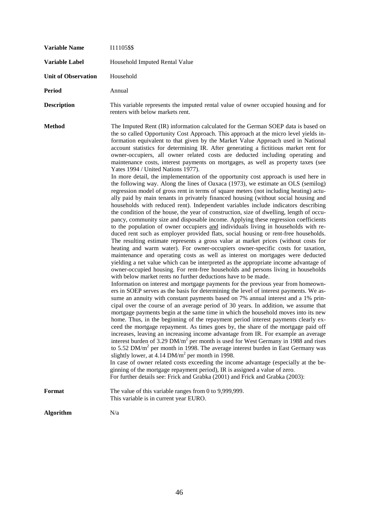| <b>Variable Name</b>       | 111105\$\$                                                                                                                                                                                                                                                                                                                                                                                                                                                                                                                                                                                                                                                                                                                                                                                                                                                                                                                                                                                                                                                                                                                                                                                                                                                                                                                                                                                                                                                                                                                                                                                                                                                                                                                                                                                                                                                                                                                                                                                                                                                                                                                                                                                                                                                                                                                                                                                                                                                                                                                                                                                                                                                                                                                                                                                                                                                                                                                                                                                                                                                                                                              |
|----------------------------|-------------------------------------------------------------------------------------------------------------------------------------------------------------------------------------------------------------------------------------------------------------------------------------------------------------------------------------------------------------------------------------------------------------------------------------------------------------------------------------------------------------------------------------------------------------------------------------------------------------------------------------------------------------------------------------------------------------------------------------------------------------------------------------------------------------------------------------------------------------------------------------------------------------------------------------------------------------------------------------------------------------------------------------------------------------------------------------------------------------------------------------------------------------------------------------------------------------------------------------------------------------------------------------------------------------------------------------------------------------------------------------------------------------------------------------------------------------------------------------------------------------------------------------------------------------------------------------------------------------------------------------------------------------------------------------------------------------------------------------------------------------------------------------------------------------------------------------------------------------------------------------------------------------------------------------------------------------------------------------------------------------------------------------------------------------------------------------------------------------------------------------------------------------------------------------------------------------------------------------------------------------------------------------------------------------------------------------------------------------------------------------------------------------------------------------------------------------------------------------------------------------------------------------------------------------------------------------------------------------------------------------------------------------------------------------------------------------------------------------------------------------------------------------------------------------------------------------------------------------------------------------------------------------------------------------------------------------------------------------------------------------------------------------------------------------------------------------------------------------------------|
| Variable Label             | Household Imputed Rental Value                                                                                                                                                                                                                                                                                                                                                                                                                                                                                                                                                                                                                                                                                                                                                                                                                                                                                                                                                                                                                                                                                                                                                                                                                                                                                                                                                                                                                                                                                                                                                                                                                                                                                                                                                                                                                                                                                                                                                                                                                                                                                                                                                                                                                                                                                                                                                                                                                                                                                                                                                                                                                                                                                                                                                                                                                                                                                                                                                                                                                                                                                          |
| <b>Unit of Observation</b> | Household                                                                                                                                                                                                                                                                                                                                                                                                                                                                                                                                                                                                                                                                                                                                                                                                                                                                                                                                                                                                                                                                                                                                                                                                                                                                                                                                                                                                                                                                                                                                                                                                                                                                                                                                                                                                                                                                                                                                                                                                                                                                                                                                                                                                                                                                                                                                                                                                                                                                                                                                                                                                                                                                                                                                                                                                                                                                                                                                                                                                                                                                                                               |
| <b>Period</b>              | Annual                                                                                                                                                                                                                                                                                                                                                                                                                                                                                                                                                                                                                                                                                                                                                                                                                                                                                                                                                                                                                                                                                                                                                                                                                                                                                                                                                                                                                                                                                                                                                                                                                                                                                                                                                                                                                                                                                                                                                                                                                                                                                                                                                                                                                                                                                                                                                                                                                                                                                                                                                                                                                                                                                                                                                                                                                                                                                                                                                                                                                                                                                                                  |
| <b>Description</b>         | This variable represents the imputed rental value of owner occupied housing and for<br>renters with below markets rent.                                                                                                                                                                                                                                                                                                                                                                                                                                                                                                                                                                                                                                                                                                                                                                                                                                                                                                                                                                                                                                                                                                                                                                                                                                                                                                                                                                                                                                                                                                                                                                                                                                                                                                                                                                                                                                                                                                                                                                                                                                                                                                                                                                                                                                                                                                                                                                                                                                                                                                                                                                                                                                                                                                                                                                                                                                                                                                                                                                                                 |
| <b>Method</b>              | The Imputed Rent (IR) information calculated for the German SOEP data is based on<br>the so called Opportunity Cost Approach. This approach at the micro level yields in-<br>formation equivalent to that given by the Market Value Approach used in National<br>account statistics for determining IR. After generating a fictitious market rent for<br>owner-occupiers, all owner related costs are deducted including operating and<br>maintenance costs, interest payments on mortgages, as well as property taxes (see<br>Yates 1994 / United Nations 1977).<br>In more detail, the implementation of the opportunity cost approach is used here in<br>the following way. Along the lines of Oaxaca (1973), we estimate an OLS (semilog)<br>regression model of gross rent in terms of square meters (not including heating) actu-<br>ally paid by main tenants in privately financed housing (without social housing and<br>households with reduced rent). Independent variables include indicators describing<br>the condition of the house, the year of construction, size of dwelling, length of occu-<br>pancy, community size and disposable income. Applying these regression coefficients<br>to the population of owner occupiers and individuals living in households with re-<br>duced rent such as employer provided flats, social housing or rent-free households.<br>The resulting estimate represents a gross value at market prices (without costs for<br>heating and warm water). For owner-occupiers owner-specific costs for taxation,<br>maintenance and operating costs as well as interest on mortgages were deducted<br>yielding a net value which can be interpreted as the appropriate income advantage of<br>owner-occupied housing. For rent-free households and persons living in households<br>with below market rents no further deductions have to be made.<br>Information on interest and mortgage payments for the previous year from homeown-<br>ers in SOEP serves as the basis for determining the level of interest payments. We as-<br>sume an annuity with constant payments based on 7% annual interest and a 1% prin-<br>cipal over the course of an average period of 30 years. In addition, we assume that<br>mortgage payments begin at the same time in which the household moves into its new<br>home. Thus, in the beginning of the repayment period interest payments clearly ex-<br>ceed the mortgage repayment. As times goes by, the share of the mortgage paid off<br>increases, leaving an increasing income advantage from IR. For example an average<br>interest burden of 3.29 $DM/m2$ per month is used for West Germany in 1988 and rises<br>to $5.52$ DM/ $m2$ per month in 1998. The average interest burden in East Germany was<br>slightly lower, at 4.14 DM/m <sup>2</sup> per month in 1998.<br>In case of owner related costs exceeding the income advantage (especially at the be-<br>ginning of the mortgage repayment period), IR is assigned a value of zero.<br>For further details see: Frick and Grabka (2001) and Frick and Grabka (2003): |
| Format                     | The value of this variable ranges from 0 to 9,999,999.<br>This variable is in current year EURO.                                                                                                                                                                                                                                                                                                                                                                                                                                                                                                                                                                                                                                                                                                                                                                                                                                                                                                                                                                                                                                                                                                                                                                                                                                                                                                                                                                                                                                                                                                                                                                                                                                                                                                                                                                                                                                                                                                                                                                                                                                                                                                                                                                                                                                                                                                                                                                                                                                                                                                                                                                                                                                                                                                                                                                                                                                                                                                                                                                                                                        |
| <b>Algorithm</b>           | N/a                                                                                                                                                                                                                                                                                                                                                                                                                                                                                                                                                                                                                                                                                                                                                                                                                                                                                                                                                                                                                                                                                                                                                                                                                                                                                                                                                                                                                                                                                                                                                                                                                                                                                                                                                                                                                                                                                                                                                                                                                                                                                                                                                                                                                                                                                                                                                                                                                                                                                                                                                                                                                                                                                                                                                                                                                                                                                                                                                                                                                                                                                                                     |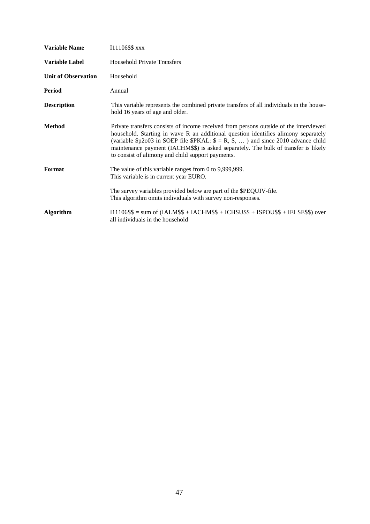| <b>Variable Name</b>       | 111106\$\$ xxx                                                                                                                                                                                                                                                                                                                                                                                                      |
|----------------------------|---------------------------------------------------------------------------------------------------------------------------------------------------------------------------------------------------------------------------------------------------------------------------------------------------------------------------------------------------------------------------------------------------------------------|
| <b>Variable Label</b>      | <b>Household Private Transfers</b>                                                                                                                                                                                                                                                                                                                                                                                  |
| <b>Unit of Observation</b> | Household                                                                                                                                                                                                                                                                                                                                                                                                           |
| <b>Period</b>              | Annual                                                                                                                                                                                                                                                                                                                                                                                                              |
| <b>Description</b>         | This variable represents the combined private transfers of all individuals in the house-<br>hold 16 years of age and older.                                                                                                                                                                                                                                                                                         |
| <b>Method</b>              | Private transfers consists of income received from persons outside of the interviewed<br>household. Starting in wave R an additional question identifies alimony separately<br>(variable \$p2o03 in SOEP file \$PKAL: $\$ = R, S, \dots$ ) and since 2010 advance child<br>maintenance payment (IACHM\$\$) is asked separately. The bulk of transfer is likely<br>to consist of alimony and child support payments. |
| Format                     | The value of this variable ranges from $0$ to 9,999,999.<br>This variable is in current year EURO.                                                                                                                                                                                                                                                                                                                  |
|                            | The survey variables provided below are part of the \$PEQUIV-file.<br>This algorithm omits individuals with survey non-responses.                                                                                                                                                                                                                                                                                   |
| <b>Algorithm</b>           | $I11106$ \$\$ = sum of (IALM\$\$ + IACHM\$\$ + ICHSU\$\$ + ISPOU\$\$ + IELSE\$\$) over<br>all individuals in the household                                                                                                                                                                                                                                                                                          |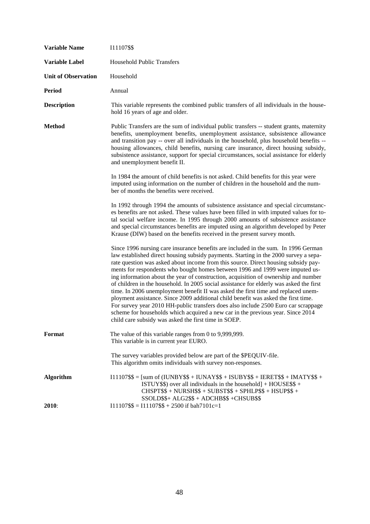| <b>Variable Name</b>       | 111107\$\$                                                                                                                                                                                                                                                                                                                                                                                                                                                                                                                                                                                                                                                                                                                                                                                                                                                                                                                                      |  |
|----------------------------|-------------------------------------------------------------------------------------------------------------------------------------------------------------------------------------------------------------------------------------------------------------------------------------------------------------------------------------------------------------------------------------------------------------------------------------------------------------------------------------------------------------------------------------------------------------------------------------------------------------------------------------------------------------------------------------------------------------------------------------------------------------------------------------------------------------------------------------------------------------------------------------------------------------------------------------------------|--|
| <b>Variable Label</b>      | <b>Household Public Transfers</b>                                                                                                                                                                                                                                                                                                                                                                                                                                                                                                                                                                                                                                                                                                                                                                                                                                                                                                               |  |
| <b>Unit of Observation</b> | Household                                                                                                                                                                                                                                                                                                                                                                                                                                                                                                                                                                                                                                                                                                                                                                                                                                                                                                                                       |  |
| <b>Period</b>              | Annual                                                                                                                                                                                                                                                                                                                                                                                                                                                                                                                                                                                                                                                                                                                                                                                                                                                                                                                                          |  |
| <b>Description</b>         | This variable represents the combined public transfers of all individuals in the house-<br>hold 16 years of age and older.                                                                                                                                                                                                                                                                                                                                                                                                                                                                                                                                                                                                                                                                                                                                                                                                                      |  |
| <b>Method</b>              | Public Transfers are the sum of individual public transfers -- student grants, maternity<br>benefits, unemployment benefits, unemployment assistance, subsistence allowance<br>and transition pay -- over all individuals in the household, plus household benefits --<br>housing allowances, child benefits, nursing care insurance, direct housing subsidy,<br>subsistence assistance, support for special circumstances, social assistance for elderly<br>and unemployment benefit II.                                                                                                                                                                                                                                                                                                                                                                                                                                                       |  |
|                            | In 1984 the amount of child benefits is not asked. Child benefits for this year were<br>imputed using information on the number of children in the household and the num-<br>ber of months the benefits were received.                                                                                                                                                                                                                                                                                                                                                                                                                                                                                                                                                                                                                                                                                                                          |  |
|                            | In 1992 through 1994 the amounts of subsistence assistance and special circumstanc-<br>es benefits are not asked. These values have been filled in with imputed values for to-<br>tal social welfare income. In 1995 through 2000 amounts of subsistence assistance<br>and special circumstances benefits are imputed using an algorithm developed by Peter<br>Krause (DIW) based on the benefits received in the present survey month.                                                                                                                                                                                                                                                                                                                                                                                                                                                                                                         |  |
|                            | Since 1996 nursing care insurance benefits are included in the sum. In 1996 German<br>law established direct housing subsidy payments. Starting in the 2000 survey a sepa-<br>rate question was asked about income from this source. Direct housing subsidy pay-<br>ments for respondents who bought homes between 1996 and 1999 were imputed us-<br>ing information about the year of construction, acquisition of ownership and number<br>of children in the household. In 2005 social assistance for elderly was asked the first<br>time. In 2006 unemployment benefit II was asked the first time and replaced unem-<br>ployment assistance. Since 2009 additional child benefit was asked the first time.<br>For survey year 2010 HH-public transfers does also include 2500 Euro car scrappage<br>scheme for households which acquired a new car in the previous year. Since 2014<br>child care subsidy was asked the first time in SOEP. |  |
| Format                     | The value of this variable ranges from 0 to 9,999,999.<br>This variable is in current year EURO.                                                                                                                                                                                                                                                                                                                                                                                                                                                                                                                                                                                                                                                                                                                                                                                                                                                |  |
|                            | The survey variables provided below are part of the \$PEQUIV-file.<br>This algorithm omits individuals with survey non-responses.                                                                                                                                                                                                                                                                                                                                                                                                                                                                                                                                                                                                                                                                                                                                                                                                               |  |
| <b>Algorithm</b><br>2010:  | $I11107$ \$\$ = [sum of (IUNBY\$\$ + IUNAY\$\$ + ISUBY\$\$ + IERET\$\$ + IMATY\$\$ +<br>ISTUY\$\$) over all individuals in the household $+$ HOUSE\$\$ +<br>$CHSPT$ \$\$ + NURSH\$\$ + SUBST\$\$ + SPHLP\$\$ + HSUP\$\$ +<br>SSOLD\$\$+ ALG2\$\$ + ADCHB\$\$ +CHSUB\$\$<br>$I11107$ \$\$ = $I11107$ \$\$ + 2500 if bah7101c=1                                                                                                                                                                                                                                                                                                                                                                                                                                                                                                                                                                                                                   |  |
|                            |                                                                                                                                                                                                                                                                                                                                                                                                                                                                                                                                                                                                                                                                                                                                                                                                                                                                                                                                                 |  |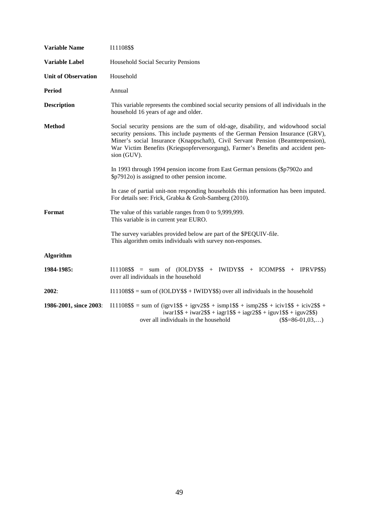| <b>Variable Name</b>       | 111108\$\$                                                                                                                                                                                                                                                                                                                                                 |  |
|----------------------------|------------------------------------------------------------------------------------------------------------------------------------------------------------------------------------------------------------------------------------------------------------------------------------------------------------------------------------------------------------|--|
| Variable Label             | Household Social Security Pensions                                                                                                                                                                                                                                                                                                                         |  |
| <b>Unit of Observation</b> | Household                                                                                                                                                                                                                                                                                                                                                  |  |
| <b>Period</b>              | Annual                                                                                                                                                                                                                                                                                                                                                     |  |
| <b>Description</b>         | This variable represents the combined social security pensions of all individuals in the<br>household 16 years of age and older.                                                                                                                                                                                                                           |  |
| <b>Method</b>              | Social security pensions are the sum of old-age, disability, and widowhood social<br>security pensions. This include payments of the German Pension Insurance (GRV),<br>Miner's social Insurance (Knappschaft), Civil Servant Pension (Beamtenpension),<br>War Victim Benefits (Kriegsopferversorgung), Farmer's Benefits and accident pen-<br>sion (GUV). |  |
|                            | In 1993 through 1994 pension income from East German pensions (\$p7902o and<br>\$p7912o) is assigned to other pension income.                                                                                                                                                                                                                              |  |
|                            | In case of partial unit-non responding households this information has been imputed.<br>For details see: Frick, Grabka & Groh-Samberg (2010).                                                                                                                                                                                                              |  |
| Format                     | The value of this variable ranges from 0 to 9,999,999.<br>This variable is in current year EURO.                                                                                                                                                                                                                                                           |  |
|                            | The survey variables provided below are part of the \$PEQUIV-file.<br>This algorithm omits individuals with survey non-responses.                                                                                                                                                                                                                          |  |
| <b>Algorithm</b>           |                                                                                                                                                                                                                                                                                                                                                            |  |
| 1984-1985:                 | $I11108$ \$\$ = sum of $(IOLDY$ \$\$ + IWIDY\$\$ + ICOMP\$\$ + IPRVP\$\$)<br>over all individuals in the household                                                                                                                                                                                                                                         |  |
| 2002:                      | $I11108$ \$\$ = sum of (IOLDY\$\$ + IWIDY\$\$) over all individuals in the household                                                                                                                                                                                                                                                                       |  |
| 1986-2001, since 2003:     | $111108$ \$\$ = sum of (igrv1\$\$ + igrv2\$\$ + ismp1\$\$ + ismp2\$\$ + iciv1\$\$ + iciv2\$\$ +<br>$iwar1$ \$\$ + $iwar2$ \$\$ + $iagr1$ \$\$ + $iagr2$ \$\$ + $iguv1$ \$\$ + $iguv2$ \$\$)<br>over all individuals in the household<br>$(\$$=86-01,03,)$                                                                                                  |  |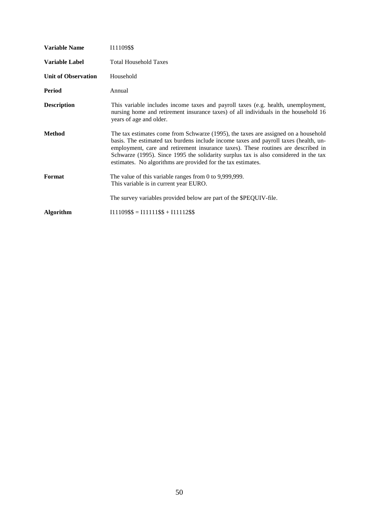| <b>Variable Name</b>       | I11109\$\$                                                                                                                                                                                                                                                                                                                                                                                                              |
|----------------------------|-------------------------------------------------------------------------------------------------------------------------------------------------------------------------------------------------------------------------------------------------------------------------------------------------------------------------------------------------------------------------------------------------------------------------|
| Variable Label             | <b>Total Household Taxes</b>                                                                                                                                                                                                                                                                                                                                                                                            |
| <b>Unit of Observation</b> | Household                                                                                                                                                                                                                                                                                                                                                                                                               |
| Period                     | Annual                                                                                                                                                                                                                                                                                                                                                                                                                  |
| <b>Description</b>         | This variable includes income taxes and payroll taxes (e.g. health, unemployment,<br>nursing home and retirement insurance taxes) of all individuals in the household 16<br>years of age and older.                                                                                                                                                                                                                     |
| Method                     | The tax estimates come from Schwarze (1995), the taxes are assigned on a household<br>basis. The estimated tax burdens include income taxes and payroll taxes (health, un-<br>employment, care and retirement insurance taxes). These routines are described in<br>Schwarze (1995). Since 1995 the solidarity surplus tax is also considered in the tax<br>estimates. No algorithms are provided for the tax estimates. |
| Format                     | The value of this variable ranges from 0 to 9,999,999.<br>This variable is in current year EURO.                                                                                                                                                                                                                                                                                                                        |
|                            | The survey variables provided below are part of the \$PEQUIV-file.                                                                                                                                                                                                                                                                                                                                                      |
| <b>Algorithm</b>           | $I11109$ \$\$ = $I11111$ \$\$ + $I11112$ \$\$                                                                                                                                                                                                                                                                                                                                                                           |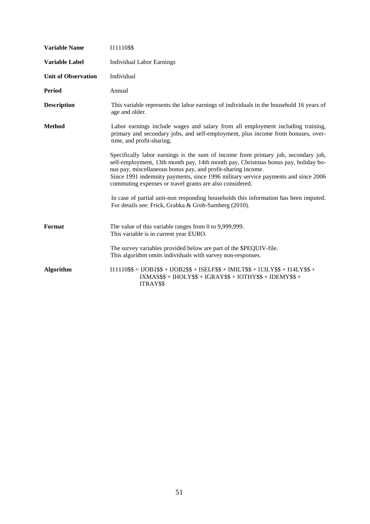| <b>Variable Name</b>       | 111110\$\$                                                                                                                                                                                                                                                                                                                                                                               |  |
|----------------------------|------------------------------------------------------------------------------------------------------------------------------------------------------------------------------------------------------------------------------------------------------------------------------------------------------------------------------------------------------------------------------------------|--|
| <b>Variable Label</b>      | <b>Individual Labor Earnings</b>                                                                                                                                                                                                                                                                                                                                                         |  |
| <b>Unit of Observation</b> | Individual                                                                                                                                                                                                                                                                                                                                                                               |  |
| Period                     | Annual                                                                                                                                                                                                                                                                                                                                                                                   |  |
| <b>Description</b>         | This variable represents the labor earnings of individuals in the household 16 years of<br>age and older.                                                                                                                                                                                                                                                                                |  |
| <b>Method</b>              | Labor earnings include wages and salary from all employment including training,<br>primary and secondary jobs, and self-employment, plus income from bonuses, over-<br>time, and profit-sharing.                                                                                                                                                                                         |  |
|                            | Specifically labor earnings is the sum of income from primary job, secondary job,<br>self-employment, 13th month pay, 14th month pay, Christmas bonus pay, holiday bo-<br>nus pay, miscellaneous bonus pay, and profit-sharing income.<br>Since 1991 indemnity payments, since 1996 military service payments and since 2006<br>commuting expenses or travel grants are also considered. |  |
|                            | In case of partial unit-non responding households this information has been imputed.<br>For details see: Frick, Grabka & Groh-Samberg (2010).                                                                                                                                                                                                                                            |  |
| <b>Format</b>              | The value of this variable ranges from $0$ to 9,999,999.<br>This variable is in current year EURO.                                                                                                                                                                                                                                                                                       |  |
|                            | The survey variables provided below are part of the \$PEQUIV-file.<br>This algorithm omits individuals with survey non-responses.                                                                                                                                                                                                                                                        |  |
| <b>Algorithm</b>           | $I11110$ \$\$ = $IJOB1$ \$\$ + $IJOB2$ \$\$ + $ISELF$ \$\$ + $IMILT$ \$\$ + $I13LY$ \$\$ + $I14LY$ \$\$ +<br>$IXMASS$ + HOLY$$ \$ + $IGRAY$$ \$ + $IOTHY$$ \$ + $IDEMY$$ \$ +<br>ITRAY\$\$                                                                                                                                                                                               |  |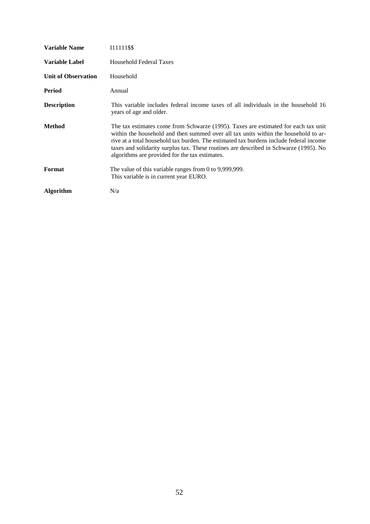| Variable Name              | 111111\$\$                                                                                                                                                                                                                                                                                                                                                                                                     |
|----------------------------|----------------------------------------------------------------------------------------------------------------------------------------------------------------------------------------------------------------------------------------------------------------------------------------------------------------------------------------------------------------------------------------------------------------|
| <b>Variable Label</b>      | <b>Household Federal Taxes</b>                                                                                                                                                                                                                                                                                                                                                                                 |
| <b>Unit of Observation</b> | Household                                                                                                                                                                                                                                                                                                                                                                                                      |
| Period                     | Annual                                                                                                                                                                                                                                                                                                                                                                                                         |
| <b>Description</b>         | This variable includes federal income taxes of all individuals in the household 16<br>years of age and older.                                                                                                                                                                                                                                                                                                  |
| Method                     | The tax estimates come from Schwarze (1995). Taxes are estimated for each tax unit<br>within the household and then summed over all tax units within the household to ar-<br>rive at a total household tax burden. The estimated tax burdens include federal income<br>taxes and solidarity surplus tax. These routines are described in Schwarze (1995). No<br>algorithms are provided for the tax estimates. |
| Format                     | The value of this variable ranges from 0 to $9,999,999$ .<br>This variable is in current year EURO.                                                                                                                                                                                                                                                                                                            |
| <b>Algorithm</b>           | N/a                                                                                                                                                                                                                                                                                                                                                                                                            |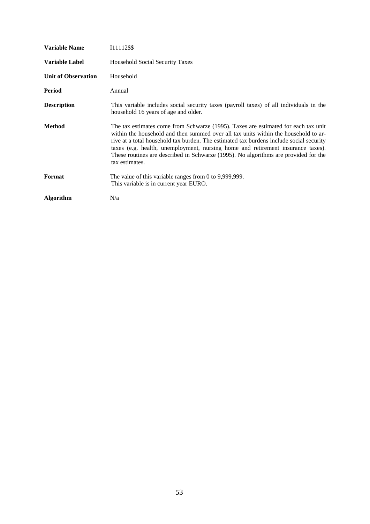| Variable Name              | 111112\$\$                                                                                                                                                                                                                                                                                                                                                                                                                                                       |
|----------------------------|------------------------------------------------------------------------------------------------------------------------------------------------------------------------------------------------------------------------------------------------------------------------------------------------------------------------------------------------------------------------------------------------------------------------------------------------------------------|
| Variable Label             | Household Social Security Taxes                                                                                                                                                                                                                                                                                                                                                                                                                                  |
| <b>Unit of Observation</b> | Household                                                                                                                                                                                                                                                                                                                                                                                                                                                        |
| Period                     | Annual                                                                                                                                                                                                                                                                                                                                                                                                                                                           |
| <b>Description</b>         | This variable includes social security taxes (payroll taxes) of all individuals in the<br>household 16 years of age and older.                                                                                                                                                                                                                                                                                                                                   |
| Method                     | The tax estimates come from Schwarze (1995). Taxes are estimated for each tax unit<br>within the household and then summed over all tax units within the household to ar-<br>rive at a total household tax burden. The estimated tax burdens include social security<br>taxes (e.g. health, unemployment, nursing home and retirement insurance taxes).<br>These routines are described in Schwarze (1995). No algorithms are provided for the<br>tax estimates. |
| Format                     | The value of this variable ranges from 0 to $9,999,999$ .<br>This variable is in current year EURO.                                                                                                                                                                                                                                                                                                                                                              |
| <b>Algorithm</b>           | N/a                                                                                                                                                                                                                                                                                                                                                                                                                                                              |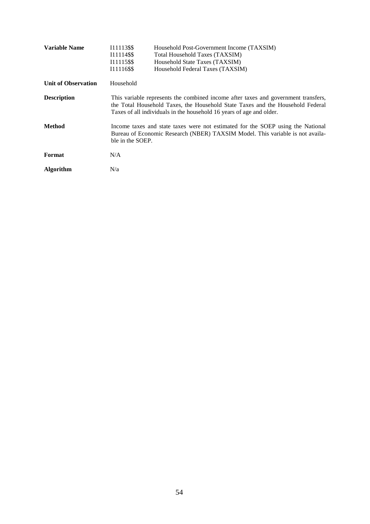| <b>Variable Name</b>       | I11113\$\$<br>I11114\$\$<br>I11115\$\$<br>I11116\$\$ | Household Post-Government Income (TAXSIM)<br>Total Household Taxes (TAXSIM)<br>Household State Taxes (TAXSIM)<br>Household Federal Taxes (TAXSIM)                                                                                            |
|----------------------------|------------------------------------------------------|----------------------------------------------------------------------------------------------------------------------------------------------------------------------------------------------------------------------------------------------|
| <b>Unit of Observation</b> | Household                                            |                                                                                                                                                                                                                                              |
| <b>Description</b>         |                                                      | This variable represents the combined income after taxes and government transfers,<br>the Total Household Taxes, the Household State Taxes and the Household Federal<br>Taxes of all individuals in the household 16 years of age and older. |
| <b>Method</b>              | ble in the SOEP.                                     | Income taxes and state taxes were not estimated for the SOEP using the National<br>Bureau of Economic Research (NBER) TAXSIM Model. This variable is not availa-                                                                             |
| Format                     | N/A                                                  |                                                                                                                                                                                                                                              |
| <b>Algorithm</b>           | N/a                                                  |                                                                                                                                                                                                                                              |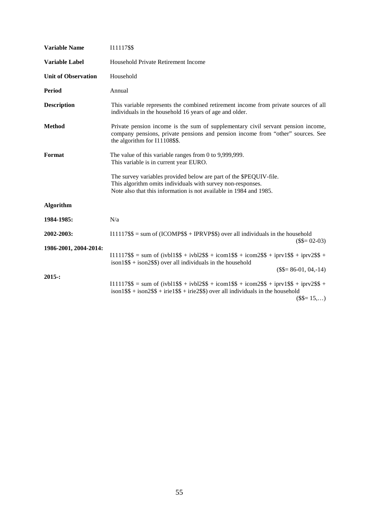| <b>Variable Name</b>       | 111117\$\$                                                                                                                                                                                                             |  |
|----------------------------|------------------------------------------------------------------------------------------------------------------------------------------------------------------------------------------------------------------------|--|
| <b>Variable Label</b>      | Household Private Retirement Income                                                                                                                                                                                    |  |
| <b>Unit of Observation</b> | Household                                                                                                                                                                                                              |  |
| <b>Period</b>              | Annual                                                                                                                                                                                                                 |  |
| <b>Description</b>         | This variable represents the combined retirement income from private sources of all<br>individuals in the household 16 years of age and older.                                                                         |  |
| <b>Method</b>              | Private pension income is the sum of supplementary civil servant pension income,<br>company pensions, private pensions and pension income from "other" sources. See<br>the algorithm for I11108\$\$.                   |  |
| Format                     | The value of this variable ranges from 0 to 9,999,999.<br>This variable is in current year EURO.                                                                                                                       |  |
|                            | The survey variables provided below are part of the \$PEQUIV-file.<br>This algorithm omits individuals with survey non-responses.<br>Note also that this information is not available in 1984 and 1985.                |  |
| <b>Algorithm</b>           |                                                                                                                                                                                                                        |  |
| 1984-1985:                 | N/a                                                                                                                                                                                                                    |  |
| 2002-2003:                 | $I11117$ \$\$ = sum of (ICOMP\$\$ + IPRVP\$\$) over all individuals in the household                                                                                                                                   |  |
| 1986-2001, 2004-2014:      | $($= 02-03)$<br>$111117$ \$\$ = sum of (ivbl1\$\$ + ivbl2\$\$ + icom1\$\$ + icom2\$\$ + iprv1\$\$ + iprv2\$\$ +<br>$\frac{1}{2}$ ison1\$\$ + ison2\$\$) over all individuals in the household<br>$($$=86-01, 04, -14)$ |  |
| 2015:                      | $111117$ \$\$ = sum of (ivbl1\$\$ + ivbl2\$\$ + icom1\$\$ + icom2\$\$ + iprv1\$\$ + iprv2\$\$ +<br>$\frac{1}{1}$ ison1\$\$ + ison2\$\$ + irie1\$\$ + irie2\$\$) over all individuals in the household<br>$($= 15,)$    |  |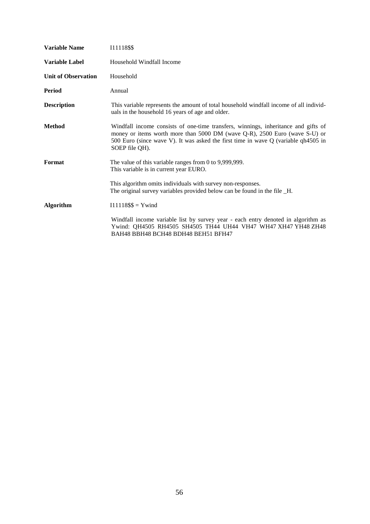| <b>Variable Name</b>       | 111118\$\$                                                                                                                                                                                                                                                               |
|----------------------------|--------------------------------------------------------------------------------------------------------------------------------------------------------------------------------------------------------------------------------------------------------------------------|
| <b>Variable Label</b>      | Household Windfall Income                                                                                                                                                                                                                                                |
| <b>Unit of Observation</b> | Household                                                                                                                                                                                                                                                                |
| <b>Period</b>              | Annual                                                                                                                                                                                                                                                                   |
| <b>Description</b>         | This variable represents the amount of total household windfall income of all individ-<br>uals in the household 16 years of age and older.                                                                                                                               |
| <b>Method</b>              | Windfall income consists of one-time transfers, winnings, inheritance and gifts of<br>money or items worth more than 5000 DM (wave Q-R), 2500 Euro (wave S-U) or<br>500 Euro (since wave V). It was asked the first time in wave Q (variable qh4505 in<br>SOEP file QH). |
| Format                     | The value of this variable ranges from $0$ to 9,999,999.<br>This variable is in current year EURO.                                                                                                                                                                       |
|                            | This algorithm omits individuals with survey non-responses.<br>The original survey variables provided below can be found in the file _H.                                                                                                                                 |
| <b>Algorithm</b>           | $I11118$ \$\$ = Ywind                                                                                                                                                                                                                                                    |
|                            | Windfall income variable list by survey year - each entry denoted in algorithm as<br>Ywind: QH4505 RH4505 SH4505 TH44 UH44 VH47 WH47 XH47 YH48 ZH48<br>BAH48 BBH48 BCH48 BDH48 BEH51 BFH47                                                                               |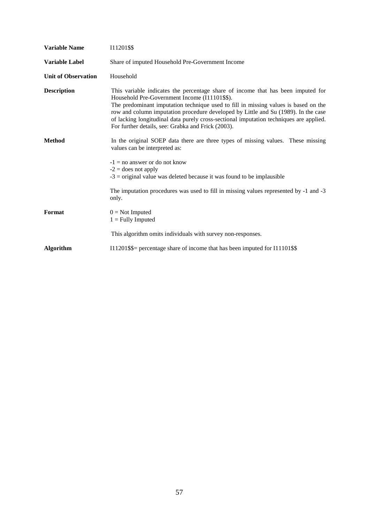| <b>Variable Name</b>       | 111201\$\$                                                                                                                                                                                                                                                                                                                                                                                                                                                     |  |
|----------------------------|----------------------------------------------------------------------------------------------------------------------------------------------------------------------------------------------------------------------------------------------------------------------------------------------------------------------------------------------------------------------------------------------------------------------------------------------------------------|--|
| <b>Variable Label</b>      | Share of imputed Household Pre-Government Income                                                                                                                                                                                                                                                                                                                                                                                                               |  |
| <b>Unit of Observation</b> | Household                                                                                                                                                                                                                                                                                                                                                                                                                                                      |  |
| <b>Description</b>         | This variable indicates the percentage share of income that has been imputed for<br>Household Pre-Government Income (I11101\$\$).<br>The predominant imputation technique used to fill in missing values is based on the<br>row and column imputation procedure developed by Little and Su (1989). In the case<br>of lacking longitudinal data purely cross-sectional imputation techniques are applied.<br>For further details, see: Grabka and Frick (2003). |  |
| <b>Method</b>              | In the original SOEP data there are three types of missing values. These missing<br>values can be interpreted as:<br>$-1 =$ no answer or do not know<br>$-2$ = does not apply<br>$-3$ = original value was deleted because it was found to be implausible                                                                                                                                                                                                      |  |
|                            | The imputation procedures was used to fill in missing values represented by -1 and -3<br>only.                                                                                                                                                                                                                                                                                                                                                                 |  |
| Format                     | $0 = Not$ Imputed<br>$1 =$ Fully Imputed                                                                                                                                                                                                                                                                                                                                                                                                                       |  |
|                            | This algorithm omits individuals with survey non-responses.                                                                                                                                                                                                                                                                                                                                                                                                    |  |
| <b>Algorithm</b>           | I11201\$\$= percentage share of income that has been imputed for I11101\$\$                                                                                                                                                                                                                                                                                                                                                                                    |  |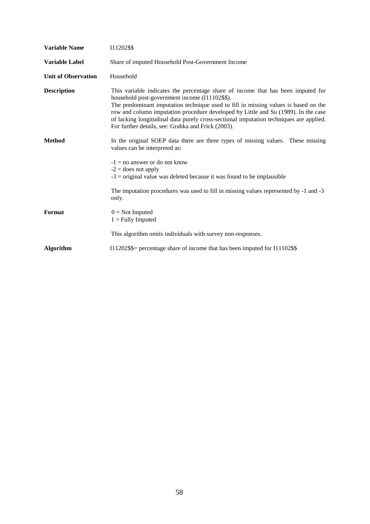| <b>Variable Name</b>       | I11202\$\$                                                                                                                                                                                                                                                                                                                                                                                                                                                      |
|----------------------------|-----------------------------------------------------------------------------------------------------------------------------------------------------------------------------------------------------------------------------------------------------------------------------------------------------------------------------------------------------------------------------------------------------------------------------------------------------------------|
| <b>Variable Label</b>      | Share of imputed Household Post-Government Income                                                                                                                                                                                                                                                                                                                                                                                                               |
| <b>Unit of Observation</b> | Household                                                                                                                                                                                                                                                                                                                                                                                                                                                       |
| <b>Description</b>         | This variable indicates the percentage share of income that has been imputed for<br>household post-government income (I11102\$\$).<br>The predominant imputation technique used to fill in missing values is based on the<br>row and column imputation procedure developed by Little and Su (1989). In the case<br>of lacking longitudinal data purely cross-sectional imputation techniques are applied.<br>For further details, see: Grabka and Frick (2003). |
| <b>Method</b>              | In the original SOEP data there are three types of missing values. These missing<br>values can be interpreted as:<br>$-1 =$ no answer or do not know<br>$-2$ = does not apply<br>$-3$ = original value was deleted because it was found to be implausible<br>The imputation procedures was used to fill in missing values represented by -1 and -3                                                                                                              |
| Format                     | only.<br>$0 = Not$ Imputed<br>$1 =$ Fully Imputed<br>This algorithm omits individuals with survey non-responses.                                                                                                                                                                                                                                                                                                                                                |
| <b>Algorithm</b>           | I11202\$\$= percentage share of income that has been imputed for I11102\$\$                                                                                                                                                                                                                                                                                                                                                                                     |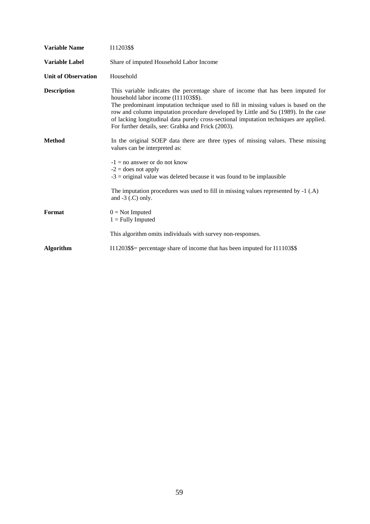| <b>Variable Name</b>       | 111203\$\$                                                                                                                                                                                                                                                                                                                                                                                                                                            |  |
|----------------------------|-------------------------------------------------------------------------------------------------------------------------------------------------------------------------------------------------------------------------------------------------------------------------------------------------------------------------------------------------------------------------------------------------------------------------------------------------------|--|
| <b>Variable Label</b>      | Share of imputed Household Labor Income                                                                                                                                                                                                                                                                                                                                                                                                               |  |
| <b>Unit of Observation</b> | Household                                                                                                                                                                                                                                                                                                                                                                                                                                             |  |
| <b>Description</b>         | This variable indicates the percentage share of income that has been imputed for<br>household labor income (I11103\$\$).<br>The predominant imputation technique used to fill in missing values is based on the<br>row and column imputation procedure developed by Little and Su (1989). In the case<br>of lacking longitudinal data purely cross-sectional imputation techniques are applied.<br>For further details, see: Grabka and Frick (2003). |  |
| <b>Method</b>              | In the original SOEP data there are three types of missing values. These missing<br>values can be interpreted as:<br>$-1 =$ no answer or do not know<br>$-2$ = does not apply<br>$-3$ = original value was deleted because it was found to be implausible<br>The imputation procedures was used to fill in missing values represented by $-1$ (.A)<br>and $-3$ ( $\Gamma$ ) only.                                                                     |  |
| Format                     | $0 = Not$ Imputed<br>$1 =$ Fully Imputed<br>This algorithm omits individuals with survey non-responses.                                                                                                                                                                                                                                                                                                                                               |  |
| <b>Algorithm</b>           | I11203\$\$= percentage share of income that has been imputed for I11103\$\$                                                                                                                                                                                                                                                                                                                                                                           |  |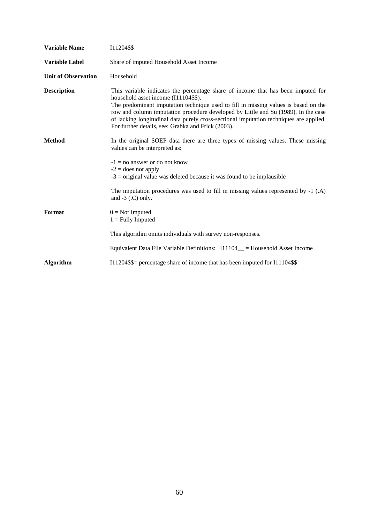| <b>Variable Name</b>       | 111204\$\$                                                                                                                                                                                                                                                                                                                                                                                                                                            |
|----------------------------|-------------------------------------------------------------------------------------------------------------------------------------------------------------------------------------------------------------------------------------------------------------------------------------------------------------------------------------------------------------------------------------------------------------------------------------------------------|
| <b>Variable Label</b>      | Share of imputed Household Asset Income                                                                                                                                                                                                                                                                                                                                                                                                               |
| <b>Unit of Observation</b> | Household                                                                                                                                                                                                                                                                                                                                                                                                                                             |
| <b>Description</b>         | This variable indicates the percentage share of income that has been imputed for<br>household asset income (I11104\$\$).<br>The predominant imputation technique used to fill in missing values is based on the<br>row and column imputation procedure developed by Little and Su (1989). In the case<br>of lacking longitudinal data purely cross-sectional imputation techniques are applied.<br>For further details, see: Grabka and Frick (2003). |
| <b>Method</b>              | In the original SOEP data there are three types of missing values. These missing<br>values can be interpreted as:                                                                                                                                                                                                                                                                                                                                     |
|                            | $-1 =$ no answer or do not know<br>$-2$ = does not apply<br>$-3$ = original value was deleted because it was found to be implausible                                                                                                                                                                                                                                                                                                                  |
|                            | The imputation procedures was used to fill in missing values represented by $-1$ (.A)<br>and $-3$ ( $\Gamma$ ) only.                                                                                                                                                                                                                                                                                                                                  |
| Format                     | $0 = Not$ Imputed<br>$1 =$ Fully Imputed                                                                                                                                                                                                                                                                                                                                                                                                              |
|                            | This algorithm omits individuals with survey non-responses.                                                                                                                                                                                                                                                                                                                                                                                           |
|                            | Equivalent Data File Variable Definitions: I11104_ = Household Asset Income                                                                                                                                                                                                                                                                                                                                                                           |
| <b>Algorithm</b>           | I11204\$\$= percentage share of income that has been imputed for I11104\$\$                                                                                                                                                                                                                                                                                                                                                                           |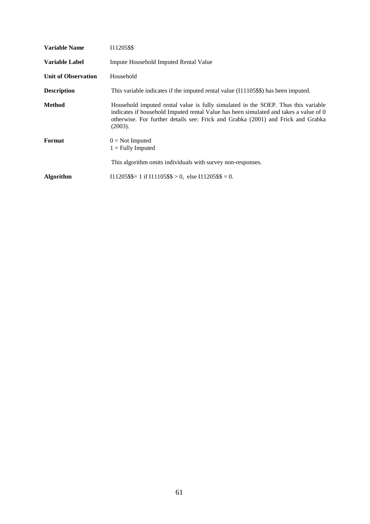| <b>Variable Name</b>       | 111205\$\$                                                                                                                                                                                                                                                                |
|----------------------------|---------------------------------------------------------------------------------------------------------------------------------------------------------------------------------------------------------------------------------------------------------------------------|
| Variable Label             | Impute Household Imputed Rental Value                                                                                                                                                                                                                                     |
| <b>Unit of Observation</b> | Household                                                                                                                                                                                                                                                                 |
| <b>Description</b>         | This variable indicates if the imputed rental value (I11105\$\$) has been imputed.                                                                                                                                                                                        |
| Method                     | Household imputed rental value is fully simulated in the SOEP. Thus this variable<br>indicates if household Imputed rental Value has been simulated and takes a value of 0<br>otherwise. For further details see: Frick and Grabka (2001) and Frick and Grabka<br>(2003). |
| Format                     | $0 = Not$ Imputed<br>$1 =$ Fully Imputed                                                                                                                                                                                                                                  |
|                            | This algorithm omits individuals with survey non-responses.                                                                                                                                                                                                               |
| <b>Algorithm</b>           | $111205$ \$\$= 1 if $111105$ \$\$ > 0, else $111205$ \$\$ = 0.                                                                                                                                                                                                            |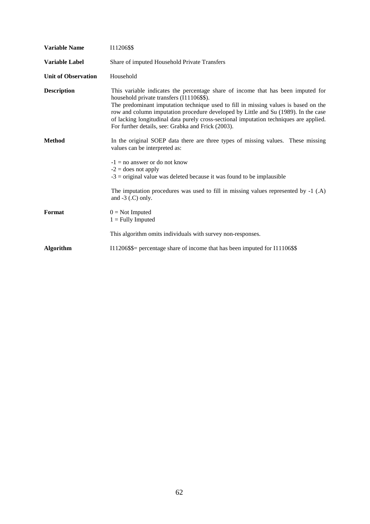| <b>Variable Name</b>       | 111206\$\$                                                                                                                                                                                                                                                                                                                                                                                                                                                 |
|----------------------------|------------------------------------------------------------------------------------------------------------------------------------------------------------------------------------------------------------------------------------------------------------------------------------------------------------------------------------------------------------------------------------------------------------------------------------------------------------|
| <b>Variable Label</b>      | Share of imputed Household Private Transfers                                                                                                                                                                                                                                                                                                                                                                                                               |
| <b>Unit of Observation</b> | Household                                                                                                                                                                                                                                                                                                                                                                                                                                                  |
| <b>Description</b>         | This variable indicates the percentage share of income that has been imputed for<br>household private transfers (I11106\$\$).<br>The predominant imputation technique used to fill in missing values is based on the<br>row and column imputation procedure developed by Little and Su (1989). In the case<br>of lacking longitudinal data purely cross-sectional imputation techniques are applied.<br>For further details, see: Grabka and Frick (2003). |
| <b>Method</b>              | In the original SOEP data there are three types of missing values. These missing<br>values can be interpreted as:<br>$-1 = no$ answer or do not know<br>$-2$ = does not apply<br>$-3$ = original value was deleted because it was found to be implausible<br>The imputation procedures was used to fill in missing values represented by -1 (.A)<br>and $-3$ (.C) only.                                                                                    |
| Format                     | $0 = Not$ Imputed<br>$1 =$ Fully Imputed<br>This algorithm omits individuals with survey non-responses.                                                                                                                                                                                                                                                                                                                                                    |
| <b>Algorithm</b>           | I11206\$\$= percentage share of income that has been imputed for I11106\$\$                                                                                                                                                                                                                                                                                                                                                                                |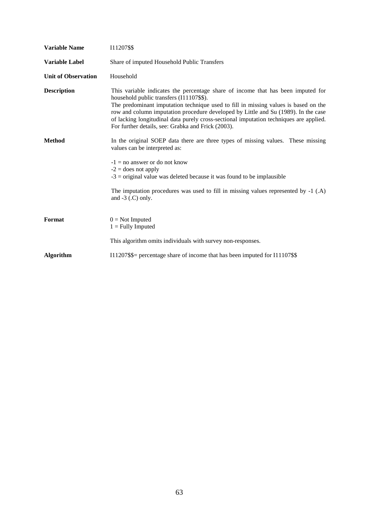| <b>Variable Name</b>       | 111207\$\$                                                                                                                                                                                                                                                                                                                                                                                                                                                |
|----------------------------|-----------------------------------------------------------------------------------------------------------------------------------------------------------------------------------------------------------------------------------------------------------------------------------------------------------------------------------------------------------------------------------------------------------------------------------------------------------|
| <b>Variable Label</b>      | Share of imputed Household Public Transfers                                                                                                                                                                                                                                                                                                                                                                                                               |
| <b>Unit of Observation</b> | Household                                                                                                                                                                                                                                                                                                                                                                                                                                                 |
| <b>Description</b>         | This variable indicates the percentage share of income that has been imputed for<br>household public transfers (I11107\$\$).<br>The predominant imputation technique used to fill in missing values is based on the<br>row and column imputation procedure developed by Little and Su (1989). In the case<br>of lacking longitudinal data purely cross-sectional imputation techniques are applied.<br>For further details, see: Grabka and Frick (2003). |
| <b>Method</b>              | In the original SOEP data there are three types of missing values. These missing<br>values can be interpreted as:<br>$-1 =$ no answer or do not know<br>$-2$ = does not apply<br>$-3$ = original value was deleted because it was found to be implausible<br>The imputation procedures was used to fill in missing values represented by $-1$ (.A)<br>and $-3$ (.C) only.                                                                                 |
| Format                     | $0 = Not$ Imputed<br>$1 =$ Fully Imputed<br>This algorithm omits individuals with survey non-responses.                                                                                                                                                                                                                                                                                                                                                   |
| <b>Algorithm</b>           | I11207\$\$= percentage share of income that has been imputed for I11107\$\$                                                                                                                                                                                                                                                                                                                                                                               |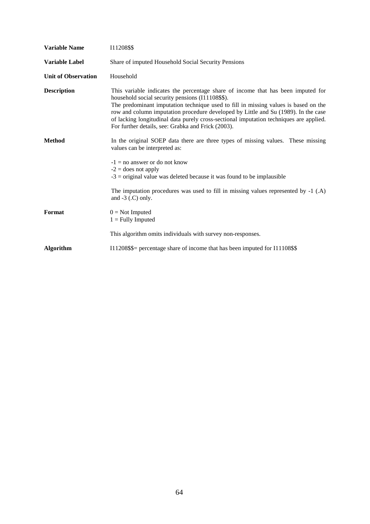| <b>Variable Name</b>       | 111208\$\$                                                                                                                                                                                                                                                                                                                                                                                                                                                        |
|----------------------------|-------------------------------------------------------------------------------------------------------------------------------------------------------------------------------------------------------------------------------------------------------------------------------------------------------------------------------------------------------------------------------------------------------------------------------------------------------------------|
| <b>Variable Label</b>      | Share of imputed Household Social Security Pensions                                                                                                                                                                                                                                                                                                                                                                                                               |
| <b>Unit of Observation</b> | Household                                                                                                                                                                                                                                                                                                                                                                                                                                                         |
| <b>Description</b>         | This variable indicates the percentage share of income that has been imputed for<br>household social security pensions (I11108\$\$).<br>The predominant imputation technique used to fill in missing values is based on the<br>row and column imputation procedure developed by Little and Su (1989). In the case<br>of lacking longitudinal data purely cross-sectional imputation techniques are applied.<br>For further details, see: Grabka and Frick (2003). |
| <b>Method</b>              | In the original SOEP data there are three types of missing values. These missing<br>values can be interpreted as:<br>$-1 =$ no answer or do not know<br>$-2$ = does not apply<br>$-3$ = original value was deleted because it was found to be implausible                                                                                                                                                                                                         |
|                            | The imputation procedures was used to fill in missing values represented by $-1$ (.A)<br>and $-3$ (.C) only.                                                                                                                                                                                                                                                                                                                                                      |
| Format                     | $0 = Not$ Imputed<br>$1 =$ Fully Imputed                                                                                                                                                                                                                                                                                                                                                                                                                          |
|                            | This algorithm omits individuals with survey non-responses.                                                                                                                                                                                                                                                                                                                                                                                                       |
| <b>Algorithm</b>           | I11208\$\$= percentage share of income that has been imputed for I11108\$\$                                                                                                                                                                                                                                                                                                                                                                                       |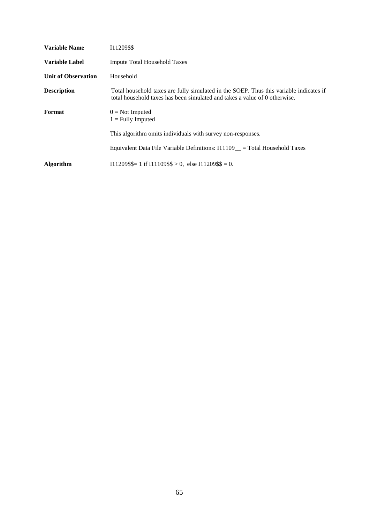| <b>Variable Name</b>       | 111209\$\$                                                                                                                                                           |
|----------------------------|----------------------------------------------------------------------------------------------------------------------------------------------------------------------|
| <b>Variable Label</b>      | <b>Impute Total Household Taxes</b>                                                                                                                                  |
| <b>Unit of Observation</b> | Household                                                                                                                                                            |
| <b>Description</b>         | Total household taxes are fully simulated in the SOEP. Thus this variable indicates if<br>total household taxes has been simulated and takes a value of 0 otherwise. |
| Format                     | $0 = Not$ Imputed<br>$1 =$ Fully Imputed                                                                                                                             |
|                            | This algorithm omits individuals with survey non-responses.                                                                                                          |
|                            | Equivalent Data File Variable Definitions: $111109$ = Total Household Taxes                                                                                          |
| <b>Algorithm</b>           | $111209$ \$\$= 1 if $111109$ \$\$ > 0, else $111209$ \$\$ = 0.                                                                                                       |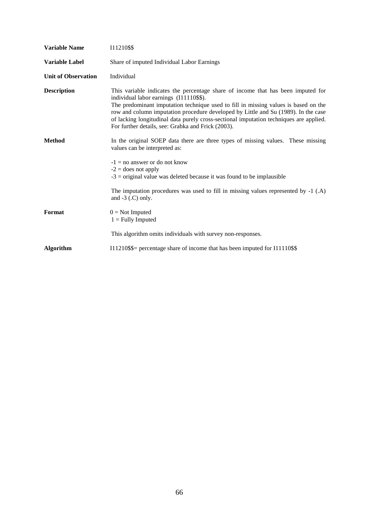| <b>Variable Name</b>                | 111210\$\$                                                                                                                                                                                                                                                                                                                                                                                                                                               |
|-------------------------------------|----------------------------------------------------------------------------------------------------------------------------------------------------------------------------------------------------------------------------------------------------------------------------------------------------------------------------------------------------------------------------------------------------------------------------------------------------------|
| <b>Variable Label</b>               | Share of imputed Individual Labor Earnings                                                                                                                                                                                                                                                                                                                                                                                                               |
| <b>Unit of Observation</b>          | Individual                                                                                                                                                                                                                                                                                                                                                                                                                                               |
| <b>Description</b><br><b>Method</b> | This variable indicates the percentage share of income that has been imputed for<br>individual labor earnings (I11110\$\$).<br>The predominant imputation technique used to fill in missing values is based on the<br>row and column imputation procedure developed by Little and Su (1989). In the case<br>of lacking longitudinal data purely cross-sectional imputation techniques are applied.<br>For further details, see: Grabka and Frick (2003). |
|                                     | In the original SOEP data there are three types of missing values. These missing<br>values can be interpreted as:<br>$-1 =$ no answer or do not know<br>$-2$ = does not apply<br>$-3$ = original value was deleted because it was found to be implausible<br>The imputation procedures was used to fill in missing values represented by $-1$ (.A)<br>and $-3$ (.C) only.                                                                                |
| Format                              | $0 = Not$ Imputed<br>$1 =$ Fully Imputed<br>This algorithm omits individuals with survey non-responses.                                                                                                                                                                                                                                                                                                                                                  |
| <b>Algorithm</b>                    | I11210\$\$= percentage share of income that has been imputed for I11110\$\$                                                                                                                                                                                                                                                                                                                                                                              |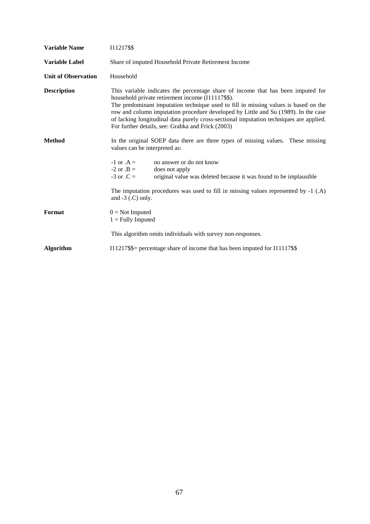| <b>Variable Name</b>       | 111217\$\$                                                                                                                                                                                                                                                                                                                                                                                                                                                        |
|----------------------------|-------------------------------------------------------------------------------------------------------------------------------------------------------------------------------------------------------------------------------------------------------------------------------------------------------------------------------------------------------------------------------------------------------------------------------------------------------------------|
| <b>Variable Label</b>      | Share of imputed Household Private Retirement Income                                                                                                                                                                                                                                                                                                                                                                                                              |
| <b>Unit of Observation</b> | Household                                                                                                                                                                                                                                                                                                                                                                                                                                                         |
| <b>Description</b>         | This variable indicates the percentage share of income that has been imputed for<br>household private retirement income (I11117\$\$).<br>The predominant imputation technique used to fill in missing values is based on the<br>row and column imputation procedure developed by Little and Su (1989). In the case<br>of lacking longitudinal data purely cross-sectional imputation techniques are applied.<br>For further details, see: Grabka and Frick (2003) |
| <b>Method</b>              | In the original SOEP data there are three types of missing values. These missing<br>values can be interpreted as:<br>$-1$ or $A =$<br>no answer or do not know<br>$-2$ or $.B =$<br>does not apply<br>$-3$ or $.C =$<br>original value was deleted because it was found to be implausible                                                                                                                                                                         |
| Format                     | The imputation procedures was used to fill in missing values represented by $-1$ (.A)<br>and $-3$ (.C) only.<br>$0 = Not$ Imputed<br>$1 =$ Fully Imputed                                                                                                                                                                                                                                                                                                          |
|                            | This algorithm omits individuals with survey non-responses.                                                                                                                                                                                                                                                                                                                                                                                                       |
| <b>Algorithm</b>           | I11217\$\$= percentage share of income that has been imputed for I11117\$\$                                                                                                                                                                                                                                                                                                                                                                                       |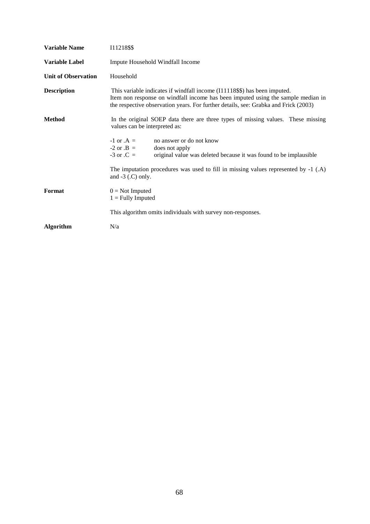| <b>Variable Name</b>       | 111218\$\$                                                                                                                                                                                                                                           |
|----------------------------|------------------------------------------------------------------------------------------------------------------------------------------------------------------------------------------------------------------------------------------------------|
| <b>Variable Label</b>      | Impute Household Windfall Income                                                                                                                                                                                                                     |
| <b>Unit of Observation</b> | Household                                                                                                                                                                                                                                            |
| <b>Description</b>         | This variable indicates if windfall income (I11118\$\$) has been imputed.<br>Item non response on windfall income has been imputed using the sample median in<br>the respective observation years. For further details, see: Grabka and Frick (2003) |
| <b>Method</b>              | In the original SOEP data there are three types of missing values. These missing<br>values can be interpreted as:                                                                                                                                    |
|                            | $-1$ or $A =$<br>no answer or do not know<br>$-2$ or $.B =$<br>does not apply<br>$-3$ or $\mathcal{C} =$<br>original value was deleted because it was found to be implausible                                                                        |
|                            | The imputation procedures was used to fill in missing values represented by $-1$ (.A)<br>and $-3$ (.C) only.                                                                                                                                         |
| Format                     | $0 = Not$ Imputed<br>$1 =$ Fully Imputed                                                                                                                                                                                                             |
|                            | This algorithm omits individuals with survey non-responses.                                                                                                                                                                                          |
| <b>Algorithm</b>           | N/a                                                                                                                                                                                                                                                  |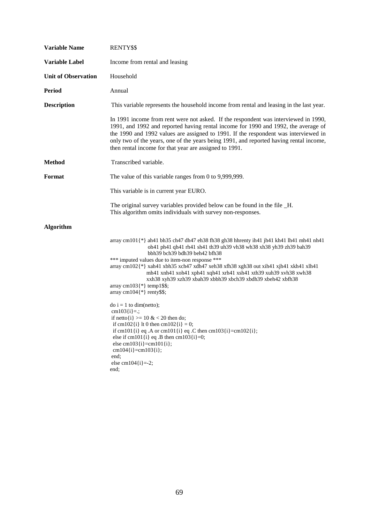| <b>Variable Name</b>       | RENTY\$\$                                                                                                                                                                                                                                                                                                                                                                                                                                                                                                                                                |
|----------------------------|----------------------------------------------------------------------------------------------------------------------------------------------------------------------------------------------------------------------------------------------------------------------------------------------------------------------------------------------------------------------------------------------------------------------------------------------------------------------------------------------------------------------------------------------------------|
| Variable Label             | Income from rental and leasing                                                                                                                                                                                                                                                                                                                                                                                                                                                                                                                           |
| <b>Unit of Observation</b> | Household                                                                                                                                                                                                                                                                                                                                                                                                                                                                                                                                                |
| <b>Period</b>              | Annual                                                                                                                                                                                                                                                                                                                                                                                                                                                                                                                                                   |
| <b>Description</b>         | This variable represents the household income from rental and leasing in the last year.                                                                                                                                                                                                                                                                                                                                                                                                                                                                  |
|                            | In 1991 income from rent were not asked. If the respondent was interviewed in 1990,<br>1991, and 1992 and reported having rental income for 1990 and 1992, the average of<br>the 1990 and 1992 values are assigned to 1991. If the respondent was interviewed in<br>only two of the years, one of the years being 1991, and reported having rental income,<br>then rental income for that year are assigned to 1991.                                                                                                                                     |
| <b>Method</b>              | Transcribed variable.                                                                                                                                                                                                                                                                                                                                                                                                                                                                                                                                    |
| <b>Format</b>              | The value of this variable ranges from 0 to 9,999,999.                                                                                                                                                                                                                                                                                                                                                                                                                                                                                                   |
|                            | This variable is in current year EURO.                                                                                                                                                                                                                                                                                                                                                                                                                                                                                                                   |
|                            | The original survey variables provided below can be found in the file _H.<br>This algorithm omits individuals with survey non-responses.                                                                                                                                                                                                                                                                                                                                                                                                                 |
| <b>Algorithm</b>           |                                                                                                                                                                                                                                                                                                                                                                                                                                                                                                                                                          |
|                            | array cm101{*} ah41 bh35 ch47 dh47 eh38 fh38 gh38 hhrenty ih41 jh41 kh41 lh41 nh41 nh41<br>oh41 ph41 qh41 rh41 sh41 th39 uh39 vh38 wh38 xh38 yh39 zh39 bah39<br>bbh39 bch39 bdh39 beh42 bfh38<br>*** imputed values due to item-non response ***<br>$array \text{ cm102}$ {*} xah41 xbh35 xch47 xdh47 xeh38 xfh38 xgh38 out xih41 xjh41 xkh41 xlh41<br>mh41 xnh41 xoh41 xph41 xqh41 xrh41 xsh41 xth39 xuh39 xvh38 xwh38<br>xxh38 xyh39 xzh39 xbah39 xbbh39 xbch39 xbdh39 xbeh42 xbfh38<br>array cm $103$ {*} temp1\$\$;<br>array cm $104$ {*} renty\$\$; |
|                            | $\text{do } i = 1 \text{ to } \text{dim}(\text{netto});$<br>cm103 $\{i\} =$ ;<br>if netto $\{i\}$ >= 10 & < 20 then do;<br>if cm102{1} It 0 then cm102{1} = 0;<br>if cm101{i} eq.A or cm101{i} eq.C then cm103{i}=cm102{i};<br>else if cm101 $\{i\}$ eq .B then cm103 $\{i\} = 0$ ;<br>else cm103{i}=cm101{i};<br>$cm104{i} = cm103{i};$<br>end:<br>else cm104 $\{i\}$ =-2;<br>end;                                                                                                                                                                      |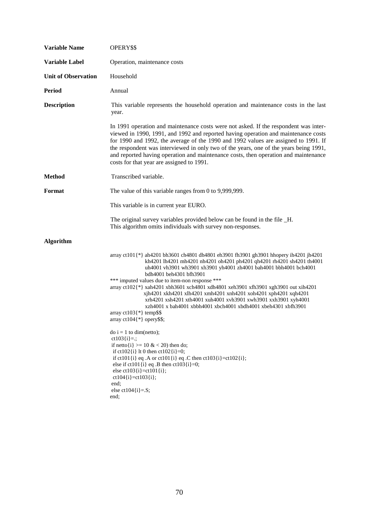| <b>Variable Name</b>       | OPERY\$\$                                                                                                                                                                                                                                                                                                                                                                                                                                                                                                                                                                                                                                                                    |
|----------------------------|------------------------------------------------------------------------------------------------------------------------------------------------------------------------------------------------------------------------------------------------------------------------------------------------------------------------------------------------------------------------------------------------------------------------------------------------------------------------------------------------------------------------------------------------------------------------------------------------------------------------------------------------------------------------------|
| <b>Variable Label</b>      | Operation, maintenance costs                                                                                                                                                                                                                                                                                                                                                                                                                                                                                                                                                                                                                                                 |
| <b>Unit of Observation</b> | Household                                                                                                                                                                                                                                                                                                                                                                                                                                                                                                                                                                                                                                                                    |
| <b>Period</b>              | Annual                                                                                                                                                                                                                                                                                                                                                                                                                                                                                                                                                                                                                                                                       |
| <b>Description</b>         | This variable represents the household operation and maintenance costs in the last<br>year.                                                                                                                                                                                                                                                                                                                                                                                                                                                                                                                                                                                  |
|                            | In 1991 operation and maintenance costs were not asked. If the respondent was inter-<br>viewed in 1990, 1991, and 1992 and reported having operation and maintenance costs<br>for 1990 and 1992, the average of the 1990 and 1992 values are assigned to 1991. If<br>the respondent was interviewed in only two of the years, one of the years being 1991,<br>and reported having operation and maintenance costs, then operation and maintenance<br>costs for that year are assigned to 1991.                                                                                                                                                                               |
| <b>Method</b>              | Transcribed variable.                                                                                                                                                                                                                                                                                                                                                                                                                                                                                                                                                                                                                                                        |
| Format                     | The value of this variable ranges from $0$ to $9,999,999$ .                                                                                                                                                                                                                                                                                                                                                                                                                                                                                                                                                                                                                  |
|                            | This variable is in current year EURO.                                                                                                                                                                                                                                                                                                                                                                                                                                                                                                                                                                                                                                       |
|                            | The original survey variables provided below can be found in the file _H.<br>This algorithm omits individuals with survey non-responses.                                                                                                                                                                                                                                                                                                                                                                                                                                                                                                                                     |
| <b>Algorithm</b>           |                                                                                                                                                                                                                                                                                                                                                                                                                                                                                                                                                                                                                                                                              |
|                            | array ct101{*} ah4201 bh3601 ch4801 dh4801 eh3901 fh3901 gh3901 hhopery ih4201 jh4201<br>kh4201 lh4201 mh4201 nh4201 oh4201 ph4201 qh4201 rh4201 sh4201 th4001<br>uh4001 vh3901 wh3901 xh3901 yh4001 zh4001 bah4001 bbh4001 bch4001<br>bdh4001 beh4301 bfh3901<br>*** imputed values due to item-non response ***<br>array ct102{*} xah4201 xbh3601 xch4801 xdh4801 xeh3901 xfh3901 xgh3901 out xih4201<br>xjh4201 xkh4201 xlh4201 xmh4201 xnh4201 xoh4201 xph4201 xqh4201<br>xrh4201 xsh4201 xth4001 xuh4001 xvh3901 xwh3901 xxh3901 xyh4001<br>xzh4001 xbah4001 xbbh4001 xbch4001 xbdh4001 xbeh4301 xbfh3901<br>array $ct103$ {*} temp\$\$<br>array $ct104$ {*} opery\$\$; |
|                            | $\phi$ i = 1 to dim(netto);<br>$ct103[i]=$ :<br>if netto $\{i\}$ >= 10 & < 20) then do;<br>if ct102{i} lt 0 then ct102{i}=0;<br>if ct101{i} eq .A or ct101{i} eq .C then ct103{i}=ct102{i};<br>else if ct101{i} eq .B then ct103{i}=0;<br>else ct103{i}=ct101{i};<br>$ct104[i] = ct103[i];$<br>end;<br>else ct104 $\{i\} = S$ ;<br>end;                                                                                                                                                                                                                                                                                                                                      |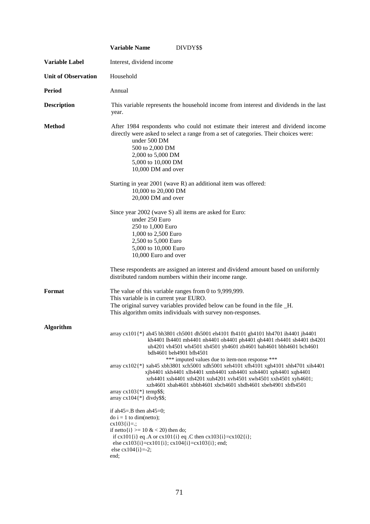|                            | <b>Variable Name</b><br>DIVDY\$\$                                                                                                                                                                                                                                                                                                                                                                                                                                                                                                                                                                                                                                                        |
|----------------------------|------------------------------------------------------------------------------------------------------------------------------------------------------------------------------------------------------------------------------------------------------------------------------------------------------------------------------------------------------------------------------------------------------------------------------------------------------------------------------------------------------------------------------------------------------------------------------------------------------------------------------------------------------------------------------------------|
| <b>Variable Label</b>      | Interest, dividend income                                                                                                                                                                                                                                                                                                                                                                                                                                                                                                                                                                                                                                                                |
| <b>Unit of Observation</b> | Household                                                                                                                                                                                                                                                                                                                                                                                                                                                                                                                                                                                                                                                                                |
| <b>Period</b>              | Annual                                                                                                                                                                                                                                                                                                                                                                                                                                                                                                                                                                                                                                                                                   |
| <b>Description</b>         | This variable represents the household income from interest and dividends in the last<br>year.                                                                                                                                                                                                                                                                                                                                                                                                                                                                                                                                                                                           |
| <b>Method</b>              | After 1984 respondents who could not estimate their interest and dividend income<br>directly were asked to select a range from a set of categories. Their choices were:<br>under 500 DM<br>500 to 2,000 DM<br>2,000 to 5,000 DM<br>5,000 to 10,000 DM<br>10,000 DM and over                                                                                                                                                                                                                                                                                                                                                                                                              |
|                            | Starting in year 2001 (wave R) an additional item was offered:<br>10,000 to 20,000 DM<br>20,000 DM and over                                                                                                                                                                                                                                                                                                                                                                                                                                                                                                                                                                              |
|                            | Since year 2002 (wave S) all items are asked for Euro:<br>under 250 Euro<br>250 to 1,000 Euro<br>1,000 to 2,500 Euro<br>2,500 to 5,000 Euro<br>5,000 to 10,000 Euro<br>10,000 Euro and over                                                                                                                                                                                                                                                                                                                                                                                                                                                                                              |
|                            | These respondents are assigned an interest and dividend amount based on uniformly<br>distributed random numbers within their income range.                                                                                                                                                                                                                                                                                                                                                                                                                                                                                                                                               |
| Format                     | The value of this variable ranges from 0 to 9,999,999.<br>This variable is in current year EURO.<br>The original survey variables provided below can be found in the file _H.<br>This algorithm omits individuals with survey non-responses.                                                                                                                                                                                                                                                                                                                                                                                                                                             |
| <b>Algorithm</b>           | array cx101{*} ah45 bh3801 ch5001 dh5001 eh4101 fh4101 gh4101 hh4701 ih4401 jh4401<br>kh4401 lh4401 mh4401 nh4401 oh4401 ph4401 qh4401 rh4401 sh4401 th4201<br>uh4201 vh4501 wh4501 xh4501 yh4601 zh4601 bah4601 bbh4601 bch4601<br>bdh4601 beh4901 bfh4501<br>*** imputed values due to item-non response ***<br>array cx102{*} xah45 xbh3801 xch5001 xdh5001 xeh4101 xfh4101 xgh4101 xhh4701 xih4401<br>xjh4401 xkh4401 xlh4401 xmh4401 xnh4401 xoh4401 xph4401 xqh4401<br>xrh4401 xsh4401 xth4201 xuh4201 xvh4501 xwh4501 xxh4501 xyh4601;<br>xzh4601 xbah4601 xbbh4601 xbch4601 xbdh4601 xbeh4901 xbfh4501<br>array $cx103$ {*} temp\$\$;<br>array $cx104$ <sup>[*]</sup> divdy\$\$; |
|                            | if ah45=.B then ah45=0;<br>$\phi$ i = 1 to dim(netto);<br>$cx103[i]=$ :<br>if netto $\{i\} \ge 10 \& 20$ then do;<br>if cx101{i} eq.A or cx101{i} eq.C then cx103{i}=cx102{i};<br>else cx103{i}=cx101{i}; cx104{i}=cx103{i}; end;<br>else $cx104[i]=2;$<br>end;                                                                                                                                                                                                                                                                                                                                                                                                                          |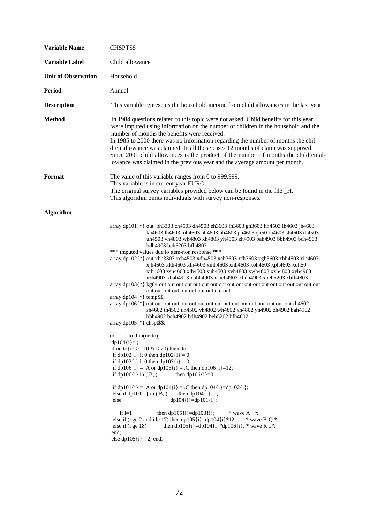| <b>Variable Name</b>       | CHSPT\$\$                                                                                                                                                                                                                                                                                                                                                                                                                                                                                                                                                                                                                                                                                                                                                                                                                                                                                                                                                                                                                                                                                                                                                                                                                                                                                                                                                                                                                                                                                                                                         |
|----------------------------|---------------------------------------------------------------------------------------------------------------------------------------------------------------------------------------------------------------------------------------------------------------------------------------------------------------------------------------------------------------------------------------------------------------------------------------------------------------------------------------------------------------------------------------------------------------------------------------------------------------------------------------------------------------------------------------------------------------------------------------------------------------------------------------------------------------------------------------------------------------------------------------------------------------------------------------------------------------------------------------------------------------------------------------------------------------------------------------------------------------------------------------------------------------------------------------------------------------------------------------------------------------------------------------------------------------------------------------------------------------------------------------------------------------------------------------------------------------------------------------------------------------------------------------------------|
| <b>Variable Label</b>      | Child allowance                                                                                                                                                                                                                                                                                                                                                                                                                                                                                                                                                                                                                                                                                                                                                                                                                                                                                                                                                                                                                                                                                                                                                                                                                                                                                                                                                                                                                                                                                                                                   |
| <b>Unit of Observation</b> | Household                                                                                                                                                                                                                                                                                                                                                                                                                                                                                                                                                                                                                                                                                                                                                                                                                                                                                                                                                                                                                                                                                                                                                                                                                                                                                                                                                                                                                                                                                                                                         |
| <b>Period</b>              | Annual                                                                                                                                                                                                                                                                                                                                                                                                                                                                                                                                                                                                                                                                                                                                                                                                                                                                                                                                                                                                                                                                                                                                                                                                                                                                                                                                                                                                                                                                                                                                            |
| <b>Description</b>         | This variable represents the household income from child allowances in the last year.                                                                                                                                                                                                                                                                                                                                                                                                                                                                                                                                                                                                                                                                                                                                                                                                                                                                                                                                                                                                                                                                                                                                                                                                                                                                                                                                                                                                                                                             |
| <b>Method</b>              | In 1984 questions related to this topic were not asked. Child benefits for this year<br>were imputed using information on the number of children in the household and the<br>number of months the benefits were received.<br>In 1985 to 2000 there was no information regarding the number of months the chil-<br>dren allowance was claimed. In all those cases 12 months of claim was supposed.<br>Since 2001 child allowances is the product of the number of months the children al-<br>lowance was claimed in the previous year and the average amount per month.                                                                                                                                                                                                                                                                                                                                                                                                                                                                                                                                                                                                                                                                                                                                                                                                                                                                                                                                                                            |
| Format                     | The value of this variable ranges from 0 to 999.999.<br>This variable is in current year EURO.<br>The original survey variables provided below can be found in the file _H.<br>This algorithm omits individuals with survey non-responses.                                                                                                                                                                                                                                                                                                                                                                                                                                                                                                                                                                                                                                                                                                                                                                                                                                                                                                                                                                                                                                                                                                                                                                                                                                                                                                        |
| <b>Algorithm</b>           |                                                                                                                                                                                                                                                                                                                                                                                                                                                                                                                                                                                                                                                                                                                                                                                                                                                                                                                                                                                                                                                                                                                                                                                                                                                                                                                                                                                                                                                                                                                                                   |
|                            | array dp101{*} out bh3303 ch4503 dh4503 eh3603 fh3603 gh3603 hh4503 ih4603 jh4603<br>kh4603 lh4603 mh4603 nh4603 oh4603 ph4603 qh50 rh4603 sh4603 th4503<br>uh4503 vh4803 wh4803 xh4803 yh4903 zh4903 bah4903 bbh4903 bch4903<br>bdh4903 beh5203 bfh4803<br>*** imputed values due to item-non response ***<br>array dp102{*} out xbh3303 xch4503 xdh4503 xeh3603 xfh3603 xgh3603 xhh4503 xih4603<br>xjh4603 xkh4603 xlh4603 xmh4603 xnh4603 xoh4603 xph4603 xqh50<br>xrh4603 xsh4603 xth4503 xuh4503 xvh4803 xwh4803 xxh4803 xyh4903<br>xzh4903 xbah4903 xbbh4903 x bch4903 xbdh4903 xbeh5203 xbfh4803<br>out out out out out out out out out<br>array dp104 $\{\ast\}$ temp\$\$;<br>sh4602 th4502 uh4502 vh4802 wh4802 xh4802 yh4902 zh4902 bah4902<br>bbh4902 bch4902 bdh4902 beh5202 bfh4802<br>array $dp105$ {*} chspt\$\$;<br>$\phi$ i = 1 to dim(netto);<br>$dp104[i]=$ :<br>if netto $\{i\} \ge 10 \& 20$ then do;<br>if dp102{i} lt 0 then dp102{i} = 0;<br>if dp103{i} lt 0 then dp103{i} = 0;<br>if dp106{i} = .A or dp106{i} = .C then dp106{i}=12;<br>if $dp106\{i\}$ in $(.B,.)$<br>then $dp106[i]=0;$<br>if dp101{i} = .A or dp101{i} = .C then dp104{i}=dp102{i};<br>else if $dp101(i)$ in $(B,.)$<br>then dp104 $\{i\} = 0$ ;<br>$dp104[i] = dp101[i];$<br>else<br>if $i=1$<br>then $dp105[i]=dp103[i];$<br>$*$ wave A $*$ ;<br>else if (i ge 2 and i le 17) then $dp105[i] = dp104[i]*12;$<br>$*$ wave B-O $*$ :<br>then dp105{i}=dp104{i}*dp106{i}; * wave R *;<br>else if $(i$ ge 18)<br>end;<br>else dp105 $\{i\}$ =-2; end; |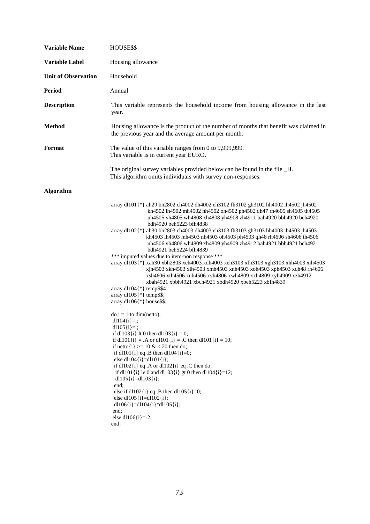| <b>Variable Name</b>       | HOUSE\$\$                                                                                                                                                                                                                                                                                                                                                                                                                                                                                                                                                                                                                                                                                                                                                                                                                                                                                                                                                           |
|----------------------------|---------------------------------------------------------------------------------------------------------------------------------------------------------------------------------------------------------------------------------------------------------------------------------------------------------------------------------------------------------------------------------------------------------------------------------------------------------------------------------------------------------------------------------------------------------------------------------------------------------------------------------------------------------------------------------------------------------------------------------------------------------------------------------------------------------------------------------------------------------------------------------------------------------------------------------------------------------------------|
| Variable Label             | Housing allowance                                                                                                                                                                                                                                                                                                                                                                                                                                                                                                                                                                                                                                                                                                                                                                                                                                                                                                                                                   |
| <b>Unit of Observation</b> | Household                                                                                                                                                                                                                                                                                                                                                                                                                                                                                                                                                                                                                                                                                                                                                                                                                                                                                                                                                           |
| <b>Period</b>              | Annual                                                                                                                                                                                                                                                                                                                                                                                                                                                                                                                                                                                                                                                                                                                                                                                                                                                                                                                                                              |
| <b>Description</b>         | This variable represents the household income from housing allowance in the last<br>year.                                                                                                                                                                                                                                                                                                                                                                                                                                                                                                                                                                                                                                                                                                                                                                                                                                                                           |
| <b>Method</b>              | Housing allowance is the product of the number of months that benefit was claimed in<br>the previous year and the average amount per month.                                                                                                                                                                                                                                                                                                                                                                                                                                                                                                                                                                                                                                                                                                                                                                                                                         |
| Format                     | The value of this variable ranges from 0 to 9,999,999.<br>This variable is in current year EURO.                                                                                                                                                                                                                                                                                                                                                                                                                                                                                                                                                                                                                                                                                                                                                                                                                                                                    |
|                            | The original survey variables provided below can be found in the file _H.<br>This algorithm omits individuals with survey non-responses.                                                                                                                                                                                                                                                                                                                                                                                                                                                                                                                                                                                                                                                                                                                                                                                                                            |
| <b>Algorithm</b>           |                                                                                                                                                                                                                                                                                                                                                                                                                                                                                                                                                                                                                                                                                                                                                                                                                                                                                                                                                                     |
|                            | array d1101{*} ah29 bh2802 ch4002 dh4002 eh3102 fh3102 gh3102 hh4002 ih4502 jh4502<br>kh4502 lh4502 mh4502 nh4502 oh4502 ph4502 qh47 rh4605 sh4605 th4505<br>uh4505 vh4805 wh4808 xh4808 yh4908 zh4911 bah4920 bbh4920 bch4920<br>bdh4920 beh5223 bfh4838<br>array d1102{*} ah30 bh2803 ch4003 dh4003 eh3103 fh3103 gh3103 hh4003 ih4503 jh4503<br>kh4503 lh4503 mh4503 nh4503 oh4503 ph4503 qh48 rh4606 sh4606 th4506<br>uh4506 vh4806 wh4809 xh4809 yh4909 zh4912 bah4921 bbh4921 bch4921<br>bdh4921 beh5224 bfh4839<br>*** imputed values due to item-non response ***<br>array dl103{*} xah30 xbh2803 xch4003 xdh4003 xeh3103 xfh3103 xgh3103 xhh4003 xih4503<br>xjh4503 xkh4503 xlh4503 xmh4503 xnh4503 xoh4503 xph4503 xqh48 rh4606<br>xsh4606 xth4506 xuh4506 xvh4806 xwh4809 xxh4809 xyh4909 xzh4912<br>xbah4921 xbbh4921 xbch4921 xbdh4920 xbeh5223 xbfh4839<br>array $dl104$ {*} temp\$\$4<br>array $dl105$ {*} temp\$\$;<br>array $dl106$ {*} house\$\$; |
|                            | $\phi$ i = 1 to dim(netto);<br>dl $104\{i\} =$ ;<br>dl $105$ {i}=.;<br>if dl103{i} lt 0 then dl103{i} = 0;<br>if dl101{i} = .A or dl101{i} = .C then dl101{i} = 10;<br>if netto $\{i\} \ge 10 \& 20$ then do;<br>if dl101{i} eq .B then dl104{i}=0;<br>else dl104 $\{i\}$ =dl101 $\{i\}$ ;<br>if dl102{i} eq .A or dl102{i} eq .C then do;<br>if dl101{i} le 0 and dl103{i} gt 0 then dl104{i}=12;<br>dl105 $\{i\}$ =dl103 $\{i\}$ ;<br>end:<br>else if dl102{i} eq .B then dl105{i}=0;<br>else dl105 $\{i\}$ =dl102 $\{i\}$ ;<br>dl106{i}=dl104{i}*dl105{i};<br>end;<br>else dl106 $\{i\}$ =-2;<br>end;                                                                                                                                                                                                                                                                                                                                                            |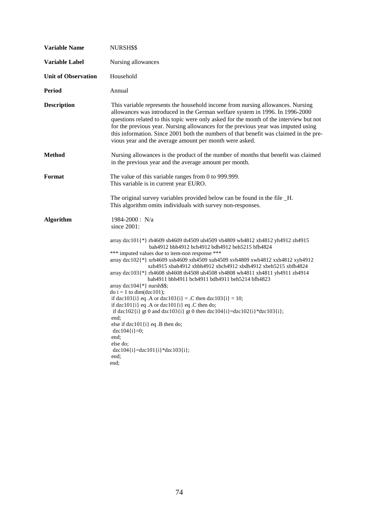| <b>Variable Name</b>       | NURSH\$\$                                                                                                                                                                                                                                                                                                                                                                                                                                                                                                                                                                                                                                                                                                                                                                                                                                                                                                                  |
|----------------------------|----------------------------------------------------------------------------------------------------------------------------------------------------------------------------------------------------------------------------------------------------------------------------------------------------------------------------------------------------------------------------------------------------------------------------------------------------------------------------------------------------------------------------------------------------------------------------------------------------------------------------------------------------------------------------------------------------------------------------------------------------------------------------------------------------------------------------------------------------------------------------------------------------------------------------|
| <b>Variable Label</b>      | Nursing allowances                                                                                                                                                                                                                                                                                                                                                                                                                                                                                                                                                                                                                                                                                                                                                                                                                                                                                                         |
| <b>Unit of Observation</b> | Household                                                                                                                                                                                                                                                                                                                                                                                                                                                                                                                                                                                                                                                                                                                                                                                                                                                                                                                  |
| Period                     | Annual                                                                                                                                                                                                                                                                                                                                                                                                                                                                                                                                                                                                                                                                                                                                                                                                                                                                                                                     |
| <b>Description</b>         | This variable represents the household income from nursing allowances. Nursing<br>allowances was introduced in the German welfare system in 1996. In 1996-2000<br>questions related to this topic were only asked for the month of the interview but not<br>for the previous year. Nursing allowances for the previous year was imputed using<br>this information. Since 2001 both the numbers of that benefit was claimed in the pre-<br>vious year and the average amount per month were asked.                                                                                                                                                                                                                                                                                                                                                                                                                          |
| Method                     | Nursing allowances is the product of the number of months that benefit was claimed<br>in the previous year and the average amount per month.                                                                                                                                                                                                                                                                                                                                                                                                                                                                                                                                                                                                                                                                                                                                                                               |
| Format                     | The value of this variable ranges from 0 to 999.999.<br>This variable is in current year EURO.                                                                                                                                                                                                                                                                                                                                                                                                                                                                                                                                                                                                                                                                                                                                                                                                                             |
|                            | The original survey variables provided below can be found in the file _H.<br>This algorithm omits individuals with survey non-responses.                                                                                                                                                                                                                                                                                                                                                                                                                                                                                                                                                                                                                                                                                                                                                                                   |
| Algorithm                  | $1984 - 2000$ : N/a<br>since $2001$ :                                                                                                                                                                                                                                                                                                                                                                                                                                                                                                                                                                                                                                                                                                                                                                                                                                                                                      |
|                            | array dzc101{*} rh4609 sh4609 th4509 uh4509 vh4809 wh4812 xh4812 yh4912 zh4915<br>bah4912 bbh4912 bch4912 bdh4912 beh5215 bfh4824<br>*** imputed values due to item-non response ***<br>array dzc102{*} xrh4609 xsh4609 xth4509 xuh4509 xvh4809 xwh4812 xxh4812 xyh4912<br>xzh4915 xbah4912 xbbh4912 xbch4912 xbdh4912 xbeh5215 xbfh4824<br>array dzc103{*} rh4608 sh4608 th4508 uh4508 vh4808 wh4811 xh4811 yh4911 zh4914<br>bah4911 bbh4911 bch4911 bdh4911 beh5214 bfh4823<br>array $dzc104$ {*} nursh\$\$;<br>$\text{do } i = 1 \text{ to } \text{dim}(\text{dzc101});$<br>if dzc103{i} eq .A or dzc103{i} = .C then dzc103{i} = 10;<br>if dzc101 $\{i\}$ eq. A or dzc101 $\{i\}$ eq. C then do;<br>if dzc102{i} gt 0 and dzc103{i} gt 0 then dzc104{i}=dzc102{i}*dzc103{i};<br>end:<br>else if $dzc101\{i\}$ eq. B then do;<br>$dzc104[i]=0;$<br>end:<br>else do:<br>$dzc104[i]=dzc101[i]*dzc103[i];$<br>end;<br>end: |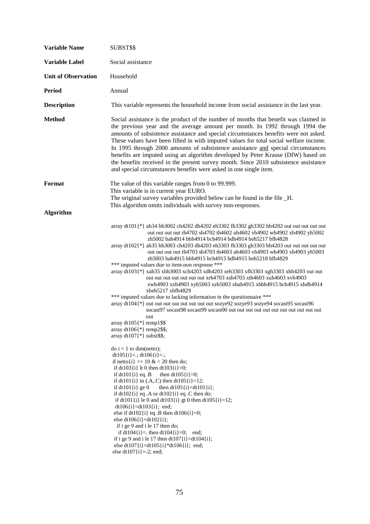| <b>Variable Name</b>       | SUBST\$\$                                                                                                                                                                                                                                                                                                                                                                                                                                                                                                                                                                                                                                                                                                                                                                                                                                                                                                                                                                                                                                        |
|----------------------------|--------------------------------------------------------------------------------------------------------------------------------------------------------------------------------------------------------------------------------------------------------------------------------------------------------------------------------------------------------------------------------------------------------------------------------------------------------------------------------------------------------------------------------------------------------------------------------------------------------------------------------------------------------------------------------------------------------------------------------------------------------------------------------------------------------------------------------------------------------------------------------------------------------------------------------------------------------------------------------------------------------------------------------------------------|
| <b>Variable Label</b>      | Social assistance                                                                                                                                                                                                                                                                                                                                                                                                                                                                                                                                                                                                                                                                                                                                                                                                                                                                                                                                                                                                                                |
| <b>Unit of Observation</b> | Household                                                                                                                                                                                                                                                                                                                                                                                                                                                                                                                                                                                                                                                                                                                                                                                                                                                                                                                                                                                                                                        |
| <b>Period</b>              | Annual                                                                                                                                                                                                                                                                                                                                                                                                                                                                                                                                                                                                                                                                                                                                                                                                                                                                                                                                                                                                                                           |
| <b>Description</b>         | This variable represents the household income from social assistance in the last year.                                                                                                                                                                                                                                                                                                                                                                                                                                                                                                                                                                                                                                                                                                                                                                                                                                                                                                                                                           |
| <b>Method</b>              | Social assistance is the product of the number of months that benefit was claimed in<br>the previous year and the average amount per month. In 1992 through 1994 the<br>amounts of subsistence assistance and special circumstances benefits were not asked.<br>These values have been filled in with imputed values for total social welfare income.<br>In 1995 through 2000 amounts of subsistence assistance and special circumstances<br>benefits are imputed using an algorithm developed by Peter Krause (DIW) based on<br>the benefits received in the present survey month. Since 2010 subsistence assistance<br>and special circumstances benefits were asked in one single item.                                                                                                                                                                                                                                                                                                                                                       |
| Format                     | The value of this variable ranges from 0 to 99.999.<br>This variable is in current year EURO.                                                                                                                                                                                                                                                                                                                                                                                                                                                                                                                                                                                                                                                                                                                                                                                                                                                                                                                                                    |
|                            | The original survey variables provided below can be found in the file _H.<br>This algorithm omits individuals with survey non-responses.                                                                                                                                                                                                                                                                                                                                                                                                                                                                                                                                                                                                                                                                                                                                                                                                                                                                                                         |
| <b>Algorithm</b>           |                                                                                                                                                                                                                                                                                                                                                                                                                                                                                                                                                                                                                                                                                                                                                                                                                                                                                                                                                                                                                                                  |
|                            | array dt101{*} ah34 bh3002 ch4202 dh4202 eh3302 fh3302 gh3302 hh4202 out out out out out<br>out out out rh4702 sh4702 th4602 uh4602 vh4902 wh4902 xh4902 yh5002<br>zh5002 bah4914 bbh4914 bch4914 bdh4914 beh5217 bfh4828<br>array dt102(*) ah35 bh3003 ch4203 dh4203 eh3303 fh3303 gh3303 hh4203 out out out out out<br>out out out rh4703 sh4703 th4603 uh4603 vh4903 wh4903 xh4903 yh5003<br>zh5003 bah4915 bbh4915 bch4915 bdh4915 beh5218 bfh4829<br>*** imputed values due to item-non response ***<br>array dt103{*} xah35 xbh3003 xch4203 xdh4203 xeh3303 xfh3303 xgh3303 xhh4203 out out<br>out out out out out out xrh4703 xsh4703 xth4603 xuh4603 xvh4903<br>xwh4903 xxh4903 xyh5003 xzh5003 xbah4915 xbbh4915 bch4915 xbdh4914<br>xbeh5217 xbfh4829<br>*** imputed values due to lacking information in the questionnaire ***<br>array dt104{*} out out out out out out out out sozye92 sozye93 sozye94 socast95 socast96<br>out<br>array $dt105$ {*} temp1\$\$<br>array $dt106$ {*} temp2\$\$;<br>array dt107 $\{\ast\}$ subst\$\$; |
|                            | $\text{do } i = 1 \text{ to } \text{dim}(\text{netto});$<br>$dt105[i]=:, dt106[i]=:,$<br>if netto $\{i\}$ >= 10 & < 20 then do;<br>if dt103{i} lt 0 then dt103{i}=0;<br>if $dt101\{i\}$ eq. B<br>then $dt105[i]=0$ ;<br>if dt101{i} in (.A,.C) then dt105{i}=12;<br>then $dt105{i}$ =dt101{i};<br>if $dt101\{i\}$ ge 0<br>if $dt102{i}$ eq .A or $dt102{i}$ eq .C then do;<br>if dt101{i} le 0 and dt103{i} gt 0 then dt105{i}=12;<br>$dt106[i]=dt103[i];$ end;<br>else if dt102{i} eq .B then dt106{i}=0;<br>else dt106{i}=dt102{i};<br>if i ge 9 and i le 17 then do;<br>if $dt104[i] =$ . then $dt104[i] = 0$ ; end;<br>if i ge 9 and i le 17 then $dt107{i}$ =dt104 ${i}$ ;<br>else dt107{i}=dt105{i}*dt106{i}; end;<br>else dt107{i}=-2; end;                                                                                                                                                                                                                                                                                               |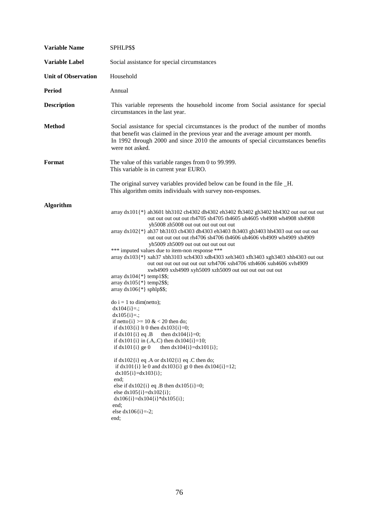| <b>Variable Name</b>       | SPHLP\$\$                                                                                                                                                                                                                                                                                                                                                                                                                                                                                                                                                                                                                                                                                                                                                                                                                                                                                                                                                                                                                                                                                                                                                                                                                                                                                                                                                                                                        |
|----------------------------|------------------------------------------------------------------------------------------------------------------------------------------------------------------------------------------------------------------------------------------------------------------------------------------------------------------------------------------------------------------------------------------------------------------------------------------------------------------------------------------------------------------------------------------------------------------------------------------------------------------------------------------------------------------------------------------------------------------------------------------------------------------------------------------------------------------------------------------------------------------------------------------------------------------------------------------------------------------------------------------------------------------------------------------------------------------------------------------------------------------------------------------------------------------------------------------------------------------------------------------------------------------------------------------------------------------------------------------------------------------------------------------------------------------|
| Variable Label             | Social assistance for special circumstances                                                                                                                                                                                                                                                                                                                                                                                                                                                                                                                                                                                                                                                                                                                                                                                                                                                                                                                                                                                                                                                                                                                                                                                                                                                                                                                                                                      |
| <b>Unit of Observation</b> | Household                                                                                                                                                                                                                                                                                                                                                                                                                                                                                                                                                                                                                                                                                                                                                                                                                                                                                                                                                                                                                                                                                                                                                                                                                                                                                                                                                                                                        |
| <b>Period</b>              | Annual                                                                                                                                                                                                                                                                                                                                                                                                                                                                                                                                                                                                                                                                                                                                                                                                                                                                                                                                                                                                                                                                                                                                                                                                                                                                                                                                                                                                           |
| <b>Description</b>         | This variable represents the household income from Social assistance for special<br>circumstances in the last year.                                                                                                                                                                                                                                                                                                                                                                                                                                                                                                                                                                                                                                                                                                                                                                                                                                                                                                                                                                                                                                                                                                                                                                                                                                                                                              |
| <b>Method</b>              | Social assistance for special circumstances is the product of the number of months<br>that benefit was claimed in the previous year and the average amount per month.<br>In 1992 through 2000 and since 2010 the amounts of special circumstances benefits<br>were not asked.                                                                                                                                                                                                                                                                                                                                                                                                                                                                                                                                                                                                                                                                                                                                                                                                                                                                                                                                                                                                                                                                                                                                    |
| Format                     | The value of this variable ranges from 0 to 99.999.<br>This variable is in current year EURO.                                                                                                                                                                                                                                                                                                                                                                                                                                                                                                                                                                                                                                                                                                                                                                                                                                                                                                                                                                                                                                                                                                                                                                                                                                                                                                                    |
|                            | The original survey variables provided below can be found in the file _H.<br>This algorithm omits individuals with survey non-responses.                                                                                                                                                                                                                                                                                                                                                                                                                                                                                                                                                                                                                                                                                                                                                                                                                                                                                                                                                                                                                                                                                                                                                                                                                                                                         |
| <b>Algorithm</b>           | array dx101{*} ah3601 bh3102 ch4302 dh4302 eh3402 fh3402 gh3402 hh4302 out out out out<br>out out out out rh4705 sh4705 th4605 uh4605 vh4908 wh4908 xh4908<br>yh5008 zh5008 out out out out out out<br>array dx102 $\{\ast\}$ ah37 bh3103 ch4303 dh4303 eh3403 fh3403 gh3403 hh4303 out out out out<br>out out out out rh4706 sh4706 th4606 uh4606 vh4909 wh4909 xh4909<br>yh5009 zh5009 out out out out out out<br>*** imputed values due to item-non response ***<br>array dx103{*} xah37 xbh3103 xch4303 xdh4303 xeh3403 xfh3403 xgh3403 xhh4303 out out<br>out out out out out out xrh4706 xsh4706 xth4606 xuh4606 xvh4909<br>xwh4909 xxh4909 xyh5009 xzh5009 out out out out out out<br>array $dx104$ <sup>(*)</sup> temp1\$\$;<br>array $dx105$ {*} temp2\$\$;<br>array $dx106$ {*} sphlp\$\$;<br>$\phi$ i = 1 to dim(netto);<br>$dx104[i]=$ :<br>$dx105[i]=$ :<br>if netto $\{i\} \ge 10 \& 20$ then do;<br>if $dx103(i)$ lt 0 then $dx103(i)=0$ ;<br>if $dx101$ {i} eq. B<br>then $dx104[i]=0$ ;<br>if $dx101(i)$ in (.A,.C) then $dx104(i)=10$ ;<br>if $dx101(i)$ ge 0<br>then $dx104{i}$ =dx101{i};<br>if $dx102$ {i} eq .A or $dx102$ {i} eq .C then do;<br>if dx101{i} le 0 and dx103{i} gt 0 then dx104{i}=12;<br>$dx105[i]=dx103[i];$<br>end:<br>else if $dx102$ {i} eq .B then $dx105$ {i}=0;<br>else $dx105[i]=dx102[i];$<br>$dx106[i]=dx104[i]*dx105[i];$<br>end:<br>else $dx106[i]=2;$<br>end; |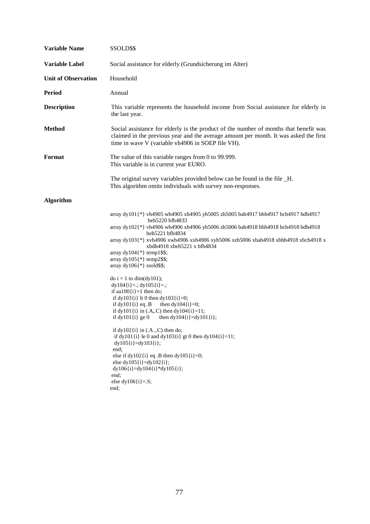| <b>Variable Name</b>       | SSOLD\$\$                                                                                                                                                                                                                                                                                                                                                                                                                                                                                                                                                                                                                                                                                                                                                                                                                                                                                                                                                                                                                                                      |
|----------------------------|----------------------------------------------------------------------------------------------------------------------------------------------------------------------------------------------------------------------------------------------------------------------------------------------------------------------------------------------------------------------------------------------------------------------------------------------------------------------------------------------------------------------------------------------------------------------------------------------------------------------------------------------------------------------------------------------------------------------------------------------------------------------------------------------------------------------------------------------------------------------------------------------------------------------------------------------------------------------------------------------------------------------------------------------------------------|
| <b>Variable Label</b>      | Social assistance for elderly (Grundsicherung im Alter)                                                                                                                                                                                                                                                                                                                                                                                                                                                                                                                                                                                                                                                                                                                                                                                                                                                                                                                                                                                                        |
| <b>Unit of Observation</b> | Household                                                                                                                                                                                                                                                                                                                                                                                                                                                                                                                                                                                                                                                                                                                                                                                                                                                                                                                                                                                                                                                      |
| <b>Period</b>              | Annual                                                                                                                                                                                                                                                                                                                                                                                                                                                                                                                                                                                                                                                                                                                                                                                                                                                                                                                                                                                                                                                         |
| <b>Description</b>         | This variable represents the household income from Social assistance for elderly in<br>the last year.                                                                                                                                                                                                                                                                                                                                                                                                                                                                                                                                                                                                                                                                                                                                                                                                                                                                                                                                                          |
| <b>Method</b>              | Social assistance for elderly is the product of the number of months that benefit was<br>claimed in the previous year and the average amount per month. It was asked the first<br>time in wave V (variable vh4906 in SOEP file VH).                                                                                                                                                                                                                                                                                                                                                                                                                                                                                                                                                                                                                                                                                                                                                                                                                            |
| Format                     | The value of this variable ranges from $0$ to 99.999.<br>This variable is in current year EURO.                                                                                                                                                                                                                                                                                                                                                                                                                                                                                                                                                                                                                                                                                                                                                                                                                                                                                                                                                                |
|                            | The original survey variables provided below can be found in the file _H.<br>This algorithm omits individuals with survey non-responses.                                                                                                                                                                                                                                                                                                                                                                                                                                                                                                                                                                                                                                                                                                                                                                                                                                                                                                                       |
| <b>Algorithm</b>           |                                                                                                                                                                                                                                                                                                                                                                                                                                                                                                                                                                                                                                                                                                                                                                                                                                                                                                                                                                                                                                                                |
|                            | array dy101{*} vh4905 wh4905 xh4905 yh5005 zh5005 bah4917 bbh4917 bch4917 bdh4917<br>beh5220 bfh4833<br>array dy102{*} vh4906 wh4906 xh4906 yh5006 zh5006 bah4918 bbh4918 bch4918 bdh4918<br>beh5221 bfh4834<br>array dy103{*} xvh4906 xwh4906 xxh4906 xyh5006 xzh5006 xbah4918 xbbh4918 xbch4918 x<br>xbdh4918 xbeh5221 x bfh4834<br>array $dy104$ {*} temp1\$\$;<br>array $dy105$ {*} temp2\$\$;<br>array $dy106$ {*} ssold\$\$;<br>$\text{do } i = 1 \text{ to } \text{dim}(\text{dy}101);$<br>$dy104[i]=$ ; $dy105[i]=$ ;<br>if aa $100\{i\}$ =1 then do;<br>if dy103{i} lt 0 then dy103{i}=0;<br>if $dy101\{i\}$ eq. B<br>then $dy104(i)=0;$<br>if dy101{i} in (.A,.C) then dy104{i}=11;<br>if $dy101(i)$ ge 0<br>then $dy104{i} = dy101{i}$ ;<br>if $dy102\{i\}$ in $(A, C)$ then do;<br>if dy101{i} le 0 and dy103{i} gt 0 then dy104{i}=11;<br>$dy105{i} = dy103{i};$<br>end;<br>else if dy102 $\{i\}$ eq. B then dy105 $\{i\} = 0$ ;<br>else dy $105\{i\}$ =dy $102\{i\}$ ;<br>$dy106[i]=dy104[i]*dy105[i];$<br>end;<br>else dy $106$ {i}=.S;<br>end; |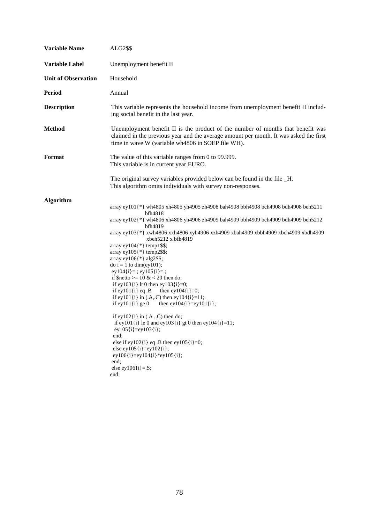| <b>Variable Name</b>       | <b>ALG2\$\$</b>                                                                                                                                                                                                                                                                                                                                                                                                                                                                                                                                                                                                                                                                                                                                                                                                                                                                                                                                                                                                                                                    |
|----------------------------|--------------------------------------------------------------------------------------------------------------------------------------------------------------------------------------------------------------------------------------------------------------------------------------------------------------------------------------------------------------------------------------------------------------------------------------------------------------------------------------------------------------------------------------------------------------------------------------------------------------------------------------------------------------------------------------------------------------------------------------------------------------------------------------------------------------------------------------------------------------------------------------------------------------------------------------------------------------------------------------------------------------------------------------------------------------------|
| <b>Variable Label</b>      | Unemployment benefit II                                                                                                                                                                                                                                                                                                                                                                                                                                                                                                                                                                                                                                                                                                                                                                                                                                                                                                                                                                                                                                            |
| <b>Unit of Observation</b> | Household                                                                                                                                                                                                                                                                                                                                                                                                                                                                                                                                                                                                                                                                                                                                                                                                                                                                                                                                                                                                                                                          |
| <b>Period</b>              | Annual                                                                                                                                                                                                                                                                                                                                                                                                                                                                                                                                                                                                                                                                                                                                                                                                                                                                                                                                                                                                                                                             |
| <b>Description</b>         | This variable represents the household income from unemployment benefit II includ-<br>ing social benefit in the last year.                                                                                                                                                                                                                                                                                                                                                                                                                                                                                                                                                                                                                                                                                                                                                                                                                                                                                                                                         |
| <b>Method</b>              | Unemployment benefit II is the product of the number of months that benefit was<br>claimed in the previous year and the average amount per month. It was asked the first<br>time in wave W (variable wh4806 in SOEP file WH).                                                                                                                                                                                                                                                                                                                                                                                                                                                                                                                                                                                                                                                                                                                                                                                                                                      |
| Format                     | The value of this variable ranges from 0 to 99.999.<br>This variable is in current year EURO.                                                                                                                                                                                                                                                                                                                                                                                                                                                                                                                                                                                                                                                                                                                                                                                                                                                                                                                                                                      |
|                            | The original survey variables provided below can be found in the file _H.<br>This algorithm omits individuals with survey non-responses.                                                                                                                                                                                                                                                                                                                                                                                                                                                                                                                                                                                                                                                                                                                                                                                                                                                                                                                           |
| <b>Algorithm</b>           | array ey101{*} wh4805 xh4805 yh4905 zh4908 bah4908 bbh4908 bch4908 bdh4908 beh5211<br>bfh4818<br>array ey102{*} wh4806 xh4806 yh4906 zh4909 bah4909 bbh4909 bch4909 bdh4909 beh5212<br>bfh4819<br>array ey103{*} xwh4806 xxh4806 xyh4906 xzh4909 xbah4909 xbbh4909 xbch4909 xbdh4909<br>$x$ beh $5212 x$ bfh $4819$<br>array ey $104$ {*} temp1\$\$;<br>array ey $105$ {*} temp2\$\$;<br>array ey $106$ {*} alg2\$\$;<br>do $i = 1$ to dim(ey101);<br>ey104 $\{i\} =$ ; ey105 $\{i\} =$ ;<br>if \$netto >= $10 \& 20$ then do;<br>if ey103 $\{i\}$ lt 0 then ey103 $\{i\} = 0$ ;<br>if ey $101\{i\}$ eq. B<br>then ey $104\{i\} = 0$ ;<br>if ey101 $\{i\}$ in (.A,.C) then ey104 $\{i\}$ =11;<br>if ey $101\{i\}$ ge 0<br>then ey $104\{i\}$ =ey $101\{i\}$ ;<br>if ey $102\{i\}$ in $(A, C)$ then do;<br>if ey101{i} le 0 and ey103{i} gt 0 then ey104{i}=11;<br>$ey105{i} = ey103{i};$<br>end:<br>else if ey $102$ {i} eq .B then ey $105$ {i}=0;<br>else ey $105\{i\}$ =ey $102\{i\}$ ;<br>$ey106(i)=ey104(i)*ey105(i);$<br>end:<br>else ey $106(i)=S;$<br>end; |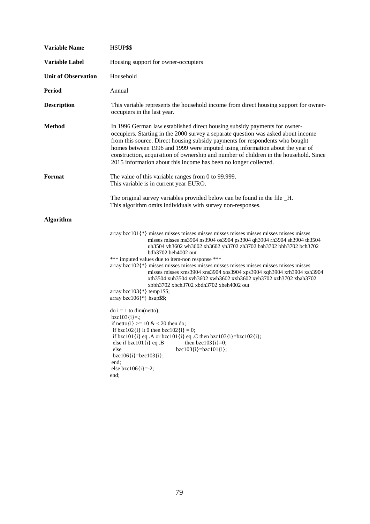| <b>Variable Name</b>       | HSUP\$\$                                                                                                                                                                                                                                                                                                                                                                                                                                                                                    |
|----------------------------|---------------------------------------------------------------------------------------------------------------------------------------------------------------------------------------------------------------------------------------------------------------------------------------------------------------------------------------------------------------------------------------------------------------------------------------------------------------------------------------------|
| Variable Label             | Housing support for owner-occupiers                                                                                                                                                                                                                                                                                                                                                                                                                                                         |
| <b>Unit of Observation</b> | Household                                                                                                                                                                                                                                                                                                                                                                                                                                                                                   |
| <b>Period</b>              | Annual                                                                                                                                                                                                                                                                                                                                                                                                                                                                                      |
| <b>Description</b>         | This variable represents the household income from direct housing support for owner-<br>occupiers in the last year.                                                                                                                                                                                                                                                                                                                                                                         |
| <b>Method</b>              | In 1996 German law established direct housing subsidy payments for owner-<br>occupiers. Starting in the 2000 survey a separate question was asked about income<br>from this source. Direct housing subsidy payments for respondents who bought<br>homes between 1996 and 1999 were imputed using information about the year of<br>construction, acquisition of ownership and number of children in the household. Since<br>2015 information about this income has been no longer collected. |
| <b>Format</b>              | The value of this variable ranges from 0 to 99.999.<br>This variable is in current year EURO.                                                                                                                                                                                                                                                                                                                                                                                               |
|                            | The original survey variables provided below can be found in the file _H.<br>This algorithm omits individuals with survey non-responses.                                                                                                                                                                                                                                                                                                                                                    |
| <b>Algorithm</b>           |                                                                                                                                                                                                                                                                                                                                                                                                                                                                                             |
|                            | array bzc101{*} misses misses misses misses misses misses misses misses misses misses misses<br>misses misses ms3904 ns3904 os3904 ps3904 qh3904 rh3904 sh3904 th3504<br>uh3504 vh3602 wh3602 xh3602 yh3702 zh3702 bah3702 bbh3702 bch3702<br>bdh3702 beh4002 out                                                                                                                                                                                                                           |
|                            | *** imputed values due to item-non response ***<br>$\alpha$ array bzc102 $\{\ast\}$ misses misses misses misses misses misses misses misses misses misses<br>misses misses xms3904 xns3904 xos3904 xps3904 xqh3904 xrh3904 xsh3904<br>xth3504 xuh3504 xvh3602 xwh3602 xxh3602 xyh3702 xzh3702 xbah3702<br>xbbh3702 xbch3702 xbdh3702 xbeh4002 out<br>array bzc103{*} temp1\$\$;<br>array bzc $106$ {*} hsup\$\$;                                                                            |
|                            | $\phi$ i = 1 to dim(netto);<br>$bzc103[i]=$ ;<br>if netto $\{i\}$ >= 10 & < 20 then do;<br>if bzc102{i} lt 0 then bzc102{i} = 0;<br>if bzc101{i} eq .A or bzc101{i} eq .C then bzc103{i}=bzc102{i};<br>else if $bzc101\{i\}$ eq. B<br>then $bzc103[i]=0;$<br>$bzc103{i} = bzc101{i};$<br>else<br>$bzc106[i]=bzc103[i];$<br>end;<br>else bzc106 $\{i\}$ =-2;<br>end;                                                                                                                         |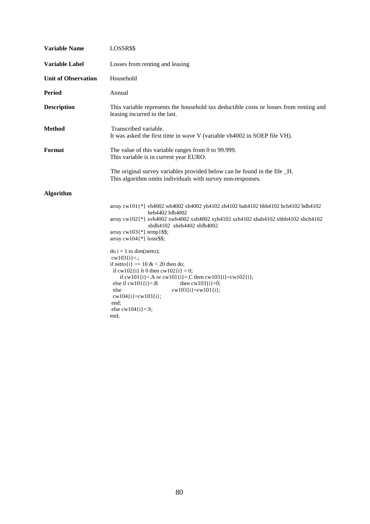| <b>Variable Name</b>       | LOSSR\$\$                                                                                                                                                                                                                                                                                                                               |
|----------------------------|-----------------------------------------------------------------------------------------------------------------------------------------------------------------------------------------------------------------------------------------------------------------------------------------------------------------------------------------|
| Variable Label             | Losses from renting and leasing                                                                                                                                                                                                                                                                                                         |
| <b>Unit of Observation</b> | Household                                                                                                                                                                                                                                                                                                                               |
| <b>Period</b>              | Annual                                                                                                                                                                                                                                                                                                                                  |
| <b>Description</b>         | This variable represents the household tax deductible costs or losses from renting and<br>leasing incurred in the last.                                                                                                                                                                                                                 |
| <b>Method</b>              | Transcribed variable.<br>It was asked the first time in wave V (variable vh4002 in SOEP file VH).                                                                                                                                                                                                                                       |
| Format                     | The value of this variable ranges from 0 to 99.999.<br>This variable is in current year EURO.                                                                                                                                                                                                                                           |
|                            | The original survey variables provided below can be found in the file _H.<br>This algorithm omits individuals with survey non-responses.                                                                                                                                                                                                |
| <b>Algorithm</b>           |                                                                                                                                                                                                                                                                                                                                         |
|                            | array cw101{*} vh4002 wh4002 xh4002 yh4102 zh4102 bah4102 bbh4102 bch4102 bdh4102<br>beh4402 bfh4002<br>array cw102{*} xvh4002 xwh4002 xxh4002 xyh4102 xzh4102 xbah4102 xbbh4102 xbch4102<br>xbdh4102 xbeh4402 xbfh4002<br>array $cw103$ {*} temp1\$\$;<br>array $cw104$ <sup>{*}</sup> lossr\$\$;                                      |
|                            | $\phi$ i = 1 to dim(netto);<br>$cw103[i]=$ :<br>if netto $\{i\}$ >= 10 & < 20 then do;<br>if $cw102{i}$ lt 0 then $cw102{i} = 0$ ;<br>if cw101{i}=.A or cw101{i}=.C then cw103{i}=cw102{i};<br>else if $cw101(i)=B$<br>then $cw103[i]=0;$<br>$cw103(i)=cw101(i);$<br>else<br>$cw104[i]=cw103[i];$<br>end:<br>else $cw104[i]=S;$<br>end: |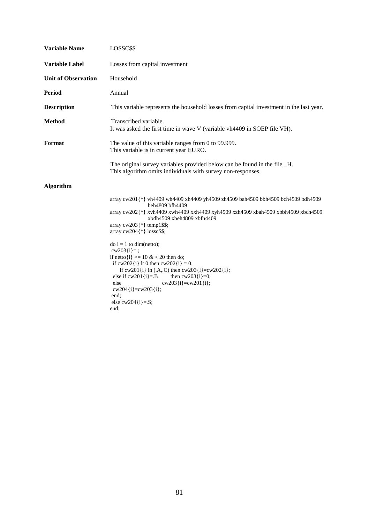| <b>Variable Name</b>       | LOSSC\$\$                                                                                                                                                                                                                                                                                                                                                                                                                                                                                                                                                                                                                       |
|----------------------------|---------------------------------------------------------------------------------------------------------------------------------------------------------------------------------------------------------------------------------------------------------------------------------------------------------------------------------------------------------------------------------------------------------------------------------------------------------------------------------------------------------------------------------------------------------------------------------------------------------------------------------|
| <b>Variable Label</b>      | Losses from capital investment                                                                                                                                                                                                                                                                                                                                                                                                                                                                                                                                                                                                  |
| <b>Unit of Observation</b> | Household                                                                                                                                                                                                                                                                                                                                                                                                                                                                                                                                                                                                                       |
| <b>Period</b>              | Annual                                                                                                                                                                                                                                                                                                                                                                                                                                                                                                                                                                                                                          |
| <b>Description</b>         | This variable represents the household losses from capital investment in the last year.                                                                                                                                                                                                                                                                                                                                                                                                                                                                                                                                         |
| <b>Method</b>              | Transcribed variable.<br>It was asked the first time in wave V (variable vh4409 in SOEP file VH).                                                                                                                                                                                                                                                                                                                                                                                                                                                                                                                               |
| Format                     | The value of this variable ranges from 0 to 99.999.<br>This variable is in current year EURO.                                                                                                                                                                                                                                                                                                                                                                                                                                                                                                                                   |
|                            | The original survey variables provided below can be found in the file _H.<br>This algorithm omits individuals with survey non-responses.                                                                                                                                                                                                                                                                                                                                                                                                                                                                                        |
| <b>Algorithm</b>           |                                                                                                                                                                                                                                                                                                                                                                                                                                                                                                                                                                                                                                 |
|                            | array cw201{*} vh4409 wh4409 xh4409 yh4509 zh4509 bah4509 bbh4509 bch4509 bdh4509<br>beh4809 bfh4409<br>array cw202{*} xvh4409 xwh4409 xxh4409 xyh4509 xzh4509 xbah4509 xbbh4509 xbch4509<br>xbdh4509 xbeh4809 xbfh4409<br>array $cw203$ {*} temp1\$\$;<br>array $cw204$ {*} losse\$\$;<br>$\phi$ i = 1 to dim(netto);<br>$cw203[i]=$ :<br>if netto $\{i\}$ >= 10 & < 20 then do;<br>if $cw202[i]$ lt 0 then $cw202[i] = 0$ ;<br>if cw201{i} in (.A,.C) then cw203{i}=cw202{i};<br>else if $cw201$ {i}=.B<br>then $cw203(i)=0$ ;<br>$cw203(i)=cw201(i);$<br>else<br>$cw204[i]=cw203[i];$<br>end:<br>else $cw204[i]=.S;$<br>end: |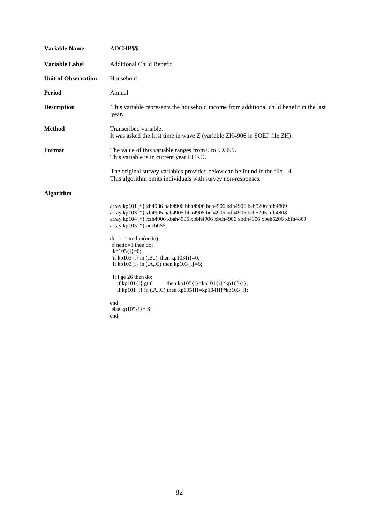| <b>Variable Name</b>       | ADCHB\$\$                                                                                                                                                                                                                                                                                                                                                |
|----------------------------|----------------------------------------------------------------------------------------------------------------------------------------------------------------------------------------------------------------------------------------------------------------------------------------------------------------------------------------------------------|
| <b>Variable Label</b>      | <b>Additional Child Benefit</b>                                                                                                                                                                                                                                                                                                                          |
| <b>Unit of Observation</b> | Household                                                                                                                                                                                                                                                                                                                                                |
| <b>Period</b>              | Annual                                                                                                                                                                                                                                                                                                                                                   |
| <b>Description</b>         | This variable represents the household income from additional child benefit in the last<br>year.                                                                                                                                                                                                                                                         |
| <b>Method</b>              | Transcribed variable.<br>It was asked the first time in wave Z (variable ZH4906 in SOEP file ZH).                                                                                                                                                                                                                                                        |
| Format                     | The value of this variable ranges from 0 to 99.999.<br>This variable is in current year EURO.                                                                                                                                                                                                                                                            |
|                            | The original survey variables provided below can be found in the file _H.<br>This algorithm omits individuals with survey non-responses.                                                                                                                                                                                                                 |
| Algorithm                  |                                                                                                                                                                                                                                                                                                                                                          |
|                            | array kp101{*} zh4906 bah4906 bbh4906 bch4906 bdh4906 beh5206 bfh4809<br>array kp103{*} zh4905 bah4905 bbh4905 bch4905 bdh4905 beh5205 bfh4808<br>array kp104{*} xzh4906 xbah4906 xbbh4906 xbch4906 xbdh4906 xbeh5206 xbfh4809<br>array kp105 $\{\ast\}$ adchb\$\$;                                                                                      |
|                            | $\text{do } i = 1 \text{ to } \text{dim}(\text{netto});$<br>if netto=1 then do;<br>$kp105[i]=0;$<br>if kp103{i} in $(B,.)$ then kp103{i}=0;<br>if kp103{i} in $(A, C)$ then kp103{i}=6;<br>if i ge 26 then do;<br>if kp101 $\{i\}$ gt 0<br>then kp105 $\{i\}$ =kp101 $\{i\}$ *kp103 $\{i\}$ ;<br>if kp101{i} in (.A,.C) then kp105{i}=kp104{i}*kp103{i}; |
|                            | end:<br>else kp105 $\{i\} = S$ ;<br>end;                                                                                                                                                                                                                                                                                                                 |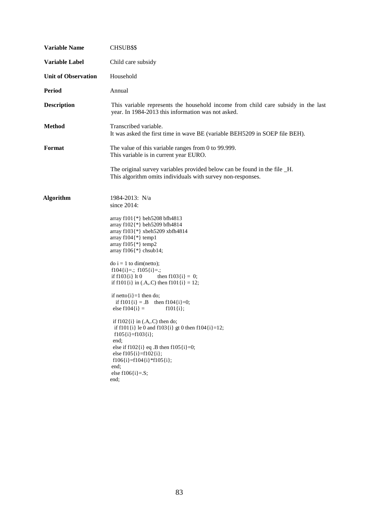| <b>Variable Name</b>       | <b>CHSUB\$\$</b>                                                                                                                                                                                                                                                                                                                                                                                                                                                                                                                                                                                                                                                                                                                                                                                                               |
|----------------------------|--------------------------------------------------------------------------------------------------------------------------------------------------------------------------------------------------------------------------------------------------------------------------------------------------------------------------------------------------------------------------------------------------------------------------------------------------------------------------------------------------------------------------------------------------------------------------------------------------------------------------------------------------------------------------------------------------------------------------------------------------------------------------------------------------------------------------------|
| <b>Variable Label</b>      | Child care subsidy                                                                                                                                                                                                                                                                                                                                                                                                                                                                                                                                                                                                                                                                                                                                                                                                             |
| <b>Unit of Observation</b> | Household                                                                                                                                                                                                                                                                                                                                                                                                                                                                                                                                                                                                                                                                                                                                                                                                                      |
| <b>Period</b>              | Annual                                                                                                                                                                                                                                                                                                                                                                                                                                                                                                                                                                                                                                                                                                                                                                                                                         |
| <b>Description</b>         | This variable represents the household income from child care subsidy in the last<br>year. In 1984-2013 this information was not asked.                                                                                                                                                                                                                                                                                                                                                                                                                                                                                                                                                                                                                                                                                        |
| <b>Method</b>              | Transcribed variable.<br>It was asked the first time in wave BE (variable BEH5209 in SOEP file BEH).                                                                                                                                                                                                                                                                                                                                                                                                                                                                                                                                                                                                                                                                                                                           |
| Format                     | The value of this variable ranges from 0 to 99.999.<br>This variable is in current year EURO.                                                                                                                                                                                                                                                                                                                                                                                                                                                                                                                                                                                                                                                                                                                                  |
|                            | The original survey variables provided below can be found in the file _H.<br>This algorithm omits individuals with survey non-responses.                                                                                                                                                                                                                                                                                                                                                                                                                                                                                                                                                                                                                                                                                       |
| <b>Algorithm</b>           | 1984-2013: N/a<br>since $2014$ :<br>array f101{*} beh5208 bfh4813<br>array f102{*} beh5209 bfh4814<br>array f103{*} xbeh5209 xbfh4814<br>array $f104$ {*} temp1<br>array $f105$ {*} temp2<br>array $f106$ {*} chsub14;<br>$\text{do } i = 1 \text{ to } \text{dim}(\text{netto});$<br>$f104[i]=$ ; $f105[i]=$ ;<br>if $f103\{i\}$ lt 0<br>then $f103(i) = 0$ ;<br>if f101 $\{i\}$ in (.A,.C) then f101 $\{i\} = 12$ ;<br>if netto $\{i\} = 1$ then do;<br>if $f101(i) = .B$ then $f104(i)=0$ ;<br>else $f104{i} =$<br>$f101\{i\};$<br>if $f102\{i\}$ in (.A,.C) then do;<br>if f101{i} le 0 and f103{i} gt 0 then f104{i}=12;<br>$f105[i]=f103[i];$<br>end;<br>else if $f102\{i\}$ eq. B then $f105\{i\} = 0$ ;<br>else $f105\{i\} = f102\{i\};$<br>$f106\{i\} = f104\{i\} * f105\{i\};$<br>end;<br>else $f106[i]=.S;$<br>end; |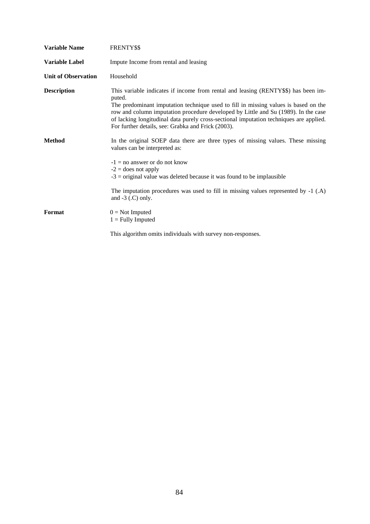| <b>Variable Name</b>       | FRENTY\$\$                                                                                                                                                                                                                                                                                                                                                                                                                |
|----------------------------|---------------------------------------------------------------------------------------------------------------------------------------------------------------------------------------------------------------------------------------------------------------------------------------------------------------------------------------------------------------------------------------------------------------------------|
| <b>Variable Label</b>      | Impute Income from rental and leasing                                                                                                                                                                                                                                                                                                                                                                                     |
| <b>Unit of Observation</b> | Household                                                                                                                                                                                                                                                                                                                                                                                                                 |
| <b>Description</b>         | This variable indicates if income from rental and leasing (RENTY\$\$) has been im-<br>puted.<br>The predominant imputation technique used to fill in missing values is based on the<br>row and column imputation procedure developed by Little and Su (1989). In the case<br>of lacking longitudinal data purely cross-sectional imputation techniques are applied.<br>For further details, see: Grabka and Frick (2003). |
| <b>Method</b>              | In the original SOEP data there are three types of missing values. These missing<br>values can be interpreted as:<br>$-1 =$ no answer or do not know<br>$-2$ = does not apply<br>$-3$ = original value was deleted because it was found to be implausible                                                                                                                                                                 |
|                            | The imputation procedures was used to fill in missing values represented by -1 (.A)<br>and $-3$ (.C) only.                                                                                                                                                                                                                                                                                                                |
| Format                     | $0 = Not$ Imputed<br>$1 =$ Fully Imputed                                                                                                                                                                                                                                                                                                                                                                                  |
|                            | This algorithm omits individuals with survey non-responses.                                                                                                                                                                                                                                                                                                                                                               |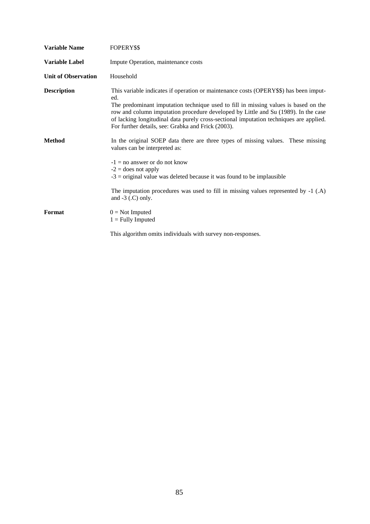| <b>Variable Name</b>       | FOPERY\$\$                                                                                                                                                                                                                                                                                                                                                                                                                |
|----------------------------|---------------------------------------------------------------------------------------------------------------------------------------------------------------------------------------------------------------------------------------------------------------------------------------------------------------------------------------------------------------------------------------------------------------------------|
| <b>Variable Label</b>      | Impute Operation, maintenance costs                                                                                                                                                                                                                                                                                                                                                                                       |
| <b>Unit of Observation</b> | Household                                                                                                                                                                                                                                                                                                                                                                                                                 |
| <b>Description</b>         | This variable indicates if operation or maintenance costs (OPERY\$\$) has been imput-<br>ed.<br>The predominant imputation technique used to fill in missing values is based on the<br>row and column imputation procedure developed by Little and Su (1989). In the case<br>of lacking longitudinal data purely cross-sectional imputation techniques are applied.<br>For further details, see: Grabka and Frick (2003). |
| <b>Method</b>              | In the original SOEP data there are three types of missing values. These missing<br>values can be interpreted as:<br>$-1 =$ no answer or do not know<br>$-2$ = does not apply<br>$-3$ = original value was deleted because it was found to be implausible                                                                                                                                                                 |
|                            | The imputation procedures was used to fill in missing values represented by -1 (.A)<br>and $-3$ (.C) only.                                                                                                                                                                                                                                                                                                                |
| Format                     | $0 = Not$ Imputed<br>$1 =$ Fully Imputed                                                                                                                                                                                                                                                                                                                                                                                  |
|                            | This algorithm omits individuals with survey non-responses.                                                                                                                                                                                                                                                                                                                                                               |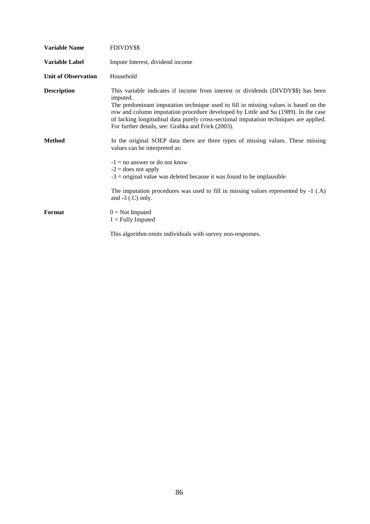| <b>Variable Name</b>       | FDIVDY\$\$                                                                                                                                                                                                                                                                                                                                                                                                                 |
|----------------------------|----------------------------------------------------------------------------------------------------------------------------------------------------------------------------------------------------------------------------------------------------------------------------------------------------------------------------------------------------------------------------------------------------------------------------|
| <b>Variable Label</b>      | Impute Interest, dividend income                                                                                                                                                                                                                                                                                                                                                                                           |
| <b>Unit of Observation</b> | Household                                                                                                                                                                                                                                                                                                                                                                                                                  |
| <b>Description</b>         | This variable indicates if income from interest or dividends (DIVDY\$\$) has been<br>imputed.<br>The predominant imputation technique used to fill in missing values is based on the<br>row and column imputation procedure developed by Little and Su (1989). In the case<br>of lacking longitudinal data purely cross-sectional imputation techniques are applied.<br>For further details, see: Grabka and Frick (2003). |
| <b>Method</b>              | In the original SOEP data there are three types of missing values. These missing<br>values can be interpreted as:<br>$-1 =$ no answer or do not know<br>$-2$ = does not apply<br>$-3$ = original value was deleted because it was found to be implausible                                                                                                                                                                  |
|                            | The imputation procedures was used to fill in missing values represented by $-1$ (.A)<br>and $-3$ (.C) only.                                                                                                                                                                                                                                                                                                               |
| Format                     | $0 = Not$ Imputed<br>$1 =$ Fully Imputed                                                                                                                                                                                                                                                                                                                                                                                   |
|                            | This algorithm omits individuals with survey non-responses.                                                                                                                                                                                                                                                                                                                                                                |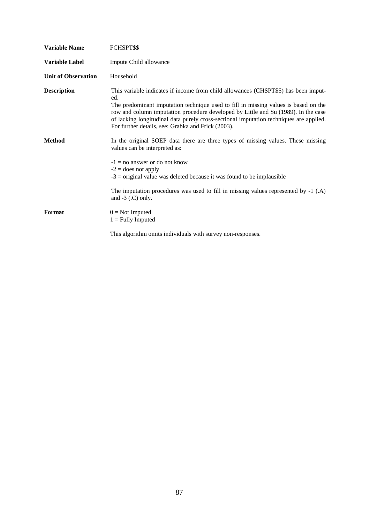| <b>Variable Name</b>       | FCHSPT\$\$                                                                                                                                                                                                                                                                                                                                                                                                              |
|----------------------------|-------------------------------------------------------------------------------------------------------------------------------------------------------------------------------------------------------------------------------------------------------------------------------------------------------------------------------------------------------------------------------------------------------------------------|
| <b>Variable Label</b>      | Impute Child allowance                                                                                                                                                                                                                                                                                                                                                                                                  |
| <b>Unit of Observation</b> | Household                                                                                                                                                                                                                                                                                                                                                                                                               |
| <b>Description</b>         | This variable indicates if income from child allowances (CHSPT\$\$) has been imput-<br>ed.<br>The predominant imputation technique used to fill in missing values is based on the<br>row and column imputation procedure developed by Little and Su (1989). In the case<br>of lacking longitudinal data purely cross-sectional imputation techniques are applied.<br>For further details, see: Grabka and Frick (2003). |
| <b>Method</b>              | In the original SOEP data there are three types of missing values. These missing<br>values can be interpreted as:<br>$-1 =$ no answer or do not know<br>$-2$ = does not apply<br>$-3$ = original value was deleted because it was found to be implausible                                                                                                                                                               |
|                            | The imputation procedures was used to fill in missing values represented by $-1$ (.A)<br>and $-3$ (.C) only.                                                                                                                                                                                                                                                                                                            |
| Format                     | $0 = Not$ Imputed<br>$1 =$ Fully Imputed                                                                                                                                                                                                                                                                                                                                                                                |
|                            | This algorithm omits individuals with survey non-responses.                                                                                                                                                                                                                                                                                                                                                             |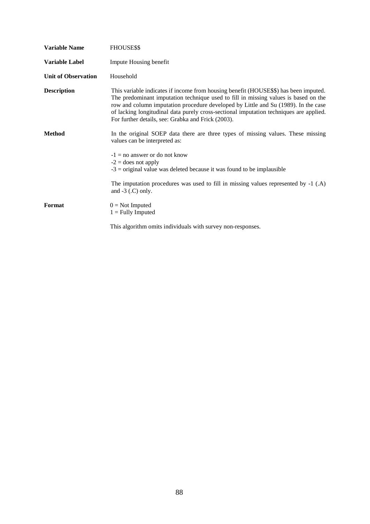| <b>Variable Name</b>       | FHOUSE\$\$                                                                                                                                                                                                                                                                                                                                                                                                        |
|----------------------------|-------------------------------------------------------------------------------------------------------------------------------------------------------------------------------------------------------------------------------------------------------------------------------------------------------------------------------------------------------------------------------------------------------------------|
| Variable Label             | Impute Housing benefit                                                                                                                                                                                                                                                                                                                                                                                            |
| <b>Unit of Observation</b> | Household                                                                                                                                                                                                                                                                                                                                                                                                         |
| <b>Description</b>         | This variable indicates if income from housing benefit (HOUSE\$\$) has been imputed.<br>The predominant imputation technique used to fill in missing values is based on the<br>row and column imputation procedure developed by Little and Su (1989). In the case<br>of lacking longitudinal data purely cross-sectional imputation techniques are applied.<br>For further details, see: Grabka and Frick (2003). |
| <b>Method</b>              | In the original SOEP data there are three types of missing values. These missing<br>values can be interpreted as:                                                                                                                                                                                                                                                                                                 |
|                            | $-1 =$ no answer or do not know<br>$-2$ = does not apply<br>$-3$ = original value was deleted because it was found to be implausible                                                                                                                                                                                                                                                                              |
|                            | The imputation procedures was used to fill in missing values represented by $-1$ (.A)<br>and $-3$ (.C) only.                                                                                                                                                                                                                                                                                                      |
| Format                     | $0 = Not$ Imputed<br>$1 =$ Fully Imputed                                                                                                                                                                                                                                                                                                                                                                          |
|                            | This algorithm omits individuals with survey non-responses.                                                                                                                                                                                                                                                                                                                                                       |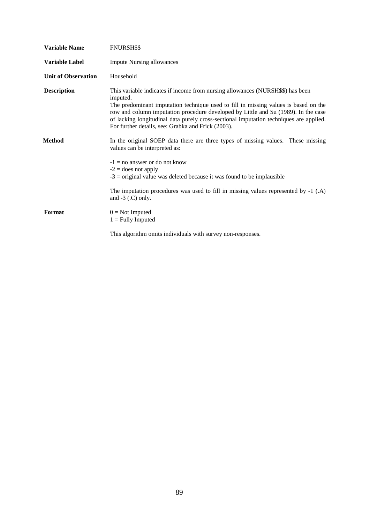| <b>Variable Name</b>       | <b>FNURSH\$\$</b>                                                                                                                                                                                                                                                                                                                                                                                                       |
|----------------------------|-------------------------------------------------------------------------------------------------------------------------------------------------------------------------------------------------------------------------------------------------------------------------------------------------------------------------------------------------------------------------------------------------------------------------|
| <b>Variable Label</b>      | <b>Impute Nursing allowances</b>                                                                                                                                                                                                                                                                                                                                                                                        |
| <b>Unit of Observation</b> | Household                                                                                                                                                                                                                                                                                                                                                                                                               |
| <b>Description</b>         | This variable indicates if income from nursing allowances (NURSH\$\$) has been<br>imputed.<br>The predominant imputation technique used to fill in missing values is based on the<br>row and column imputation procedure developed by Little and Su (1989). In the case<br>of lacking longitudinal data purely cross-sectional imputation techniques are applied.<br>For further details, see: Grabka and Frick (2003). |
| Method                     | In the original SOEP data there are three types of missing values. These missing<br>values can be interpreted as:                                                                                                                                                                                                                                                                                                       |
|                            | $-1 =$ no answer or do not know<br>$-2$ = does not apply<br>$-3$ = original value was deleted because it was found to be implausible                                                                                                                                                                                                                                                                                    |
|                            | The imputation procedures was used to fill in missing values represented by $-1$ (.A)<br>and $-3$ (.C) only.                                                                                                                                                                                                                                                                                                            |
| Format                     | $0 = Not$ Imputed<br>$1 =$ Fully Imputed                                                                                                                                                                                                                                                                                                                                                                                |
|                            | This algorithm omits individuals with survey non-responses.                                                                                                                                                                                                                                                                                                                                                             |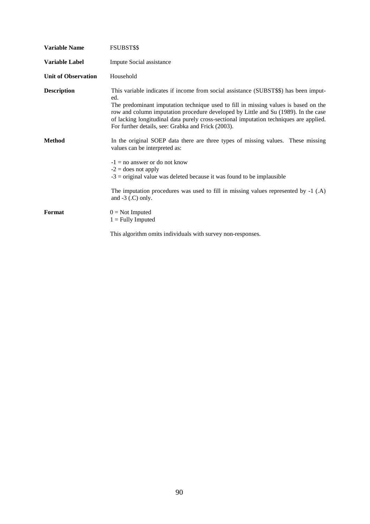| <b>Variable Name</b>       | FSUBST\$\$                                                                                                                                                                                                                                                                                                                                                                                                               |
|----------------------------|--------------------------------------------------------------------------------------------------------------------------------------------------------------------------------------------------------------------------------------------------------------------------------------------------------------------------------------------------------------------------------------------------------------------------|
| <b>Variable Label</b>      | Impute Social assistance                                                                                                                                                                                                                                                                                                                                                                                                 |
| <b>Unit of Observation</b> | Household                                                                                                                                                                                                                                                                                                                                                                                                                |
| <b>Description</b>         | This variable indicates if income from social assistance (SUBST\$\$) has been imput-<br>ed.<br>The predominant imputation technique used to fill in missing values is based on the<br>row and column imputation procedure developed by Little and Su (1989). In the case<br>of lacking longitudinal data purely cross-sectional imputation techniques are applied.<br>For further details, see: Grabka and Frick (2003). |
| <b>Method</b>              | In the original SOEP data there are three types of missing values. These missing<br>values can be interpreted as:<br>$-1 =$ no answer or do not know<br>$-2$ = does not apply<br>$-3$ = original value was deleted because it was found to be implausible                                                                                                                                                                |
|                            | The imputation procedures was used to fill in missing values represented by $-1$ (.A)<br>and $-3$ (.C) only.                                                                                                                                                                                                                                                                                                             |
| Format                     | $0 = Not$ Imputed<br>$1 =$ Fully Imputed                                                                                                                                                                                                                                                                                                                                                                                 |
|                            | This algorithm omits individuals with survey non-responses.                                                                                                                                                                                                                                                                                                                                                              |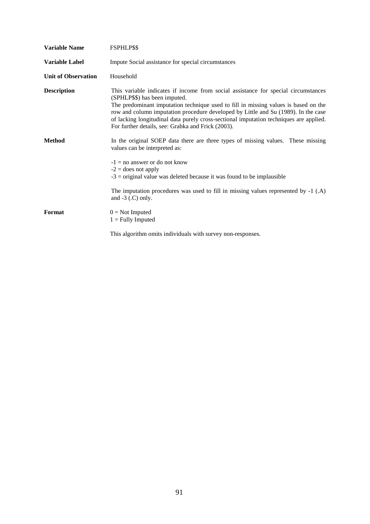| <b>Variable Name</b>       | <b>FSPHLP\$\$</b>                                                                                                                                                                                                                                                                                                                                                                                                                                |
|----------------------------|--------------------------------------------------------------------------------------------------------------------------------------------------------------------------------------------------------------------------------------------------------------------------------------------------------------------------------------------------------------------------------------------------------------------------------------------------|
| <b>Variable Label</b>      | Impute Social assistance for special circumstances                                                                                                                                                                                                                                                                                                                                                                                               |
| <b>Unit of Observation</b> | Household                                                                                                                                                                                                                                                                                                                                                                                                                                        |
| <b>Description</b>         | This variable indicates if income from social assistance for special circumstances<br>(SPHLP\$\$) has been imputed.<br>The predominant imputation technique used to fill in missing values is based on the<br>row and column imputation procedure developed by Little and Su (1989). In the case<br>of lacking longitudinal data purely cross-sectional imputation techniques are applied.<br>For further details, see: Grabka and Frick (2003). |
| <b>Method</b>              | In the original SOEP data there are three types of missing values. These missing<br>values can be interpreted as:<br>$-1 =$ no answer or do not know<br>$-2$ = does not apply                                                                                                                                                                                                                                                                    |
|                            | $-3$ = original value was deleted because it was found to be implausible<br>The imputation procedures was used to fill in missing values represented by $-1$ (.A)<br>and $-3$ (.C) only.                                                                                                                                                                                                                                                         |
| Format                     | $0 = Not$ Imputed<br>$1 =$ Fully Imputed                                                                                                                                                                                                                                                                                                                                                                                                         |
|                            | This algorithm omits individuals with survey non-responses.                                                                                                                                                                                                                                                                                                                                                                                      |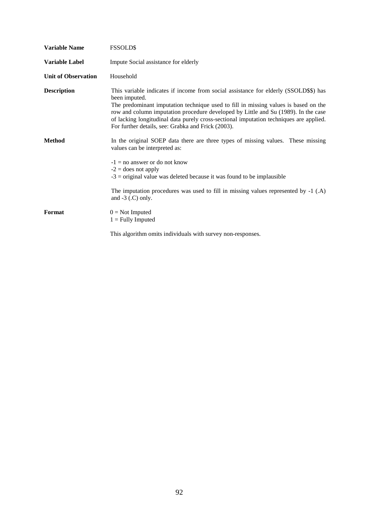| <b>Variable Name</b>       | <b>FSSOLD\$</b>                                                                                                                                                                                                                                                                                                                                                                                                                    |
|----------------------------|------------------------------------------------------------------------------------------------------------------------------------------------------------------------------------------------------------------------------------------------------------------------------------------------------------------------------------------------------------------------------------------------------------------------------------|
| <b>Variable Label</b>      | Impute Social assistance for elderly                                                                                                                                                                                                                                                                                                                                                                                               |
| <b>Unit of Observation</b> | Household                                                                                                                                                                                                                                                                                                                                                                                                                          |
| <b>Description</b>         | This variable indicates if income from social assistance for elderly (SSOLD\$\$) has<br>been imputed.<br>The predominant imputation technique used to fill in missing values is based on the<br>row and column imputation procedure developed by Little and Su (1989). In the case<br>of lacking longitudinal data purely cross-sectional imputation techniques are applied.<br>For further details, see: Grabka and Frick (2003). |
| <b>Method</b>              | In the original SOEP data there are three types of missing values. These missing<br>values can be interpreted as:<br>$-1 =$ no answer or do not know<br>$-2$ = does not apply<br>$-3$ = original value was deleted because it was found to be implausible                                                                                                                                                                          |
|                            | The imputation procedures was used to fill in missing values represented by -1 (.A)<br>and $-3$ (.C) only.                                                                                                                                                                                                                                                                                                                         |
| Format                     | $0 = Not$ Imputed<br>$1 =$ Fully Imputed                                                                                                                                                                                                                                                                                                                                                                                           |
|                            | This algorithm omits individuals with survey non-responses.                                                                                                                                                                                                                                                                                                                                                                        |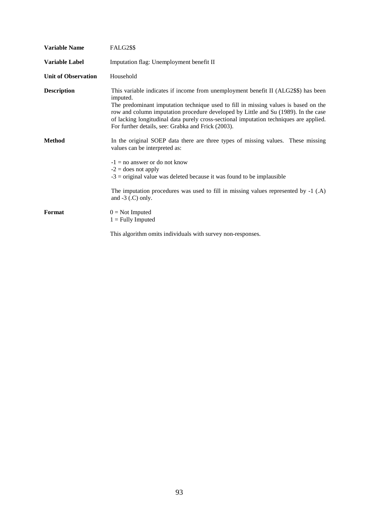| <b>Variable Name</b>       | <b>FALG2\$\$</b>                                                                                                                                                                                                                                                                                                                                                                                                            |
|----------------------------|-----------------------------------------------------------------------------------------------------------------------------------------------------------------------------------------------------------------------------------------------------------------------------------------------------------------------------------------------------------------------------------------------------------------------------|
| <b>Variable Label</b>      | Imputation flag: Unemployment benefit II                                                                                                                                                                                                                                                                                                                                                                                    |
| <b>Unit of Observation</b> | Household                                                                                                                                                                                                                                                                                                                                                                                                                   |
| <b>Description</b>         | This variable indicates if income from unemployment benefit II (ALG2\$\$) has been<br>imputed.<br>The predominant imputation technique used to fill in missing values is based on the<br>row and column imputation procedure developed by Little and Su (1989). In the case<br>of lacking longitudinal data purely cross-sectional imputation techniques are applied.<br>For further details, see: Grabka and Frick (2003). |
| <b>Method</b>              | In the original SOEP data there are three types of missing values. These missing<br>values can be interpreted as:<br>$-1 =$ no answer or do not know<br>$-2$ = does not apply<br>$-3$ = original value was deleted because it was found to be implausible                                                                                                                                                                   |
|                            | The imputation procedures was used to fill in missing values represented by $-1$ (.A)<br>and $-3$ (.C) only.                                                                                                                                                                                                                                                                                                                |
| Format                     | $0 = Not$ Imputed<br>$1 =$ Fully Imputed                                                                                                                                                                                                                                                                                                                                                                                    |
|                            | This algorithm omits individuals with survey non-responses.                                                                                                                                                                                                                                                                                                                                                                 |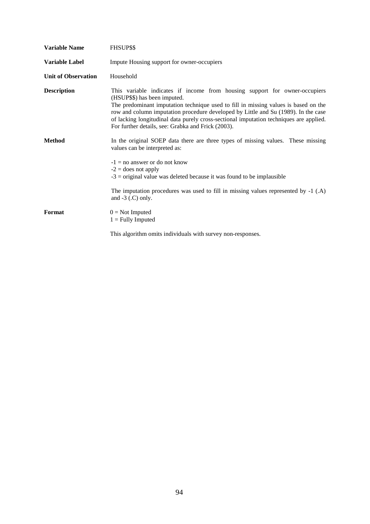| <b>Variable Name</b>       | FHSUP\$\$                                                                                                                                                                                                                                                                                                                                                                                                                               |
|----------------------------|-----------------------------------------------------------------------------------------------------------------------------------------------------------------------------------------------------------------------------------------------------------------------------------------------------------------------------------------------------------------------------------------------------------------------------------------|
| <b>Variable Label</b>      | Impute Housing support for owner-occupiers                                                                                                                                                                                                                                                                                                                                                                                              |
| <b>Unit of Observation</b> | Household                                                                                                                                                                                                                                                                                                                                                                                                                               |
| <b>Description</b>         | This variable indicates if income from housing support for owner-occupiers<br>(HSUP\$\$) has been imputed.<br>The predominant imputation technique used to fill in missing values is based on the<br>row and column imputation procedure developed by Little and Su (1989). In the case<br>of lacking longitudinal data purely cross-sectional imputation techniques are applied.<br>For further details, see: Grabka and Frick (2003). |
| <b>Method</b>              | In the original SOEP data there are three types of missing values. These missing<br>values can be interpreted as:<br>$-1 =$ no answer or do not know<br>$-2$ = does not apply<br>$-3$ = original value was deleted because it was found to be implausible                                                                                                                                                                               |
|                            | The imputation procedures was used to fill in missing values represented by $-1$ (.A)<br>and $-3$ (.C) only.                                                                                                                                                                                                                                                                                                                            |
| Format                     | $0 = Not$ Imputed<br>$1 =$ Fully Imputed                                                                                                                                                                                                                                                                                                                                                                                                |
|                            | This algorithm omits individuals with survey non-responses.                                                                                                                                                                                                                                                                                                                                                                             |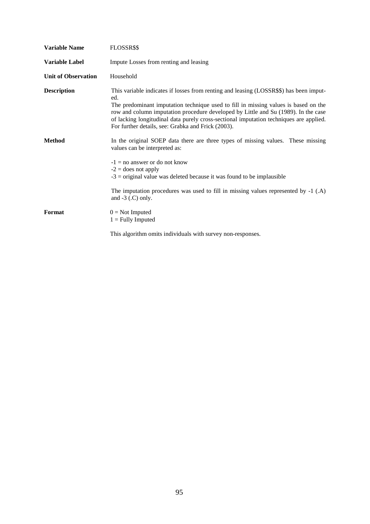| <b>Variable Name</b>       | FLOSSR\$\$                                                                                                                                                                                                                                                                                                                                                                                                                 |
|----------------------------|----------------------------------------------------------------------------------------------------------------------------------------------------------------------------------------------------------------------------------------------------------------------------------------------------------------------------------------------------------------------------------------------------------------------------|
| <b>Variable Label</b>      | Impute Losses from renting and leasing                                                                                                                                                                                                                                                                                                                                                                                     |
| <b>Unit of Observation</b> | Household                                                                                                                                                                                                                                                                                                                                                                                                                  |
| <b>Description</b>         | This variable indicates if losses from renting and leasing (LOSSR\$\$) has been imput-<br>ed.<br>The predominant imputation technique used to fill in missing values is based on the<br>row and column imputation procedure developed by Little and Su (1989). In the case<br>of lacking longitudinal data purely cross-sectional imputation techniques are applied.<br>For further details, see: Grabka and Frick (2003). |
| <b>Method</b>              | In the original SOEP data there are three types of missing values. These missing<br>values can be interpreted as:<br>$-1 =$ no answer or do not know<br>$-2$ = does not apply<br>$-3$ = original value was deleted because it was found to be implausible                                                                                                                                                                  |
|                            | The imputation procedures was used to fill in missing values represented by -1 (.A)<br>and $-3$ (.C) only.                                                                                                                                                                                                                                                                                                                 |
| Format                     | $0 = Not$ Imputed<br>$1 =$ Fully Imputed                                                                                                                                                                                                                                                                                                                                                                                   |
|                            | This algorithm omits individuals with survey non-responses.                                                                                                                                                                                                                                                                                                                                                                |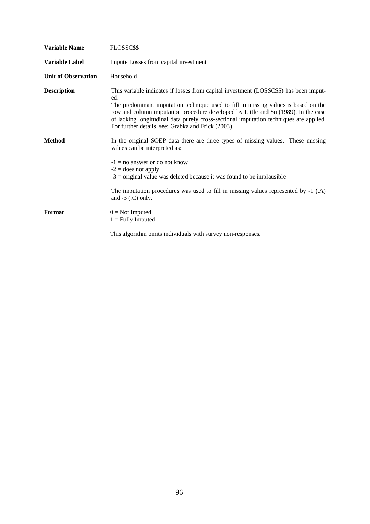| <b>Variable Name</b>       | FLOSSC\$\$                                                                                                                                                                                                                                                                                                                                                                                                                |
|----------------------------|---------------------------------------------------------------------------------------------------------------------------------------------------------------------------------------------------------------------------------------------------------------------------------------------------------------------------------------------------------------------------------------------------------------------------|
| <b>Variable Label</b>      | Impute Losses from capital investment                                                                                                                                                                                                                                                                                                                                                                                     |
| <b>Unit of Observation</b> | Household                                                                                                                                                                                                                                                                                                                                                                                                                 |
| <b>Description</b>         | This variable indicates if losses from capital investment (LOSSC\$\$) has been imput-<br>ed.<br>The predominant imputation technique used to fill in missing values is based on the<br>row and column imputation procedure developed by Little and Su (1989). In the case<br>of lacking longitudinal data purely cross-sectional imputation techniques are applied.<br>For further details, see: Grabka and Frick (2003). |
| <b>Method</b>              | In the original SOEP data there are three types of missing values. These missing<br>values can be interpreted as:<br>$-1 =$ no answer or do not know<br>$-2$ = does not apply<br>$-3$ = original value was deleted because it was found to be implausible                                                                                                                                                                 |
|                            | The imputation procedures was used to fill in missing values represented by -1 (.A)<br>and $-3$ (.C) only.                                                                                                                                                                                                                                                                                                                |
| Format                     | $0 = Not$ Imputed<br>$1 =$ Fully Imputed                                                                                                                                                                                                                                                                                                                                                                                  |
|                            | This algorithm omits individuals with survey non-responses.                                                                                                                                                                                                                                                                                                                                                               |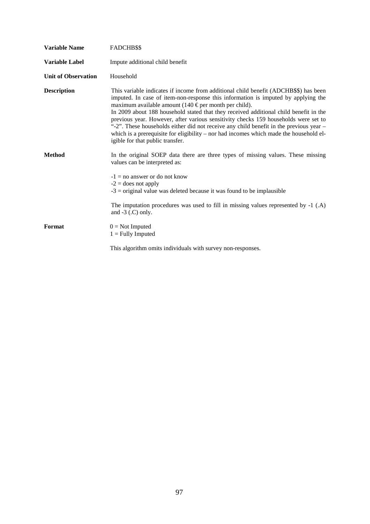| <b>Variable Name</b>       | FADCHB\$\$                                                                                                                                                                                                                                                                                                                                                                                                                                                                                                                                                                                                                                          |
|----------------------------|-----------------------------------------------------------------------------------------------------------------------------------------------------------------------------------------------------------------------------------------------------------------------------------------------------------------------------------------------------------------------------------------------------------------------------------------------------------------------------------------------------------------------------------------------------------------------------------------------------------------------------------------------------|
| <b>Variable Label</b>      | Impute additional child benefit                                                                                                                                                                                                                                                                                                                                                                                                                                                                                                                                                                                                                     |
| <b>Unit of Observation</b> | Household                                                                                                                                                                                                                                                                                                                                                                                                                                                                                                                                                                                                                                           |
| <b>Description</b>         | This variable indicates if income from additional child benefit (ADCHB\$\$) has been<br>imputed. In case of item-non-response this information is imputed by applying the<br>maximum available amount (140 $\epsilon$ per month per child).<br>In 2009 about 188 household stated that they received additional child benefit in the<br>previous year. However, after various sensitivity checks 159 households were set to<br>"-2". These households either did not receive any child benefit in the previous year –<br>which is a prerequisite for eligibility – nor had incomes which made the household el-<br>igible for that public transfer. |
| <b>Method</b>              | In the original SOEP data there are three types of missing values. These missing<br>values can be interpreted as:                                                                                                                                                                                                                                                                                                                                                                                                                                                                                                                                   |
|                            | $-1 =$ no answer or do not know<br>$-2$ = does not apply<br>$-3$ = original value was deleted because it was found to be implausible                                                                                                                                                                                                                                                                                                                                                                                                                                                                                                                |
|                            | The imputation procedures was used to fill in missing values represented by $-1$ (.A)<br>and $-3$ (.C) only.                                                                                                                                                                                                                                                                                                                                                                                                                                                                                                                                        |
| Format                     | $0 = Not$ Imputed<br>$1 =$ Fully Imputed                                                                                                                                                                                                                                                                                                                                                                                                                                                                                                                                                                                                            |
|                            | This algorithm omits individuals with survey non-responses.                                                                                                                                                                                                                                                                                                                                                                                                                                                                                                                                                                                         |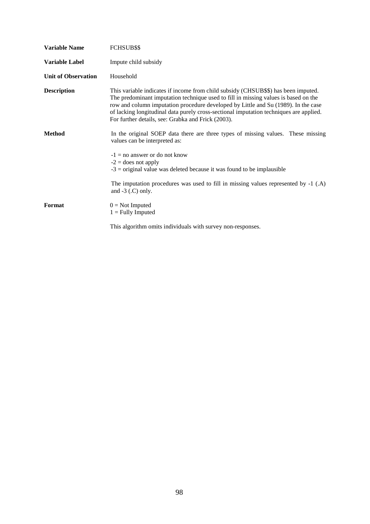| <b>Variable Name</b>       | FCHSUB\$\$                                                                                                                                                                                                                                                                                                                                                                                                      |
|----------------------------|-----------------------------------------------------------------------------------------------------------------------------------------------------------------------------------------------------------------------------------------------------------------------------------------------------------------------------------------------------------------------------------------------------------------|
| <b>Variable Label</b>      | Impute child subsidy                                                                                                                                                                                                                                                                                                                                                                                            |
| <b>Unit of Observation</b> | Household                                                                                                                                                                                                                                                                                                                                                                                                       |
| <b>Description</b>         | This variable indicates if income from child subsidy (CHSUB\$\$) has been imputed.<br>The predominant imputation technique used to fill in missing values is based on the<br>row and column imputation procedure developed by Little and Su (1989). In the case<br>of lacking longitudinal data purely cross-sectional imputation techniques are applied.<br>For further details, see: Grabka and Frick (2003). |
| <b>Method</b>              | In the original SOEP data there are three types of missing values. These missing<br>values can be interpreted as:                                                                                                                                                                                                                                                                                               |
|                            | $-1 =$ no answer or do not know<br>$-2$ = does not apply<br>$-3$ = original value was deleted because it was found to be implausible                                                                                                                                                                                                                                                                            |
|                            | The imputation procedures was used to fill in missing values represented by $-1$ (.A)<br>and $-3$ (.C) only.                                                                                                                                                                                                                                                                                                    |
| Format                     | $0 = Not$ Imputed<br>$1 =$ Fully Imputed                                                                                                                                                                                                                                                                                                                                                                        |
|                            | This algorithm omits individuals with survey non-responses.                                                                                                                                                                                                                                                                                                                                                     |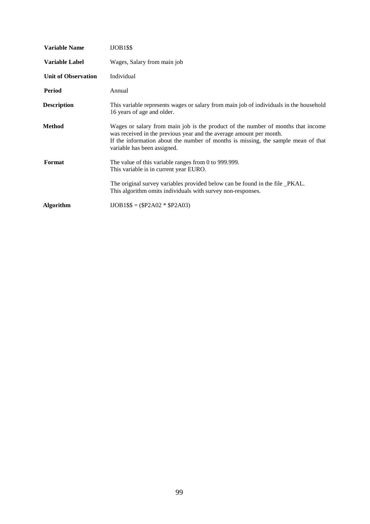| <b>Variable Name</b>       | $IJOB1$ \$\$                                                                                                                                                                                                                                                                |
|----------------------------|-----------------------------------------------------------------------------------------------------------------------------------------------------------------------------------------------------------------------------------------------------------------------------|
| Variable Label             | Wages, Salary from main job                                                                                                                                                                                                                                                 |
| <b>Unit of Observation</b> | Individual                                                                                                                                                                                                                                                                  |
| Period                     | Annual                                                                                                                                                                                                                                                                      |
| <b>Description</b>         | This variable represents wages or salary from main job of individuals in the household<br>16 years of age and older.                                                                                                                                                        |
| <b>Method</b>              | Wages or salary from main job is the product of the number of months that income<br>was received in the previous year and the average amount per month.<br>If the information about the number of months is missing, the sample mean of that<br>variable has been assigned. |
| Format                     | The value of this variable ranges from 0 to 999.999.<br>This variable is in current year EURO.                                                                                                                                                                              |
|                            | The original survey variables provided below can be found in the file _PKAL.<br>This algorithm omits individuals with survey non-responses.                                                                                                                                 |
| <b>Algorithm</b>           | $IOB1$$ = ($P2A02 * $P2A03)$                                                                                                                                                                                                                                                |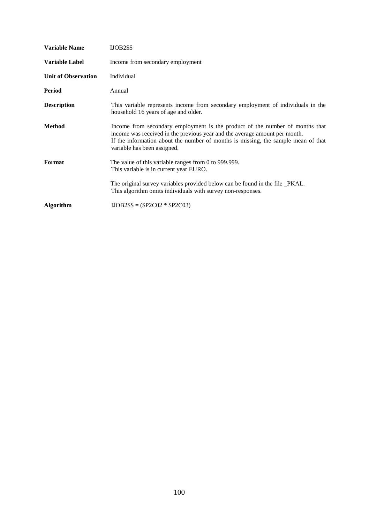| <b>Variable Name</b>       | <b>IJOB2\$\$</b>                                                                                                                                                                                                                                                               |
|----------------------------|--------------------------------------------------------------------------------------------------------------------------------------------------------------------------------------------------------------------------------------------------------------------------------|
| Variable Label             | Income from secondary employment                                                                                                                                                                                                                                               |
| <b>Unit of Observation</b> | Individual                                                                                                                                                                                                                                                                     |
| Period                     | Annual                                                                                                                                                                                                                                                                         |
| <b>Description</b>         | This variable represents income from secondary employment of individuals in the<br>household 16 years of age and older.                                                                                                                                                        |
| Method                     | Income from secondary employment is the product of the number of months that<br>income was received in the previous year and the average amount per month.<br>If the information about the number of months is missing, the sample mean of that<br>variable has been assigned. |
| Format                     | The value of this variable ranges from 0 to 999.999.<br>This variable is in current year EURO.                                                                                                                                                                                 |
|                            | The original survey variables provided below can be found in the file _PKAL.<br>This algorithm omits individuals with survey non-responses.                                                                                                                                    |
| <b>Algorithm</b>           | $IDDB2$ \$\$ = (\$P2C02 * \$P2C03)                                                                                                                                                                                                                                             |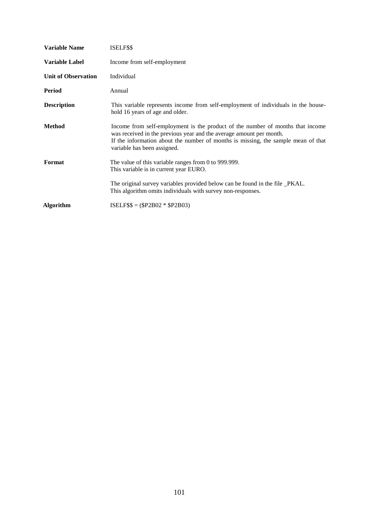| <b>Variable Label</b><br>Income from self-employment<br><b>Unit of Observation</b><br>Individual<br>Period<br>Annual<br><b>Description</b><br>hold 16 years of age and older.<br><b>Method</b><br>was received in the previous year and the average amount per month.<br>variable has been assigned.<br>Format<br>The value of this variable ranges from 0 to 999.999.<br>This variable is in current year EURO.<br>The original survey variables provided below can be found in the file _PKAL.<br>This algorithm omits individuals with survey non-responses.<br>$ISELFSS = (SP2B02 * SP2B03)$<br><b>Algorithm</b> | <b>Variable Name</b> | ISELF\$\$                                                                                                                                                           |
|----------------------------------------------------------------------------------------------------------------------------------------------------------------------------------------------------------------------------------------------------------------------------------------------------------------------------------------------------------------------------------------------------------------------------------------------------------------------------------------------------------------------------------------------------------------------------------------------------------------------|----------------------|---------------------------------------------------------------------------------------------------------------------------------------------------------------------|
|                                                                                                                                                                                                                                                                                                                                                                                                                                                                                                                                                                                                                      |                      |                                                                                                                                                                     |
|                                                                                                                                                                                                                                                                                                                                                                                                                                                                                                                                                                                                                      |                      |                                                                                                                                                                     |
|                                                                                                                                                                                                                                                                                                                                                                                                                                                                                                                                                                                                                      |                      |                                                                                                                                                                     |
|                                                                                                                                                                                                                                                                                                                                                                                                                                                                                                                                                                                                                      |                      | This variable represents income from self-employment of individuals in the house-                                                                                   |
|                                                                                                                                                                                                                                                                                                                                                                                                                                                                                                                                                                                                                      |                      | Income from self-employment is the product of the number of months that income<br>If the information about the number of months is missing, the sample mean of that |
|                                                                                                                                                                                                                                                                                                                                                                                                                                                                                                                                                                                                                      |                      |                                                                                                                                                                     |
|                                                                                                                                                                                                                                                                                                                                                                                                                                                                                                                                                                                                                      |                      |                                                                                                                                                                     |
|                                                                                                                                                                                                                                                                                                                                                                                                                                                                                                                                                                                                                      |                      |                                                                                                                                                                     |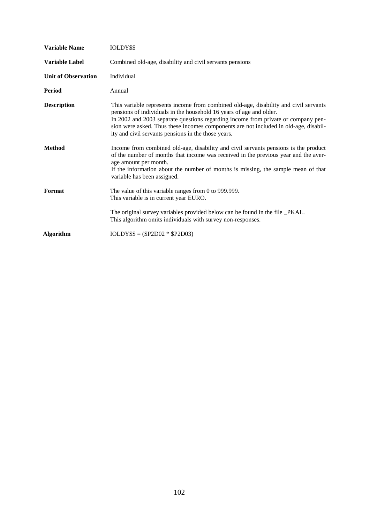| <b>Variable Name</b>       | IOLDY\$\$                                                                                                                                                                                                                                                                                                                                                                                       |
|----------------------------|-------------------------------------------------------------------------------------------------------------------------------------------------------------------------------------------------------------------------------------------------------------------------------------------------------------------------------------------------------------------------------------------------|
| Variable Label             | Combined old-age, disability and civil servants pensions                                                                                                                                                                                                                                                                                                                                        |
| <b>Unit of Observation</b> | Individual                                                                                                                                                                                                                                                                                                                                                                                      |
| <b>Period</b>              | Annual                                                                                                                                                                                                                                                                                                                                                                                          |
| <b>Description</b>         | This variable represents income from combined old-age, disability and civil servants<br>pensions of individuals in the household 16 years of age and older.<br>In 2002 and 2003 separate questions regarding income from private or company pen-<br>sion were asked. Thus these incomes components are not included in old-age, disabil-<br>ity and civil servants pensions in the those years. |
| <b>Method</b>              | Income from combined old-age, disability and civil servants pensions is the product<br>of the number of months that income was received in the previous year and the aver-<br>age amount per month.<br>If the information about the number of months is missing, the sample mean of that<br>variable has been assigned.                                                                         |
| Format                     | The value of this variable ranges from 0 to 999.999.<br>This variable is in current year EURO.                                                                                                                                                                                                                                                                                                  |
|                            | The original survey variables provided below can be found in the file _PKAL.<br>This algorithm omits individuals with survey non-responses.                                                                                                                                                                                                                                                     |
| Algorithm                  | $IOLDY$ \$\$ = (\$P2D02 * \$P2D03)                                                                                                                                                                                                                                                                                                                                                              |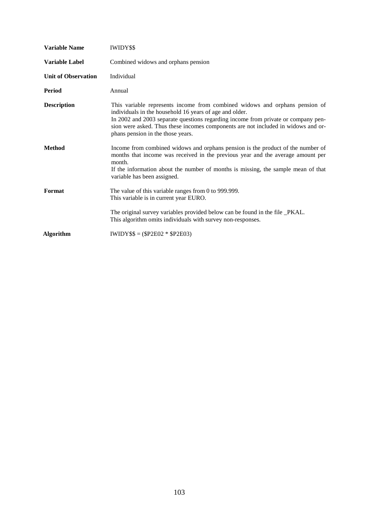| <b>Variable Name</b>       | <b>IWIDY\$\$</b>                                                                                                                                                                                                                                                                                                                                      |
|----------------------------|-------------------------------------------------------------------------------------------------------------------------------------------------------------------------------------------------------------------------------------------------------------------------------------------------------------------------------------------------------|
| <b>Variable Label</b>      | Combined widows and orphans pension                                                                                                                                                                                                                                                                                                                   |
| <b>Unit of Observation</b> | Individual                                                                                                                                                                                                                                                                                                                                            |
| Period                     | Annual                                                                                                                                                                                                                                                                                                                                                |
| <b>Description</b>         | This variable represents income from combined widows and orphans pension of<br>individuals in the household 16 years of age and older.<br>In 2002 and 2003 separate questions regarding income from private or company pen-<br>sion were asked. Thus these incomes components are not included in widows and or-<br>phans pension in the those years. |
| <b>Method</b>              | Income from combined widows and orphans pension is the product of the number of<br>months that income was received in the previous year and the average amount per<br>month.<br>If the information about the number of months is missing, the sample mean of that<br>variable has been assigned.                                                      |
| Format                     | The value of this variable ranges from 0 to 999.999.<br>This variable is in current year EURO.                                                                                                                                                                                                                                                        |
|                            | The original survey variables provided below can be found in the file _PKAL.<br>This algorithm omits individuals with survey non-responses.                                                                                                                                                                                                           |
| <b>Algorithm</b>           | $IWIDY$ \$\$ = (\$P2E02 * \$P2E03)                                                                                                                                                                                                                                                                                                                    |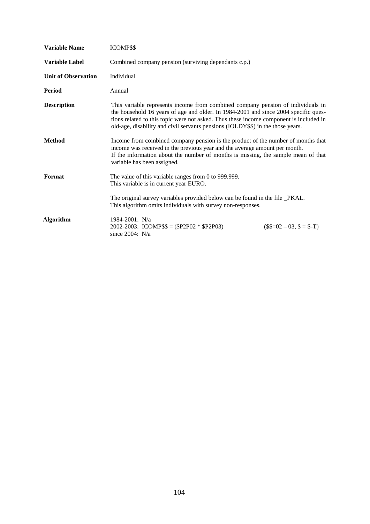| <b>Variable Name</b>       | <b>ICOMP\$\$</b>                                                                                                                                                                                                                                                                                                                                    |                        |
|----------------------------|-----------------------------------------------------------------------------------------------------------------------------------------------------------------------------------------------------------------------------------------------------------------------------------------------------------------------------------------------------|------------------------|
| <b>Variable Label</b>      | Combined company pension (surviving dependants c.p.)                                                                                                                                                                                                                                                                                                |                        |
| <b>Unit of Observation</b> | Individual                                                                                                                                                                                                                                                                                                                                          |                        |
| Period                     | Annual                                                                                                                                                                                                                                                                                                                                              |                        |
| <b>Description</b>         | This variable represents income from combined company pension of individuals in<br>the household 16 years of age and older. In 1984-2001 and since 2004 specific ques-<br>tions related to this topic were not asked. Thus these income component is included in<br>old-age, disability and civil servants pensions (IOLDY\$\$) in the those years. |                        |
| <b>Method</b>              | Income from combined company pension is the product of the number of months that<br>income was received in the previous year and the average amount per month.<br>If the information about the number of months is missing, the sample mean of that<br>variable has been assigned.                                                                  |                        |
| Format                     | The value of this variable ranges from 0 to 999.999.<br>This variable is in current year EURO.                                                                                                                                                                                                                                                      |                        |
|                            | The original survey variables provided below can be found in the file _PKAL.<br>This algorithm omits individuals with survey non-responses.                                                                                                                                                                                                         |                        |
| <b>Algorithm</b>           | 1984-2001: N/a<br>2002-2003: ICOMP\$\$ = $(\$P2P02 * \$P2P03)$<br>since $2004$ : N/a                                                                                                                                                                                                                                                                | $($=02 - 03, $ = S-T)$ |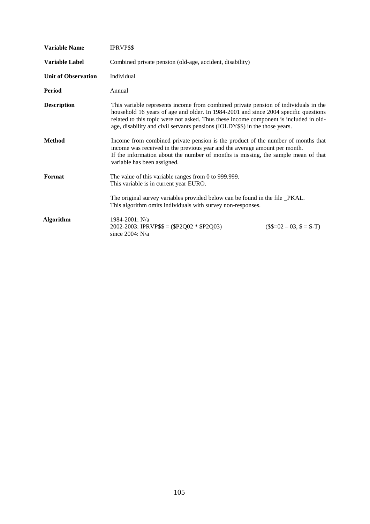| <b>Variable Name</b>       | IPRVP\$\$                                                                                                                                                                                                                                                                                                                                          |                        |
|----------------------------|----------------------------------------------------------------------------------------------------------------------------------------------------------------------------------------------------------------------------------------------------------------------------------------------------------------------------------------------------|------------------------|
| <b>Variable Label</b>      | Combined private pension (old-age, accident, disability)                                                                                                                                                                                                                                                                                           |                        |
| <b>Unit of Observation</b> | Individual                                                                                                                                                                                                                                                                                                                                         |                        |
| Period                     | Annual                                                                                                                                                                                                                                                                                                                                             |                        |
| <b>Description</b>         | This variable represents income from combined private pension of individuals in the<br>household 16 years of age and older. In 1984-2001 and since 2004 specific questions<br>related to this topic were not asked. Thus these income component is included in old-<br>age, disability and civil servants pensions (IOLDY\$\$) in the those years. |                        |
| <b>Method</b>              | Income from combined private pension is the product of the number of months that<br>income was received in the previous year and the average amount per month.<br>If the information about the number of months is missing, the sample mean of that<br>variable has been assigned.                                                                 |                        |
| Format                     | The value of this variable ranges from 0 to 999.999.<br>This variable is in current year EURO.                                                                                                                                                                                                                                                     |                        |
|                            | The original survey variables provided below can be found in the file _PKAL.<br>This algorithm omits individuals with survey non-responses.                                                                                                                                                                                                        |                        |
| <b>Algorithm</b>           | 1984-2001: N/a<br>2002-2003: IPRVP\$\$ = $(\$P2Q02 * \$P2Q03)$<br>since $2004$ : N/a                                                                                                                                                                                                                                                               | $($=02 - 03, $ = S-T)$ |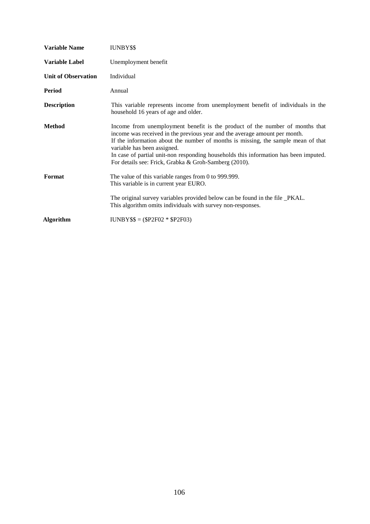| Variable Name              | <b>IUNBY\$\$</b>                                                                                                                                                                                                                                                                                                                                                                                                                |
|----------------------------|---------------------------------------------------------------------------------------------------------------------------------------------------------------------------------------------------------------------------------------------------------------------------------------------------------------------------------------------------------------------------------------------------------------------------------|
| <b>Variable Label</b>      | Unemployment benefit                                                                                                                                                                                                                                                                                                                                                                                                            |
| <b>Unit of Observation</b> | Individual                                                                                                                                                                                                                                                                                                                                                                                                                      |
| Period                     | Annual                                                                                                                                                                                                                                                                                                                                                                                                                          |
| <b>Description</b>         | This variable represents income from unemployment benefit of individuals in the<br>household 16 years of age and older.                                                                                                                                                                                                                                                                                                         |
| <b>Method</b>              | Income from unemployment benefit is the product of the number of months that<br>income was received in the previous year and the average amount per month.<br>If the information about the number of months is missing, the sample mean of that<br>variable has been assigned.<br>In case of partial unit-non responding households this information has been imputed.<br>For details see: Frick, Grabka & Groh-Samberg (2010). |
| Format                     | The value of this variable ranges from 0 to 999.999.<br>This variable is in current year EURO.                                                                                                                                                                                                                                                                                                                                  |
|                            | The original survey variables provided below can be found in the file _PKAL.<br>This algorithm omits individuals with survey non-responses.                                                                                                                                                                                                                                                                                     |
| Algorithm                  | $IUNBY$ \$\$ = (\$P2F02 * \$P2F03)                                                                                                                                                                                                                                                                                                                                                                                              |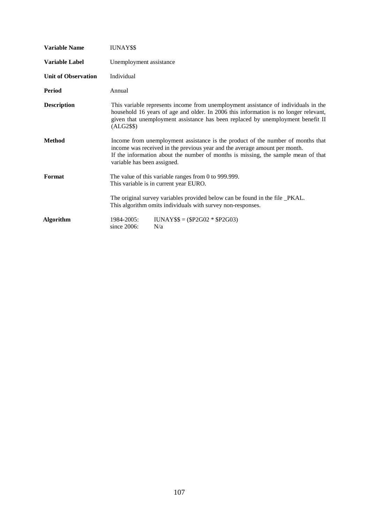| <b>Variable Name</b>       | IUNAY\$\$                                                                                                                                                                                                                                                                         |
|----------------------------|-----------------------------------------------------------------------------------------------------------------------------------------------------------------------------------------------------------------------------------------------------------------------------------|
| <b>Variable Label</b>      | Unemployment assistance                                                                                                                                                                                                                                                           |
| <b>Unit of Observation</b> | Individual                                                                                                                                                                                                                                                                        |
| <b>Period</b>              | Annual                                                                                                                                                                                                                                                                            |
| <b>Description</b>         | This variable represents income from unemployment assistance of individuals in the<br>household 16 years of age and older. In 2006 this information is no longer relevant,<br>given that unemployment assistance has been replaced by unemployment benefit II<br>$(ALG2$ \$\$ $)$ |
| <b>Method</b>              | Income from unemployment assistance is the product of the number of months that<br>income was received in the previous year and the average amount per month.<br>If the information about the number of months is missing, the sample mean of that<br>variable has been assigned. |
| Format                     | The value of this variable ranges from 0 to 999.999.<br>This variable is in current year EURO.                                                                                                                                                                                    |
|                            | The original survey variables provided below can be found in the file _PKAL.<br>This algorithm omits individuals with survey non-responses.                                                                                                                                       |
| <b>Algorithm</b>           | $IUNAY$ \$\$ = (\$P2G02 * \$P2G03)<br>1984-2005:<br>since 2006:<br>N/a                                                                                                                                                                                                            |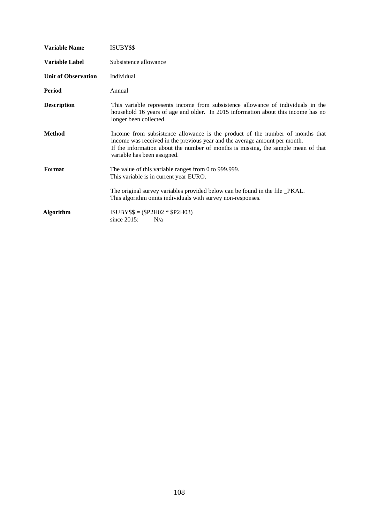| <b>Variable Name</b>       | ISUBY\$\$                                                                                                                                                                                                                                                                       |
|----------------------------|---------------------------------------------------------------------------------------------------------------------------------------------------------------------------------------------------------------------------------------------------------------------------------|
| <b>Variable Label</b>      | Subsistence allowance                                                                                                                                                                                                                                                           |
| <b>Unit of Observation</b> | Individual                                                                                                                                                                                                                                                                      |
| Period                     | Annual                                                                                                                                                                                                                                                                          |
| <b>Description</b>         | This variable represents income from subsistence allowance of individuals in the<br>household 16 years of age and older. In 2015 information about this income has no<br>longer been collected.                                                                                 |
| <b>Method</b>              | Income from subsistence allowance is the product of the number of months that<br>income was received in the previous year and the average amount per month.<br>If the information about the number of months is missing, the sample mean of that<br>variable has been assigned. |
| Format                     | The value of this variable ranges from 0 to 999.999.<br>This variable is in current year EURO.                                                                                                                                                                                  |
|                            | The original survey variables provided below can be found in the file _PKAL.<br>This algorithm omits individuals with survey non-responses.                                                                                                                                     |
| Algorithm                  | $ISUBY$ \$\$ = (\$P2H02 * \$P2H03)<br>since $2015$ :<br>N/a                                                                                                                                                                                                                     |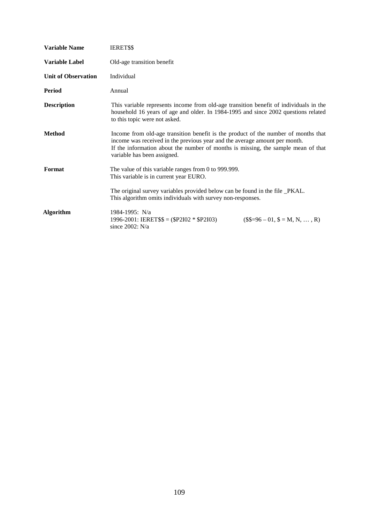| <b>Variable Name</b>       | <b>IERET\$\$</b>                                                                                                                                                                                                                                                                     |
|----------------------------|--------------------------------------------------------------------------------------------------------------------------------------------------------------------------------------------------------------------------------------------------------------------------------------|
| <b>Variable Label</b>      | Old-age transition benefit                                                                                                                                                                                                                                                           |
| <b>Unit of Observation</b> | Individual                                                                                                                                                                                                                                                                           |
| <b>Period</b>              | Annual                                                                                                                                                                                                                                                                               |
| <b>Description</b>         | This variable represents income from old-age transition benefit of individuals in the<br>household 16 years of age and older. In 1984-1995 and since 2002 questions related<br>to this topic were not asked.                                                                         |
| <b>Method</b>              | Income from old-age transition benefit is the product of the number of months that<br>income was received in the previous year and the average amount per month.<br>If the information about the number of months is missing, the sample mean of that<br>variable has been assigned. |
| Format                     | The value of this variable ranges from 0 to 999.999.<br>This variable is in current year EURO.                                                                                                                                                                                       |
|                            | The original survey variables provided below can be found in the file _PKAL.<br>This algorithm omits individuals with survey non-responses.                                                                                                                                          |
| <b>Algorithm</b>           | 1984-1995: N/a<br>$1996-2001$ : IERET\$\$ = (\$P2I02 * \$P2I03)<br>$($=96-01, $=M, N, , R)$<br>since $2002$ : N/a                                                                                                                                                                    |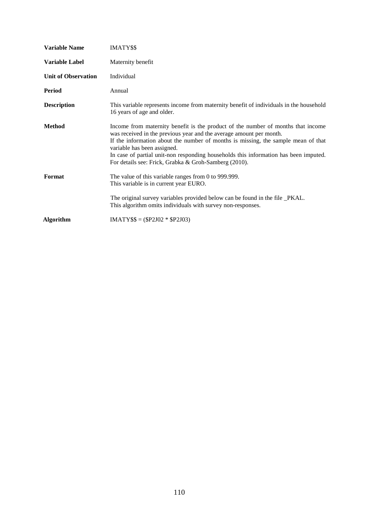| <b>Variable Name</b>       | IMATY\$\$                                                                                                                                                                                                                                                                                                                                                                                                                    |
|----------------------------|------------------------------------------------------------------------------------------------------------------------------------------------------------------------------------------------------------------------------------------------------------------------------------------------------------------------------------------------------------------------------------------------------------------------------|
| <b>Variable Label</b>      | Maternity benefit                                                                                                                                                                                                                                                                                                                                                                                                            |
| <b>Unit of Observation</b> | Individual                                                                                                                                                                                                                                                                                                                                                                                                                   |
| Period                     | Annual                                                                                                                                                                                                                                                                                                                                                                                                                       |
| <b>Description</b>         | This variable represents income from maternity benefit of individuals in the household<br>16 years of age and older.                                                                                                                                                                                                                                                                                                         |
| <b>Method</b>              | Income from maternity benefit is the product of the number of months that income<br>was received in the previous year and the average amount per month.<br>If the information about the number of months is missing, the sample mean of that<br>variable has been assigned.<br>In case of partial unit-non responding households this information has been imputed.<br>For details see: Frick, Grabka & Groh-Samberg (2010). |
| Format                     | The value of this variable ranges from 0 to 999.999.<br>This variable is in current year EURO.                                                                                                                                                                                                                                                                                                                               |
|                            | The original survey variables provided below can be found in the file _PKAL.<br>This algorithm omits individuals with survey non-responses.                                                                                                                                                                                                                                                                                  |
| <b>Algorithm</b>           | $IMATY$ \$\$ = (\$P2J02 * \$P2J03)                                                                                                                                                                                                                                                                                                                                                                                           |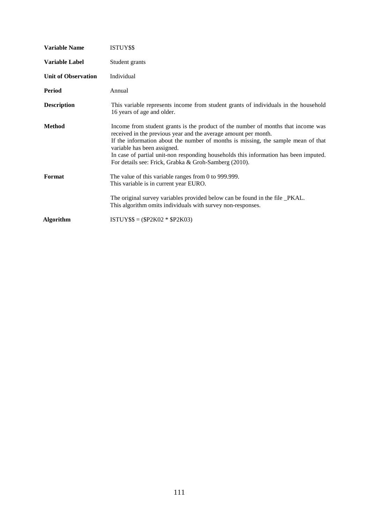| <b>Variable Name</b>       | ISTUY\$\$                                                                                                                                                                                                                                                                                                                                                                                                                 |
|----------------------------|---------------------------------------------------------------------------------------------------------------------------------------------------------------------------------------------------------------------------------------------------------------------------------------------------------------------------------------------------------------------------------------------------------------------------|
| <b>Variable Label</b>      | Student grants                                                                                                                                                                                                                                                                                                                                                                                                            |
| <b>Unit of Observation</b> | Individual                                                                                                                                                                                                                                                                                                                                                                                                                |
| Period                     | Annual                                                                                                                                                                                                                                                                                                                                                                                                                    |
| <b>Description</b>         | This variable represents income from student grants of individuals in the household<br>16 years of age and older.                                                                                                                                                                                                                                                                                                         |
| <b>Method</b>              | Income from student grants is the product of the number of months that income was<br>received in the previous year and the average amount per month.<br>If the information about the number of months is missing, the sample mean of that<br>variable has been assigned.<br>In case of partial unit-non responding households this information has been imputed.<br>For details see: Frick, Grabka & Groh-Samberg (2010). |
| Format                     | The value of this variable ranges from 0 to 999.999.<br>This variable is in current year EURO.                                                                                                                                                                                                                                                                                                                            |
|                            | The original survey variables provided below can be found in the file _PKAL.<br>This algorithm omits individuals with survey non-responses.                                                                                                                                                                                                                                                                               |
| <b>Algorithm</b>           | $ISTUY$ \$\$ = (\$P2K02 * \$P2K03)                                                                                                                                                                                                                                                                                                                                                                                        |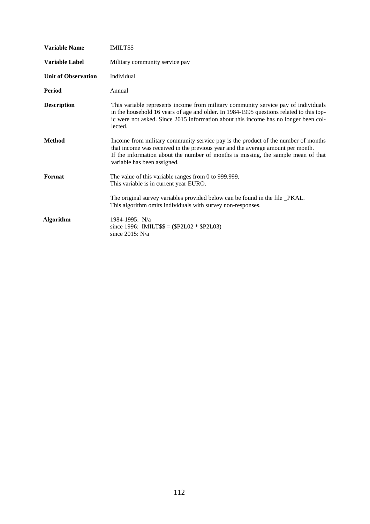| <b>Variable Name</b>       | IMILT\$\$                                                                                                                                                                                                                                                                                |
|----------------------------|------------------------------------------------------------------------------------------------------------------------------------------------------------------------------------------------------------------------------------------------------------------------------------------|
| Variable Label             | Military community service pay                                                                                                                                                                                                                                                           |
| <b>Unit of Observation</b> | Individual                                                                                                                                                                                                                                                                               |
| <b>Period</b>              | Annual                                                                                                                                                                                                                                                                                   |
| <b>Description</b>         | This variable represents income from military community service pay of individuals<br>in the household 16 years of age and older. In 1984-1995 questions related to this top-<br>ic were not asked. Since 2015 information about this income has no longer been col-<br>lected.          |
| <b>Method</b>              | Income from military community service pay is the product of the number of months<br>that income was received in the previous year and the average amount per month.<br>If the information about the number of months is missing, the sample mean of that<br>variable has been assigned. |
| Format                     | The value of this variable ranges from 0 to 999.999.<br>This variable is in current year EURO.                                                                                                                                                                                           |
|                            | The original survey variables provided below can be found in the file _PKAL.<br>This algorithm omits individuals with survey non-responses.                                                                                                                                              |
| <b>Algorithm</b>           | 1984-1995: N/a<br>since 1996: IMILT\$\$ = $(\$P2L02 * \$P2L03)$<br>since $2015$ : N/a                                                                                                                                                                                                    |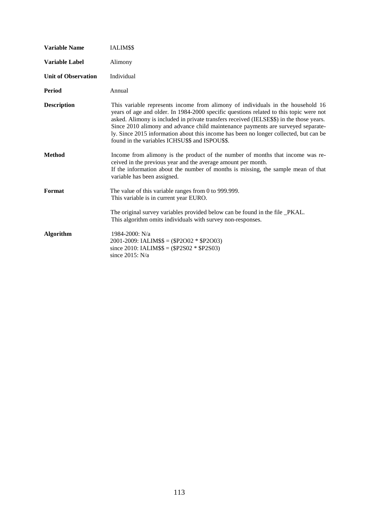| <b>Variable Name</b>       | IALIM\$\$                                                                                                                                                                                                                                                                                                                                                                                                                                                                                             |
|----------------------------|-------------------------------------------------------------------------------------------------------------------------------------------------------------------------------------------------------------------------------------------------------------------------------------------------------------------------------------------------------------------------------------------------------------------------------------------------------------------------------------------------------|
| <b>Variable Label</b>      | Alimony                                                                                                                                                                                                                                                                                                                                                                                                                                                                                               |
| <b>Unit of Observation</b> | Individual                                                                                                                                                                                                                                                                                                                                                                                                                                                                                            |
| <b>Period</b>              | Annual                                                                                                                                                                                                                                                                                                                                                                                                                                                                                                |
| <b>Description</b>         | This variable represents income from alimony of individuals in the household 16<br>years of age and older. In 1984-2000 specific questions related to this topic were not<br>asked. Alimony is included in private transfers received (IELSE\$\$) in the those years.<br>Since 2010 alimony and advance child maintenance payments are surveyed separate-<br>ly. Since 2015 information about this income has been no longer collected, but can be<br>found in the variables ICHSU\$\$ and ISPOU\$\$. |
| <b>Method</b>              | Income from alimony is the product of the number of months that income was re-<br>ceived in the previous year and the average amount per month.<br>If the information about the number of months is missing, the sample mean of that<br>variable has been assigned.                                                                                                                                                                                                                                   |
| Format                     | The value of this variable ranges from 0 to 999.999.<br>This variable is in current year EURO.                                                                                                                                                                                                                                                                                                                                                                                                        |
|                            | The original survey variables provided below can be found in the file _PKAL.<br>This algorithm omits individuals with survey non-responses.                                                                                                                                                                                                                                                                                                                                                           |
| <b>Algorithm</b>           | 1984-2000: N/a<br>$2001 - 2009$ : IALIM\$\$ = (\$P2O02 * \$P2O03)<br>since 2010: IALIM\$\$ = $(\$P2S02 * \$P2S03)$<br>since $2015$ : N/a                                                                                                                                                                                                                                                                                                                                                              |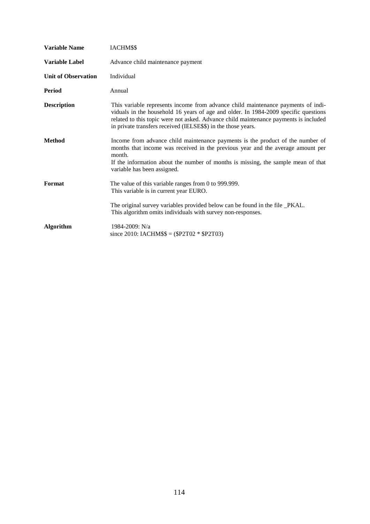| <b>Variable Name</b>       | IACHM\$\$                                                                                                                                                                                                                                                                                                                        |
|----------------------------|----------------------------------------------------------------------------------------------------------------------------------------------------------------------------------------------------------------------------------------------------------------------------------------------------------------------------------|
| <b>Variable Label</b>      | Advance child maintenance payment                                                                                                                                                                                                                                                                                                |
| <b>Unit of Observation</b> | Individual                                                                                                                                                                                                                                                                                                                       |
| Period                     | Annual                                                                                                                                                                                                                                                                                                                           |
| <b>Description</b>         | This variable represents income from advance child maintenance payments of indi-<br>viduals in the household 16 years of age and older. In 1984-2009 specific questions<br>related to this topic were not asked. Advance child maintenance payments is included<br>in private transfers received (IELSE\$\$) in the those years. |
| <b>Method</b>              | Income from advance child maintenance payments is the product of the number of<br>months that income was received in the previous year and the average amount per<br>month.<br>If the information about the number of months is missing, the sample mean of that<br>variable has been assigned.                                  |
| Format                     | The value of this variable ranges from 0 to 999.999.<br>This variable is in current year EURO.<br>The original survey variables provided below can be found in the file _PKAL.                                                                                                                                                   |
|                            | This algorithm omits individuals with survey non-responses.                                                                                                                                                                                                                                                                      |
| <b>Algorithm</b>           | 1984-2009: N/a<br>since 2010: IACHM\$\$ = $(\$P2T02 * \$P2T03)$                                                                                                                                                                                                                                                                  |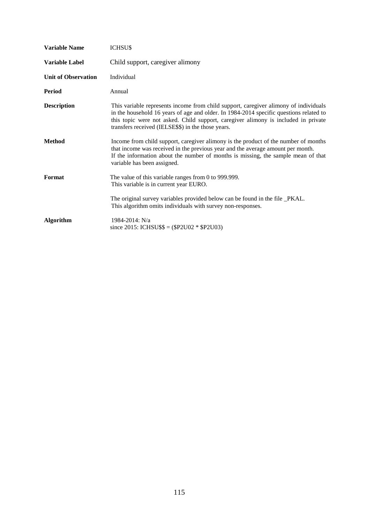| <b>Variable Name</b>       | <b>ICHSUS</b>                                                                                                                                                                                                                                                                                                              |
|----------------------------|----------------------------------------------------------------------------------------------------------------------------------------------------------------------------------------------------------------------------------------------------------------------------------------------------------------------------|
| <b>Variable Label</b>      | Child support, caregiver alimony                                                                                                                                                                                                                                                                                           |
| <b>Unit of Observation</b> | Individual                                                                                                                                                                                                                                                                                                                 |
| Period                     | Annual                                                                                                                                                                                                                                                                                                                     |
| <b>Description</b>         | This variable represents income from child support, caregiver alimony of individuals<br>in the household 16 years of age and older. In 1984-2014 specific questions related to<br>this topic were not asked. Child support, caregiver alimony is included in private<br>transfers received (IELSE\$\$) in the those years. |
| <b>Method</b>              | Income from child support, caregiver alimony is the product of the number of months<br>that income was received in the previous year and the average amount per month.<br>If the information about the number of months is missing, the sample mean of that<br>variable has been assigned.                                 |
| Format                     | The value of this variable ranges from 0 to 999.999.<br>This variable is in current year EURO.                                                                                                                                                                                                                             |
|                            | The original survey variables provided below can be found in the file _PKAL.<br>This algorithm omits individuals with survey non-responses.                                                                                                                                                                                |
| <b>Algorithm</b>           | 1984-2014: N/a<br>since 2015: ICHSU\$\$ = $(\$P2U02 * \$P2U03)$                                                                                                                                                                                                                                                            |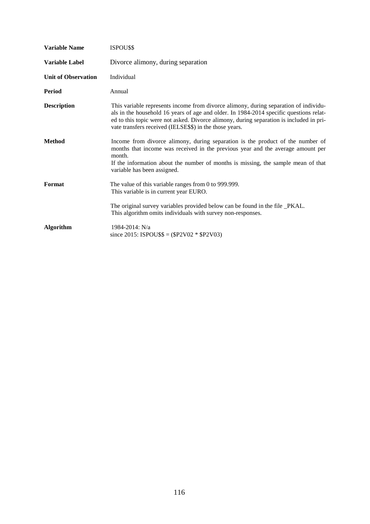| <b>Variable Name</b>       | ISPOU\$\$                                                                                                                                                                                                                                                                                                                            |
|----------------------------|--------------------------------------------------------------------------------------------------------------------------------------------------------------------------------------------------------------------------------------------------------------------------------------------------------------------------------------|
| <b>Variable Label</b>      | Divorce alimony, during separation                                                                                                                                                                                                                                                                                                   |
| <b>Unit of Observation</b> | Individual                                                                                                                                                                                                                                                                                                                           |
| Period                     | Annual                                                                                                                                                                                                                                                                                                                               |
| <b>Description</b>         | This variable represents income from divorce alimony, during separation of individu-<br>als in the household 16 years of age and older. In 1984-2014 specific questions relat-<br>ed to this topic were not asked. Divorce alimony, during separation is included in pri-<br>vate transfers received (IELSE\$\$) in the those years. |
| <b>Method</b>              | Income from divorce alimony, during separation is the product of the number of<br>months that income was received in the previous year and the average amount per<br>month.<br>If the information about the number of months is missing, the sample mean of that<br>variable has been assigned.                                      |
| Format                     | The value of this variable ranges from 0 to 999.999.<br>This variable is in current year EURO.<br>The original survey variables provided below can be found in the file _PKAL.<br>This algorithm omits individuals with survey non-responses.                                                                                        |
| <b>Algorithm</b>           | 1984-2014: N/a<br>since 2015: ISPOU\$\$ = $(\$P2V02 * \$P2V03)$                                                                                                                                                                                                                                                                      |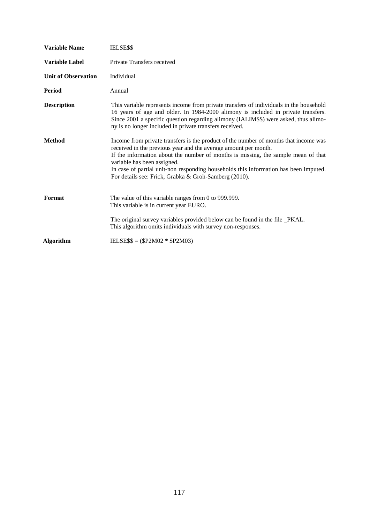| <b>Variable Name</b>       | <b>IELSESS</b>                                                                                                                                                                                                                                                                                                                                                                                                               |
|----------------------------|------------------------------------------------------------------------------------------------------------------------------------------------------------------------------------------------------------------------------------------------------------------------------------------------------------------------------------------------------------------------------------------------------------------------------|
| <b>Variable Label</b>      | Private Transfers received                                                                                                                                                                                                                                                                                                                                                                                                   |
| <b>Unit of Observation</b> | Individual                                                                                                                                                                                                                                                                                                                                                                                                                   |
| Period                     | Annual                                                                                                                                                                                                                                                                                                                                                                                                                       |
| <b>Description</b>         | This variable represents income from private transfers of individuals in the household<br>16 years of age and older. In 1984-2000 alimony is included in private transfers.<br>Since 2001 a specific question regarding alimony (IALIM\$\$) were asked, thus alimo-<br>ny is no longer included in private transfers received.                                                                                               |
| <b>Method</b>              | Income from private transfers is the product of the number of months that income was<br>received in the previous year and the average amount per month.<br>If the information about the number of months is missing, the sample mean of that<br>variable has been assigned.<br>In case of partial unit-non responding households this information has been imputed.<br>For details see: Frick, Grabka & Groh-Samberg (2010). |
| Format                     | The value of this variable ranges from 0 to 999.999.<br>This variable is in current year EURO.                                                                                                                                                                                                                                                                                                                               |
|                            | The original survey variables provided below can be found in the file _PKAL.<br>This algorithm omits individuals with survey non-responses.                                                                                                                                                                                                                                                                                  |
| <b>Algorithm</b>           | IELSE\$\$ = $(\$P2M02 * \$P2M03)$                                                                                                                                                                                                                                                                                                                                                                                            |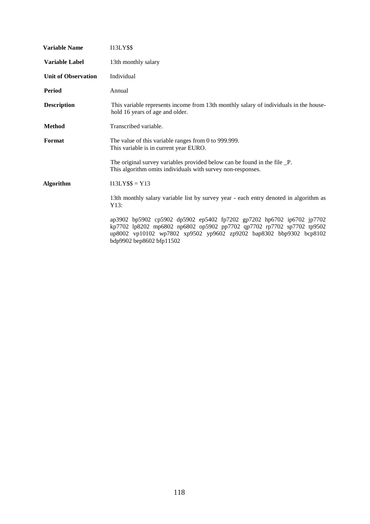| <b>Variable Name</b>       | <b>I13LY\$\$</b>                                                                                                                                                                                                                                 |
|----------------------------|--------------------------------------------------------------------------------------------------------------------------------------------------------------------------------------------------------------------------------------------------|
| <b>Variable Label</b>      | 13th monthly salary                                                                                                                                                                                                                              |
| <b>Unit of Observation</b> | Individual                                                                                                                                                                                                                                       |
| <b>Period</b>              | Annual                                                                                                                                                                                                                                           |
| <b>Description</b>         | This variable represents income from 13th monthly salary of individuals in the house-<br>hold 16 years of age and older.                                                                                                                         |
| <b>Method</b>              | Transcribed variable.                                                                                                                                                                                                                            |
| Format                     | The value of this variable ranges from 0 to 999.999.<br>This variable is in current year EURO.                                                                                                                                                   |
|                            | The original survey variables provided below can be found in the file _P.<br>This algorithm omits individuals with survey non-responses.                                                                                                         |
| <b>Algorithm</b>           | $I13LY$ \$\$ = Y13                                                                                                                                                                                                                               |
|                            | 13th monthly salary variable list by survey year - each entry denoted in algorithm as<br>Y13:                                                                                                                                                    |
|                            | ap3902 bp5902 cp5902 dp5902 ep5402 fp7202 gp7202 hp6702 ip6702 jp7702<br>kp7702 lp8202 mp6802 np6802 op5902 pp7702 qp7702 rp7702 sp7702 tp9502<br>up8002 vp10102 wp7802 xp9502 yp9602 zp9202 bap8302 bbp9302 bcp8102<br>bdp9902 bep8602 bfp11502 |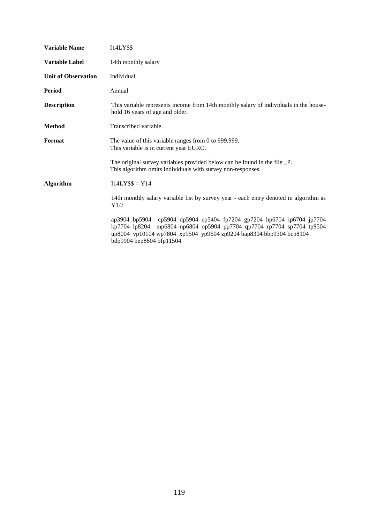| <b>Variable Name</b>       | <b>I14LY\$\$</b>                                                                                                                                                                                                                                 |
|----------------------------|--------------------------------------------------------------------------------------------------------------------------------------------------------------------------------------------------------------------------------------------------|
| <b>Variable Label</b>      | 14th monthly salary                                                                                                                                                                                                                              |
| <b>Unit of Observation</b> | Individual                                                                                                                                                                                                                                       |
| <b>Period</b>              | Annual                                                                                                                                                                                                                                           |
| <b>Description</b>         | This variable represents income from 14th monthly salary of individuals in the house-<br>hold 16 years of age and older.                                                                                                                         |
| <b>Method</b>              | Transcribed variable.                                                                                                                                                                                                                            |
| Format                     | The value of this variable ranges from 0 to 999.999.<br>This variable is in current year EURO.                                                                                                                                                   |
|                            | The original survey variables provided below can be found in the file _P.<br>This algorithm omits individuals with survey non-responses.                                                                                                         |
| <b>Algorithm</b>           | $I14LY$ \$\$ = Y14                                                                                                                                                                                                                               |
|                            | 14th monthly salary variable list by survey year - each entry denoted in algorithm as<br>Y14:                                                                                                                                                    |
|                            | ap3904 bp5904 cp5904 dp5904 ep5404 fp7204 gp7204 hp6704 ip6704 jp7704<br>kp7704 lp8204 mp6804 np6804 op5904 pp7704 qp7704 rp7704 sp7704 tp9504<br>up8004 vp10104 wp7804 xp9504 yp9604 zp9204 bap8304 bbp9304 bcp8104<br>bdp9904 bep8604 bfp11504 |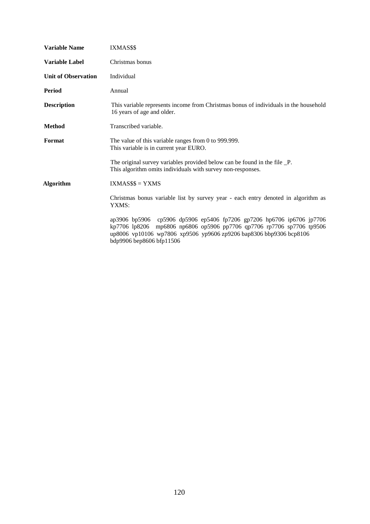| <b>Variable Name</b>       | IXMAS\$\$                                                                                                                                                                                                                                        |
|----------------------------|--------------------------------------------------------------------------------------------------------------------------------------------------------------------------------------------------------------------------------------------------|
| <b>Variable Label</b>      | Christmas bonus                                                                                                                                                                                                                                  |
| <b>Unit of Observation</b> | Individual                                                                                                                                                                                                                                       |
| Period                     | Annual                                                                                                                                                                                                                                           |
| <b>Description</b>         | This variable represents income from Christmas bonus of individuals in the household<br>16 years of age and older.                                                                                                                               |
| <b>Method</b>              | Transcribed variable.                                                                                                                                                                                                                            |
| Format                     | The value of this variable ranges from 0 to 999.999.<br>This variable is in current year EURO.                                                                                                                                                   |
|                            | The original survey variables provided below can be found in the file _P.<br>This algorithm omits individuals with survey non-responses.                                                                                                         |
| <b>Algorithm</b>           | $IXMASS$ = YXMS$                                                                                                                                                                                                                                 |
|                            | Christmas bonus variable list by survey year - each entry denoted in algorithm as<br>YXMS:                                                                                                                                                       |
|                            | ap3906 bp5906 cp5906 dp5906 ep5406 fp7206 gp7206 hp6706 ip6706 jp7706<br>kp7706 lp8206 mp6806 np6806 op5906 pp7706 qp7706 rp7706 sp7706 tp9506<br>up8006 vp10106 wp7806 xp9506 yp9606 zp9206 bap8306 bbp9306 bcp8106<br>bdp9906 bep8606 bfp11506 |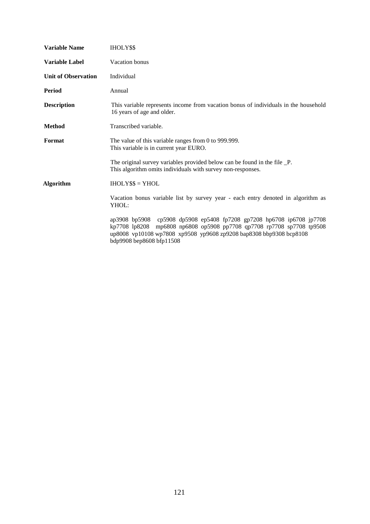| <b>Variable Name</b>       | <b>IHOLYSS</b>                                                                                                                                                                                                                                   |
|----------------------------|--------------------------------------------------------------------------------------------------------------------------------------------------------------------------------------------------------------------------------------------------|
| <b>Variable Label</b>      | Vacation bonus                                                                                                                                                                                                                                   |
| <b>Unit of Observation</b> | Individual                                                                                                                                                                                                                                       |
| <b>Period</b>              | Annual                                                                                                                                                                                                                                           |
| <b>Description</b>         | This variable represents income from vacation bonus of individuals in the household<br>16 years of age and older.                                                                                                                                |
| <b>Method</b>              | Transcribed variable.                                                                                                                                                                                                                            |
| Format                     | The value of this variable ranges from 0 to 999.999.<br>This variable is in current year EURO.                                                                                                                                                   |
|                            | The original survey variables provided below can be found in the file _P.<br>This algorithm omits individuals with survey non-responses.                                                                                                         |
| <b>Algorithm</b>           | $IHOLY$ \$\$ = YHOL                                                                                                                                                                                                                              |
|                            | Vacation bonus variable list by survey year - each entry denoted in algorithm as<br>YHOL:                                                                                                                                                        |
|                            | ap3908 bp5908 cp5908 dp5908 ep5408 fp7208 gp7208 hp6708 ip6708 jp7708<br>kp7708 lp8208 mp6808 np6808 op5908 pp7708 qp7708 rp7708 sp7708 tp9508<br>up8008 vp10108 wp7808 xp9508 yp9608 zp9208 bap8308 bbp9308 bcp8108<br>bdp9908 bep8608 bfp11508 |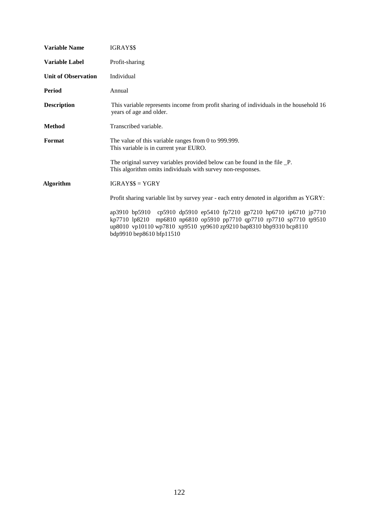| <b>Variable Name</b>       | IGRAY\$\$                                                                                                                                                                                                                                        |
|----------------------------|--------------------------------------------------------------------------------------------------------------------------------------------------------------------------------------------------------------------------------------------------|
| <b>Variable Label</b>      | Profit-sharing                                                                                                                                                                                                                                   |
| <b>Unit of Observation</b> | Individual                                                                                                                                                                                                                                       |
| <b>Period</b>              | Annual                                                                                                                                                                                                                                           |
| <b>Description</b>         | This variable represents income from profit sharing of individuals in the household 16<br>years of age and older.                                                                                                                                |
| <b>Method</b>              | Transcribed variable.                                                                                                                                                                                                                            |
| Format                     | The value of this variable ranges from 0 to 999.999.<br>This variable is in current year EURO.                                                                                                                                                   |
|                            | The original survey variables provided below can be found in the file _P.<br>This algorithm omits individuals with survey non-responses.                                                                                                         |
| <b>Algorithm</b>           | $IGRAY$ \$\$ = $YGRY$                                                                                                                                                                                                                            |
|                            | Profit sharing variable list by survey year - each entry denoted in algorithm as YGRY:                                                                                                                                                           |
|                            | ap3910 bp5910 cp5910 dp5910 ep5410 fp7210 gp7210 hp6710 ip6710 jp7710<br>kp7710 lp8210 mp6810 np6810 op5910 pp7710 qp7710 rp7710 sp7710 tp9510<br>up8010 vp10110 wp7810 xp9510 yp9610 zp9210 bap8310 bbp9310 bcp8110<br>bdp9910 bep8610 bfp11510 |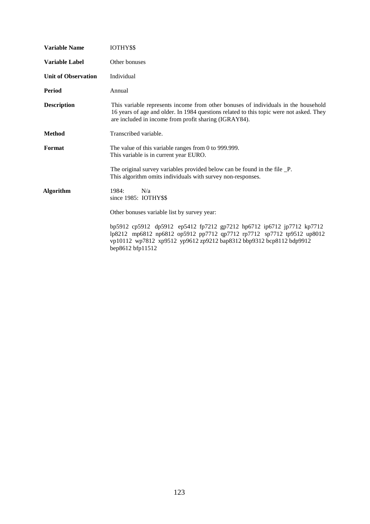| <b>Variable Name</b>       | IOTHY\$\$                                                                                                                                                                                                                                 |
|----------------------------|-------------------------------------------------------------------------------------------------------------------------------------------------------------------------------------------------------------------------------------------|
| <b>Variable Label</b>      | Other bonuses                                                                                                                                                                                                                             |
| <b>Unit of Observation</b> | Individual                                                                                                                                                                                                                                |
| Period                     | Annual                                                                                                                                                                                                                                    |
| <b>Description</b>         | This variable represents income from other bonuses of individuals in the household<br>16 years of age and older. In 1984 questions related to this topic were not asked. They<br>are included in income from profit sharing (IGRAY84).    |
| <b>Method</b>              | Transcribed variable.                                                                                                                                                                                                                     |
| Format                     | The value of this variable ranges from 0 to 999.999.<br>This variable is in current year EURO.                                                                                                                                            |
|                            | The original survey variables provided below can be found in the file _P.<br>This algorithm omits individuals with survey non-responses.                                                                                                  |
| <b>Algorithm</b>           | 1984:<br>N/a<br>since 1985: IOTHY\$\$                                                                                                                                                                                                     |
|                            | Other bonuses variable list by survey year:                                                                                                                                                                                               |
|                            | bp5912 cp5912 dp5912 ep5412 fp7212 gp7212 hp6712 ip6712 jp7712 kp7712<br>lp8212 mp6812 np6812 op5912 pp7712 qp7712 rp7712 sp7712 tp9512 up8012<br>vp10112 wp7812 xp9512 yp9612 zp9212 bap8312 bbp9312 bcp8112 bdp9912<br>bep8612 bfp11512 |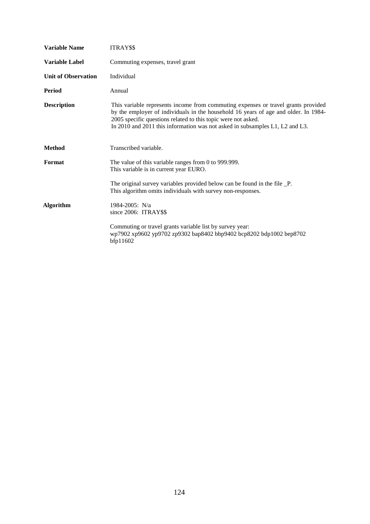| <b>Variable Name</b>       | ITRAY\$\$                                                                                                                                                                                                                                                                                                                 |
|----------------------------|---------------------------------------------------------------------------------------------------------------------------------------------------------------------------------------------------------------------------------------------------------------------------------------------------------------------------|
| <b>Variable Label</b>      | Commuting expenses, travel grant                                                                                                                                                                                                                                                                                          |
| <b>Unit of Observation</b> | Individual                                                                                                                                                                                                                                                                                                                |
| <b>Period</b>              | Annual                                                                                                                                                                                                                                                                                                                    |
| <b>Description</b>         | This variable represents income from commuting expenses or travel grants provided<br>by the employer of individuals in the household 16 years of age and older. In 1984-<br>2005 specific questions related to this topic were not asked.<br>In 2010 and 2011 this information was not asked in subsamples L1, L2 and L3. |
| <b>Method</b>              | Transcribed variable.                                                                                                                                                                                                                                                                                                     |
| Format                     | The value of this variable ranges from 0 to 999.999.<br>This variable is in current year EURO.                                                                                                                                                                                                                            |
|                            | The original survey variables provided below can be found in the file _P.<br>This algorithm omits individuals with survey non-responses.                                                                                                                                                                                  |
| <b>Algorithm</b>           | 1984-2005: N/a<br>since 2006: ITRAY\$\$                                                                                                                                                                                                                                                                                   |
|                            | Commuting or travel grants variable list by survey year:<br>wp7902 xp9602 yp9702 zp9302 bap8402 bbp9402 bcp8202 bdp1002 bep8702<br>bfp11602                                                                                                                                                                               |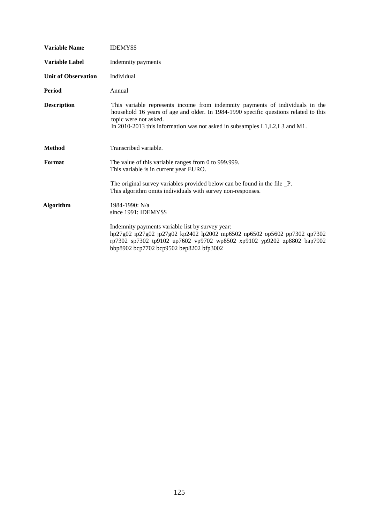| <b>Variable Name</b>       | <b>IDEMY\$\$</b>                                                                                                                                                                                                                                                               |
|----------------------------|--------------------------------------------------------------------------------------------------------------------------------------------------------------------------------------------------------------------------------------------------------------------------------|
| <b>Variable Label</b>      | Indemnity payments                                                                                                                                                                                                                                                             |
| <b>Unit of Observation</b> | Individual                                                                                                                                                                                                                                                                     |
| <b>Period</b>              | Annual                                                                                                                                                                                                                                                                         |
| <b>Description</b>         | This variable represents income from indemnity payments of individuals in the<br>household 16 years of age and older. In 1984-1990 specific questions related to this<br>topic were not asked.<br>In 2010-2013 this information was not asked in subsamples L1, L2, L3 and M1. |
| <b>Method</b>              | Transcribed variable.                                                                                                                                                                                                                                                          |
| Format                     | The value of this variable ranges from 0 to 999.999.<br>This variable is in current year EURO.                                                                                                                                                                                 |
|                            | The original survey variables provided below can be found in the file _P.<br>This algorithm omits individuals with survey non-responses.                                                                                                                                       |
| <b>Algorithm</b>           | 1984-1990: N/a<br>since 1991: IDEMY\$\$                                                                                                                                                                                                                                        |
|                            | Indemnity payments variable list by survey year:<br>hp27g02 ip27g02 jp27g02 kp2402 lp2002 mp6502 np6502 op5602 pp7302 qp7302<br>rp7302 sp7302 tp9102 up7602 vp9702 wp8502 xp9102 yp9202 zp8802 bap7902<br>bbp8902 bcp7702 bcp9502 bep8202 bfp3002                              |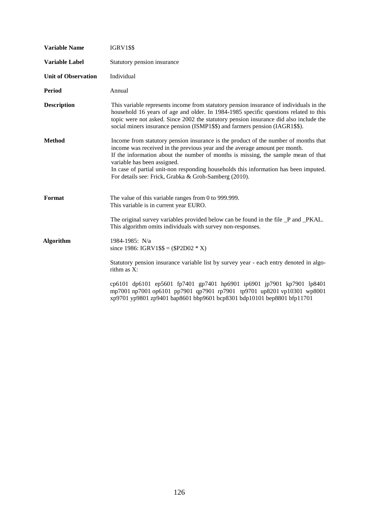| <b>Variable Name</b>       | <b>IGRV1\$\$</b>                                                                                                                                                                                                                                                                                                                                                                                                                       |
|----------------------------|----------------------------------------------------------------------------------------------------------------------------------------------------------------------------------------------------------------------------------------------------------------------------------------------------------------------------------------------------------------------------------------------------------------------------------------|
| <b>Variable Label</b>      | Statutory pension insurance                                                                                                                                                                                                                                                                                                                                                                                                            |
| <b>Unit of Observation</b> | Individual                                                                                                                                                                                                                                                                                                                                                                                                                             |
| <b>Period</b>              | Annual                                                                                                                                                                                                                                                                                                                                                                                                                                 |
| <b>Description</b>         | This variable represents income from statutory pension insurance of individuals in the<br>household 16 years of age and older. In 1984-1985 specific questions related to this<br>topic were not asked. Since 2002 the statutory pension insurance did also include the<br>social miners insurance pension (ISMP1\$\$) and farmers pension (IAGR1\$\$).                                                                                |
| <b>Method</b>              | Income from statutory pension insurance is the product of the number of months that<br>income was received in the previous year and the average amount per month.<br>If the information about the number of months is missing, the sample mean of that<br>variable has been assigned.<br>In case of partial unit-non responding households this information has been imputed.<br>For details see: Frick, Grabka & Groh-Samberg (2010). |
| Format                     | The value of this variable ranges from 0 to 999.999.<br>This variable is in current year EURO.                                                                                                                                                                                                                                                                                                                                         |
|                            | The original survey variables provided below can be found in the file _P and _PKAL.<br>This algorithm omits individuals with survey non-responses.                                                                                                                                                                                                                                                                                     |
| <b>Algorithm</b>           | 1984-1985: N/a<br>since 1986: IGRV1\$\$ = (\$P2D02 $*$ X)                                                                                                                                                                                                                                                                                                                                                                              |
|                            | Statutory pension insurance variable list by survey year - each entry denoted in algo-<br>rithm as X:                                                                                                                                                                                                                                                                                                                                  |
|                            | cp6101 dp6101 ep5601 fp7401 gp7401 hp6901 ip6901 jp7901 kp7901 lp8401<br>mp7001 np7001 op6101 pp7901 qp7901 rp7901 tp9701 up8201 vp10301 wp8001<br>xp9701 yp9801 zp9401 bap8601 bbp9601 bcp8301 bdp10101 bep8801 bfp11701                                                                                                                                                                                                              |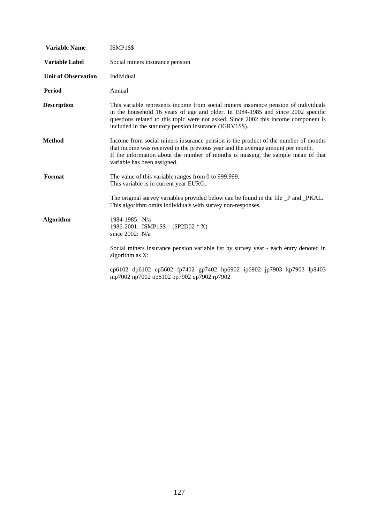| <b>Variable Name</b>       | <b>ISMP1\$\$</b>                                                                                                                                                                                                                                                                                                           |
|----------------------------|----------------------------------------------------------------------------------------------------------------------------------------------------------------------------------------------------------------------------------------------------------------------------------------------------------------------------|
| <b>Variable Label</b>      | Social miners insurance pension                                                                                                                                                                                                                                                                                            |
| <b>Unit of Observation</b> | Individual                                                                                                                                                                                                                                                                                                                 |
| <b>Period</b>              | Annual                                                                                                                                                                                                                                                                                                                     |
| <b>Description</b>         | This variable represents income from social miners insurance pension of individuals<br>in the household 16 years of age and older. In 1984-1985 and since 2002 specific<br>questions related to this topic were not asked. Since 2002 this income component is<br>included in the statutory pension insurance (IGRV1\$\$). |
| Method                     | Income from social miners insurance pension is the product of the number of months<br>that income was received in the previous year and the average amount per month.<br>If the information about the number of months is missing, the sample mean of that<br>variable has been assigned.                                  |
| Format                     | The value of this variable ranges from 0 to 999.999.<br>This variable is in current year EURO.                                                                                                                                                                                                                             |
|                            | The original survey variables provided below can be found in the file _P and _PKAL.<br>This algorithm omits individuals with survey non-responses.                                                                                                                                                                         |
| <b>Algorithm</b>           | 1984-1985: N/a<br>1986-2001: ISMP1\$\$ = (\$P2D02 $*$ X)<br>since 2002: N/a                                                                                                                                                                                                                                                |
|                            | Social miners insurance pension variable list by survey year - each entry denoted in<br>algorithm as X:                                                                                                                                                                                                                    |
|                            | cp6102 dp6102 ep5602 fp7402 gp7402 hp6902 ip6902 jp7903 kp7903 lp8403<br>mp7002 np7002 op6102 pp7902 qp7902 rp7902                                                                                                                                                                                                         |
|                            |                                                                                                                                                                                                                                                                                                                            |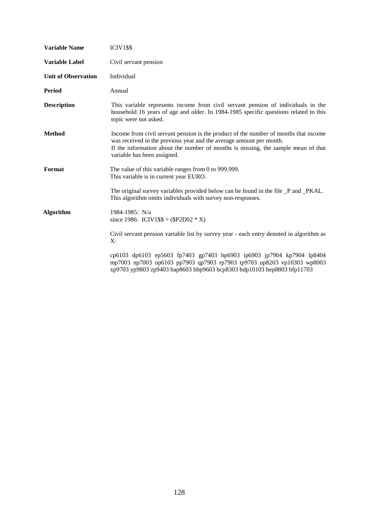| <b>Variable Name</b>       | <b>ICIV1\$\$</b>                                                                                                                                                                                                                                                                |
|----------------------------|---------------------------------------------------------------------------------------------------------------------------------------------------------------------------------------------------------------------------------------------------------------------------------|
| <b>Variable Label</b>      | Civil servant pension                                                                                                                                                                                                                                                           |
| <b>Unit of Observation</b> | Individual                                                                                                                                                                                                                                                                      |
| Period                     | Annual                                                                                                                                                                                                                                                                          |
| <b>Description</b>         | This variable represents income from civil servant pension of individuals in the<br>household 16 years of age and older. In 1984-1985 specific questions related to this<br>topic were not asked.                                                                               |
| <b>Method</b>              | Income from civil servant pension is the product of the number of months that income<br>was received in the previous year and the average amount per month.<br>If the information about the number of months is missing, the sample mean of that<br>variable has been assigned. |
| Format                     | The value of this variable ranges from 0 to 999.999.<br>This variable is in current year EURO.                                                                                                                                                                                  |
|                            | The original survey variables provided below can be found in the file _P and _PKAL.<br>This algorithm omits individuals with survey non-responses.                                                                                                                              |
| <b>Algorithm</b>           | 1984-1985: N/a<br>since 1986: ICIV1\$\$ = (\$P2D02 $*$ X)                                                                                                                                                                                                                       |
|                            | Civil servant pension variable list by survey year - each entry denoted in algorithm as<br>X:                                                                                                                                                                                   |
|                            | cp6103 dp6103 ep5603 fp7403 gp7403 hp6903 ip6903 jp7904 kp7904 lp8404<br>mp7003 np7003 op6103 pp7903 qp7903 rp7903 tp9703 up8203 vp10303 wp8003<br>xp9703 yp9803 zp9403 bap8603 bbp9603 bcp8303 bdp10103 bep8803 bfp11703                                                       |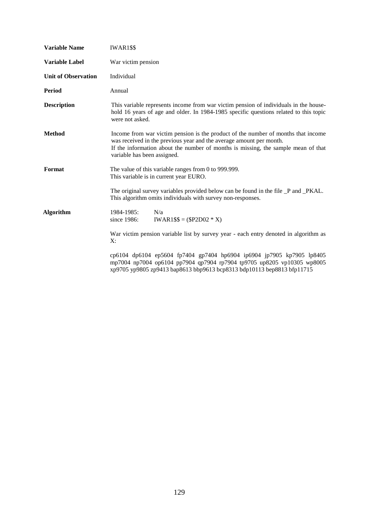| <b>Variable Name</b>       | IWAR1\$\$                                                                                                                                                                                                                                                                    |
|----------------------------|------------------------------------------------------------------------------------------------------------------------------------------------------------------------------------------------------------------------------------------------------------------------------|
| <b>Variable Label</b>      | War victim pension                                                                                                                                                                                                                                                           |
| <b>Unit of Observation</b> | Individual                                                                                                                                                                                                                                                                   |
| <b>Period</b>              | Annual                                                                                                                                                                                                                                                                       |
| <b>Description</b>         | This variable represents income from war victim pension of individuals in the house-<br>hold 16 years of age and older. In 1984-1985 specific questions related to this topic<br>were not asked.                                                                             |
| <b>Method</b>              | Income from war victim pension is the product of the number of months that income<br>was received in the previous year and the average amount per month.<br>If the information about the number of months is missing, the sample mean of that<br>variable has been assigned. |
| Format                     | The value of this variable ranges from 0 to 999.999.<br>This variable is in current year EURO.                                                                                                                                                                               |
|                            | The original survey variables provided below can be found in the file _P and _PKAL.<br>This algorithm omits individuals with survey non-responses.                                                                                                                           |
| <b>Algorithm</b>           | N/a<br>1984-1985:<br>since 1986:<br>$IWAR1$ \$\$ = (\$P2D02 * X)                                                                                                                                                                                                             |
|                            | War victim pension variable list by survey year - each entry denoted in algorithm as<br>X:                                                                                                                                                                                   |
|                            | cp6104 dp6104 ep5604 fp7404 gp7404 hp6904 ip6904 jp7905 kp7905 lp8405<br>mp7004 np7004 op6104 pp7904 qp7904 rp7904 tp9705 up8205 vp10305 wp8005<br>xp9705 yp9805 zp9413 bap8613 bbp9613 bcp8313 bdp10113 bep8813 bfp11715                                                    |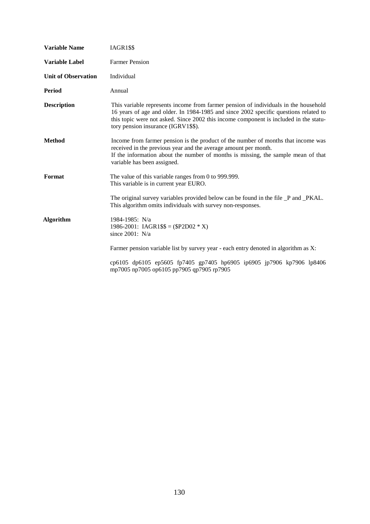| <b>Variable Name</b>       | IAGR1\$\$                                                                                                                                                                                                                                                                                                   |
|----------------------------|-------------------------------------------------------------------------------------------------------------------------------------------------------------------------------------------------------------------------------------------------------------------------------------------------------------|
| <b>Variable Label</b>      | <b>Farmer Pension</b>                                                                                                                                                                                                                                                                                       |
| <b>Unit of Observation</b> | Individual                                                                                                                                                                                                                                                                                                  |
| Period                     | Annual                                                                                                                                                                                                                                                                                                      |
| <b>Description</b>         | This variable represents income from farmer pension of individuals in the household<br>16 years of age and older. In 1984-1985 and since 2002 specific questions related to<br>this topic were not asked. Since 2002 this income component is included in the statu-<br>tory pension insurance (IGRV1\$\$). |
| <b>Method</b>              | Income from farmer pension is the product of the number of months that income was<br>received in the previous year and the average amount per month.<br>If the information about the number of months is missing, the sample mean of that<br>variable has been assigned.                                    |
| Format                     | The value of this variable ranges from 0 to 999.999.<br>This variable is in current year EURO.                                                                                                                                                                                                              |
|                            | The original survey variables provided below can be found in the file _P and _PKAL.<br>This algorithm omits individuals with survey non-responses.                                                                                                                                                          |
| Algorithm                  | 1984-1985: N/a<br>1986-2001: IAGR1\$\$ = (\$P2D02 $*$ X)<br>since $2001$ : N/a                                                                                                                                                                                                                              |
|                            | Farmer pension variable list by survey year - each entry denoted in algorithm as X:                                                                                                                                                                                                                         |
|                            | cp6105 dp6105 ep5605 fp7405 gp7405 hp6905 ip6905 jp7906 kp7906 lp8406<br>mp7005 np7005 op6105 pp7905 qp7905 rp7905                                                                                                                                                                                          |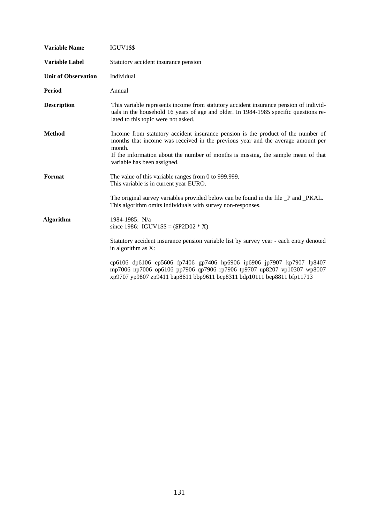| <b>Variable Name</b>       | <b>IGUV1\$\$</b>                                                                                                                                                                                                                                                                                  |
|----------------------------|---------------------------------------------------------------------------------------------------------------------------------------------------------------------------------------------------------------------------------------------------------------------------------------------------|
| <b>Variable Label</b>      | Statutory accident insurance pension                                                                                                                                                                                                                                                              |
| <b>Unit of Observation</b> | Individual                                                                                                                                                                                                                                                                                        |
| <b>Period</b>              | Annual                                                                                                                                                                                                                                                                                            |
| <b>Description</b>         | This variable represents income from statutory accident insurance pension of individ-<br>uals in the household 16 years of age and older. In 1984-1985 specific questions re-<br>lated to this topic were not asked.                                                                              |
| <b>Method</b>              | Income from statutory accident insurance pension is the product of the number of<br>months that income was received in the previous year and the average amount per<br>month.<br>If the information about the number of months is missing, the sample mean of that<br>variable has been assigned. |
| Format                     | The value of this variable ranges from 0 to 999.999.<br>This variable is in current year EURO.                                                                                                                                                                                                    |
|                            | The original survey variables provided below can be found in the file _P and _PKAL.<br>This algorithm omits individuals with survey non-responses.                                                                                                                                                |
| <b>Algorithm</b>           | 1984-1985: N/a<br>since 1986: IGUV1\$\$ = (\$P2D02 $*$ X)                                                                                                                                                                                                                                         |
|                            | Statutory accident insurance pension variable list by survey year - each entry denoted<br>in algorithm as X:                                                                                                                                                                                      |
|                            | cp6106 dp6106 ep5606 fp7406 gp7406 hp6906 ip6906 jp7907 kp7907 lp8407<br>mp7006 np7006 op6106 pp7906 qp7906 rp7906 tp9707 up8207 vp10307 wp8007<br>xp9707 yp9807 zp9411 bap8611 bbp9611 bcp8311 bdp10111 bep8811 bfp11713                                                                         |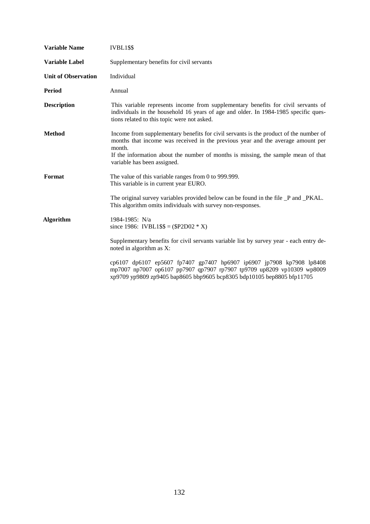| <b>Variable Name</b>       | IVBL1\$\$                                                                                                                                                                                                                                                                                              |
|----------------------------|--------------------------------------------------------------------------------------------------------------------------------------------------------------------------------------------------------------------------------------------------------------------------------------------------------|
| <b>Variable Label</b>      | Supplementary benefits for civil servants                                                                                                                                                                                                                                                              |
| <b>Unit of Observation</b> | Individual                                                                                                                                                                                                                                                                                             |
| Period                     | Annual                                                                                                                                                                                                                                                                                                 |
| <b>Description</b>         | This variable represents income from supplementary benefits for civil servants of<br>individuals in the household 16 years of age and older. In 1984-1985 specific ques-<br>tions related to this topic were not asked.                                                                                |
| <b>Method</b>              | Income from supplementary benefits for civil servants is the product of the number of<br>months that income was received in the previous year and the average amount per<br>month.<br>If the information about the number of months is missing, the sample mean of that<br>variable has been assigned. |
| Format                     | The value of this variable ranges from 0 to 999.999.<br>This variable is in current year EURO.                                                                                                                                                                                                         |
|                            | The original survey variables provided below can be found in the file _P and _PKAL.<br>This algorithm omits individuals with survey non-responses.                                                                                                                                                     |
| <b>Algorithm</b>           | 1984-1985: N/a<br>since 1986: IVBL1\$\$ = (\$P2D02 $*$ X)                                                                                                                                                                                                                                              |
|                            | Supplementary benefits for civil servants variable list by survey year - each entry de-<br>noted in algorithm as X:                                                                                                                                                                                    |
|                            | cp6107 dp6107 ep5607 fp7407 gp7407 hp6907 ip6907 jp7908 kp7908 lp8408<br>mp7007 np7007 op6107 pp7907 qp7907 rp7907 tp9709 up8209 vp10309 wp8009<br>xp9709 yp9809 zp9405 bap8605 bbp9605 bcp8305 bdp10105 bep8805 bfp11705                                                                              |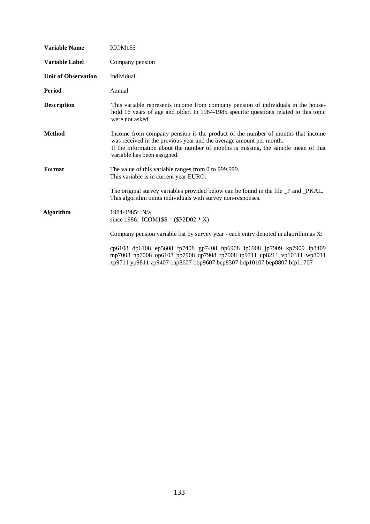| <b>Variable Name</b>       | ICOM1\$\$                                                                                                                                                                                                                                                                 |
|----------------------------|---------------------------------------------------------------------------------------------------------------------------------------------------------------------------------------------------------------------------------------------------------------------------|
| <b>Variable Label</b>      | Company pension                                                                                                                                                                                                                                                           |
| <b>Unit of Observation</b> | Individual                                                                                                                                                                                                                                                                |
| Period                     | Annual                                                                                                                                                                                                                                                                    |
| <b>Description</b>         | This variable represents income from company pension of individuals in the house-<br>hold 16 years of age and older. In 1984-1985 specific questions related to this topic<br>were not asked.                                                                             |
| <b>Method</b>              | Income from company pension is the product of the number of months that income<br>was received in the previous year and the average amount per month.<br>If the information about the number of months is missing, the sample mean of that<br>variable has been assigned. |
| Format                     | The value of this variable ranges from 0 to 999.999.<br>This variable is in current year EURO.                                                                                                                                                                            |
|                            | The original survey variables provided below can be found in the file _P and _PKAL.<br>This algorithm omits individuals with survey non-responses.                                                                                                                        |
| <b>Algorithm</b>           | 1984-1985: N/a<br>since 1986: ICOM1\$\$ = (\$P2D02 $*$ X)                                                                                                                                                                                                                 |
|                            | Company pension variable list by survey year - each entry denoted in algorithm as X:                                                                                                                                                                                      |
|                            | cp6108 dp6108 ep5608 fp7408 gp7408 hp6908 ip6908 jp7909 kp7909 lp8409<br>mp7008 np7008 op6108 pp7908 qp7908 rp7908 tp9711 up8211 vp10311 wp8011<br>xp9711 yp9811 zp9407 bap8607 bbp9607 bcp8307 bdp10107 bep8807 bfp11707                                                 |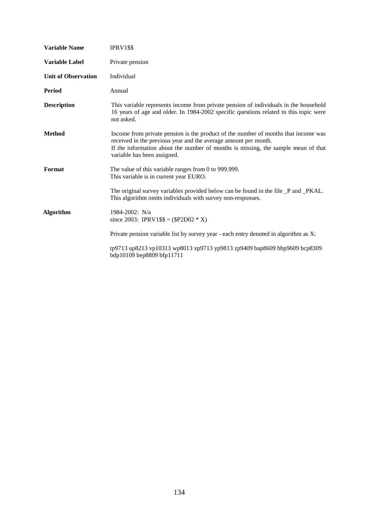| <b>Variable Name</b>       | IPRV1\$\$                                                                                                                                                                                                                                                                 |
|----------------------------|---------------------------------------------------------------------------------------------------------------------------------------------------------------------------------------------------------------------------------------------------------------------------|
| <b>Variable Label</b>      | Private pension                                                                                                                                                                                                                                                           |
| <b>Unit of Observation</b> | Individual                                                                                                                                                                                                                                                                |
| Period                     | Annual                                                                                                                                                                                                                                                                    |
| <b>Description</b>         | This variable represents income from private pension of individuals in the household<br>16 years of age and older. In 1984-2002 specific questions related to this topic were<br>not asked.                                                                               |
| <b>Method</b>              | Income from private pension is the product of the number of months that income was<br>received in the previous year and the average amount per month.<br>If the information about the number of months is missing, the sample mean of that<br>variable has been assigned. |
| Format                     | The value of this variable ranges from 0 to 999.999.<br>This variable is in current year EURO.                                                                                                                                                                            |
|                            | The original survey variables provided below can be found in the file _P and _PKAL.<br>This algorithm omits individuals with survey non-responses.                                                                                                                        |
| <b>Algorithm</b>           | 1984-2002: N/a<br>since 2003: IPRV1\$\$ = (\$P2D02 $*$ X)                                                                                                                                                                                                                 |
|                            | Private pension variable list by survey year - each entry denoted in algorithm as X:                                                                                                                                                                                      |
|                            | tp9713 up8213 vp10313 wp8013 xp9713 yp9813 zp9409 bap8609 bbp9609 bcp8309<br>bdp10109 bep8809 bfp11711                                                                                                                                                                    |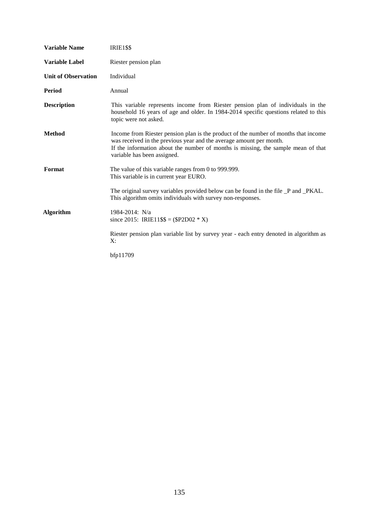| <b>Variable Name</b>       | <b>IRIE1\$\$</b>                                                                                                                                                                                                                                                               |
|----------------------------|--------------------------------------------------------------------------------------------------------------------------------------------------------------------------------------------------------------------------------------------------------------------------------|
| <b>Variable Label</b>      | Riester pension plan                                                                                                                                                                                                                                                           |
| <b>Unit of Observation</b> | Individual                                                                                                                                                                                                                                                                     |
| <b>Period</b>              | Annual                                                                                                                                                                                                                                                                         |
| <b>Description</b>         | This variable represents income from Riester pension plan of individuals in the<br>household 16 years of age and older. In 1984-2014 specific questions related to this<br>topic were not asked.                                                                               |
| <b>Method</b>              | Income from Riester pension plan is the product of the number of months that income<br>was received in the previous year and the average amount per month.<br>If the information about the number of months is missing, the sample mean of that<br>variable has been assigned. |
| Format                     | The value of this variable ranges from 0 to 999.999.<br>This variable is in current year EURO.                                                                                                                                                                                 |
|                            | The original survey variables provided below can be found in the file _P and _PKAL.<br>This algorithm omits individuals with survey non-responses.                                                                                                                             |
| Algorithm                  | 1984-2014: N/a<br>since 2015: IRIE11\$\$ = (\$P2D02 $*$ X)                                                                                                                                                                                                                     |
|                            | Riester pension plan variable list by survey year - each entry denoted in algorithm as<br>X:                                                                                                                                                                                   |
|                            | bfp11709                                                                                                                                                                                                                                                                       |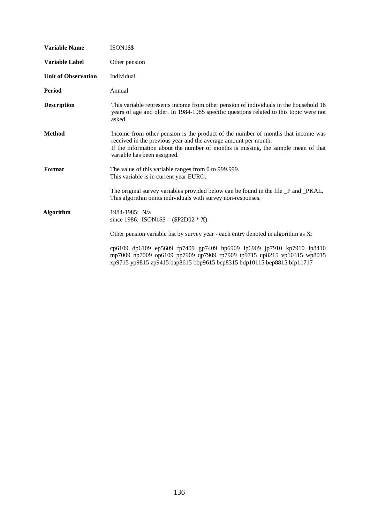| <b>Variable Name</b>       | <b>ISON1\$\$</b>                                                                                                                                                                                                                                                        |
|----------------------------|-------------------------------------------------------------------------------------------------------------------------------------------------------------------------------------------------------------------------------------------------------------------------|
| <b>Variable Label</b>      | Other pension                                                                                                                                                                                                                                                           |
| <b>Unit of Observation</b> | Individual                                                                                                                                                                                                                                                              |
| <b>Period</b>              | Annual                                                                                                                                                                                                                                                                  |
| <b>Description</b>         | This variable represents income from other pension of individuals in the household 16<br>years of age and older. In 1984-1985 specific questions related to this topic were not<br>asked.                                                                               |
| <b>Method</b>              | Income from other pension is the product of the number of months that income was<br>received in the previous year and the average amount per month.<br>If the information about the number of months is missing, the sample mean of that<br>variable has been assigned. |
| Format                     | The value of this variable ranges from 0 to 999.999.<br>This variable is in current year EURO.                                                                                                                                                                          |
|                            | The original survey variables provided below can be found in the file _P and _PKAL.<br>This algorithm omits individuals with survey non-responses.                                                                                                                      |
| <b>Algorithm</b>           | 1984-1985: N/a<br>since 1986: ISON1\$\$ = $(\$P2D02 * X)$                                                                                                                                                                                                               |
|                            | Other pension variable list by survey year - each entry denoted in algorithm as X:                                                                                                                                                                                      |
|                            | cp6109 dp6109 ep5609 fp7409 gp7409 hp6909 ip6909 jp7910 kp7910 lp8410<br>mp7009 np7009 op6109 pp7909 qp7909 rp7909 tp9715 up8215 vp10315 wp8015<br>xp9715 yp9815 zp9415 bap8615 bbp9615 bcp8315 bdp10115 bep8815 bfp11717                                               |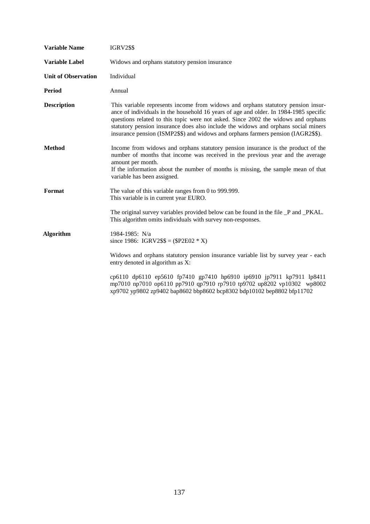| <b>Variable Name</b>       | <b>IGRV2\$\$</b>                                                                                                                                                                                                                                                                                                                                                                                                                          |
|----------------------------|-------------------------------------------------------------------------------------------------------------------------------------------------------------------------------------------------------------------------------------------------------------------------------------------------------------------------------------------------------------------------------------------------------------------------------------------|
| <b>Variable Label</b>      | Widows and orphans statutory pension insurance                                                                                                                                                                                                                                                                                                                                                                                            |
| <b>Unit of Observation</b> | Individual                                                                                                                                                                                                                                                                                                                                                                                                                                |
| <b>Period</b>              | Annual                                                                                                                                                                                                                                                                                                                                                                                                                                    |
| <b>Description</b>         | This variable represents income from widows and orphans statutory pension insur-<br>ance of individuals in the household 16 years of age and older. In 1984-1985 specific<br>questions related to this topic were not asked. Since 2002 the widows and orphans<br>statutory pension insurance does also include the widows and orphans social miners<br>insurance pension (ISMP2\$\$) and widows and orphans farmers pension (IAGR2\$\$). |
| <b>Method</b>              | Income from widows and orphans statutory pension insurance is the product of the<br>number of months that income was received in the previous year and the average<br>amount per month.<br>If the information about the number of months is missing, the sample mean of that<br>variable has been assigned.                                                                                                                               |
| Format                     | The value of this variable ranges from 0 to 999.999.<br>This variable is in current year EURO.                                                                                                                                                                                                                                                                                                                                            |
|                            | The original survey variables provided below can be found in the file _P and _PKAL.<br>This algorithm omits individuals with survey non-responses.                                                                                                                                                                                                                                                                                        |
| <b>Algorithm</b>           | 1984-1985: N/a<br>since 1986: IGRV2\$\$ = (\$P2E02 $*$ X)                                                                                                                                                                                                                                                                                                                                                                                 |
|                            | Widows and orphans statutory pension insurance variable list by survey year - each<br>entry denoted in algorithm as X:                                                                                                                                                                                                                                                                                                                    |
|                            | cp6110 dp6110 ep5610 fp7410 gp7410 hp6910 ip6910 jp7911 kp7911 lp8411<br>mp7010 np7010 op6110 pp7910 qp7910 rp7910 tp9702 up8202 vp10302 wp8002<br>xp9702 yp9802 zp9402 bap8602 bbp8602 bcp8302 bdp10102 bep8802 bfp11702                                                                                                                                                                                                                 |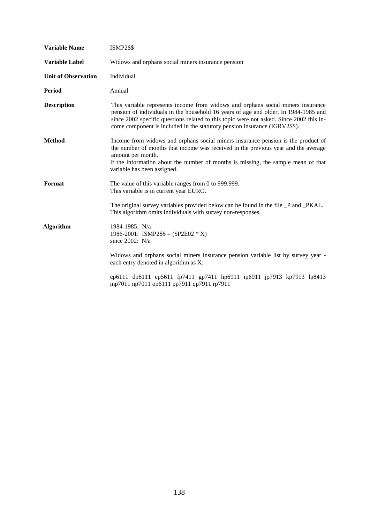| <b>ISMP2\$\$</b>                                                                                                                                                                                                                                                                                                                                |
|-------------------------------------------------------------------------------------------------------------------------------------------------------------------------------------------------------------------------------------------------------------------------------------------------------------------------------------------------|
| Widows and orphans social miners insurance pension                                                                                                                                                                                                                                                                                              |
| Individual                                                                                                                                                                                                                                                                                                                                      |
| Annual                                                                                                                                                                                                                                                                                                                                          |
| This variable represents income from widows and orphans social miners insurance<br>pension of individuals in the household 16 years of age and older. In 1984-1985 and<br>since 2002 specific questions related to this topic were not asked. Since 2002 this in-<br>come component is included in the statutory pension insurance (IGRV2\$\$). |
| Income from widows and orphans social miners insurance pension is the product of<br>the number of months that income was received in the previous year and the average<br>amount per month.<br>If the information about the number of months is missing, the sample mean of that<br>variable has been assigned.                                 |
| The value of this variable ranges from 0 to 999.999.<br>This variable is in current year EURO.                                                                                                                                                                                                                                                  |
| The original survey variables provided below can be found in the file _P and _PKAL.<br>This algorithm omits individuals with survey non-responses.                                                                                                                                                                                              |
| 1984-1985: N/a<br>1986-2001: ISMP2\$\$ = $(\$P2E02 * X)$<br>since 2002: N/a                                                                                                                                                                                                                                                                     |
| Widows and orphans social miners insurance pension variable list by survey year -<br>each entry denoted in algorithm as X:                                                                                                                                                                                                                      |
| cp6111 dp6111 ep5611 fp7411 gp7411 hp6911 ip6911 jp7913 kp7913 lp8413<br>mp7011 np7011 op6111 pp7911 qp7911 rp7911                                                                                                                                                                                                                              |
|                                                                                                                                                                                                                                                                                                                                                 |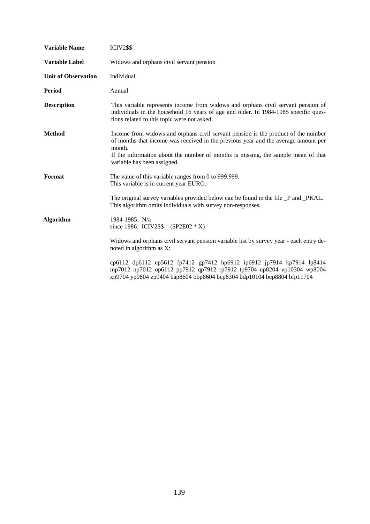| <b>Variable Name</b>       | <b>ICIV2\$\$</b>                                                                                                                                                                                                                                                                                      |
|----------------------------|-------------------------------------------------------------------------------------------------------------------------------------------------------------------------------------------------------------------------------------------------------------------------------------------------------|
| <b>Variable Label</b>      | Widows and orphans civil servant pension                                                                                                                                                                                                                                                              |
| <b>Unit of Observation</b> | Individual                                                                                                                                                                                                                                                                                            |
| <b>Period</b>              | Annual                                                                                                                                                                                                                                                                                                |
| <b>Description</b>         | This variable represents income from widows and orphans civil servant pension of<br>individuals in the household 16 years of age and older. In 1984-1985 specific ques-<br>tions related to this topic were not asked.                                                                                |
| <b>Method</b>              | Income from widows and orphans civil servant pension is the product of the number<br>of months that income was received in the previous year and the average amount per<br>month.<br>If the information about the number of months is missing, the sample mean of that<br>variable has been assigned. |
| Format                     | The value of this variable ranges from 0 to 999.999.<br>This variable is in current year EURO.                                                                                                                                                                                                        |
|                            | The original survey variables provided below can be found in the file _P and _PKAL.<br>This algorithm omits individuals with survey non-responses.                                                                                                                                                    |
| <b>Algorithm</b>           | 1984-1985: N/a<br>since 1986: ICIV2\$\$ = (\$P2E02 $*$ X)                                                                                                                                                                                                                                             |
|                            | Widows and orphans civil servant pension variable list by survey year - each entry de-<br>noted in algorithm as X:                                                                                                                                                                                    |
|                            | cp6112 dp6112 ep5612 fp7412 gp7412 hp6912 ip6912 jp7914 kp7914 lp8414<br>mp7012 np7012 op6112 pp7912 qp7912 rp7912 tp9704 up8204 vp10304 wp8004<br>xp9704 yp9804 zp9404 bap8604 bbp8604 bcp8304 bdp10104 bep8804 bfp11704                                                                             |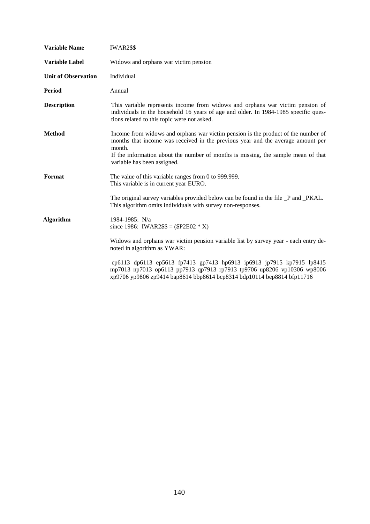| <b>Variable Name</b>       | <b>IWAR2\$\$</b>                                                                                                                                                                                                                                                                                   |
|----------------------------|----------------------------------------------------------------------------------------------------------------------------------------------------------------------------------------------------------------------------------------------------------------------------------------------------|
| <b>Variable Label</b>      | Widows and orphans war victim pension                                                                                                                                                                                                                                                              |
| <b>Unit of Observation</b> | Individual                                                                                                                                                                                                                                                                                         |
| <b>Period</b>              | Annual                                                                                                                                                                                                                                                                                             |
| <b>Description</b>         | This variable represents income from widows and orphans war victim pension of<br>individuals in the household 16 years of age and older. In 1984-1985 specific ques-<br>tions related to this topic were not asked.                                                                                |
| <b>Method</b>              | Income from widows and orphans war victim pension is the product of the number of<br>months that income was received in the previous year and the average amount per<br>month.<br>If the information about the number of months is missing, the sample mean of that<br>variable has been assigned. |
| Format                     | The value of this variable ranges from 0 to 999.999.<br>This variable is in current year EURO.                                                                                                                                                                                                     |
|                            | The original survey variables provided below can be found in the file _P and _PKAL.<br>This algorithm omits individuals with survey non-responses.                                                                                                                                                 |
| <b>Algorithm</b>           | 1984-1985: N/a<br>since 1986: IWAR2\$\$ = $(\$P2E02 * X)$                                                                                                                                                                                                                                          |
|                            | Widows and orphans war victim pension variable list by survey year - each entry de-<br>noted in algorithm as YWAR:                                                                                                                                                                                 |
|                            | cp6113 dp6113 ep5613 fp7413 gp7413 hp6913 ip6913 jp7915 kp7915 lp8415<br>mp7013 np7013 op6113 pp7913 qp7913 rp7913 tp9706 up8206 vp10306 wp8006<br>xp9706 yp9806 zp9414 bap8614 bbp8614 bcp8314 bdp10114 bep8814 bfp11716                                                                          |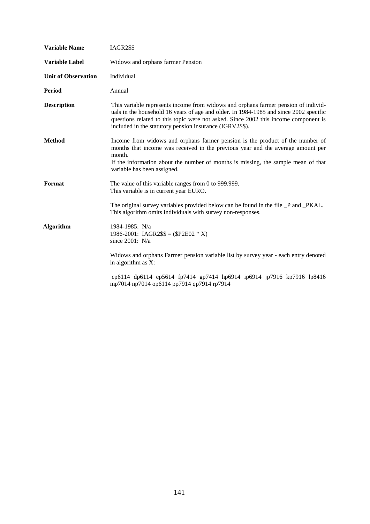| <b>Variable Name</b>       | <b>IAGR2\$\$</b>                                                                                                                                                                                                                                                                                                               |
|----------------------------|--------------------------------------------------------------------------------------------------------------------------------------------------------------------------------------------------------------------------------------------------------------------------------------------------------------------------------|
| <b>Variable Label</b>      | Widows and orphans farmer Pension                                                                                                                                                                                                                                                                                              |
| <b>Unit of Observation</b> | Individual                                                                                                                                                                                                                                                                                                                     |
| <b>Period</b>              | Annual                                                                                                                                                                                                                                                                                                                         |
| <b>Description</b>         | This variable represents income from widows and orphans farmer pension of individ-<br>uals in the household 16 years of age and older. In 1984-1985 and since 2002 specific<br>questions related to this topic were not asked. Since 2002 this income component is<br>included in the statutory pension insurance (IGRV2\$\$). |
| <b>Method</b>              | Income from widows and orphans farmer pension is the product of the number of<br>months that income was received in the previous year and the average amount per<br>month.<br>If the information about the number of months is missing, the sample mean of that<br>variable has been assigned.                                 |
| Format                     | The value of this variable ranges from 0 to 999.999.<br>This variable is in current year EURO.                                                                                                                                                                                                                                 |
|                            | The original survey variables provided below can be found in the file _P and _PKAL.<br>This algorithm omits individuals with survey non-responses.                                                                                                                                                                             |
| <b>Algorithm</b>           | 1984-1985: N/a<br>1986-2001: IAGR2\$\$ = (\$P2E02 $*$ X)<br>since $2001$ : N/a                                                                                                                                                                                                                                                 |
|                            | Widows and orphans Farmer pension variable list by survey year - each entry denoted<br>in algorithm as X:                                                                                                                                                                                                                      |
|                            | cp6114 dp6114 ep5614 fp7414 gp7414 hp6914 ip6914 jp7916 kp7916 lp8416<br>mp7014 np7014 op6114 pp7914 qp7914 rp7914                                                                                                                                                                                                             |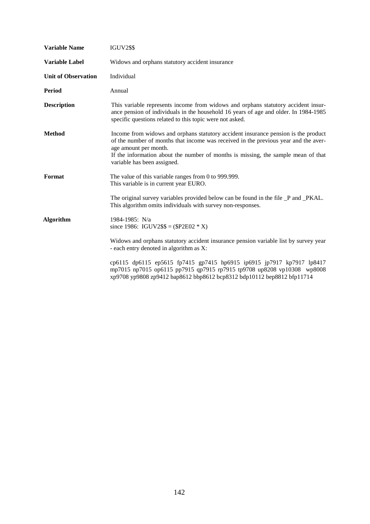| <b>Variable Name</b>       | <b>IGUV2\$\$</b>                                                                                                                                                                                                                                                                                                       |
|----------------------------|------------------------------------------------------------------------------------------------------------------------------------------------------------------------------------------------------------------------------------------------------------------------------------------------------------------------|
| Variable Label             | Widows and orphans statutory accident insurance                                                                                                                                                                                                                                                                        |
| <b>Unit of Observation</b> | Individual                                                                                                                                                                                                                                                                                                             |
| <b>Period</b>              | Annual                                                                                                                                                                                                                                                                                                                 |
| <b>Description</b>         | This variable represents income from widows and orphans statutory accident insur-<br>ance pension of individuals in the household 16 years of age and older. In 1984-1985<br>specific questions related to this topic were not asked.                                                                                  |
| <b>Method</b>              | Income from widows and orphans statutory accident insurance pension is the product<br>of the number of months that income was received in the previous year and the aver-<br>age amount per month.<br>If the information about the number of months is missing, the sample mean of that<br>variable has been assigned. |
| Format                     | The value of this variable ranges from 0 to 999.999.<br>This variable is in current year EURO.                                                                                                                                                                                                                         |
|                            | The original survey variables provided below can be found in the file _P and _PKAL.<br>This algorithm omits individuals with survey non-responses.                                                                                                                                                                     |
| <b>Algorithm</b>           | 1984-1985: N/a<br>since 1986: IGUV2\$\$ = (\$P2E02 $*$ X)                                                                                                                                                                                                                                                              |
|                            | Widows and orphans statutory accident insurance pension variable list by survey year<br>- each entry denoted in algorithm as X:                                                                                                                                                                                        |
|                            | cp6115 dp6115 ep5615 fp7415 gp7415 hp6915 ip6915 jp7917 kp7917 lp8417<br>mp7015 np7015 op6115 pp7915 qp7915 rp7915 tp9708 up8208 vp10308 wp8008<br>xp9708 yp9808 zp9412 bap8612 bbp8612 bcp8312 bdp10112 bep8812 bfp11714                                                                                              |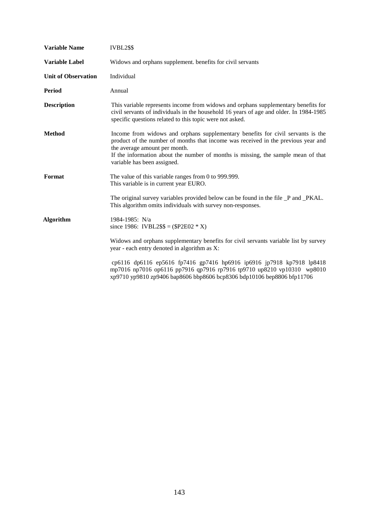| <b>Variable Name</b>       | IVBL2\$\$                                                                                                                                                                                                                                                                                                                 |
|----------------------------|---------------------------------------------------------------------------------------------------------------------------------------------------------------------------------------------------------------------------------------------------------------------------------------------------------------------------|
| Variable Label             | Widows and orphans supplement. benefits for civil servants                                                                                                                                                                                                                                                                |
| <b>Unit of Observation</b> | Individual                                                                                                                                                                                                                                                                                                                |
| <b>Period</b>              | Annual                                                                                                                                                                                                                                                                                                                    |
| <b>Description</b>         | This variable represents income from widows and orphans supplementary benefits for<br>civil servants of individuals in the household 16 years of age and older. In 1984-1985<br>specific questions related to this topic were not asked.                                                                                  |
| <b>Method</b>              | Income from widows and orphans supplementary benefits for civil servants is the<br>product of the number of months that income was received in the previous year and<br>the average amount per month.<br>If the information about the number of months is missing, the sample mean of that<br>variable has been assigned. |
| Format                     | The value of this variable ranges from 0 to 999.999.<br>This variable is in current year EURO.                                                                                                                                                                                                                            |
|                            | The original survey variables provided below can be found in the file _P and _PKAL.<br>This algorithm omits individuals with survey non-responses.                                                                                                                                                                        |
| <b>Algorithm</b>           | 1984-1985: N/a<br>since 1986: IVBL2\$\$ = (\$P2E02 $*$ X)                                                                                                                                                                                                                                                                 |
|                            | Widows and orphans supplementary benefits for civil servants variable list by survey<br>year - each entry denoted in algorithm as X:                                                                                                                                                                                      |
|                            | cp6116 dp6116 ep5616 fp7416 gp7416 hp6916 ip6916 jp7918 kp7918 lp8418<br>mp7016 np7016 op6116 pp7916 qp7916 rp7916 tp9710 up8210 vp10310 wp8010<br>xp9710 yp9810 zp9406 bap8606 bbp8606 bcp8306 bdp10106 bep8806 bfp11706                                                                                                 |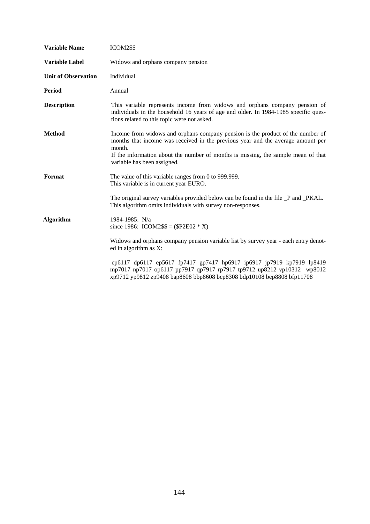| <b>Variable Name</b>       | ICOM2\$\$                                                                                                                                                                                                                                                                                       |
|----------------------------|-------------------------------------------------------------------------------------------------------------------------------------------------------------------------------------------------------------------------------------------------------------------------------------------------|
| <b>Variable Label</b>      | Widows and orphans company pension                                                                                                                                                                                                                                                              |
| <b>Unit of Observation</b> | Individual                                                                                                                                                                                                                                                                                      |
| Period                     | Annual                                                                                                                                                                                                                                                                                          |
| <b>Description</b>         | This variable represents income from widows and orphans company pension of<br>individuals in the household 16 years of age and older. In 1984-1985 specific ques-<br>tions related to this topic were not asked.                                                                                |
| <b>Method</b>              | Income from widows and orphans company pension is the product of the number of<br>months that income was received in the previous year and the average amount per<br>month.<br>If the information about the number of months is missing, the sample mean of that<br>variable has been assigned. |
| Format                     | The value of this variable ranges from 0 to 999.999.<br>This variable is in current year EURO.                                                                                                                                                                                                  |
|                            | The original survey variables provided below can be found in the file _P and _PKAL.<br>This algorithm omits individuals with survey non-responses.                                                                                                                                              |
| <b>Algorithm</b>           | 1984-1985: N/a<br>since 1986: ICOM2\$\$ = (\$P2E02 $*$ X)                                                                                                                                                                                                                                       |
|                            | Widows and orphans company pension variable list by survey year - each entry denot-<br>ed in algorithm as $X$ :                                                                                                                                                                                 |
|                            | cp6117 dp6117 ep5617 fp7417 gp7417 hp6917 ip6917 jp7919 kp7919 lp8419<br>mp7017 np7017 op6117 pp7917 qp7917 rp7917 tp9712 up8212 vp10312 wp8012<br>xp9712 yp9812 zp9408 bap8608 bbp8608 bcp8308 bdp10108 bep8808 bfp11708                                                                       |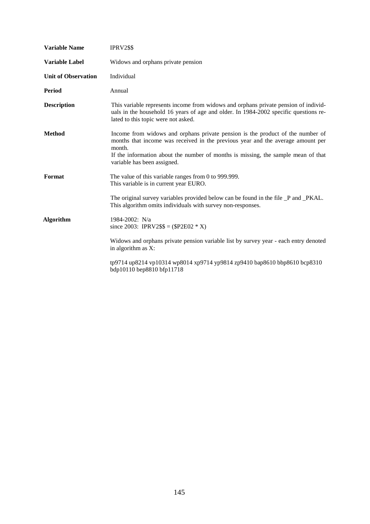| <b>Variable Name</b>       | IPRV2\$\$                                                                                                                                                                                                                                                                                       |
|----------------------------|-------------------------------------------------------------------------------------------------------------------------------------------------------------------------------------------------------------------------------------------------------------------------------------------------|
| <b>Variable Label</b>      | Widows and orphans private pension                                                                                                                                                                                                                                                              |
| <b>Unit of Observation</b> | Individual                                                                                                                                                                                                                                                                                      |
| <b>Period</b>              | Annual                                                                                                                                                                                                                                                                                          |
| <b>Description</b>         | This variable represents income from widows and orphans private pension of individ-<br>uals in the household 16 years of age and older. In 1984-2002 specific questions re-<br>lated to this topic were not asked.                                                                              |
| <b>Method</b>              | Income from widows and orphans private pension is the product of the number of<br>months that income was received in the previous year and the average amount per<br>month.<br>If the information about the number of months is missing, the sample mean of that<br>variable has been assigned. |
| Format                     | The value of this variable ranges from 0 to 999.999.<br>This variable is in current year EURO.<br>The original survey variables provided below can be found in the file _P and _PKAL.<br>This algorithm omits individuals with survey non-responses.                                            |
| <b>Algorithm</b>           | 1984-2002: N/a<br>since 2003: IPRV2\$\$ = $(\$P2E02 * X)$                                                                                                                                                                                                                                       |
|                            | Widows and orphans private pension variable list by survey year - each entry denoted<br>in algorithm as X:                                                                                                                                                                                      |
|                            | tp9714 up8214 vp10314 wp8014 xp9714 yp9814 zp9410 bap8610 bbp8610 bcp8310<br>bdp10110 bep8810 bfp11718                                                                                                                                                                                          |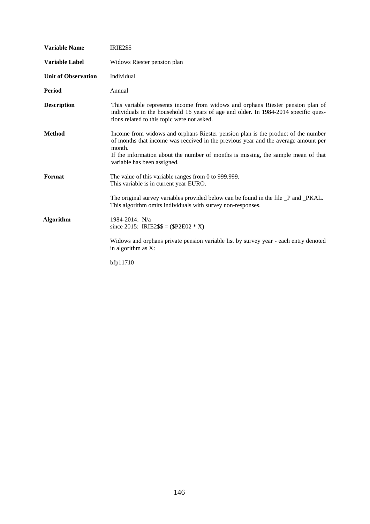| <b>Variable Name</b>       | <b>IRIE2\$\$</b>                                                                                                                                                                                                                                                                                     |
|----------------------------|------------------------------------------------------------------------------------------------------------------------------------------------------------------------------------------------------------------------------------------------------------------------------------------------------|
| <b>Variable Label</b>      | Widows Riester pension plan                                                                                                                                                                                                                                                                          |
| <b>Unit of Observation</b> | Individual                                                                                                                                                                                                                                                                                           |
| Period                     | Annual                                                                                                                                                                                                                                                                                               |
| <b>Description</b>         | This variable represents income from widows and orphans Riester pension plan of<br>individuals in the household 16 years of age and older. In 1984-2014 specific ques-<br>tions related to this topic were not asked.                                                                                |
| <b>Method</b>              | Income from widows and orphans Riester pension plan is the product of the number<br>of months that income was received in the previous year and the average amount per<br>month.<br>If the information about the number of months is missing, the sample mean of that<br>variable has been assigned. |
| Format                     | The value of this variable ranges from 0 to 999.999.<br>This variable is in current year EURO.<br>The original survey variables provided below can be found in the file _P and _PKAL.                                                                                                                |
| <b>Algorithm</b>           | This algorithm omits individuals with survey non-responses.<br>1984-2014: N/a<br>since 2015: IRIE2\$\$ = (\$P2E02 $*$ X)<br>Widows and orphans private pension variable list by survey year - each entry denoted<br>in algorithm as X:                                                               |
|                            | bfp11710                                                                                                                                                                                                                                                                                             |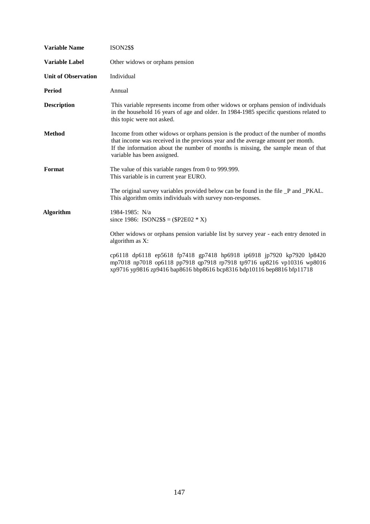| <b>Variable Name</b>       | <b>ISON2\$\$</b>                                                                                                                                                                                                                                                                          |
|----------------------------|-------------------------------------------------------------------------------------------------------------------------------------------------------------------------------------------------------------------------------------------------------------------------------------------|
| <b>Variable Label</b>      | Other widows or orphans pension                                                                                                                                                                                                                                                           |
| <b>Unit of Observation</b> | Individual                                                                                                                                                                                                                                                                                |
| Period                     | Annual                                                                                                                                                                                                                                                                                    |
| <b>Description</b>         | This variable represents income from other widows or orphans pension of individuals<br>in the household 16 years of age and older. In 1984-1985 specific questions related to<br>this topic were not asked.                                                                               |
| <b>Method</b>              | Income from other widows or orphans pension is the product of the number of months<br>that income was received in the previous year and the average amount per month.<br>If the information about the number of months is missing, the sample mean of that<br>variable has been assigned. |
| Format                     | The value of this variable ranges from 0 to 999.999.<br>This variable is in current year EURO.                                                                                                                                                                                            |
|                            | The original survey variables provided below can be found in the file _P and _PKAL.<br>This algorithm omits individuals with survey non-responses.                                                                                                                                        |
| <b>Algorithm</b>           | 1984-1985: N/a<br>since 1986: ISON2\$\$ = (\$P2E02 $*$ X)                                                                                                                                                                                                                                 |
|                            | Other widows or orphans pension variable list by survey year - each entry denoted in<br>algorithm as X:                                                                                                                                                                                   |
|                            | cp6118 dp6118 ep5618 fp7418 gp7418 hp6918 ip6918 jp7920 kp7920 lp8420<br>mp7018 np7018 op6118 pp7918 qp7918 rp7918 tp9716 up8216 vp10316 wp8016<br>xp9716 yp9816 zp9416 bap8616 bbp8616 bcp8316 bdp10116 bep8816 bfp11718                                                                 |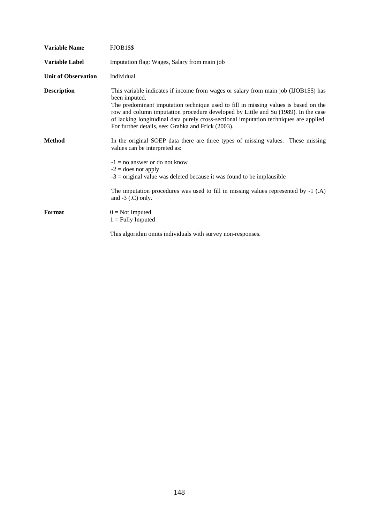| <b>Variable Name</b>       | FJOB1\$\$                                                                                                                                                                                                                                                                                                                                                                                                                          |
|----------------------------|------------------------------------------------------------------------------------------------------------------------------------------------------------------------------------------------------------------------------------------------------------------------------------------------------------------------------------------------------------------------------------------------------------------------------------|
| <b>Variable Label</b>      | Imputation flag: Wages, Salary from main job                                                                                                                                                                                                                                                                                                                                                                                       |
| <b>Unit of Observation</b> | Individual                                                                                                                                                                                                                                                                                                                                                                                                                         |
| <b>Description</b>         | This variable indicates if income from wages or salary from main job (IJOB1\$\$) has<br>been imputed.<br>The predominant imputation technique used to fill in missing values is based on the<br>row and column imputation procedure developed by Little and Su (1989). In the case<br>of lacking longitudinal data purely cross-sectional imputation techniques are applied.<br>For further details, see: Grabka and Frick (2003). |
| <b>Method</b>              | In the original SOEP data there are three types of missing values. These missing<br>values can be interpreted as:<br>$-1 =$ no answer or do not know<br>$-2$ = does not apply<br>$-3$ = original value was deleted because it was found to be implausible                                                                                                                                                                          |
|                            | The imputation procedures was used to fill in missing values represented by -1 (.A)<br>and $-3$ (.C) only.                                                                                                                                                                                                                                                                                                                         |
| Format                     | $0 = Not$ Imputed<br>$1 =$ Fully Imputed                                                                                                                                                                                                                                                                                                                                                                                           |
|                            | This algorithm omits individuals with survey non-responses.                                                                                                                                                                                                                                                                                                                                                                        |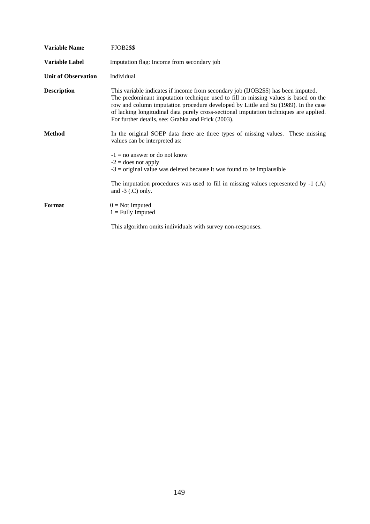| <b>Variable Name</b>       | <b>FJOB2\$\$</b>                                                                                                                                                                                                                                                                                                                                                                                                |
|----------------------------|-----------------------------------------------------------------------------------------------------------------------------------------------------------------------------------------------------------------------------------------------------------------------------------------------------------------------------------------------------------------------------------------------------------------|
| <b>Variable Label</b>      | Imputation flag: Income from secondary job                                                                                                                                                                                                                                                                                                                                                                      |
| <b>Unit of Observation</b> | Individual                                                                                                                                                                                                                                                                                                                                                                                                      |
| <b>Description</b>         | This variable indicates if income from secondary job (IJOB2\$\$) has been imputed.<br>The predominant imputation technique used to fill in missing values is based on the<br>row and column imputation procedure developed by Little and Su (1989). In the case<br>of lacking longitudinal data purely cross-sectional imputation techniques are applied.<br>For further details, see: Grabka and Frick (2003). |
| <b>Method</b>              | In the original SOEP data there are three types of missing values. These missing<br>values can be interpreted as:                                                                                                                                                                                                                                                                                               |
|                            | $-1 =$ no answer or do not know<br>$-2$ = does not apply<br>$-3$ = original value was deleted because it was found to be implausible                                                                                                                                                                                                                                                                            |
|                            | The imputation procedures was used to fill in missing values represented by $-1$ (.A)<br>and $-3$ (.C) only.                                                                                                                                                                                                                                                                                                    |
| Format                     | $0 = Not$ Imputed<br>$1 =$ Fully Imputed                                                                                                                                                                                                                                                                                                                                                                        |
|                            | This algorithm omits individuals with survey non-responses.                                                                                                                                                                                                                                                                                                                                                     |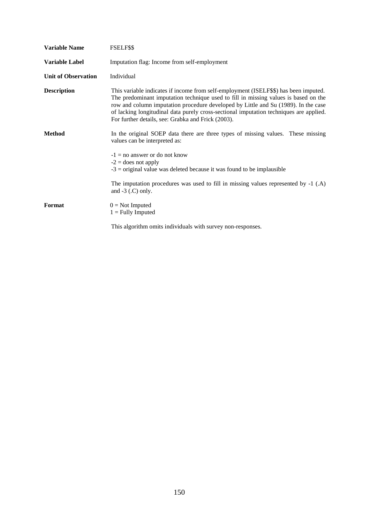| Variable Name              | FSELF\$\$                                                                                                                                                                                                                                                                                                                                                                                                         |
|----------------------------|-------------------------------------------------------------------------------------------------------------------------------------------------------------------------------------------------------------------------------------------------------------------------------------------------------------------------------------------------------------------------------------------------------------------|
| <b>Variable Label</b>      | Imputation flag: Income from self-employment                                                                                                                                                                                                                                                                                                                                                                      |
| <b>Unit of Observation</b> | Individual                                                                                                                                                                                                                                                                                                                                                                                                        |
| <b>Description</b>         | This variable indicates if income from self-employment (ISELF\$\$) has been imputed.<br>The predominant imputation technique used to fill in missing values is based on the<br>row and column imputation procedure developed by Little and Su (1989). In the case<br>of lacking longitudinal data purely cross-sectional imputation techniques are applied.<br>For further details, see: Grabka and Frick (2003). |
| <b>Method</b>              | In the original SOEP data there are three types of missing values. These missing<br>values can be interpreted as:                                                                                                                                                                                                                                                                                                 |
|                            | $-1 =$ no answer or do not know<br>$-2$ = does not apply<br>$-3$ = original value was deleted because it was found to be implausible                                                                                                                                                                                                                                                                              |
|                            | The imputation procedures was used to fill in missing values represented by $-1$ (.A)<br>and $-3$ (.C) only.                                                                                                                                                                                                                                                                                                      |
| Format                     | $0 = Not$ Imputed<br>$1 =$ Fully Imputed                                                                                                                                                                                                                                                                                                                                                                          |
|                            | This algorithm omits individuals with survey non-responses.                                                                                                                                                                                                                                                                                                                                                       |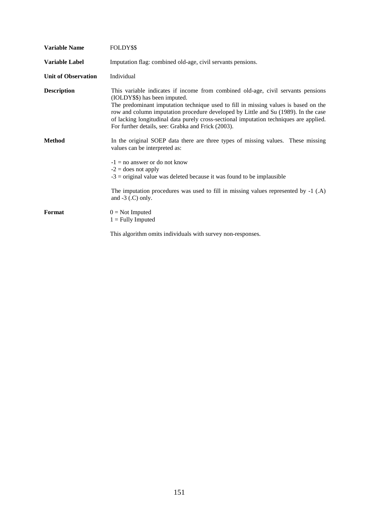| <b>Variable Name</b>       | FOLDY\$\$                                                                                                                                                                                                                                                                                                                                                                                                                                      |
|----------------------------|------------------------------------------------------------------------------------------------------------------------------------------------------------------------------------------------------------------------------------------------------------------------------------------------------------------------------------------------------------------------------------------------------------------------------------------------|
| <b>Variable Label</b>      | Imputation flag: combined old-age, civil servants pensions.                                                                                                                                                                                                                                                                                                                                                                                    |
| <b>Unit of Observation</b> | Individual                                                                                                                                                                                                                                                                                                                                                                                                                                     |
| <b>Description</b>         | This variable indicates if income from combined old-age, civil servants pensions<br>(IOLDY\$\$) has been imputed.<br>The predominant imputation technique used to fill in missing values is based on the<br>row and column imputation procedure developed by Little and Su (1989). In the case<br>of lacking longitudinal data purely cross-sectional imputation techniques are applied.<br>For further details, see: Grabka and Frick (2003). |
| <b>Method</b>              | In the original SOEP data there are three types of missing values. These missing<br>values can be interpreted as:<br>$-1 =$ no answer or do not know<br>$-2$ = does not apply<br>$-3$ = original value was deleted because it was found to be implausible                                                                                                                                                                                      |
|                            | The imputation procedures was used to fill in missing values represented by $-1$ (.A)<br>and $-3$ (.C) only.                                                                                                                                                                                                                                                                                                                                   |
| Format                     | $0 = Not$ Imputed<br>$1 =$ Fully Imputed                                                                                                                                                                                                                                                                                                                                                                                                       |
|                            | This algorithm omits individuals with survey non-responses.                                                                                                                                                                                                                                                                                                                                                                                    |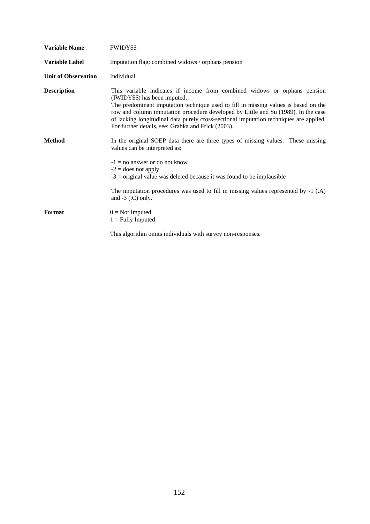| <b>Variable Name</b>       | <b>FWIDY\$\$</b>                                                                                                                                                                                                                                                                                                                                                                                                                        |
|----------------------------|-----------------------------------------------------------------------------------------------------------------------------------------------------------------------------------------------------------------------------------------------------------------------------------------------------------------------------------------------------------------------------------------------------------------------------------------|
| <b>Variable Label</b>      | Imputation flag: combined widows / orphans pension                                                                                                                                                                                                                                                                                                                                                                                      |
| <b>Unit of Observation</b> | Individual                                                                                                                                                                                                                                                                                                                                                                                                                              |
| <b>Description</b>         | This variable indicates if income from combined widows or orphans pension<br>(IWIDY\$\$) has been imputed.<br>The predominant imputation technique used to fill in missing values is based on the<br>row and column imputation procedure developed by Little and Su (1989). In the case<br>of lacking longitudinal data purely cross-sectional imputation techniques are applied.<br>For further details, see: Grabka and Frick (2003). |
| <b>Method</b>              | In the original SOEP data there are three types of missing values. These missing<br>values can be interpreted as:<br>$-1 =$ no answer or do not know<br>$-2$ = does not apply<br>$-3$ = original value was deleted because it was found to be implausible                                                                                                                                                                               |
|                            | The imputation procedures was used to fill in missing values represented by $-1$ (.A)<br>and $-3$ (.C) only.                                                                                                                                                                                                                                                                                                                            |
| Format                     | $0 = Not$ Imputed<br>$1 =$ Fully Imputed                                                                                                                                                                                                                                                                                                                                                                                                |
|                            | This algorithm omits individuals with survey non-responses.                                                                                                                                                                                                                                                                                                                                                                             |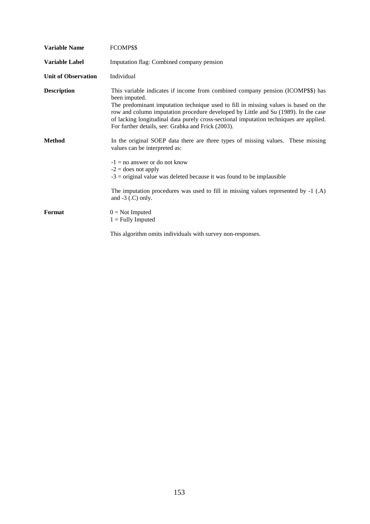| <b>Variable Name</b>       | FCOMP\$\$                                                                                                                                                                                                                                                                                                                                                                                                                     |
|----------------------------|-------------------------------------------------------------------------------------------------------------------------------------------------------------------------------------------------------------------------------------------------------------------------------------------------------------------------------------------------------------------------------------------------------------------------------|
| Variable Label             | Imputation flag: Combined company pension                                                                                                                                                                                                                                                                                                                                                                                     |
| <b>Unit of Observation</b> | Individual                                                                                                                                                                                                                                                                                                                                                                                                                    |
| <b>Description</b>         | This variable indicates if income from combined company pension (ICOMP\$\$) has<br>been imputed.<br>The predominant imputation technique used to fill in missing values is based on the<br>row and column imputation procedure developed by Little and Su (1989). In the case<br>of lacking longitudinal data purely cross-sectional imputation techniques are applied.<br>For further details, see: Grabka and Frick (2003). |
| <b>Method</b>              | In the original SOEP data there are three types of missing values. These missing<br>values can be interpreted as:<br>$-1 =$ no answer or do not know<br>$-2$ = does not apply<br>$-3$ = original value was deleted because it was found to be implausible                                                                                                                                                                     |
|                            | The imputation procedures was used to fill in missing values represented by -1 (.A)<br>and $-3$ (.C) only.                                                                                                                                                                                                                                                                                                                    |
| Format                     | $0 = Not$ Imputed<br>$1 =$ Fully Imputed                                                                                                                                                                                                                                                                                                                                                                                      |
|                            | This algorithm omits individuals with survey non-responses.                                                                                                                                                                                                                                                                                                                                                                   |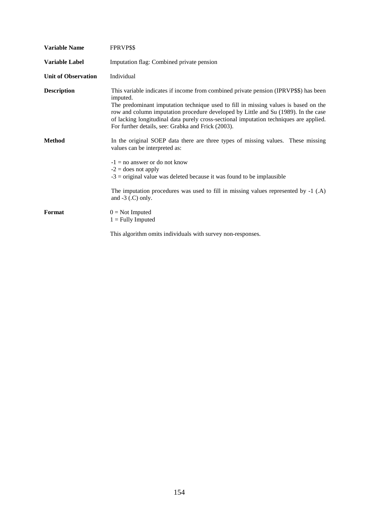| <b>Variable Name</b>       | FPRVP\$\$                                                                                                                                                                                                                                                                                                                                                                                                                     |
|----------------------------|-------------------------------------------------------------------------------------------------------------------------------------------------------------------------------------------------------------------------------------------------------------------------------------------------------------------------------------------------------------------------------------------------------------------------------|
| <b>Variable Label</b>      | Imputation flag: Combined private pension                                                                                                                                                                                                                                                                                                                                                                                     |
| <b>Unit of Observation</b> | Individual                                                                                                                                                                                                                                                                                                                                                                                                                    |
| <b>Description</b>         | This variable indicates if income from combined private pension (IPRVP\$\$) has been<br>imputed.<br>The predominant imputation technique used to fill in missing values is based on the<br>row and column imputation procedure developed by Little and Su (1989). In the case<br>of lacking longitudinal data purely cross-sectional imputation techniques are applied.<br>For further details, see: Grabka and Frick (2003). |
| <b>Method</b>              | In the original SOEP data there are three types of missing values. These missing<br>values can be interpreted as:<br>$-1 =$ no answer or do not know<br>$-2$ = does not apply<br>$-3$ = original value was deleted because it was found to be implausible                                                                                                                                                                     |
|                            | The imputation procedures was used to fill in missing values represented by -1 (.A)<br>and $-3$ (.C) only.                                                                                                                                                                                                                                                                                                                    |
| Format                     | $0 = Not$ Imputed<br>$1 =$ Fully Imputed                                                                                                                                                                                                                                                                                                                                                                                      |
|                            | This algorithm omits individuals with survey non-responses.                                                                                                                                                                                                                                                                                                                                                                   |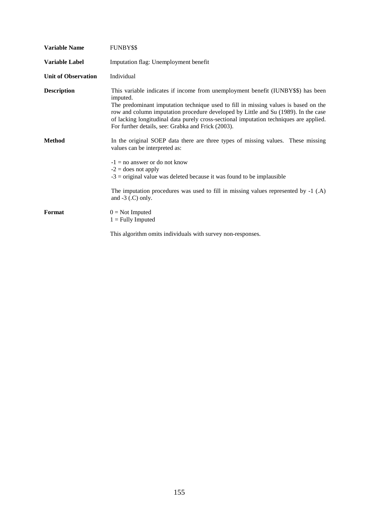| <b>Variable Name</b>       | <b>FUNBY\$\$</b>                                                                                                                                                                                                                                                                                                                                                                                                          |
|----------------------------|---------------------------------------------------------------------------------------------------------------------------------------------------------------------------------------------------------------------------------------------------------------------------------------------------------------------------------------------------------------------------------------------------------------------------|
| <b>Variable Label</b>      | Imputation flag: Unemployment benefit                                                                                                                                                                                                                                                                                                                                                                                     |
| <b>Unit of Observation</b> | Individual                                                                                                                                                                                                                                                                                                                                                                                                                |
| <b>Description</b>         | This variable indicates if income from unemployment benefit (IUNBY\$\$) has been<br>imputed.<br>The predominant imputation technique used to fill in missing values is based on the<br>row and column imputation procedure developed by Little and Su (1989). In the case<br>of lacking longitudinal data purely cross-sectional imputation techniques are applied.<br>For further details, see: Grabka and Frick (2003). |
| <b>Method</b>              | In the original SOEP data there are three types of missing values. These missing<br>values can be interpreted as:<br>$-1 = no$ answer or do not know<br>$-2$ = does not apply<br>$-3$ = original value was deleted because it was found to be implausible                                                                                                                                                                 |
|                            | The imputation procedures was used to fill in missing values represented by -1 (.A)<br>and $-3$ (.C) only.                                                                                                                                                                                                                                                                                                                |
| Format                     | $0 = Not$ Imputed<br>$1 =$ Fully Imputed                                                                                                                                                                                                                                                                                                                                                                                  |
|                            | This algorithm omits individuals with survey non-responses.                                                                                                                                                                                                                                                                                                                                                               |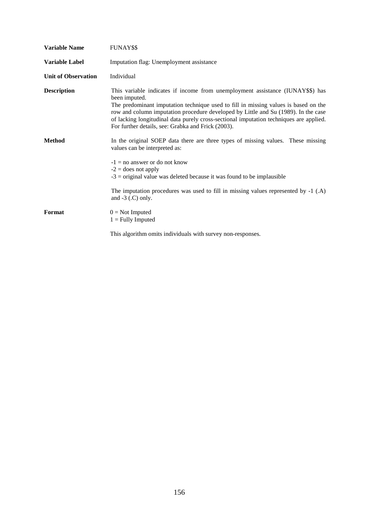| <b>Variable Name</b>       | FUNAY\$\$                                                                                                                                                                                                                                                                                                                                                                                                                    |
|----------------------------|------------------------------------------------------------------------------------------------------------------------------------------------------------------------------------------------------------------------------------------------------------------------------------------------------------------------------------------------------------------------------------------------------------------------------|
| <b>Variable Label</b>      | Imputation flag: Unemployment assistance                                                                                                                                                                                                                                                                                                                                                                                     |
| <b>Unit of Observation</b> | Individual                                                                                                                                                                                                                                                                                                                                                                                                                   |
| <b>Description</b>         | This variable indicates if income from unemployment assistance (IUNAY\$\$) has<br>been imputed.<br>The predominant imputation technique used to fill in missing values is based on the<br>row and column imputation procedure developed by Little and Su (1989). In the case<br>of lacking longitudinal data purely cross-sectional imputation techniques are applied.<br>For further details, see: Grabka and Frick (2003). |
| <b>Method</b>              | In the original SOEP data there are three types of missing values. These missing<br>values can be interpreted as:<br>$-1 =$ no answer or do not know<br>$-2$ = does not apply<br>$-3$ = original value was deleted because it was found to be implausible                                                                                                                                                                    |
|                            | The imputation procedures was used to fill in missing values represented by -1 (.A)<br>and $-3$ (.C) only.                                                                                                                                                                                                                                                                                                                   |
| Format                     | $0 = Not$ Imputed<br>$1 =$ Fully Imputed                                                                                                                                                                                                                                                                                                                                                                                     |
|                            | This algorithm omits individuals with survey non-responses.                                                                                                                                                                                                                                                                                                                                                                  |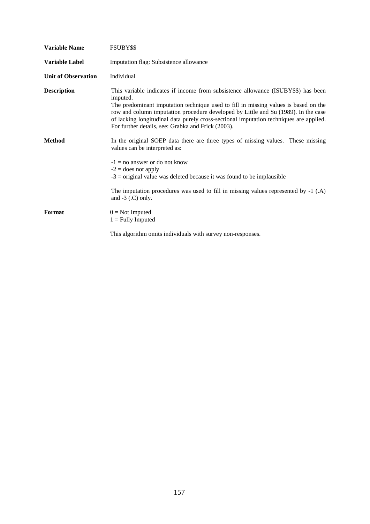| <b>Variable Name</b>       | FSUBY\$\$                                                                                                                                                                                                                                                                                                                                                                                                                  |
|----------------------------|----------------------------------------------------------------------------------------------------------------------------------------------------------------------------------------------------------------------------------------------------------------------------------------------------------------------------------------------------------------------------------------------------------------------------|
| <b>Variable Label</b>      | Imputation flag: Subsistence allowance                                                                                                                                                                                                                                                                                                                                                                                     |
| <b>Unit of Observation</b> | Individual                                                                                                                                                                                                                                                                                                                                                                                                                 |
| <b>Description</b>         | This variable indicates if income from subsistence allowance (ISUBY\$\$) has been<br>imputed.<br>The predominant imputation technique used to fill in missing values is based on the<br>row and column imputation procedure developed by Little and Su (1989). In the case<br>of lacking longitudinal data purely cross-sectional imputation techniques are applied.<br>For further details, see: Grabka and Frick (2003). |
| <b>Method</b>              | In the original SOEP data there are three types of missing values. These missing<br>values can be interpreted as:<br>$-1 =$ no answer or do not know<br>$-2$ = does not apply<br>$-3$ = original value was deleted because it was found to be implausible                                                                                                                                                                  |
|                            | The imputation procedures was used to fill in missing values represented by $-1$ (.A)<br>and $-3$ (.C) only.                                                                                                                                                                                                                                                                                                               |
| Format                     | $0 = Not$ Imputed<br>$1 =$ Fully Imputed                                                                                                                                                                                                                                                                                                                                                                                   |
|                            | This algorithm omits individuals with survey non-responses.                                                                                                                                                                                                                                                                                                                                                                |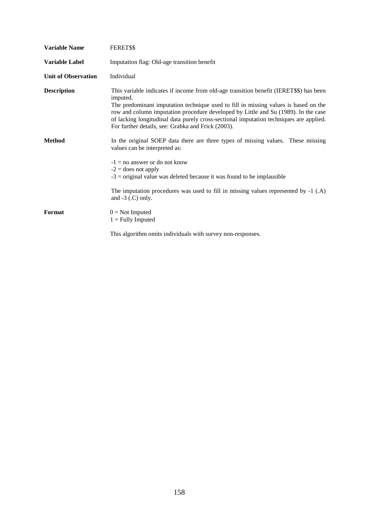| <b>Variable Name</b>       | FERET\$\$                                                                                                                                                                                                                                                                                                                                                                                                                       |
|----------------------------|---------------------------------------------------------------------------------------------------------------------------------------------------------------------------------------------------------------------------------------------------------------------------------------------------------------------------------------------------------------------------------------------------------------------------------|
| Variable Label             | Imputation flag: Old-age transition benefit                                                                                                                                                                                                                                                                                                                                                                                     |
| <b>Unit of Observation</b> | Individual                                                                                                                                                                                                                                                                                                                                                                                                                      |
| <b>Description</b>         | This variable indicates if income from old-age transition benefit (IERET\$\$) has been<br>imputed.<br>The predominant imputation technique used to fill in missing values is based on the<br>row and column imputation procedure developed by Little and Su (1989). In the case<br>of lacking longitudinal data purely cross-sectional imputation techniques are applied.<br>For further details, see: Grabka and Frick (2003). |
| <b>Method</b>              | In the original SOEP data there are three types of missing values. These missing<br>values can be interpreted as:<br>$-1 =$ no answer or do not know<br>$-2$ = does not apply<br>$-3$ = original value was deleted because it was found to be implausible                                                                                                                                                                       |
|                            | The imputation procedures was used to fill in missing values represented by -1 (.A)<br>and $-3$ (.C) only.                                                                                                                                                                                                                                                                                                                      |
| Format                     | $0 = Not$ Imputed<br>$1 =$ Fully Imputed                                                                                                                                                                                                                                                                                                                                                                                        |
|                            | This algorithm omits individuals with survey non-responses.                                                                                                                                                                                                                                                                                                                                                                     |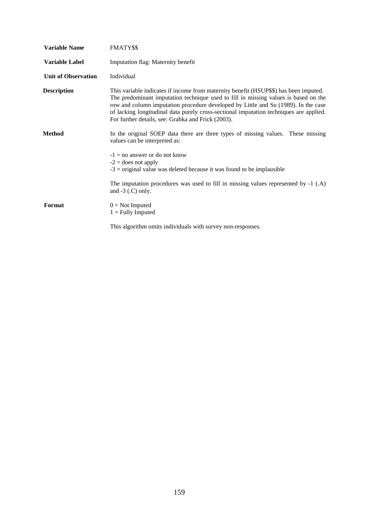| <b>Variable Name</b>       | <b>FMATY\$\$</b>                                                                                                                                                                                                                                                                                                                                                                                                   |
|----------------------------|--------------------------------------------------------------------------------------------------------------------------------------------------------------------------------------------------------------------------------------------------------------------------------------------------------------------------------------------------------------------------------------------------------------------|
| <b>Variable Label</b>      | Imputation flag: Maternity benefit                                                                                                                                                                                                                                                                                                                                                                                 |
| <b>Unit of Observation</b> | Individual                                                                                                                                                                                                                                                                                                                                                                                                         |
| <b>Description</b>         | This variable indicates if income from maternity benefit (HSUP\$\$) has been imputed.<br>The predominant imputation technique used to fill in missing values is based on the<br>row and column imputation procedure developed by Little and Su (1989). In the case<br>of lacking longitudinal data purely cross-sectional imputation techniques are applied.<br>For further details, see: Grabka and Frick (2003). |
| Method                     | In the original SOEP data there are three types of missing values. These missing<br>values can be interpreted as:                                                                                                                                                                                                                                                                                                  |
|                            | $-1 =$ no answer or do not know<br>$-2$ = does not apply<br>$-3$ = original value was deleted because it was found to be implausible                                                                                                                                                                                                                                                                               |
|                            | The imputation procedures was used to fill in missing values represented by $-1$ (.A)<br>and $-3$ ( $\Gamma$ ) only.                                                                                                                                                                                                                                                                                               |
| Format                     | $0 = Not$ Imputed<br>$1 =$ Fully Imputed                                                                                                                                                                                                                                                                                                                                                                           |
|                            | This algorithm omits individuals with survey non-responses.                                                                                                                                                                                                                                                                                                                                                        |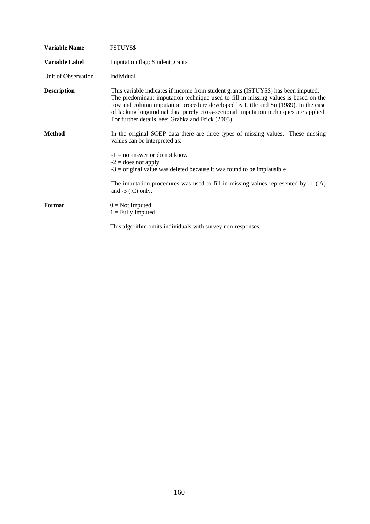| <b>Variable Name</b>  | FSTUY\$\$                                                                                                                                                                                                                                                                                                                                                                                                        |
|-----------------------|------------------------------------------------------------------------------------------------------------------------------------------------------------------------------------------------------------------------------------------------------------------------------------------------------------------------------------------------------------------------------------------------------------------|
| <b>Variable Label</b> | Imputation flag: Student grants                                                                                                                                                                                                                                                                                                                                                                                  |
| Unit of Observation   | Individual                                                                                                                                                                                                                                                                                                                                                                                                       |
| <b>Description</b>    | This variable indicates if income from student grants (ISTUY\$\$) has been imputed.<br>The predominant imputation technique used to fill in missing values is based on the<br>row and column imputation procedure developed by Little and Su (1989). In the case<br>of lacking longitudinal data purely cross-sectional imputation techniques are applied.<br>For further details, see: Grabka and Frick (2003). |
| <b>Method</b>         | In the original SOEP data there are three types of missing values. These missing<br>values can be interpreted as:                                                                                                                                                                                                                                                                                                |
|                       | $-1 =$ no answer or do not know<br>$-2$ = does not apply<br>$-3$ = original value was deleted because it was found to be implausible                                                                                                                                                                                                                                                                             |
|                       | The imputation procedures was used to fill in missing values represented by $-1$ (.A)<br>and $-3$ (.C) only.                                                                                                                                                                                                                                                                                                     |
| Format                | $0 = Not$ Imputed<br>$1 =$ Fully Imputed                                                                                                                                                                                                                                                                                                                                                                         |
|                       | This algorithm omits individuals with survey non-responses.                                                                                                                                                                                                                                                                                                                                                      |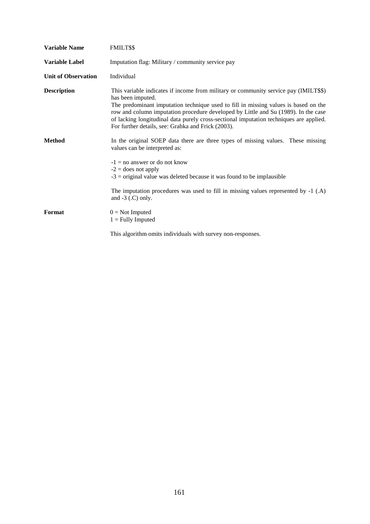| <b>Variable Name</b>       | FMILT\$\$                                                                                                                                                                                                                                                                                                                                                                                                                              |
|----------------------------|----------------------------------------------------------------------------------------------------------------------------------------------------------------------------------------------------------------------------------------------------------------------------------------------------------------------------------------------------------------------------------------------------------------------------------------|
| Variable Label             | Imputation flag: Military / community service pay                                                                                                                                                                                                                                                                                                                                                                                      |
| <b>Unit of Observation</b> | Individual                                                                                                                                                                                                                                                                                                                                                                                                                             |
| <b>Description</b>         | This variable indicates if income from military or community service pay (IMILT\$\$)<br>has been imputed.<br>The predominant imputation technique used to fill in missing values is based on the<br>row and column imputation procedure developed by Little and Su (1989). In the case<br>of lacking longitudinal data purely cross-sectional imputation techniques are applied.<br>For further details, see: Grabka and Frick (2003). |
| <b>Method</b>              | In the original SOEP data there are three types of missing values. These missing<br>values can be interpreted as:<br>$-1 =$ no answer or do not know<br>$-2$ = does not apply<br>$-3$ = original value was deleted because it was found to be implausible                                                                                                                                                                              |
|                            | The imputation procedures was used to fill in missing values represented by $-1$ (.A)<br>and $-3$ (.C) only.                                                                                                                                                                                                                                                                                                                           |
| Format                     | $0 = Not$ Imputed<br>$1 =$ Fully Imputed                                                                                                                                                                                                                                                                                                                                                                                               |
|                            | This algorithm omits individuals with survey non-responses.                                                                                                                                                                                                                                                                                                                                                                            |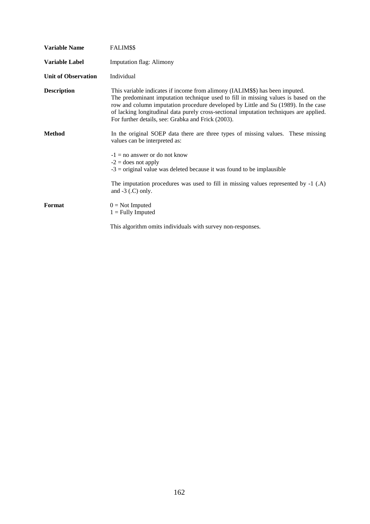| <b>Variable Name</b>       | FALIM\$\$                                                                                                                                                                                                                                                                                                                                                                                                 |
|----------------------------|-----------------------------------------------------------------------------------------------------------------------------------------------------------------------------------------------------------------------------------------------------------------------------------------------------------------------------------------------------------------------------------------------------------|
| <b>Variable Label</b>      | <b>Imputation flag: Alimony</b>                                                                                                                                                                                                                                                                                                                                                                           |
| <b>Unit of Observation</b> | Individual                                                                                                                                                                                                                                                                                                                                                                                                |
| <b>Description</b>         | This variable indicates if income from alimony (IALIM\$\$) has been imputed.<br>The predominant imputation technique used to fill in missing values is based on the<br>row and column imputation procedure developed by Little and Su (1989). In the case<br>of lacking longitudinal data purely cross-sectional imputation techniques are applied.<br>For further details, see: Grabka and Frick (2003). |
| <b>Method</b>              | In the original SOEP data there are three types of missing values. These missing<br>values can be interpreted as:                                                                                                                                                                                                                                                                                         |
|                            | $-1 =$ no answer or do not know<br>$-2$ = does not apply<br>$-3$ = original value was deleted because it was found to be implausible                                                                                                                                                                                                                                                                      |
|                            | The imputation procedures was used to fill in missing values represented by $-1$ (.A)<br>and $-3$ (.C) only.                                                                                                                                                                                                                                                                                              |
| Format                     | $0 = Not$ Imputed<br>$1 =$ Fully Imputed                                                                                                                                                                                                                                                                                                                                                                  |
|                            | This algorithm omits individuals with survey non-responses.                                                                                                                                                                                                                                                                                                                                               |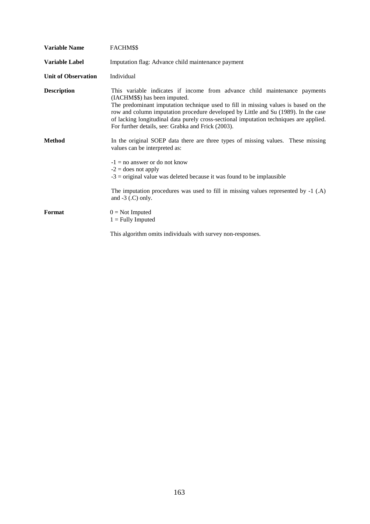| <b>Variable Name</b>       | FACHM\$\$                                                                                                                                                                                                                                                                                                                                                                                                                               |
|----------------------------|-----------------------------------------------------------------------------------------------------------------------------------------------------------------------------------------------------------------------------------------------------------------------------------------------------------------------------------------------------------------------------------------------------------------------------------------|
| Variable Label             | Imputation flag: Advance child maintenance payment                                                                                                                                                                                                                                                                                                                                                                                      |
| <b>Unit of Observation</b> | Individual                                                                                                                                                                                                                                                                                                                                                                                                                              |
| <b>Description</b>         | This variable indicates if income from advance child maintenance payments<br>(IACHM\$\$) has been imputed.<br>The predominant imputation technique used to fill in missing values is based on the<br>row and column imputation procedure developed by Little and Su (1989). In the case<br>of lacking longitudinal data purely cross-sectional imputation techniques are applied.<br>For further details, see: Grabka and Frick (2003). |
| <b>Method</b>              | In the original SOEP data there are three types of missing values. These missing<br>values can be interpreted as:<br>$-1 =$ no answer or do not know<br>$-2$ = does not apply<br>$-3$ = original value was deleted because it was found to be implausible                                                                                                                                                                               |
|                            | The imputation procedures was used to fill in missing values represented by -1 (.A)<br>and $-3$ (.C) only.                                                                                                                                                                                                                                                                                                                              |
| Format                     | $0 = Not$ Imputed<br>$1 =$ Fully Imputed                                                                                                                                                                                                                                                                                                                                                                                                |
|                            | This algorithm omits individuals with survey non-responses.                                                                                                                                                                                                                                                                                                                                                                             |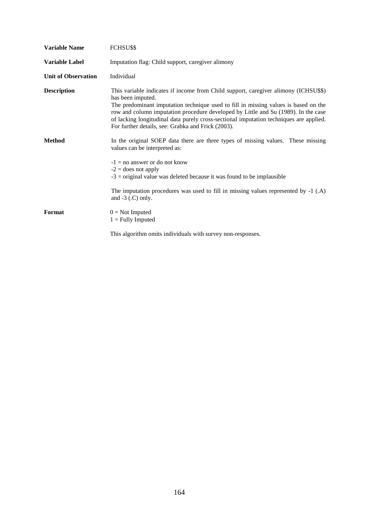| <b>Variable Name</b>       | FCHSU\$\$                                                                                                                                                                                                                                                                                                                                                                                                                             |
|----------------------------|---------------------------------------------------------------------------------------------------------------------------------------------------------------------------------------------------------------------------------------------------------------------------------------------------------------------------------------------------------------------------------------------------------------------------------------|
| Variable Label             | Imputation flag: Child support, caregiver alimony                                                                                                                                                                                                                                                                                                                                                                                     |
| <b>Unit of Observation</b> | Individual                                                                                                                                                                                                                                                                                                                                                                                                                            |
| <b>Description</b>         | This variable indicates if income from Child support, caregiver alimony (ICHSU\$\$)<br>has been imputed.<br>The predominant imputation technique used to fill in missing values is based on the<br>row and column imputation procedure developed by Little and Su (1989). In the case<br>of lacking longitudinal data purely cross-sectional imputation techniques are applied.<br>For further details, see: Grabka and Frick (2003). |
| <b>Method</b>              | In the original SOEP data there are three types of missing values. These missing<br>values can be interpreted as:<br>$-1 =$ no answer or do not know<br>$-2$ = does not apply<br>$-3$ = original value was deleted because it was found to be implausible                                                                                                                                                                             |
|                            | The imputation procedures was used to fill in missing values represented by $-1$ (.A)<br>and $-3$ (.C) only.                                                                                                                                                                                                                                                                                                                          |
| Format                     | $0 = Not$ Imputed<br>$1 =$ Fully Imputed                                                                                                                                                                                                                                                                                                                                                                                              |
|                            | This algorithm omits individuals with survey non-responses.                                                                                                                                                                                                                                                                                                                                                                           |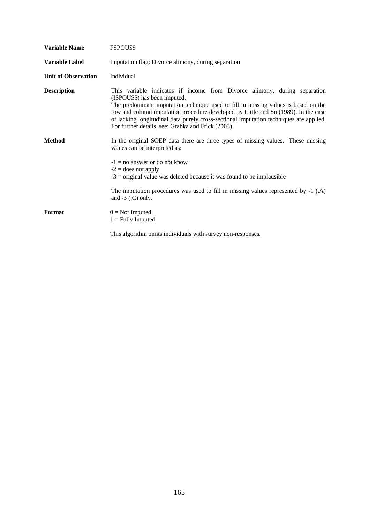| <b>Variable Name</b>       | FSPOU\$\$                                                                                                                                                                                                                                                                                                                                                                                                                               |
|----------------------------|-----------------------------------------------------------------------------------------------------------------------------------------------------------------------------------------------------------------------------------------------------------------------------------------------------------------------------------------------------------------------------------------------------------------------------------------|
| <b>Variable Label</b>      | Imputation flag: Divorce alimony, during separation                                                                                                                                                                                                                                                                                                                                                                                     |
| <b>Unit of Observation</b> | Individual                                                                                                                                                                                                                                                                                                                                                                                                                              |
| <b>Description</b>         | This variable indicates if income from Divorce alimony, during separation<br>(ISPOU\$\$) has been imputed.<br>The predominant imputation technique used to fill in missing values is based on the<br>row and column imputation procedure developed by Little and Su (1989). In the case<br>of lacking longitudinal data purely cross-sectional imputation techniques are applied.<br>For further details, see: Grabka and Frick (2003). |
| <b>Method</b>              | In the original SOEP data there are three types of missing values. These missing<br>values can be interpreted as:<br>$-1 =$ no answer or do not know<br>$-2$ = does not apply<br>$-3$ = original value was deleted because it was found to be implausible                                                                                                                                                                               |
|                            | The imputation procedures was used to fill in missing values represented by -1 (.A)<br>and $-3$ (.C) only.                                                                                                                                                                                                                                                                                                                              |
| Format                     | $0 = Not$ Imputed<br>$1 =$ Fully Imputed                                                                                                                                                                                                                                                                                                                                                                                                |
|                            | This algorithm omits individuals with survey non-responses.                                                                                                                                                                                                                                                                                                                                                                             |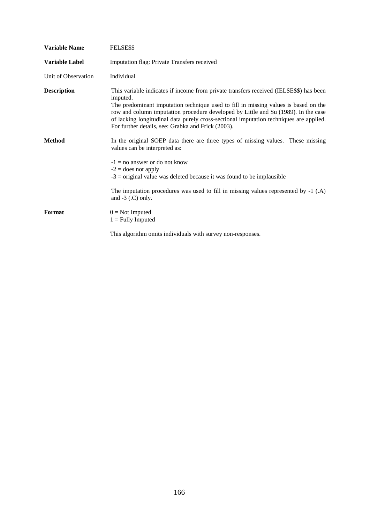| <b>Variable Name</b>  | FELSE\$\$                                                                                                                                                                                                                                                                                                                                                                                                                       |
|-----------------------|---------------------------------------------------------------------------------------------------------------------------------------------------------------------------------------------------------------------------------------------------------------------------------------------------------------------------------------------------------------------------------------------------------------------------------|
| <b>Variable Label</b> | Imputation flag: Private Transfers received                                                                                                                                                                                                                                                                                                                                                                                     |
| Unit of Observation   | Individual                                                                                                                                                                                                                                                                                                                                                                                                                      |
| <b>Description</b>    | This variable indicates if income from private transfers received (IELSE\$\$) has been<br>imputed.<br>The predominant imputation technique used to fill in missing values is based on the<br>row and column imputation procedure developed by Little and Su (1989). In the case<br>of lacking longitudinal data purely cross-sectional imputation techniques are applied.<br>For further details, see: Grabka and Frick (2003). |
| <b>Method</b>         | In the original SOEP data there are three types of missing values. These missing<br>values can be interpreted as:<br>$-1 =$ no answer or do not know<br>$-2$ = does not apply<br>$-3$ = original value was deleted because it was found to be implausible                                                                                                                                                                       |
|                       | The imputation procedures was used to fill in missing values represented by $-1$ (.A)<br>and $-3$ (.C) only.                                                                                                                                                                                                                                                                                                                    |
| Format                | $0 = Not$ Imputed<br>$1 =$ Fully Imputed                                                                                                                                                                                                                                                                                                                                                                                        |
|                       | This algorithm omits individuals with survey non-responses.                                                                                                                                                                                                                                                                                                                                                                     |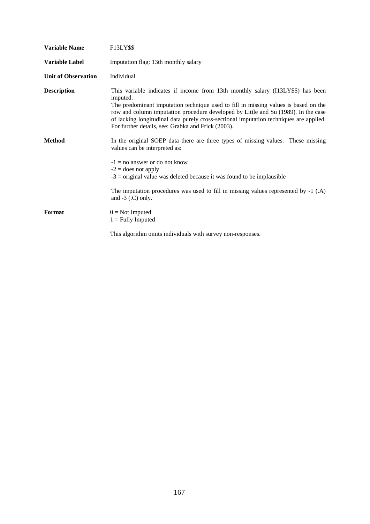| <b>Variable Name</b>       | F13LY\$\$                                                                                                                                                                                                                                                                                                                                                                                                                |
|----------------------------|--------------------------------------------------------------------------------------------------------------------------------------------------------------------------------------------------------------------------------------------------------------------------------------------------------------------------------------------------------------------------------------------------------------------------|
| <b>Variable Label</b>      | Imputation flag: 13th monthly salary                                                                                                                                                                                                                                                                                                                                                                                     |
| <b>Unit of Observation</b> | Individual                                                                                                                                                                                                                                                                                                                                                                                                               |
| <b>Description</b>         | This variable indicates if income from 13th monthly salary (I13LY\$\$) has been<br>imputed.<br>The predominant imputation technique used to fill in missing values is based on the<br>row and column imputation procedure developed by Little and Su (1989). In the case<br>of lacking longitudinal data purely cross-sectional imputation techniques are applied.<br>For further details, see: Grabka and Frick (2003). |
| <b>Method</b>              | In the original SOEP data there are three types of missing values. These missing<br>values can be interpreted as:<br>$-1 =$ no answer or do not know<br>$-2$ = does not apply<br>$-3$ = original value was deleted because it was found to be implausible                                                                                                                                                                |
|                            | The imputation procedures was used to fill in missing values represented by -1 (.A)<br>and $-3$ (.C) only.                                                                                                                                                                                                                                                                                                               |
| Format                     | $0 = Not$ Imputed<br>$1 =$ Fully Imputed                                                                                                                                                                                                                                                                                                                                                                                 |
|                            | This algorithm omits individuals with survey non-responses.                                                                                                                                                                                                                                                                                                                                                              |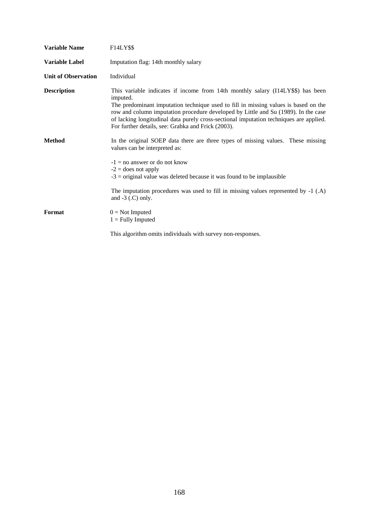| <b>Variable Name</b>       | F14LY\$\$                                                                                                                                                                                                                                                                                                                                                                                                                |
|----------------------------|--------------------------------------------------------------------------------------------------------------------------------------------------------------------------------------------------------------------------------------------------------------------------------------------------------------------------------------------------------------------------------------------------------------------------|
| <b>Variable Label</b>      | Imputation flag: 14th monthly salary                                                                                                                                                                                                                                                                                                                                                                                     |
| <b>Unit of Observation</b> | Individual                                                                                                                                                                                                                                                                                                                                                                                                               |
| <b>Description</b>         | This variable indicates if income from 14th monthly salary (I14LY\$\$) has been<br>imputed.<br>The predominant imputation technique used to fill in missing values is based on the<br>row and column imputation procedure developed by Little and Su (1989). In the case<br>of lacking longitudinal data purely cross-sectional imputation techniques are applied.<br>For further details, see: Grabka and Frick (2003). |
| <b>Method</b>              | In the original SOEP data there are three types of missing values. These missing<br>values can be interpreted as:<br>$-1 =$ no answer or do not know<br>$-2$ = does not apply<br>$-3$ = original value was deleted because it was found to be implausible                                                                                                                                                                |
|                            | The imputation procedures was used to fill in missing values represented by -1 (.A)<br>and $-3$ (.C) only.                                                                                                                                                                                                                                                                                                               |
| Format                     | $0 = Not$ Imputed<br>$1 =$ Fully Imputed                                                                                                                                                                                                                                                                                                                                                                                 |
|                            | This algorithm omits individuals with survey non-responses.                                                                                                                                                                                                                                                                                                                                                              |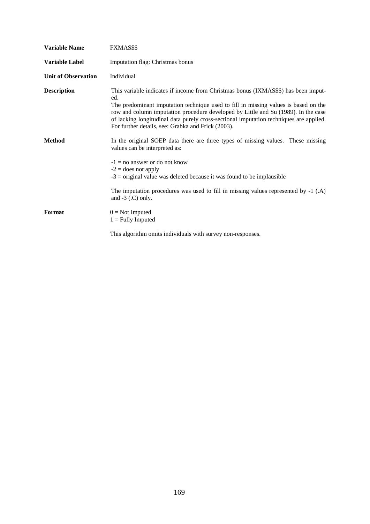| <b>Variable Name</b>       | <b>FXMAS\$\$</b>                                                                                                                                                                                                                                                                                                                                                                                                       |
|----------------------------|------------------------------------------------------------------------------------------------------------------------------------------------------------------------------------------------------------------------------------------------------------------------------------------------------------------------------------------------------------------------------------------------------------------------|
| <b>Variable Label</b>      | Imputation flag: Christmas bonus                                                                                                                                                                                                                                                                                                                                                                                       |
| <b>Unit of Observation</b> | Individual                                                                                                                                                                                                                                                                                                                                                                                                             |
| <b>Description</b>         | This variable indicates if income from Christmas bonus (IXMAS\$\$) has been imput-<br>ed.<br>The predominant imputation technique used to fill in missing values is based on the<br>row and column imputation procedure developed by Little and Su (1989). In the case<br>of lacking longitudinal data purely cross-sectional imputation techniques are applied.<br>For further details, see: Grabka and Frick (2003). |
| <b>Method</b>              | In the original SOEP data there are three types of missing values. These missing<br>values can be interpreted as:<br>$-1 =$ no answer or do not know<br>$-2$ = does not apply<br>$-3$ = original value was deleted because it was found to be implausible                                                                                                                                                              |
|                            | The imputation procedures was used to fill in missing values represented by -1 (.A)<br>and $-3$ (.C) only.                                                                                                                                                                                                                                                                                                             |
| Format                     | $0 = Not$ Imputed<br>$1 =$ Fully Imputed                                                                                                                                                                                                                                                                                                                                                                               |
|                            | This algorithm omits individuals with survey non-responses.                                                                                                                                                                                                                                                                                                                                                            |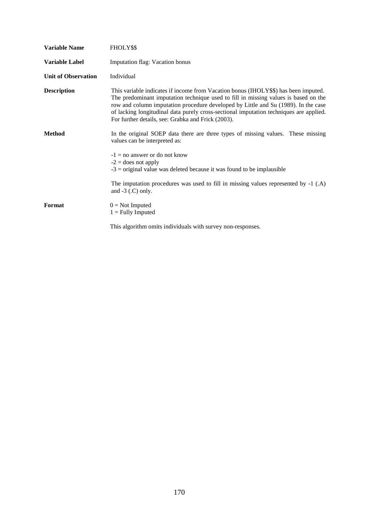| <b>Variable Name</b>       | FHOLY\$\$                                                                                                                                                                                                                                                                                                                                                                                                        |
|----------------------------|------------------------------------------------------------------------------------------------------------------------------------------------------------------------------------------------------------------------------------------------------------------------------------------------------------------------------------------------------------------------------------------------------------------|
| <b>Variable Label</b>      | <b>Imputation flag: Vacation bonus</b>                                                                                                                                                                                                                                                                                                                                                                           |
| <b>Unit of Observation</b> | Individual                                                                                                                                                                                                                                                                                                                                                                                                       |
| <b>Description</b>         | This variable indicates if income from Vacation bonus (IHOLY\$\$) has been imputed.<br>The predominant imputation technique used to fill in missing values is based on the<br>row and column imputation procedure developed by Little and Su (1989). In the case<br>of lacking longitudinal data purely cross-sectional imputation techniques are applied.<br>For further details, see: Grabka and Frick (2003). |
| <b>Method</b>              | In the original SOEP data there are three types of missing values. These missing<br>values can be interpreted as:                                                                                                                                                                                                                                                                                                |
|                            | $-1 =$ no answer or do not know<br>$-2$ = does not apply<br>$-3$ = original value was deleted because it was found to be implausible                                                                                                                                                                                                                                                                             |
|                            | The imputation procedures was used to fill in missing values represented by $-1$ (.A)<br>and $-3$ (.C) only.                                                                                                                                                                                                                                                                                                     |
| Format                     | $0 = Not$ Imputed<br>$1 =$ Fully Imputed                                                                                                                                                                                                                                                                                                                                                                         |
|                            | This algorithm omits individuals with survey non-responses.                                                                                                                                                                                                                                                                                                                                                      |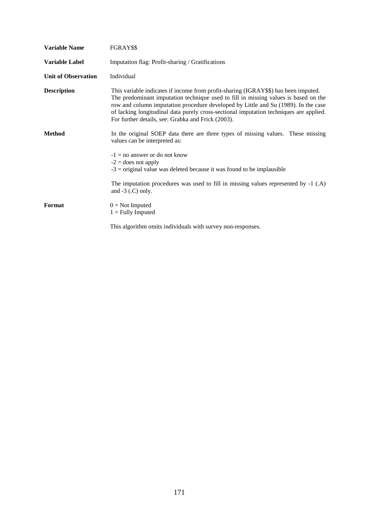| <b>Variable Name</b>       | FGRAY\$\$                                                                                                                                                                                                                                                                                                                                                                                                        |
|----------------------------|------------------------------------------------------------------------------------------------------------------------------------------------------------------------------------------------------------------------------------------------------------------------------------------------------------------------------------------------------------------------------------------------------------------|
| <b>Variable Label</b>      | Imputation flag: Profit-sharing / Gratifications                                                                                                                                                                                                                                                                                                                                                                 |
| <b>Unit of Observation</b> | Individual                                                                                                                                                                                                                                                                                                                                                                                                       |
| <b>Description</b>         | This variable indicates if income from profit-sharing (IGRAY\$\$) has been imputed.<br>The predominant imputation technique used to fill in missing values is based on the<br>row and column imputation procedure developed by Little and Su (1989). In the case<br>of lacking longitudinal data purely cross-sectional imputation techniques are applied.<br>For further details, see: Grabka and Frick (2003). |
| <b>Method</b>              | In the original SOEP data there are three types of missing values. These missing<br>values can be interpreted as:                                                                                                                                                                                                                                                                                                |
|                            | $-1 =$ no answer or do not know<br>$-2$ = does not apply<br>$-3$ = original value was deleted because it was found to be implausible                                                                                                                                                                                                                                                                             |
|                            | The imputation procedures was used to fill in missing values represented by $-1$ (.A)<br>and $-3$ (.C) only.                                                                                                                                                                                                                                                                                                     |
| Format                     | $0 = Not$ Imputed<br>$1 =$ Fully Imputed                                                                                                                                                                                                                                                                                                                                                                         |
|                            | This algorithm omits individuals with survey non-responses.                                                                                                                                                                                                                                                                                                                                                      |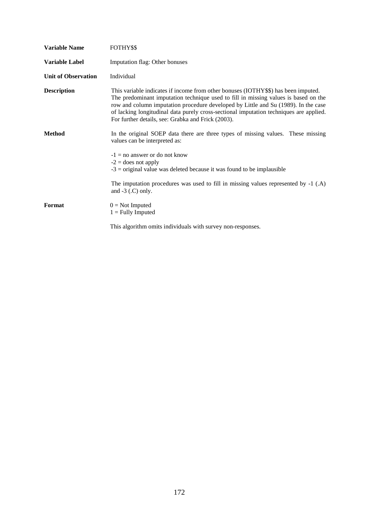| <b>Variable Name</b>       | FOTHY\$\$                                                                                                                                                                                                                                                                                                                                                                                                       |
|----------------------------|-----------------------------------------------------------------------------------------------------------------------------------------------------------------------------------------------------------------------------------------------------------------------------------------------------------------------------------------------------------------------------------------------------------------|
| <b>Variable Label</b>      | Imputation flag: Other bonuses                                                                                                                                                                                                                                                                                                                                                                                  |
| <b>Unit of Observation</b> | Individual                                                                                                                                                                                                                                                                                                                                                                                                      |
| <b>Description</b>         | This variable indicates if income from other bonuses (IOTHY\$\$) has been imputed.<br>The predominant imputation technique used to fill in missing values is based on the<br>row and column imputation procedure developed by Little and Su (1989). In the case<br>of lacking longitudinal data purely cross-sectional imputation techniques are applied.<br>For further details, see: Grabka and Frick (2003). |
| <b>Method</b>              | In the original SOEP data there are three types of missing values. These missing<br>values can be interpreted as:                                                                                                                                                                                                                                                                                               |
|                            | $-1 =$ no answer or do not know<br>$-2$ = does not apply<br>$-3$ = original value was deleted because it was found to be implausible                                                                                                                                                                                                                                                                            |
|                            | The imputation procedures was used to fill in missing values represented by -1 (.A)<br>and $-3$ (.C) only.                                                                                                                                                                                                                                                                                                      |
| Format                     | $0 = Not$ Imputed<br>$1 =$ Fully Imputed                                                                                                                                                                                                                                                                                                                                                                        |
|                            | This algorithm omits individuals with survey non-responses.                                                                                                                                                                                                                                                                                                                                                     |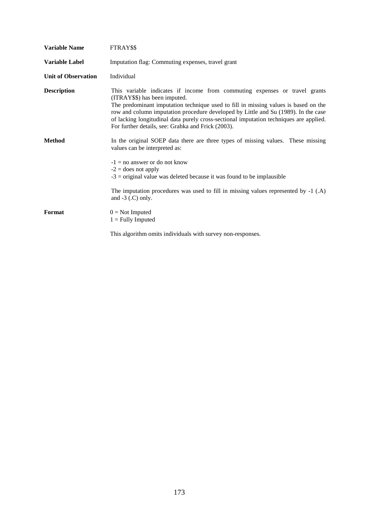| <b>Variable Name</b>       | FTRAY\$\$                                                                                                                                                                                                                                                                                                                                                                                                                                |
|----------------------------|------------------------------------------------------------------------------------------------------------------------------------------------------------------------------------------------------------------------------------------------------------------------------------------------------------------------------------------------------------------------------------------------------------------------------------------|
| <b>Variable Label</b>      | Imputation flag: Commuting expenses, travel grant                                                                                                                                                                                                                                                                                                                                                                                        |
| <b>Unit of Observation</b> | Individual                                                                                                                                                                                                                                                                                                                                                                                                                               |
| <b>Description</b>         | This variable indicates if income from commuting expenses or travel grants<br>(ITRAY\$\$) has been imputed.<br>The predominant imputation technique used to fill in missing values is based on the<br>row and column imputation procedure developed by Little and Su (1989). In the case<br>of lacking longitudinal data purely cross-sectional imputation techniques are applied.<br>For further details, see: Grabka and Frick (2003). |
| <b>Method</b>              | In the original SOEP data there are three types of missing values. These missing<br>values can be interpreted as:<br>$-1 =$ no answer or do not know<br>$-2$ = does not apply<br>$-3$ = original value was deleted because it was found to be implausible                                                                                                                                                                                |
|                            | The imputation procedures was used to fill in missing values represented by -1 (.A)<br>and $-3$ (.C) only.                                                                                                                                                                                                                                                                                                                               |
| Format                     | $0 = Not$ Imputed<br>$1 =$ Fully Imputed                                                                                                                                                                                                                                                                                                                                                                                                 |
|                            | This algorithm omits individuals with survey non-responses.                                                                                                                                                                                                                                                                                                                                                                              |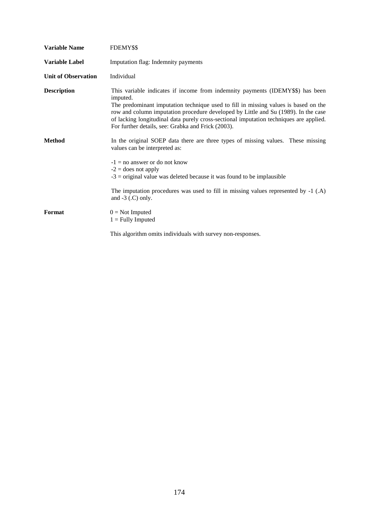| <b>Variable Name</b>       | FDEMY\$\$                                                                                                                                                                                                                                                                                                                                                                                                               |
|----------------------------|-------------------------------------------------------------------------------------------------------------------------------------------------------------------------------------------------------------------------------------------------------------------------------------------------------------------------------------------------------------------------------------------------------------------------|
| <b>Variable Label</b>      | Imputation flag: Indemnity payments                                                                                                                                                                                                                                                                                                                                                                                     |
| <b>Unit of Observation</b> | Individual                                                                                                                                                                                                                                                                                                                                                                                                              |
| <b>Description</b>         | This variable indicates if income from indemnity payments (IDEMY\$\$) has been<br>imputed.<br>The predominant imputation technique used to fill in missing values is based on the<br>row and column imputation procedure developed by Little and Su (1989). In the case<br>of lacking longitudinal data purely cross-sectional imputation techniques are applied.<br>For further details, see: Grabka and Frick (2003). |
| <b>Method</b>              | In the original SOEP data there are three types of missing values. These missing<br>values can be interpreted as:<br>$-1 =$ no answer or do not know<br>$-2$ = does not apply<br>$-3$ = original value was deleted because it was found to be implausible                                                                                                                                                               |
|                            | The imputation procedures was used to fill in missing values represented by -1 (.A)<br>and $-3$ (.C) only.                                                                                                                                                                                                                                                                                                              |
| Format                     | $0 = Not$ Imputed<br>$1 =$ Fully Imputed                                                                                                                                                                                                                                                                                                                                                                                |
|                            | This algorithm omits individuals with survey non-responses.                                                                                                                                                                                                                                                                                                                                                             |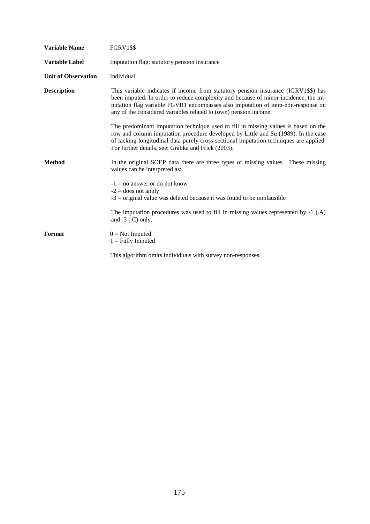| <b>Variable Name</b>       | <b>FGRV1\$\$</b>                                                                                                                                                                                                                                                                                                                  |
|----------------------------|-----------------------------------------------------------------------------------------------------------------------------------------------------------------------------------------------------------------------------------------------------------------------------------------------------------------------------------|
| <b>Variable Label</b>      | Imputation flag: statutory pension insurance                                                                                                                                                                                                                                                                                      |
| <b>Unit of Observation</b> | Individual                                                                                                                                                                                                                                                                                                                        |
| <b>Description</b>         | This variable indicates if income from statutory pension insurance (IGRV1\$\$) has<br>been imputed. In order to reduce complexity and because of minor incidence, the im-<br>putation flag variable FGVR1 encompasses also imputation of item-non-response on<br>any of the considered variables related to (own) pension income. |
|                            | The predominant imputation technique used to fill in missing values is based on the<br>row and column imputation procedure developed by Little and Su (1989). In the case<br>of lacking longitudinal data purely cross-sectional imputation techniques are applied.<br>For further details, see: Grabka and Frick (2003).         |
| <b>Method</b>              | In the original SOEP data there are three types of missing values. These missing<br>values can be interpreted as:                                                                                                                                                                                                                 |
|                            | $-1 =$ no answer or do not know<br>$-2$ = does not apply<br>$-3$ = original value was deleted because it was found to be implausible                                                                                                                                                                                              |
|                            | The imputation procedures was used to fill in missing values represented by -1 (.A)<br>and $-3$ (.C) only.                                                                                                                                                                                                                        |
| Format                     | $0 = Not$ Imputed<br>$1 =$ Fully Imputed                                                                                                                                                                                                                                                                                          |
|                            | This algorithm omits individuals with survey non-responses.                                                                                                                                                                                                                                                                       |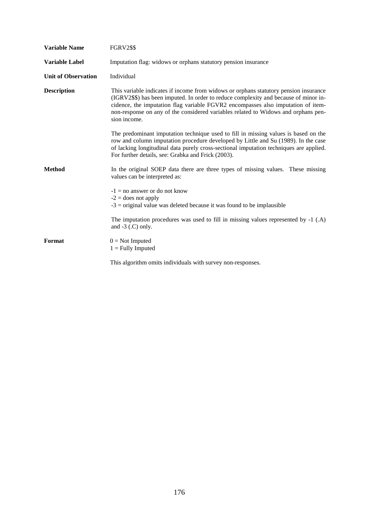| <b>Variable Name</b>       | <b>FGRV2\$\$</b>                                                                                                                                                                                                                                                                                                                                                       |
|----------------------------|------------------------------------------------------------------------------------------------------------------------------------------------------------------------------------------------------------------------------------------------------------------------------------------------------------------------------------------------------------------------|
| <b>Variable Label</b>      | Imputation flag: widows or orphans statutory pension insurance                                                                                                                                                                                                                                                                                                         |
| <b>Unit of Observation</b> | Individual                                                                                                                                                                                                                                                                                                                                                             |
| <b>Description</b>         | This variable indicates if income from widows or orphans statutory pension insurance<br>(IGRV2\$\$) has been imputed. In order to reduce complexity and because of minor in-<br>cidence, the imputation flag variable FGVR2 encompasses also imputation of item-<br>non-response on any of the considered variables related to Widows and orphans pen-<br>sion income. |
|                            | The predominant imputation technique used to fill in missing values is based on the<br>row and column imputation procedure developed by Little and Su (1989). In the case<br>of lacking longitudinal data purely cross-sectional imputation techniques are applied.<br>For further details, see: Grabka and Frick (2003).                                              |
| <b>Method</b>              | In the original SOEP data there are three types of missing values. These missing<br>values can be interpreted as:                                                                                                                                                                                                                                                      |
|                            | $-1 =$ no answer or do not know<br>$-2$ = does not apply<br>$-3$ = original value was deleted because it was found to be implausible                                                                                                                                                                                                                                   |
|                            | The imputation procedures was used to fill in missing values represented by $-1$ (.A)<br>and $-3$ (.C) only.                                                                                                                                                                                                                                                           |
| Format                     | $0 = Not$ Imputed<br>$1 =$ Fully Imputed                                                                                                                                                                                                                                                                                                                               |
|                            | This algorithm omits individuals with survey non-responses.                                                                                                                                                                                                                                                                                                            |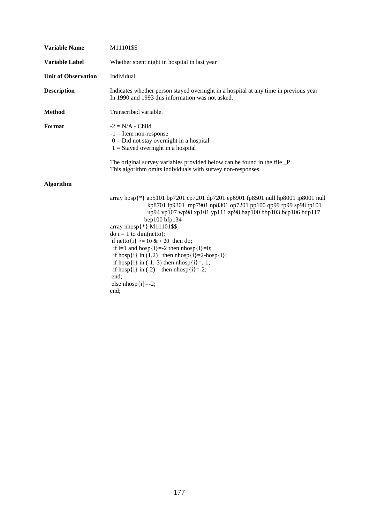| <b>Variable Name</b>       | M11101\$\$                                                                                                                                                                                                                                                                                                                                                                                                                                                                                                                                                                                                           |
|----------------------------|----------------------------------------------------------------------------------------------------------------------------------------------------------------------------------------------------------------------------------------------------------------------------------------------------------------------------------------------------------------------------------------------------------------------------------------------------------------------------------------------------------------------------------------------------------------------------------------------------------------------|
| <b>Variable Label</b>      | Whether spent night in hospital in last year                                                                                                                                                                                                                                                                                                                                                                                                                                                                                                                                                                         |
| <b>Unit of Observation</b> | Individual                                                                                                                                                                                                                                                                                                                                                                                                                                                                                                                                                                                                           |
| <b>Description</b>         | Indicates whether person stayed overnight in a hospital at any time in previous year<br>In 1990 and 1993 this information was not asked.                                                                                                                                                                                                                                                                                                                                                                                                                                                                             |
| <b>Method</b>              | Transcribed variable.                                                                                                                                                                                                                                                                                                                                                                                                                                                                                                                                                                                                |
| Format                     | $-2 = N/A$ - Child<br>$-1$ = Item non-response<br>$0 = Did$ not stay overnight in a hospital<br>$1 =$ Stayed overnight in a hospital<br>The original survey variables provided below can be found in the file _P.                                                                                                                                                                                                                                                                                                                                                                                                    |
|                            | This algorithm omits individuals with survey non-responses.                                                                                                                                                                                                                                                                                                                                                                                                                                                                                                                                                          |
| <b>Algorithm</b>           |                                                                                                                                                                                                                                                                                                                                                                                                                                                                                                                                                                                                                      |
|                            | array hosp $\{\ast\}$ ap5101 bp7201 cp7201 dp7201 ep6901 fp8501 null hp8001 ip8001 null<br>kp8701 lp9301 mp7901 np8301 op7201 pp100 qp99 rp99 sp98 tp101<br>up94 vp107 wp98 xp101 yp111 zp98 bap100 bbp103 bcp106 bdp117<br>bep100 bfp134<br>array nhosp{*} M11101\$\$;<br>do $i = 1$ to dim(netto);<br>if netto $\{i\}$ >= 10 & < 20 then do;<br>if i=1 and hosp $\{i\}$ =-2 then nhosp $\{i\}$ =0;<br>if hosp $\{i\}$ in $(1,2)$ then $nhop\{i\} = 2-hosp\{i\};$<br>if hosp $\{i\}$ in $(-1,-3)$ then nhosp $\{i\} = -1$ ;<br>if hosp $\{i\}$ in (-2) then nhosp $\{i\}$ =-2;<br>end;<br>else $nhop[i]=2;$<br>end; |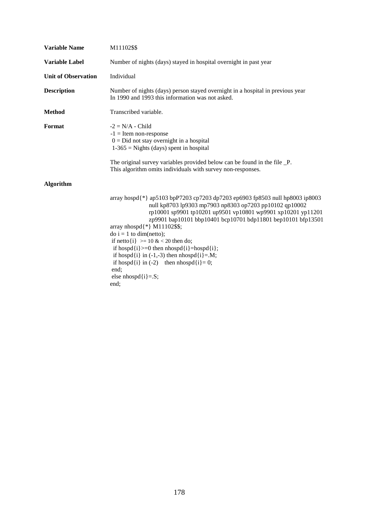| <b>Variable Name</b>       | M11102\$\$                                                                                                                                                                                                                                                                                                                                                                                                                                                                                                                                                                                                        |
|----------------------------|-------------------------------------------------------------------------------------------------------------------------------------------------------------------------------------------------------------------------------------------------------------------------------------------------------------------------------------------------------------------------------------------------------------------------------------------------------------------------------------------------------------------------------------------------------------------------------------------------------------------|
| <b>Variable Label</b>      | Number of nights (days) stayed in hospital overnight in past year                                                                                                                                                                                                                                                                                                                                                                                                                                                                                                                                                 |
| <b>Unit of Observation</b> | Individual                                                                                                                                                                                                                                                                                                                                                                                                                                                                                                                                                                                                        |
| <b>Description</b>         | Number of nights (days) person stayed overnight in a hospital in previous year<br>In 1990 and 1993 this information was not asked.                                                                                                                                                                                                                                                                                                                                                                                                                                                                                |
| <b>Method</b>              | Transcribed variable.                                                                                                                                                                                                                                                                                                                                                                                                                                                                                                                                                                                             |
| Format                     | $-2 = N/A$ - Child<br>$-1$ = Item non-response<br>$0 = Did$ not stay overnight in a hospital<br>$1-365$ = Nights (days) spent in hospital                                                                                                                                                                                                                                                                                                                                                                                                                                                                         |
|                            | The original survey variables provided below can be found in the file _P.<br>This algorithm omits individuals with survey non-responses.                                                                                                                                                                                                                                                                                                                                                                                                                                                                          |
| <b>Algorithm</b>           |                                                                                                                                                                                                                                                                                                                                                                                                                                                                                                                                                                                                                   |
|                            | array hospd{*} ap5103 bpP7203 cp7203 dp7203 ep6903 fp8503 null hp8003 ip8003<br>null kp8703 lp9303 mp7903 np8303 op7203 pp10102 qp10002<br>rp10001 sp9901 tp10201 up9501 vp10801 wp9901 xp10201 yp11201<br>zp9901 bap10101 bbp10401 bcp10701 bdp11801 bep10101 bfp13501<br>array nhospd $\{\ast\}$ M11102\$\$;<br>$\phi$ i = 1 to dim(netto);<br>if netto $\{i\}$ >= 10 & < 20 then do;<br>if hospd $\{i\}>=0$ then nhospd $\{i\}$ =hospd $\{i\}$ ;<br>if hospd $\{i\}$ in $(-1,-3)$ then nhospd $\{i\} = M$ ;<br>if hospd $\{i\}$ in (-2) then nhospd $\{i\} = 0$ ;<br>end;<br>else nhospd $\{i\} = S$ ;<br>end; |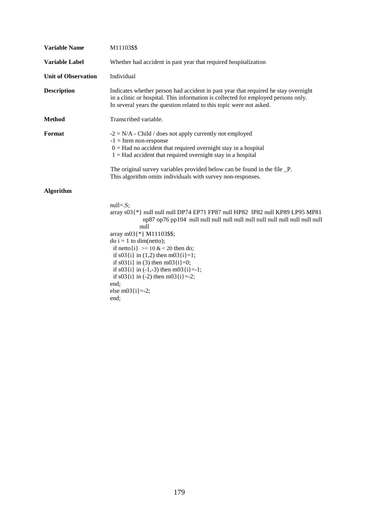| <b>Variable Name</b>       | M11103\$\$                                                                                                                                                                                                                                                                                                                                                                                                                        |
|----------------------------|-----------------------------------------------------------------------------------------------------------------------------------------------------------------------------------------------------------------------------------------------------------------------------------------------------------------------------------------------------------------------------------------------------------------------------------|
| <b>Variable Label</b>      | Whether had accident in past year that required hospitalization                                                                                                                                                                                                                                                                                                                                                                   |
| <b>Unit of Observation</b> | Individual                                                                                                                                                                                                                                                                                                                                                                                                                        |
| <b>Description</b>         | Indicates whether person had accident in past year that required he stay overnight<br>in a clinic or hospital. This information is collected for employed persons only.<br>In several years the question related to this topic were not asked.                                                                                                                                                                                    |
| <b>Method</b>              | Transcribed variable.                                                                                                                                                                                                                                                                                                                                                                                                             |
| Format                     | $-2 = N/A$ - Child / does not apply currently not employed<br>$-1$ = Item non-response<br>$0 = Had$ no accident that required overnight stay in a hospital<br>$1 = Had$ accident that required overnight stay in a hospital<br>The original survey variables provided below can be found in the file _P.<br>This algorithm omits individuals with survey non-responses.                                                           |
| <b>Algorithm</b>           |                                                                                                                                                                                                                                                                                                                                                                                                                                   |
|                            | $null=.S;$<br>array $s03$ {*} null null null DP74 EP71 FP87 null HP82 IP82 null KP89 LP95 MP81<br>null<br>array m03{*} M11103\$\$;<br>$\phi$ i = 1 to dim(netto);<br>if netto $\{i\}$ >= 10 & < 20 then do;<br>if $s03(i)$ in (1,2) then m03 $(i)=1$ ;<br>if $s03[i]$ in (3) then m03 $[i]=0$ ;<br>if $s03(i)$ in (-1,-3) then m03 $(i)$ =-1;<br>if $s03(i)$ in (-2) then m03 $(i)$ =-2;<br>end;<br>else m03 $\{i\}$ =-2;<br>end; |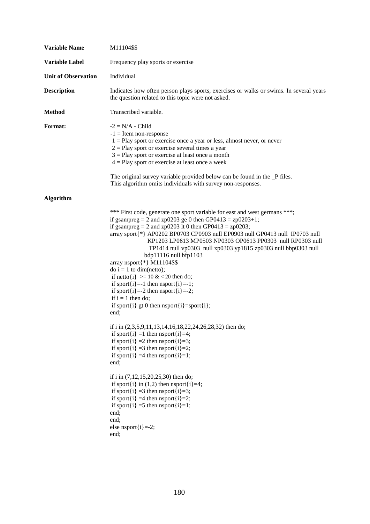| <b>Variable Name</b>       | M11104\$\$                                                                                                                                                                                                                                                                                                                                                                                                                                                                                                                                                                                                                                                                                                                                                                                                                                                                                                                                                                                                                                                                                                                                                                                                                                                                                                                                        |
|----------------------------|---------------------------------------------------------------------------------------------------------------------------------------------------------------------------------------------------------------------------------------------------------------------------------------------------------------------------------------------------------------------------------------------------------------------------------------------------------------------------------------------------------------------------------------------------------------------------------------------------------------------------------------------------------------------------------------------------------------------------------------------------------------------------------------------------------------------------------------------------------------------------------------------------------------------------------------------------------------------------------------------------------------------------------------------------------------------------------------------------------------------------------------------------------------------------------------------------------------------------------------------------------------------------------------------------------------------------------------------------|
| <b>Variable Label</b>      | Frequency play sports or exercise                                                                                                                                                                                                                                                                                                                                                                                                                                                                                                                                                                                                                                                                                                                                                                                                                                                                                                                                                                                                                                                                                                                                                                                                                                                                                                                 |
| <b>Unit of Observation</b> | Individual                                                                                                                                                                                                                                                                                                                                                                                                                                                                                                                                                                                                                                                                                                                                                                                                                                                                                                                                                                                                                                                                                                                                                                                                                                                                                                                                        |
| <b>Description</b>         | Indicates how often person plays sports, exercises or walks or swims. In several years<br>the question related to this topic were not asked.                                                                                                                                                                                                                                                                                                                                                                                                                                                                                                                                                                                                                                                                                                                                                                                                                                                                                                                                                                                                                                                                                                                                                                                                      |
| <b>Method</b>              | Transcribed variable.                                                                                                                                                                                                                                                                                                                                                                                                                                                                                                                                                                                                                                                                                                                                                                                                                                                                                                                                                                                                                                                                                                                                                                                                                                                                                                                             |
| Format:                    | $-2 = N/A$ - Child<br>$-1$ = Item non-response<br>$1 =$ Play sport or exercise once a year or less, almost never, or never<br>$2 =$ Play sport or exercise several times a year<br>$3$ = Play sport or exercise at least once a month<br>$4 =$ Play sport or exercise at least once a week<br>The original survey variable provided below can be found in the _P files.<br>This algorithm omits individuals with survey non-responses.                                                                                                                                                                                                                                                                                                                                                                                                                                                                                                                                                                                                                                                                                                                                                                                                                                                                                                            |
| <b>Algorithm</b>           |                                                                                                                                                                                                                                                                                                                                                                                                                                                                                                                                                                                                                                                                                                                                                                                                                                                                                                                                                                                                                                                                                                                                                                                                                                                                                                                                                   |
|                            | *** First code, generate one sport variable for east and west germans ***;<br>if gsampreg = 2 and zp0203 ge 0 then GP0413 = $zp0203+1$ ;<br>if gsampreg = 2 and zp0203 lt 0 then GP0413 = $zp0203$ ;<br>array sport{*} AP0202 BP0703 CP0903 null EP0903 null GP0413 null IP0703 null<br>KP1203 LP0613 MP0503 NP0303 OP0613 PP0303 null RP0303 null<br>TP1414 null vp0303 null xp0303 yp1815 zp0303 null bbp0303 null<br>bdp11116 null bfp1103<br>array nsport $\{\ast\}$ M11104\$\$<br>$\phi$ i = 1 to dim(netto);<br>if netto $\{i\}$ >= 10 & < 20 then do;<br>if sport $\{i\}$ =-1 then nsport $\{i\}$ =-1;<br>if sport $\{i\}$ =-2 then nsport $\{i\}$ =-2;<br>if $i = 1$ then do;<br>if sport $\{i\}$ gt 0 then nsport $\{i\}$ =sport $\{i\}$ ;<br>end;<br>if i in (2,3,5,9,11,13,14,16,18,22,24,26,28,32) then do;<br>if sport $\{i\} = 1$ then nsport $\{i\} = 4$ ;<br>if sport $\{i\} = 2$ then nsport $\{i\} = 3$ ;<br>if sport $\{i\} = 3$ then nsport $\{i\} = 2$ ;<br>if sport $\{i\} = 4$ then nsport $\{i\} = 1$ ;<br>end;<br>if i in (7,12,15,20,25,30) then do;<br>if sport $\{i\}$ in $(1,2)$ then nsport $\{i\} = 4$ ;<br>if sport $\{i\} = 3$ then nsport $\{i\} = 3$ ;<br>if sport $\{i\} = 4$ then nsport $\{i\} = 2$ ;<br>if sport $\{i\} = 5$ then nsport $\{i\} = 1$ ;<br>end;<br>end;<br>else nsport $\{i\}$ =-2;<br>end; |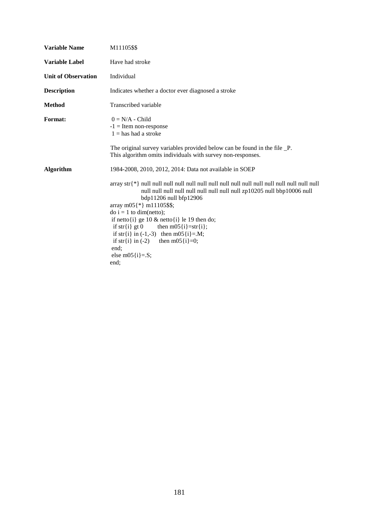| <b>Variable Name</b>       | M11105\$\$                                                                                                                                                                                                                                                                                                                                                                                                                                                                                                                                   |
|----------------------------|----------------------------------------------------------------------------------------------------------------------------------------------------------------------------------------------------------------------------------------------------------------------------------------------------------------------------------------------------------------------------------------------------------------------------------------------------------------------------------------------------------------------------------------------|
| <b>Variable Label</b>      | Have had stroke                                                                                                                                                                                                                                                                                                                                                                                                                                                                                                                              |
| <b>Unit of Observation</b> | Individual                                                                                                                                                                                                                                                                                                                                                                                                                                                                                                                                   |
| <b>Description</b>         | Indicates whether a doctor ever diagnosed a stroke                                                                                                                                                                                                                                                                                                                                                                                                                                                                                           |
| <b>Method</b>              | Transcribed variable                                                                                                                                                                                                                                                                                                                                                                                                                                                                                                                         |
| <b>Format:</b>             | $0 = N/A$ - Child<br>$-1$ = Item non-response<br>$1 =$ has had a stroke                                                                                                                                                                                                                                                                                                                                                                                                                                                                      |
|                            | The original survey variables provided below can be found in the file _P.<br>This algorithm omits individuals with survey non-responses.                                                                                                                                                                                                                                                                                                                                                                                                     |
| <b>Algorithm</b>           | 1984-2008, 2010, 2012, 2014: Data not available in SOEP                                                                                                                                                                                                                                                                                                                                                                                                                                                                                      |
|                            | $\langle \arctan{x} \, \arctan{x} \,   \, x \rangle$ and $\langle \arctan{x} \,   \, x \rangle$ and $\langle \arctan{x} \,   \, x \rangle$ and $\langle \arctan{x} \,   \, x \rangle$ and $\langle \arctan{x} \,   \, x \rangle$<br>bdp11206 null bfp12906<br>array m05 $\{\ast\}$ m11105\$\$;<br>$\phi$ i = 1 to dim(netto);<br>if netto $\{i\}$ ge 10 & netto $\{i\}$ le 19 then do;<br>if str{i} gt 0 then m05{i}=str{i};<br>if str{i} in $(-1,-3)$ then m05{i}=.M;<br>if str{i} in (-2) then m05{i}=0;<br>end;<br>else m05 $\{i\} = S$ ; |
|                            | end;                                                                                                                                                                                                                                                                                                                                                                                                                                                                                                                                         |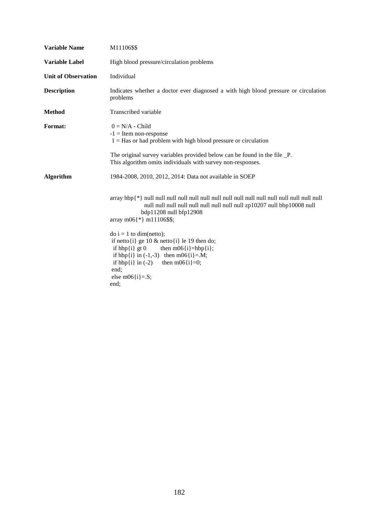| <b>Variable Name</b>       | M11106\$\$                                                                                                                                                                                                                                                                                                                              |
|----------------------------|-----------------------------------------------------------------------------------------------------------------------------------------------------------------------------------------------------------------------------------------------------------------------------------------------------------------------------------------|
| <b>Variable Label</b>      | High blood pressure/circulation problems                                                                                                                                                                                                                                                                                                |
| <b>Unit of Observation</b> | Individual                                                                                                                                                                                                                                                                                                                              |
| <b>Description</b>         | Indicates whether a doctor ever diagnosed a with high blood pressure or circulation<br>problems                                                                                                                                                                                                                                         |
| <b>Method</b>              | Transcribed variable                                                                                                                                                                                                                                                                                                                    |
| <b>Format:</b>             | $0 = N/A$ - Child<br>$-1$ = Item non-response<br>$1 = Has$ or had problem with high blood pressure or circulation<br>The original survey variables provided below can be found in the file _P.<br>This algorithm omits individuals with survey non-responses.                                                                           |
| <b>Algorithm</b>           | 1984-2008, 2010, 2012, 2014: Data not available in SOEP                                                                                                                                                                                                                                                                                 |
|                            | bdp11208 null bfp12908<br>array m06{ $*$ } m11106\$\$;<br>$\phi$ i = 1 to dim(netto);<br>if netto $\{i\}$ ge 10 & netto $\{i\}$ le 19 then do;<br>if $hbp\{i\}$ gt 0<br>then $m06$ {i}=hbp{i};<br>if hbp{i} in $(-1,-3)$ then m06{i}=.M;<br>then m06 $\{i\} = 0$ ;<br>if $hbp\{i\}$ in $(-2)$<br>end:<br>else m06 $\{i\} = S$ ;<br>end; |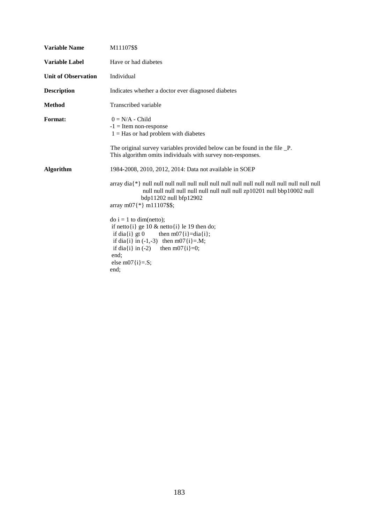| <b>Variable Name</b>       | M11107\$\$                                                                                                                                                                                                                                                  |
|----------------------------|-------------------------------------------------------------------------------------------------------------------------------------------------------------------------------------------------------------------------------------------------------------|
| <b>Variable Label</b>      | Have or had diabetes                                                                                                                                                                                                                                        |
| <b>Unit of Observation</b> | Individual                                                                                                                                                                                                                                                  |
| <b>Description</b>         | Indicates whether a doctor ever diagnosed diabetes                                                                                                                                                                                                          |
| <b>Method</b>              | Transcribed variable                                                                                                                                                                                                                                        |
| <b>Format:</b>             | $0 = N/A$ - Child<br>$-1$ = Item non-response<br>$1 = Has$ or had problem with diabetes<br>The original survey variables provided below can be found in the file _P.<br>This algorithm omits individuals with survey non-responses.                         |
| <b>Algorithm</b>           | 1984-2008, 2010, 2012, 2014: Data not available in SOEP<br>$bdp11202$ null $bf12902$<br>array m07 $\{\ast\}$ m11107\$\$;                                                                                                                                    |
|                            | $\phi$ i = 1 to dim(netto);<br>if netto $\{i\}$ ge 10 & netto $\{i\}$ le 19 then do;<br>if dia{i} gt $0$<br>then $m07(i) = dia(i);$<br>if dia{i} in $(-1,-3)$ then m07{i}=.M;<br>if dia{i} in (-2) then m07{i}=0;<br>end;<br>else m07 $\{i\} = S$ ;<br>end: |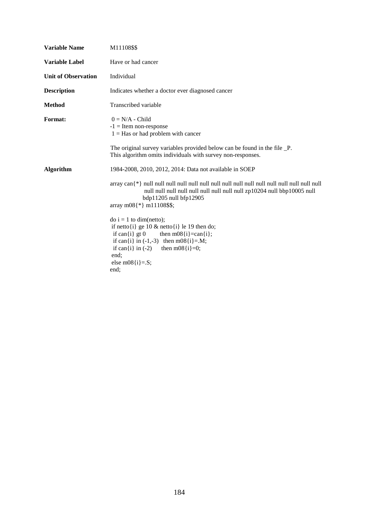| <b>Variable Name</b>       | M11108\$\$                                                                                                                                                                                                                                                                                 |
|----------------------------|--------------------------------------------------------------------------------------------------------------------------------------------------------------------------------------------------------------------------------------------------------------------------------------------|
| <b>Variable Label</b>      | Have or had cancer                                                                                                                                                                                                                                                                         |
| <b>Unit of Observation</b> | Individual                                                                                                                                                                                                                                                                                 |
| <b>Description</b>         | Indicates whether a doctor ever diagnosed cancer                                                                                                                                                                                                                                           |
| <b>Method</b>              | Transcribed variable                                                                                                                                                                                                                                                                       |
| <b>Format:</b>             | $0 = N/A$ - Child<br>$-1$ = Item non-response<br>$1 = Has$ or had problem with cancer<br>The original survey variables provided below can be found in the file _P.<br>This algorithm omits individuals with survey non-responses.                                                          |
| <b>Algorithm</b>           | 1984-2008, 2010, 2012, 2014: Data not available in SOEP<br>bdp11205 null bfp12905<br>array m08 $\{\ast\}$ m11108\$\$;                                                                                                                                                                      |
|                            | $\text{do } i = 1 \text{ to } \text{dim}(\text{netto});$<br>if netto $\{i\}$ ge 10 & netto $\{i\}$ le 19 then do;<br>if can $\{i\}$ gt 0<br>then $m08(i)=can(i)$ ;<br>if can{i} in $(-1,-3)$ then m08{i}=.M;<br>if can{i} in (-2) then m08{i}=0;<br>end;<br>else m08 $\{i\} = S$ ;<br>end: |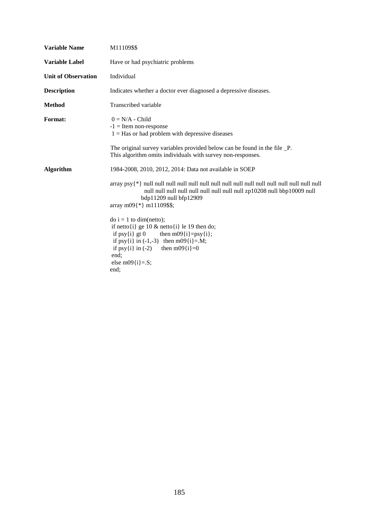| <b>Variable Name</b>       | M11109\$\$                                                                                                                                                                                                                                                  |
|----------------------------|-------------------------------------------------------------------------------------------------------------------------------------------------------------------------------------------------------------------------------------------------------------|
| <b>Variable Label</b>      | Have or had psychiatric problems                                                                                                                                                                                                                            |
| <b>Unit of Observation</b> | Individual                                                                                                                                                                                                                                                  |
| <b>Description</b>         | Indicates whether a doctor ever diagnosed a depressive diseases.                                                                                                                                                                                            |
| <b>Method</b>              | Transcribed variable                                                                                                                                                                                                                                        |
| <b>Format:</b>             | $0 = N/A$ - Child<br>$-1$ = Item non-response<br>$1 = Has$ or had problem with depressive diseases<br>The original survey variables provided below can be found in the file _P.<br>This algorithm omits individuals with survey non-responses.              |
| <b>Algorithm</b>           | 1984-2008, 2010, 2012, 2014: Data not available in SOEP<br>bdp11209 null bfp12909<br>array m09 $\{\ast\}$ m11109\$\$;                                                                                                                                       |
|                            | $\phi$ i = 1 to dim(netto);<br>if netto $\{i\}$ ge 10 & netto $\{i\}$ le 19 then do;<br>if $psy[i]$ gt 0<br>then $m09{i}$ = $psy{i}$ ;<br>if psy{i} in $(-1,-3)$ then m09{i}=.M;<br>if psy{i} in $(-2)$ then m09{i}=0<br>end;<br>else m09{i}= $.S;$<br>end: |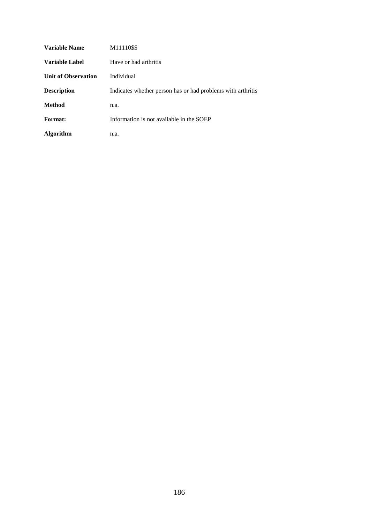| <b>Variable Name</b>       | M11110\$\$                                                  |
|----------------------------|-------------------------------------------------------------|
| <b>Variable Label</b>      | Have or had arthritis                                       |
| <b>Unit of Observation</b> | Individual                                                  |
| <b>Description</b>         | Indicates whether person has or had problems with arthritis |
| Method                     | n.a.                                                        |
| Format:                    | Information is not available in the SOEP                    |
| Algorithm                  | n.a.                                                        |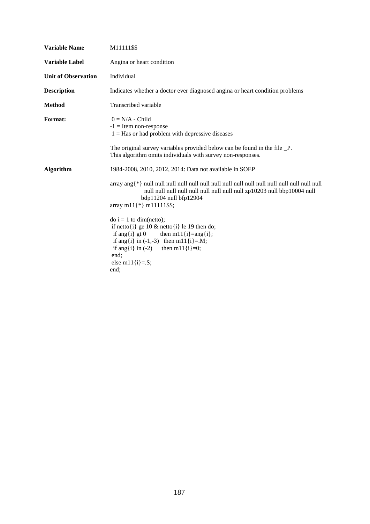| <b>Variable Name</b>       | M11111\$\$                                                                                                                                                                                                                                        |
|----------------------------|---------------------------------------------------------------------------------------------------------------------------------------------------------------------------------------------------------------------------------------------------|
| <b>Variable Label</b>      | Angina or heart condition                                                                                                                                                                                                                         |
| <b>Unit of Observation</b> | Individual                                                                                                                                                                                                                                        |
| <b>Description</b>         | Indicates whether a doctor ever diagnosed angina or heart condition problems                                                                                                                                                                      |
| <b>Method</b>              | Transcribed variable                                                                                                                                                                                                                              |
| <b>Format:</b>             | $0 = N/A$ - Child<br>$-1$ = Item non-response<br>$1 = Has$ or had problem with depressive diseases<br>The original survey variables provided below can be found in the file _P.<br>This algorithm omits individuals with survey non-responses.    |
| <b>Algorithm</b>           | 1984-2008, 2010, 2012, 2014: Data not available in SOEP<br>bdp11204 null bfp12904<br>array m $11\{*\}$ m $11111\$ \$\$;                                                                                                                           |
|                            | $\phi$ i = 1 to dim(netto);<br>if netto $\{i\}$ ge 10 & netto $\{i\}$ le 19 then do;<br>if ang{i} gt 0 then m11{i}=ang{i};<br>if ang{i} in $(-1,-3)$ then m11{i}=.M;<br>if ang{i} in (-2) then m11{i}=0;<br>end;<br>else m $11\{i\} = S;$<br>end: |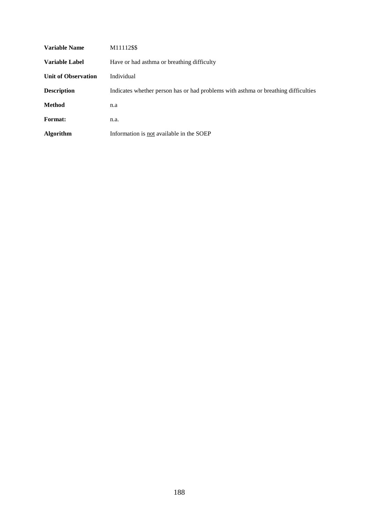| <b>Variable Name</b>       | M11112\$\$                                                                         |
|----------------------------|------------------------------------------------------------------------------------|
| Variable Label             | Have or had asthma or breathing difficulty                                         |
| <b>Unit of Observation</b> | Individual                                                                         |
| <b>Description</b>         | Indicates whether person has or had problems with asthma or breathing difficulties |
| <b>Method</b>              | n.a                                                                                |
| <b>Format:</b>             | n.a.                                                                               |
| <b>Algorithm</b>           | Information is not available in the SOEP                                           |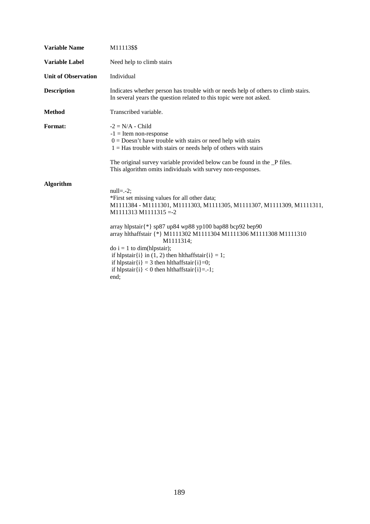| <b>Variable Name</b>       | M11113\$\$                                                                                                                                                                                                                                                                                                                                                                                                                                                                                                                                       |
|----------------------------|--------------------------------------------------------------------------------------------------------------------------------------------------------------------------------------------------------------------------------------------------------------------------------------------------------------------------------------------------------------------------------------------------------------------------------------------------------------------------------------------------------------------------------------------------|
| <b>Variable Label</b>      | Need help to climb stairs                                                                                                                                                                                                                                                                                                                                                                                                                                                                                                                        |
| <b>Unit of Observation</b> | Individual                                                                                                                                                                                                                                                                                                                                                                                                                                                                                                                                       |
| <b>Description</b>         | Indicates whether person has trouble with or needs help of others to climb stairs.<br>In several years the question related to this topic were not asked.                                                                                                                                                                                                                                                                                                                                                                                        |
| <b>Method</b>              | Transcribed variable.                                                                                                                                                                                                                                                                                                                                                                                                                                                                                                                            |
| <b>Format:</b>             | $-2 = N/A$ - Child<br>$-1$ = Item non-response<br>$0 =$ Doesn't have trouble with stairs or need help with stairs<br>$1 =$ Has trouble with stairs or needs help of others with stairs<br>The original survey variable provided below can be found in the _P files.<br>This algorithm omits individuals with survey non-responses.                                                                                                                                                                                                               |
| <b>Algorithm</b>           | $null=-2;$<br>*First set missing values for all other data;<br>M1111384 - M1111301, M1111303, M1111305, M1111307, M1111309, M1111311,<br>$M1111313 M1111315 = -2$<br>array hlpstair $\{\ast\}$ sp87 up84 wp88 yp100 bap88 bcp92 bep90<br>array hlthaffstair {*} M1111302 M1111304 M1111306 M1111308 M1111310<br>M1111314;<br>$\phi$ i = 1 to dim(hlpstair);<br>if hlpstair{i} in (1, 2) then hlthaffstair{i} = 1;<br>if hlpstair $\{i\} = 3$ then hlthaffstair $\{i\} = 0$ ;<br>if hlpstair $\{i\} < 0$ then hlthaffstair $\{i\} = -1$ ;<br>end: |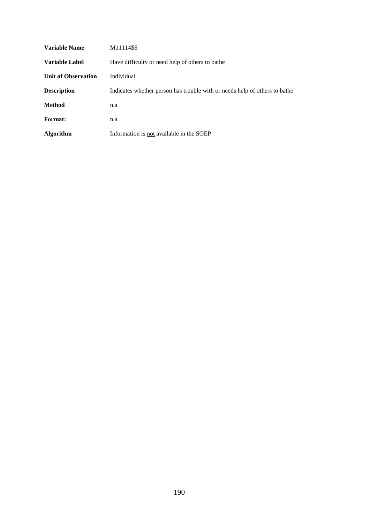| Variable Name       | M11114\$\$                                                                 |
|---------------------|----------------------------------------------------------------------------|
| Variable Label      | Have difficulty or need help of others to bathe                            |
| Unit of Observation | Individual                                                                 |
| <b>Description</b>  | Indicates whether person has trouble with or needs help of others to bathe |
| <b>Method</b>       | n.a                                                                        |
| <b>Format:</b>      | n.a.                                                                       |
| <b>Algorithm</b>    | Information is not available in the SOEP                                   |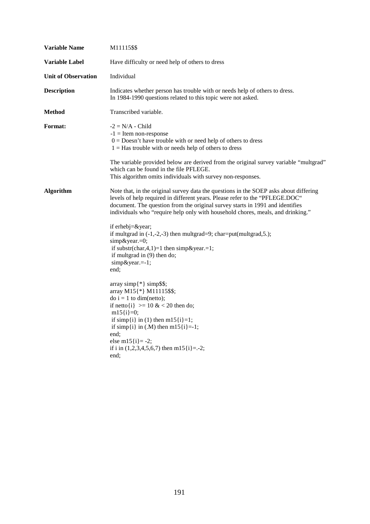| <b>Variable Name</b>       | M11115\$\$                                                                                                                                                                                                                                                                                                                                |
|----------------------------|-------------------------------------------------------------------------------------------------------------------------------------------------------------------------------------------------------------------------------------------------------------------------------------------------------------------------------------------|
| <b>Variable Label</b>      | Have difficulty or need help of others to dress                                                                                                                                                                                                                                                                                           |
| <b>Unit of Observation</b> | Individual                                                                                                                                                                                                                                                                                                                                |
| <b>Description</b>         | Indicates whether person has trouble with or needs help of others to dress.<br>In 1984-1990 questions related to this topic were not asked.                                                                                                                                                                                               |
| <b>Method</b>              | Transcribed variable.                                                                                                                                                                                                                                                                                                                     |
| <b>Format:</b>             | $-2 = N/A$ - Child<br>$-1$ = Item non-response<br>$0 =$ Doesn't have trouble with or need help of others to dress<br>$1 =$ Has trouble with or needs help of others to dress                                                                                                                                                              |
|                            | The variable provided below are derived from the original survey variable "multgrad"<br>which can be found in the file PFLEGE.<br>This algorithm omits individuals with survey non-responses.                                                                                                                                             |
| <b>Algorithm</b>           | Note that, in the original survey data the questions in the SOEP asks about differing<br>levels of help required in different years. Please refer to the "PFLEGE.DOC"<br>document. The question from the original survey starts in 1991 and identifies<br>individuals who "require help only with household chores, meals, and drinking." |
|                            | if erhebj=&year<br>if multgrad in $(-1,-2,-3)$ then multgrad=9; char=put(multgrad, 5.);<br>simp&year.=0;<br>if substr(char, 4, 1) = 1 then simp & year. = 1;<br>if multgrad in (9) then do;<br>simp&year.=-1;<br>end:                                                                                                                     |
|                            | array simp $\{\ast\}$ simp\$\$;<br>array M15{*} M11115\$\$;<br>$\phi$ i = 1 to dim(netto);<br>if netto $\{i\}$ >= 10 & < 20 then do;<br>$m15[i]=0;$<br>if simp{i} in (1) then m15{i}=1;<br>if simp{i} in (.M) then m15{i}=-1;<br>end;<br>else m $15$ {i} = -2;<br>if i in $(1,2,3,4,5,6,7)$ then m15 $\{i\}$ =.-2;<br>end;                |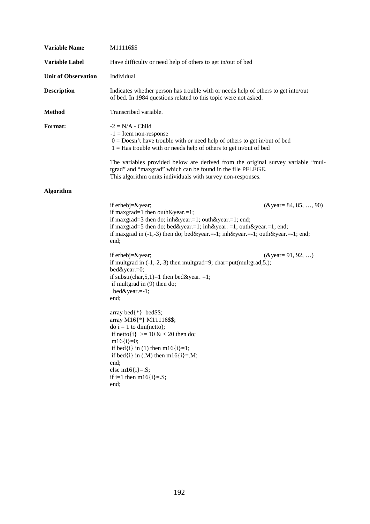| <b>Variable Name</b>       | M11116\$\$                                                                                                                                                                                                                                                                                                                                                                             |                                                             |
|----------------------------|----------------------------------------------------------------------------------------------------------------------------------------------------------------------------------------------------------------------------------------------------------------------------------------------------------------------------------------------------------------------------------------|-------------------------------------------------------------|
| <b>Variable Label</b>      | Have difficulty or need help of others to get in/out of bed                                                                                                                                                                                                                                                                                                                            |                                                             |
| <b>Unit of Observation</b> | Individual                                                                                                                                                                                                                                                                                                                                                                             |                                                             |
| <b>Description</b>         | Indicates whether person has trouble with or needs help of others to get into/out<br>of bed. In 1984 questions related to this topic were not asked.                                                                                                                                                                                                                                   |                                                             |
| <b>Method</b>              | Transcribed variable.                                                                                                                                                                                                                                                                                                                                                                  |                                                             |
| Format:                    | $-2 = N/A - Child$<br>$-1$ = Item non-response<br>$0 = \text{Doesn't have trouble with or need help of others to get in/out of bed}$<br>$1 =$ Has trouble with or needs help of others to get in/out of bed                                                                                                                                                                            |                                                             |
|                            | The variables provided below are derived from the original survey variable "mul-<br>tgrad" and "maxgrad" which can be found in the file PFLEGE.<br>This algorithm omits individuals with survey non-responses.                                                                                                                                                                         |                                                             |
| <b>Algorithm</b>           |                                                                                                                                                                                                                                                                                                                                                                                        |                                                             |
|                            | if erhebj=&year<br>if maxgrad=1 then outh & year.=1;<br>if maxgrad=3 then do; inh&year.=1; outh&year.=1; end;<br>if maxgrad=5 then do; bed&year.=1; inh&year. =1; outh&year.=1; end;<br>if maxgrad in $(-1,-3)$ then do; bed&year.= $-1$ ; inh&year.= $-1$ ; outh&year.= $-1$ ; end;<br>end;<br>if erhebj=&year<br>if multgrad in $(-1,-2,-3)$ then multgrad=9; char=put(multgrad,5.); | $(\& \text{year} = 84, 85, , 90)$<br>( $&$ year = 91, 92, ) |
|                            | bed&year.=0;<br>if substr(char, $5, 1$ )=1 then bed&year. =1;<br>if multgrad in (9) then do;<br>$bed\&year==1;$<br>end;                                                                                                                                                                                                                                                                |                                                             |
|                            | array bed $\{\ast\}$ bed\$\$;<br>array M16{*} M11116\$\$;<br>$\text{do } i = 1 \text{ to } \text{dim}(\text{netto});$<br>if netto $\{i\}$ >= 10 & < 20 then do;<br>$m16{i} = 0;$<br>if bed{i} in (1) then m16{i}=1;<br>if bed{i} in $(M)$ then m16{i}=.M;<br>end;<br>else m $16[i]=S;$<br>if i=1 then $m16$ {i}=.S;<br>end;                                                            |                                                             |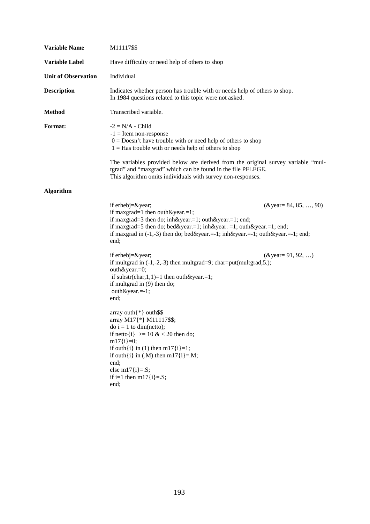| <b>Variable Name</b>       | M11117\$\$                                                                                                                                                                                                                                                                                                                                                                                                                                                                                                                                                                                                                                                                                                                                                                                                                                                                                                |
|----------------------------|-----------------------------------------------------------------------------------------------------------------------------------------------------------------------------------------------------------------------------------------------------------------------------------------------------------------------------------------------------------------------------------------------------------------------------------------------------------------------------------------------------------------------------------------------------------------------------------------------------------------------------------------------------------------------------------------------------------------------------------------------------------------------------------------------------------------------------------------------------------------------------------------------------------|
| Variable Label             | Have difficulty or need help of others to shop                                                                                                                                                                                                                                                                                                                                                                                                                                                                                                                                                                                                                                                                                                                                                                                                                                                            |
| <b>Unit of Observation</b> | Individual                                                                                                                                                                                                                                                                                                                                                                                                                                                                                                                                                                                                                                                                                                                                                                                                                                                                                                |
| <b>Description</b>         | Indicates whether person has trouble with or needs help of others to shop.<br>In 1984 questions related to this topic were not asked.                                                                                                                                                                                                                                                                                                                                                                                                                                                                                                                                                                                                                                                                                                                                                                     |
| <b>Method</b>              | Transcribed variable.                                                                                                                                                                                                                                                                                                                                                                                                                                                                                                                                                                                                                                                                                                                                                                                                                                                                                     |
| Format:                    | $-2 = N/A - Child$<br>$-1$ = Item non-response<br>$0 = \text{Doesn't have trouble with or need help of others to shop}$<br>$1 =$ Has trouble with or needs help of others to shop<br>The variables provided below are derived from the original survey variable "mul-                                                                                                                                                                                                                                                                                                                                                                                                                                                                                                                                                                                                                                     |
|                            | tgrad" and "maxgrad" which can be found in the file PFLEGE.<br>This algorithm omits individuals with survey non-responses.                                                                                                                                                                                                                                                                                                                                                                                                                                                                                                                                                                                                                                                                                                                                                                                |
| <b>Algorithm</b>           |                                                                                                                                                                                                                                                                                                                                                                                                                                                                                                                                                                                                                                                                                                                                                                                                                                                                                                           |
|                            | if erhebj=&year<br>$(\& \text{year} = 84, 85, , 90)$<br>if maxgrad=1 then outh & year.=1;<br>if maxgrad=3 then do; inh&year.=1; outh&year.=1; end;<br>if maxgrad=5 then do; bed&year.=1; inh&year. =1; outh&year.=1; end;<br>if maxgrad in $(-1,-3)$ then do; bed&year.= $-1$ ; inh&year.= $-1$ ; outh&year.= $-1$ ; end;<br>end;<br>if erhebj $=\&$ year;<br>( $&$ year = 91, 92, )<br>if multgrad in $(-1,-2,-3)$ then multgrad=9; char=put(multgrad,5.);<br>outh&year.=0;<br>if substr(char, $1,1$ )=1 then outh&year.=1;<br>if multgrad in (9) then do;<br>outh&year.=-1;<br>end;<br>array outh $\{*\}$ outh\$\$<br>array M17{*} M11117\$\$;<br>$\text{do } i = 1 \text{ to } \text{dim}(\text{netto});$<br>if netto $\{i\}$ >= 10 & < 20 then do;<br>$m17{i} = 0;$<br>if outh $\{i\}$ in (1) then m17 $\{i\}$ =1;<br>if outh $\{i\}$ in (.M) then m17 $\{i\}$ =.M;<br>end;<br>else m $17\{i\} = S$ ; |
|                            | if i=1 then m17 $\{i\} = S$ ;<br>end;                                                                                                                                                                                                                                                                                                                                                                                                                                                                                                                                                                                                                                                                                                                                                                                                                                                                     |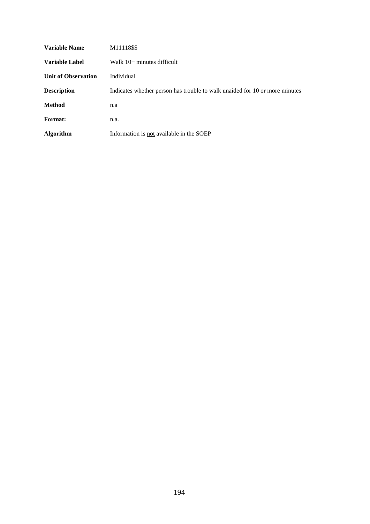| Variable Name              | M11118\$\$                                                                  |
|----------------------------|-----------------------------------------------------------------------------|
| Variable Label             | Walk $10+$ minutes difficult                                                |
| <b>Unit of Observation</b> | Individual                                                                  |
| <b>Description</b>         | Indicates whether person has trouble to walk unaided for 10 or more minutes |
| <b>Method</b>              | n.a                                                                         |
| Format:                    | n.a.                                                                        |
| <b>Algorithm</b>           | Information is not available in the SOEP                                    |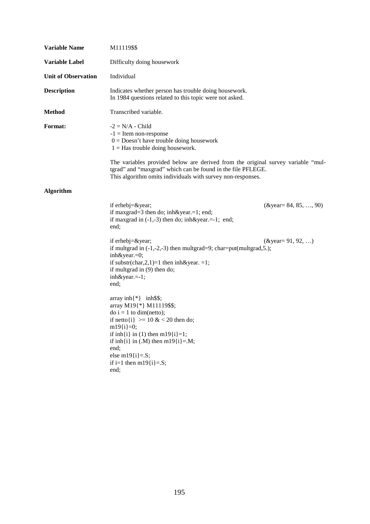| <b>Variable Name</b>       | M11119\$\$                                                                                                                                                                                                                                                                                     |                                   |
|----------------------------|------------------------------------------------------------------------------------------------------------------------------------------------------------------------------------------------------------------------------------------------------------------------------------------------|-----------------------------------|
| <b>Variable Label</b>      | Difficulty doing housework                                                                                                                                                                                                                                                                     |                                   |
| <b>Unit of Observation</b> | Individual                                                                                                                                                                                                                                                                                     |                                   |
| <b>Description</b>         | Indicates whether person has trouble doing housework.<br>In 1984 questions related to this topic were not asked.                                                                                                                                                                               |                                   |
| <b>Method</b>              | Transcribed variable.                                                                                                                                                                                                                                                                          |                                   |
| Format:                    | $-2 = N/A$ - Child<br>$-1$ = Item non-response<br>$0 = Desn't have trouble doing housework$<br>$1 =$ Has trouble doing housework.                                                                                                                                                              |                                   |
|                            | The variables provided below are derived from the original survey variable "mul-<br>tgrad" and "maxgrad" which can be found in the file PFLEGE.<br>This algorithm omits individuals with survey non-responses.                                                                                 |                                   |
| <b>Algorithm</b>           |                                                                                                                                                                                                                                                                                                |                                   |
|                            | if erhebj=&year<br>if maxgrad=3 then do; inh&year.=1; end;<br>if maxgrad in $(-1,-3)$ then do; inh&year.=-1; end;<br>end;                                                                                                                                                                      | $(\& \text{year} = 84, 85, , 90)$ |
|                            | if erhebj $=\&$ year;<br>if multgrad in $(-1,-2,-3)$ then multgrad=9; char=put(multgrad, 5.);<br>inh&year.=0;<br>if substr(char, 2, 1) = 1 then inh&year. = 1;<br>if multgrad in (9) then do;<br>inh&year.=-1;<br>end;                                                                         | ( $&$ year = 91, 92, )            |
|                            | array $inh$ {*} inh\$\$;<br>array M19{*} M11119\$\$;<br>$do i = 1$ to dim(netto);<br>if netto $\{i\}$ >= 10 & < 20 then do;<br>$m19{i} = 0;$<br>if inh{i} in (1) then m19{i}=1;<br>if inh{i} in $(M)$ then m19{i}=.M;<br>end;<br>else m $19\{i\} = S;$<br>if i=1 then m19 $\{i\}$ =.S;<br>end; |                                   |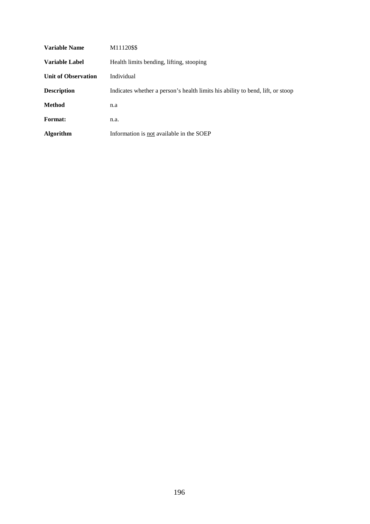| <b>Variable Name</b>       | M11120\$\$                                                                     |
|----------------------------|--------------------------------------------------------------------------------|
| Variable Label             | Health limits bending, lifting, stooping                                       |
| <b>Unit of Observation</b> | Individual                                                                     |
| <b>Description</b>         | Indicates whether a person's health limits his ability to bend, lift, or stoop |
| Method                     | n.a                                                                            |
| Format:                    | n.a.                                                                           |
| <b>Algorithm</b>           | Information is not available in the SOEP                                       |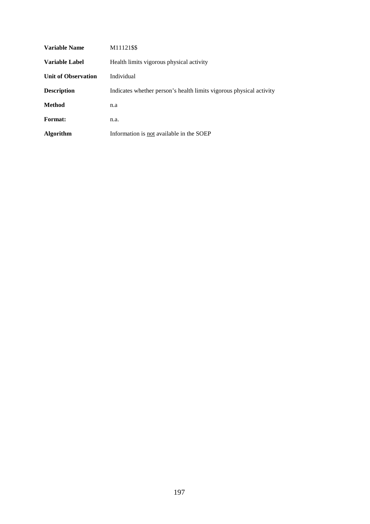| Variable Name              | M11121\$\$                                                          |
|----------------------------|---------------------------------------------------------------------|
| Variable Label             | Health limits vigorous physical activity                            |
| <b>Unit of Observation</b> | Individual                                                          |
| <b>Description</b>         | Indicates whether person's health limits vigorous physical activity |
| Method                     | n.a                                                                 |
| <b>Format:</b>             | n.a.                                                                |
| <b>Algorithm</b>           | Information is not available in the SOEP                            |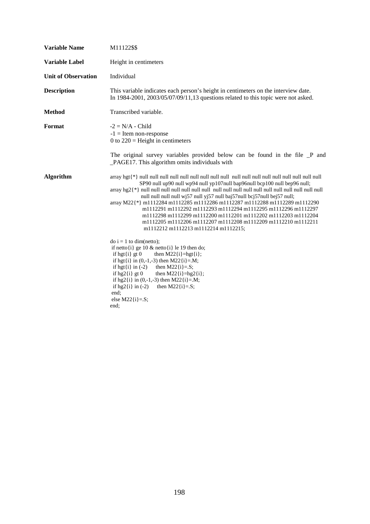| <b>Variable Name</b>       | M11122\$\$                                                                                                                                                                                                                                                                                                                                                                                                                                                                        |
|----------------------------|-----------------------------------------------------------------------------------------------------------------------------------------------------------------------------------------------------------------------------------------------------------------------------------------------------------------------------------------------------------------------------------------------------------------------------------------------------------------------------------|
| <b>Variable Label</b>      | Height in centimeters                                                                                                                                                                                                                                                                                                                                                                                                                                                             |
| <b>Unit of Observation</b> | Individual                                                                                                                                                                                                                                                                                                                                                                                                                                                                        |
| <b>Description</b>         | This variable indicates each person's height in centimeters on the interview date.<br>In 1984-2001, 2003/05/07/09/11,13 questions related to this topic were not asked.                                                                                                                                                                                                                                                                                                           |
| <b>Method</b>              | Transcribed variable.                                                                                                                                                                                                                                                                                                                                                                                                                                                             |
| Format                     | $-2 = N/A$ - Child<br>$-1$ = Item non-response<br>0 to $220$ = Height in centimeters                                                                                                                                                                                                                                                                                                                                                                                              |
|                            | The original survey variables provided below can be found in the file _P and<br>_PAGE17. This algorithm omits individuals with                                                                                                                                                                                                                                                                                                                                                    |
| <b>Algorithm</b>           | SP90 null up90 null wp94 null yp107null bap96null bcp100 null bep96 null;<br>null null null null wj57 null yj57 null baj57null bcj57null bej57 null;<br>array M22{*} m1112284 m1112285 m1112286 m1112287 m1112288 m1112289 m1112290<br>m1112291 m1112292 m1112293 m1112294 m1112295 m1112296 m1112297<br>m1112298 m1112299 m1112200 m1112201 m1112202 m1112203 m1112204<br>m1112205 m1112206 m1112207 m1112208 m1112209 m1112210 m1112211<br>m1112212 m1112213 m1112214 m1112215; |
|                            | $\phi$ i = 1 to dim(netto);<br>if netto $\{i\}$ ge 10 & netto $\{i\}$ le 19 then do;<br>if hgt $\{i\}$ gt 0<br>then $M22{i}$ =hgt $\{i\}$ ;<br>if hgt $\{i\}$ in $(0,-1,-3)$ then M22 $\{i\} = M$ ;<br>if hgt $\{i\}$ in $(-2)$<br>then $M22{i} = S;$<br>if $hg2[i]$ gt 0<br>then $M22{i}$ =hg2{i};<br>if hg2{i} in $(0,-1,-3)$ then M22{i}=.M;<br>then $M22{i} = S$ ;<br>if $hg2\{i\}$ in $(-2)$<br>end:<br>else $M22{i} = S;$<br>end:                                           |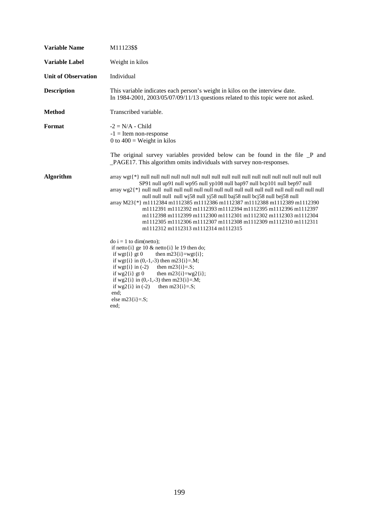| <b>Variable Name</b>       | M11123\$\$                                                                                                                                                                                                                                                                                                                                                                                                                                                                                                                                                                                                                                                                                                                                                                                                                                                                                                                                                                                           |
|----------------------------|------------------------------------------------------------------------------------------------------------------------------------------------------------------------------------------------------------------------------------------------------------------------------------------------------------------------------------------------------------------------------------------------------------------------------------------------------------------------------------------------------------------------------------------------------------------------------------------------------------------------------------------------------------------------------------------------------------------------------------------------------------------------------------------------------------------------------------------------------------------------------------------------------------------------------------------------------------------------------------------------------|
| <b>Variable Label</b>      | Weight in kilos                                                                                                                                                                                                                                                                                                                                                                                                                                                                                                                                                                                                                                                                                                                                                                                                                                                                                                                                                                                      |
| <b>Unit of Observation</b> | Individual                                                                                                                                                                                                                                                                                                                                                                                                                                                                                                                                                                                                                                                                                                                                                                                                                                                                                                                                                                                           |
| <b>Description</b>         | This variable indicates each person's weight in kilos on the interview date.<br>In 1984-2001, 2003/05/07/09/11/13 questions related to this topic were not asked.                                                                                                                                                                                                                                                                                                                                                                                                                                                                                                                                                                                                                                                                                                                                                                                                                                    |
| <b>Method</b>              | Transcribed variable.                                                                                                                                                                                                                                                                                                                                                                                                                                                                                                                                                                                                                                                                                                                                                                                                                                                                                                                                                                                |
| Format                     | $-2 = N/A$ - Child<br>$-1$ = Item non-response<br>0 to $400$ = Weight in kilos                                                                                                                                                                                                                                                                                                                                                                                                                                                                                                                                                                                                                                                                                                                                                                                                                                                                                                                       |
|                            | The original survey variables provided below can be found in the file P and<br>_PAGE17. This algorithm omits individuals with survey non-responses.                                                                                                                                                                                                                                                                                                                                                                                                                                                                                                                                                                                                                                                                                                                                                                                                                                                  |
| <b>Algorithm</b>           | SP91 null up91 null wp95 null yp108 null bap97 null bcp101 null bep97 null<br>$\langle \arg \sqrt{2} \cdot \sin \sqrt{2} \cdot \sin \sqrt{2} \cdot \sin \sqrt{2} \cdot \sin \sqrt{2} \cdot \sin \sqrt{2} \cdot \sin \sqrt{2} \cdot \sin \sqrt{2} \cdot \sin \sqrt{2} \cdot \sin \sqrt{2} \cdot \sin \sqrt{2} \cdot \sin \sqrt{2} \cdot \sin \sqrt{2} \cdot \sin \sqrt{2} \cdot \sin \sqrt{2} \cdot \sin \sqrt{2} \cdot \sin \sqrt{2} \cdot \sin \sqrt{2} \cdot \sin \sqrt{2} \cdot \sin \sqrt{2} \cdot \sin \sqrt{2} \cdot \sin \sqrt{2} \cdot \sin \sqrt{2} \cdot \sin \sqrt{2} \cdot \sin$<br>null null null null wj58 null yj58 null baj58 null bcj58 null bej58 null<br>array M23{*} m1112384 m1112385 m1112386 m1112387 m1112388 m1112389 m1112390<br>m1112391 m1112392 m1112393 m1112394 m1112395 m1112396 m1112397<br>m1112398 m1112399 m1112300 m1112301 m1112302 m1112303 m1112304<br>m1112305 m1112306 m1112307 m1112308 m1112309 m1112310 m1112311<br>m1112312 m1112313 m1112314 m1112315 |
|                            | $\phi$ i = 1 to dim(netto);<br>if netto $\{i\}$ ge 10 & netto $\{i\}$ le 19 then do;<br>if wgt $\{i\}$ gt 0<br>then $m23$ {i}=wgt{i};<br>if wgt{i} in $(0,-1,-3)$ then m23{i}=.M;<br>then $m23[i]=.S;$<br>if wgt $\{i\}$ in $(-2)$<br>if $wg2[i]$ gt 0<br>then m23 $\{i\} = wg2\{i\};$<br>if wg2{i} in $(0,-1,-3)$ then m23{i}=.M;<br>if $wg2(i)$ in (-2) then m23 $\{i\} = S$ ;<br>end:<br>else m23 $\{i\} = S$ ;<br>end;                                                                                                                                                                                                                                                                                                                                                                                                                                                                                                                                                                           |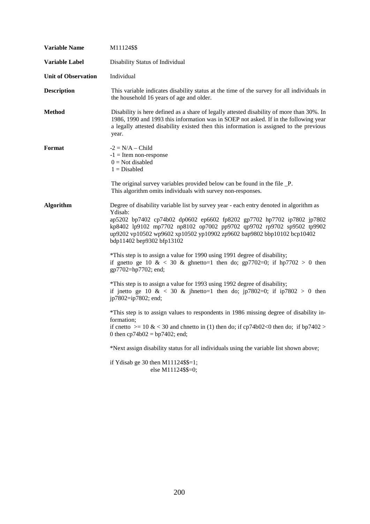| <b>Variable Name</b>       | M11124\$\$                                                                                                                                                                                                                                                                                                                                                  |
|----------------------------|-------------------------------------------------------------------------------------------------------------------------------------------------------------------------------------------------------------------------------------------------------------------------------------------------------------------------------------------------------------|
| Variable Label             | Disability Status of Individual                                                                                                                                                                                                                                                                                                                             |
| <b>Unit of Observation</b> | Individual                                                                                                                                                                                                                                                                                                                                                  |
| <b>Description</b>         | This variable indicates disability status at the time of the survey for all individuals in<br>the household 16 years of age and older.                                                                                                                                                                                                                      |
| <b>Method</b>              | Disability is here defined as a share of legally attested disability of more than 30%. In<br>1986, 1990 and 1993 this information was in SOEP not asked. If in the following year<br>a legally attested disability existed then this information is assigned to the previous<br>year.                                                                       |
| Format                     | $-2 = N/A - Child$<br>$-1$ = Item non-response<br>$0 = Not$ disabled<br>$1 = Disabeled$                                                                                                                                                                                                                                                                     |
|                            | The original survey variables provided below can be found in the file _P.<br>This algorithm omits individuals with survey non-responses.                                                                                                                                                                                                                    |
| <b>Algorithm</b>           | Degree of disability variable list by survey year - each entry denoted in algorithm as<br>Ydisab:<br>ap5202 bp7402 cp74b02 dp0602 ep6602 fp8202 gp7702 hp7702 ip7802 jp7802<br>kp8402 lp9102 mp7702 np8102 op7002 pp9702 qp9702 rp9702 sp9502 tp9902<br>up9202 vp10502 wp9602 xp10502 yp10902 zp9602 bap9802 bbp10102 bcp10402<br>bdp11402 bep9302 bfp13102 |
|                            | *This step is to assign a value for 1990 using 1991 degree of disability;<br>if gnetto ge 10 & < 30 & ghnetto=1 then do; gp7702=0; if hp7702 > 0 then<br>gp7702=hp7702; end;                                                                                                                                                                                |
|                            | *This step is to assign a value for 1993 using 1992 degree of disability;<br>if jnetto ge 10 & < 30 & jhnetto=1 then do; jp7802=0; if ip7802 > 0 then<br>jp7802=ip7802; end;                                                                                                                                                                                |
|                            | *This step is to assign values to respondents in 1986 missing degree of disability in-<br>formation;<br>if cnetto $\ge$ 10 & < 30 and chnetto in (1) then do; if cp74b02<0 then do; if bp7402 ><br>0 then $cp74b02 = bp7402$ ; end;                                                                                                                         |
|                            | *Next assign disability status for all individuals using the variable list shown above;                                                                                                                                                                                                                                                                     |
|                            | if Ydisab ge 30 then $M11124$ \$\$=1;<br>else M11124\$\$=0;                                                                                                                                                                                                                                                                                                 |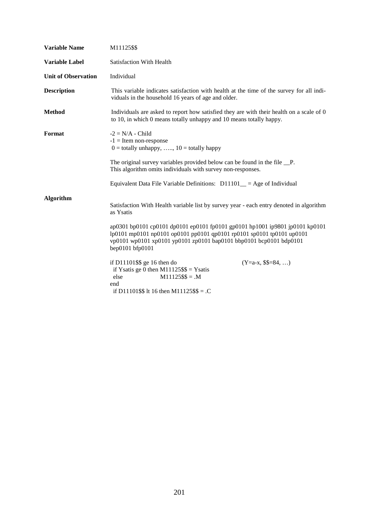| <b>Variable Name</b>       | M11125\$\$                                                                                                                                                                                                                                     |
|----------------------------|------------------------------------------------------------------------------------------------------------------------------------------------------------------------------------------------------------------------------------------------|
| <b>Variable Label</b>      | Satisfaction With Health                                                                                                                                                                                                                       |
| <b>Unit of Observation</b> | Individual                                                                                                                                                                                                                                     |
| <b>Description</b>         | This variable indicates satisfaction with health at the time of the survey for all indi-<br>viduals in the household 16 years of age and older.                                                                                                |
| <b>Method</b>              | Individuals are asked to report how satisfied they are with their health on a scale of 0<br>to 10, in which 0 means totally unhappy and 10 means totally happy.                                                                                |
| Format                     | $-2 = N/A - Child$<br>$-1$ = Item non-response<br>$0 =$ totally unhappy, , $10 =$ totally happy                                                                                                                                                |
|                            | The original survey variables provided below can be found in the file __P.<br>This algorithm omits individuals with survey non-responses.                                                                                                      |
|                            | Equivalent Data File Variable Definitions: $D11101$ = Age of Individual                                                                                                                                                                        |
| Algorithm                  | Satisfaction With Health variable list by survey year - each entry denoted in algorithm<br>as Ysatis                                                                                                                                           |
|                            | ap0301 bp0101 cp0101 dp0101 ep0101 fp0101 gp0101 hp1001 ip9801 jp0101 kp0101<br>lp0101 mp0101 np0101 op0101 pp0101 qp0101 rp0101 sp0101 tp0101 up0101<br>vp0101 wp0101 xp0101 yp0101 zp0101 bap0101 bbp0101 bcp0101 bdp0101<br>bep0101 bfp0101 |
|                            | if D11101\$\$ ge 16 then do<br>$(Y=a-x, $$=84, )$<br>if Ysatis ge 0 then $M11125$ \$\$ = Ysatis<br>$M11125$ \$\$ = .M<br>else<br>end<br>if D11101\$\$ lt 16 then M11125\$\$ = . $C$                                                            |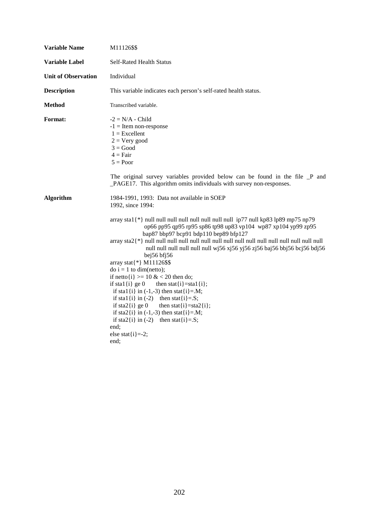| <b>Variable Name</b>       | M11126\$\$                                                                                                                                                                                                                                                                                                                                                                                                                                                                                                                                                                                                                                                      |
|----------------------------|-----------------------------------------------------------------------------------------------------------------------------------------------------------------------------------------------------------------------------------------------------------------------------------------------------------------------------------------------------------------------------------------------------------------------------------------------------------------------------------------------------------------------------------------------------------------------------------------------------------------------------------------------------------------|
| <b>Variable Label</b>      | <b>Self-Rated Health Status</b>                                                                                                                                                                                                                                                                                                                                                                                                                                                                                                                                                                                                                                 |
| <b>Unit of Observation</b> | Individual                                                                                                                                                                                                                                                                                                                                                                                                                                                                                                                                                                                                                                                      |
| <b>Description</b>         | This variable indicates each person's self-rated health status.                                                                                                                                                                                                                                                                                                                                                                                                                                                                                                                                                                                                 |
| <b>Method</b>              | Transcribed variable.                                                                                                                                                                                                                                                                                                                                                                                                                                                                                                                                                                                                                                           |
| Format:                    | $-2 = N/A$ - Child<br>$-1$ = Item non-response<br>$1 =$ Excellent<br>$2 = V$ ery good<br>$3 = Good$<br>$4 = Fair$<br>$5 = Poor$                                                                                                                                                                                                                                                                                                                                                                                                                                                                                                                                 |
|                            | The original survey variables provided below can be found in the file P and<br>_PAGE17. This algorithm omits individuals with survey non-responses.                                                                                                                                                                                                                                                                                                                                                                                                                                                                                                             |
| <b>Algorithm</b>           | 1984-1991, 1993: Data not available in SOEP<br>1992, since 1994:                                                                                                                                                                                                                                                                                                                                                                                                                                                                                                                                                                                                |
|                            | op66 pp95 qp95 rp95 sp86 tp98 up83 vp104 wp87 xp104 yp99 zp95<br>bap87 bbp97 bcp91 bdp110 bep89 bfp127<br>null null null null null null wj56 xj56 yj56 zj56 baj56 bbj56 bcj56 bdj56<br>bej $56$ bfj $56$<br>array stat{*} M11126\$\$<br>$\phi$ i = 1 to dim(netto);<br>if netto $\{i\} \ge 10 \& 20$ then do;<br>if stal $\{i\}$ ge 0<br>then stat $\{i\}$ =stal $\{i\}$ ;<br>if stal {i} in $(-1,-3)$ then stat {i}=.M;<br>if stal {i} in $(-2)$ then stat {i}=.S;<br>if sta2 $\{i\}$ ge 0<br>then stat $\{i\}$ =sta2 $\{i\}$ ;<br>if sta2{i} in $(-1,-3)$ then stat{i}=.M;<br>if sta2{i} in $(-2)$ then stat{i}=.S;<br>end;<br>else stat $\{i\}$ =-2;<br>end: |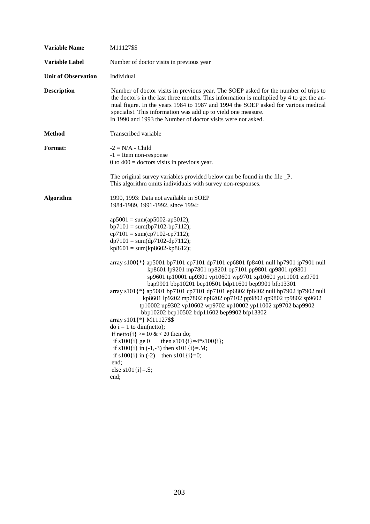| <b>Variable Name</b>       | M11127\$\$                                                                                                                                                                                                                                                                                                                                                                                                                                                                                                                                                                                                                                                                                                                                                                                                                                                                                                                                                                                                                                                                                                      |  |
|----------------------------|-----------------------------------------------------------------------------------------------------------------------------------------------------------------------------------------------------------------------------------------------------------------------------------------------------------------------------------------------------------------------------------------------------------------------------------------------------------------------------------------------------------------------------------------------------------------------------------------------------------------------------------------------------------------------------------------------------------------------------------------------------------------------------------------------------------------------------------------------------------------------------------------------------------------------------------------------------------------------------------------------------------------------------------------------------------------------------------------------------------------|--|
| <b>Variable Label</b>      | Number of doctor visits in previous year                                                                                                                                                                                                                                                                                                                                                                                                                                                                                                                                                                                                                                                                                                                                                                                                                                                                                                                                                                                                                                                                        |  |
| <b>Unit of Observation</b> | Individual                                                                                                                                                                                                                                                                                                                                                                                                                                                                                                                                                                                                                                                                                                                                                                                                                                                                                                                                                                                                                                                                                                      |  |
| <b>Description</b>         | Number of doctor visits in previous year. The SOEP asked for the number of trips to<br>the doctor's in the last three months. This information is multiplied by 4 to get the an-<br>nual figure. In the years 1984 to 1987 and 1994 the SOEP asked for various medical<br>specialist. This information was add up to yield one measure.<br>In 1990 and 1993 the Number of doctor visits were not asked.                                                                                                                                                                                                                                                                                                                                                                                                                                                                                                                                                                                                                                                                                                         |  |
| <b>Method</b>              | Transcribed variable                                                                                                                                                                                                                                                                                                                                                                                                                                                                                                                                                                                                                                                                                                                                                                                                                                                                                                                                                                                                                                                                                            |  |
| Format:                    | $-2 = N/A$ - Child<br>$-1$ = Item non-response<br>$0$ to $400$ = doctors visits in previous year.<br>The original survey variables provided below can be found in the file _P.<br>This algorithm omits individuals with survey non-responses.                                                                                                                                                                                                                                                                                                                                                                                                                                                                                                                                                                                                                                                                                                                                                                                                                                                                   |  |
| <b>Algorithm</b>           | 1990, 1993: Data not available in SOEP<br>1984-1989, 1991-1992, since 1994:<br>$ap5001 = sum(ap5002-ap5012);$<br>$bp7101 = sum(bp7102-bp7112);$<br>$cp7101 = sum (cp7102-cp7112);$<br>$dp7101 = sum(dp7102-dp7112);$<br>$kp8601 = sum(kp8602 - kp8612);$<br>array s100{*} ap5001 bp7101 cp7101 dp7101 ep6801 fp8401 null hp7901 ip7901 null<br>kp8601 lp9201 mp7801 np8201 op7101 pp9801 qp9801 rp9801<br>sp9601 tp10001 up9301 vp10601 wp9701 xp10601 yp11001 zp9701<br>bap9901 bbp10201 bcp10501 bdp11601 bep9901 bfp13301<br>array s101{*} ap5001 bp7101 cp7101 dp7101 ep6802 fp8402 null hp7902 ip7902 null<br>kp8601 lp9202 mp7802 np8202 op7102 pp9802 qp9802 rp9802 sp9602<br>tp10002 up9302 vp10602 wp9702 xp10002 yp11002 zp9702 bap9902<br>bbp10202 bcp10502 bdp11602 bep9902 bfp13302<br>array s101{*} M11127\$\$<br>$\phi$ i = 1 to dim(netto);<br>if netto $\{i\}$ >= 10 & < 20 then do;<br>if $s100\{i\}$ ge 0<br>then $s101{i}=\frac{4}{s100{i}};$<br>if $s100\{i\}$ in (-1,-3) then $s101\{i\} = M$ ;<br>if $s100\{i\}$ in (-2) then $s101\{i\}=0$ ;<br>end;<br>else s101 $\{i\} = S$ ;<br>end; |  |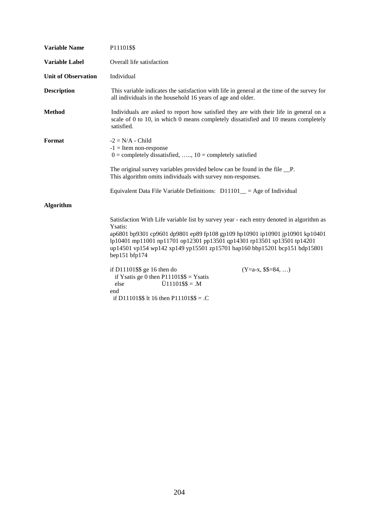| <b>Variable Name</b>                                                    | P11101\$\$                                                                                                                                                                                                                                                                                                                                                   |  |
|-------------------------------------------------------------------------|--------------------------------------------------------------------------------------------------------------------------------------------------------------------------------------------------------------------------------------------------------------------------------------------------------------------------------------------------------------|--|
| <b>Variable Label</b>                                                   | Overall life satisfaction                                                                                                                                                                                                                                                                                                                                    |  |
| <b>Unit of Observation</b>                                              | Individual                                                                                                                                                                                                                                                                                                                                                   |  |
| <b>Description</b>                                                      | This variable indicates the satisfaction with life in general at the time of the survey for<br>all individuals in the household 16 years of age and older.                                                                                                                                                                                                   |  |
| <b>Method</b>                                                           | Individuals are asked to report how satisfied they are with their life in general on a<br>scale of 0 to 10, in which 0 means completely dissatisfied and 10 means completely<br>satisfied.                                                                                                                                                                   |  |
| Format                                                                  | $-2 = N/A$ - Child<br>$-1$ = Item non-response<br>$0 =$ completely dissatisfied, , $10 =$ completely satisfied                                                                                                                                                                                                                                               |  |
|                                                                         | The original survey variables provided below can be found in the file _P.<br>This algorithm omits individuals with survey non-responses.                                                                                                                                                                                                                     |  |
| Equivalent Data File Variable Definitions: $D11101$ = Age of Individual |                                                                                                                                                                                                                                                                                                                                                              |  |
| Algorithm                                                               |                                                                                                                                                                                                                                                                                                                                                              |  |
|                                                                         | Satisfaction With Life variable list by survey year - each entry denoted in algorithm as<br>Ysatis:<br>ap6801 bp9301 cp9601 dp9801 ep89 fp108 gp109 hp10901 ip10901 jp10901 kp10401<br>lp10401 mp11001 np11701 op12301 pp13501 qp14301 rp13501 sp13501 tp14201<br>up14501 vp154 wp142 xp149 yp15501 zp15701 bap160 bbp15201 bcp151 bdp15801<br>bep151 bfp174 |  |
|                                                                         | if $D11101$ \$\$ ge 16 then do<br>$(Y=a-x, $$ \$\$=84, )<br>if Ysatis ge 0 then $P11101$ \$\$ = Ysatis<br>$\ddot{U}11101\$ \\$\times = .M<br>else<br>end<br>if D11101\$\$ lt 16 then P11101\$\$ = . $C$                                                                                                                                                      |  |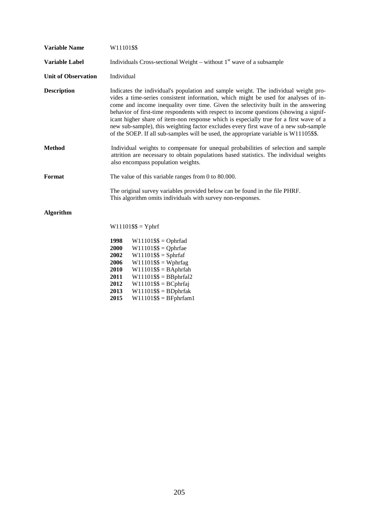| <b>Variable Name</b>       | W11101\$\$                                                                                                                                                                                                                                                                                                                                                                                                                                                                                                                                                                                                                            |  |
|----------------------------|---------------------------------------------------------------------------------------------------------------------------------------------------------------------------------------------------------------------------------------------------------------------------------------------------------------------------------------------------------------------------------------------------------------------------------------------------------------------------------------------------------------------------------------------------------------------------------------------------------------------------------------|--|
| <b>Variable Label</b>      | Individuals Cross-sectional Weight – without $1st$ wave of a subsample                                                                                                                                                                                                                                                                                                                                                                                                                                                                                                                                                                |  |
| <b>Unit of Observation</b> | Individual                                                                                                                                                                                                                                                                                                                                                                                                                                                                                                                                                                                                                            |  |
| <b>Description</b>         | Indicates the individual's population and sample weight. The individual weight pro-<br>vides a time-series consistent information, which might be used for analyses of in-<br>come and income inequality over time. Given the selectivity built in the answering<br>behavior of first-time respondents with respect to income questions (showing a signif-<br>icant higher share of item-non response which is especially true for a first wave of a<br>new sub-sample), this weighting factor excludes every first wave of a new sub-sample<br>of the SOEP. If all sub-samples will be used, the appropriate variable is W11105\$\$. |  |
| <b>Method</b>              | Individual weights to compensate for unequal probabilities of selection and sample<br>attrition are necessary to obtain populations based statistics. The individual weights<br>also encompass population weights.                                                                                                                                                                                                                                                                                                                                                                                                                    |  |
| Format                     | The value of this variable ranges from $0$ to $80.000$ .                                                                                                                                                                                                                                                                                                                                                                                                                                                                                                                                                                              |  |
|                            | The original survey variables provided below can be found in the file PHRF.<br>This algorithm omits individuals with survey non-responses.                                                                                                                                                                                                                                                                                                                                                                                                                                                                                            |  |
| <b>Algorithm</b>           |                                                                                                                                                                                                                                                                                                                                                                                                                                                                                                                                                                                                                                       |  |
|                            | $W11101$ \$\$ = Yphrf                                                                                                                                                                                                                                                                                                                                                                                                                                                                                                                                                                                                                 |  |
|                            | 1998<br>$W11101$ \$\$ = Ophrfad<br>2000<br>$W11101$ \$\$ = Qphrfae<br>2002<br>$W11101$ \$\$ = Sphrfaf<br>2006<br>$W11101$ \$\$ = Wphrfag<br>2010<br>$W11101$ \$\$ = BAphrfah<br>2011<br>$W11101$ \$\$ = BBphrfal2<br>2012<br>$W11101$ \$\$ = BCphrfaj<br>2013<br>$W11101$ \$\$ = BDphrfak                                                                                                                                                                                                                                                                                                                                             |  |

**2015** W11101\$\$ = BFphrfam1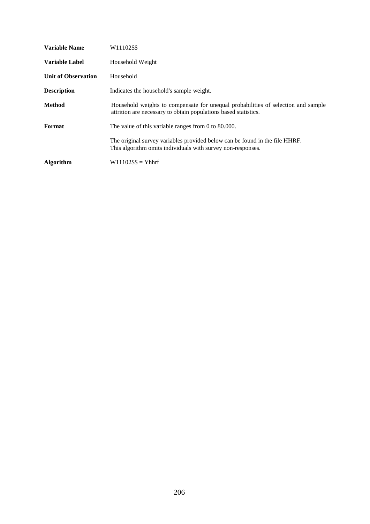| <b>Variable Name</b>       | W11102\$\$                                                                                                                                           |  |
|----------------------------|------------------------------------------------------------------------------------------------------------------------------------------------------|--|
| <b>Variable Label</b>      | Household Weight                                                                                                                                     |  |
| <b>Unit of Observation</b> | Household                                                                                                                                            |  |
| <b>Description</b>         | Indicates the household's sample weight.                                                                                                             |  |
| <b>Method</b>              | Household weights to compensate for unequal probabilities of selection and sample<br>attrition are necessary to obtain populations based statistics. |  |
| Format                     | The value of this variable ranges from 0 to $80.000$ .                                                                                               |  |
|                            | The original survey variables provided below can be found in the file HHRF.<br>This algorithm omits individuals with survey non-responses.           |  |
| <b>Algorithm</b>           | $W11102$ \$\$ = Yhhrf                                                                                                                                |  |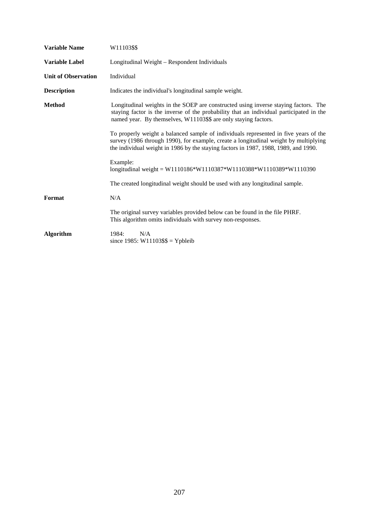| <b>Variable Name</b>       | W11103\$\$                                                                                                                                                                                                                                                          |  |
|----------------------------|---------------------------------------------------------------------------------------------------------------------------------------------------------------------------------------------------------------------------------------------------------------------|--|
| Variable Label             | Longitudinal Weight - Respondent Individuals                                                                                                                                                                                                                        |  |
| <b>Unit of Observation</b> | Individual                                                                                                                                                                                                                                                          |  |
| <b>Description</b>         | Indicates the individual's longitudinal sample weight.                                                                                                                                                                                                              |  |
| <b>Method</b>              | Longitudinal weights in the SOEP are constructed using inverse staying factors. The<br>staying factor is the inverse of the probability that an individual participated in the<br>named year. By themselves, W11103\$\$ are only staying factors.                   |  |
|                            | To properly weight a balanced sample of individuals represented in five years of the<br>survey (1986 through 1990), for example, create a longitudinal weight by multiplying<br>the individual weight in 1986 by the staying factors in 1987, 1988, 1989, and 1990. |  |
|                            | Example:<br>longitudinal weight = $W1110186*W1110387*W1110388*W1110389*W1110390$                                                                                                                                                                                    |  |
|                            | The created longitudinal weight should be used with any longitudinal sample.                                                                                                                                                                                        |  |
| Format                     | N/A                                                                                                                                                                                                                                                                 |  |
|                            | The original survey variables provided below can be found in the file PHRF.<br>This algorithm omits individuals with survey non-responses.                                                                                                                          |  |
| <b>Algorithm</b>           | N/A<br>1984:<br>since $1985$ : W11103\$\$ = Ypbleib                                                                                                                                                                                                                 |  |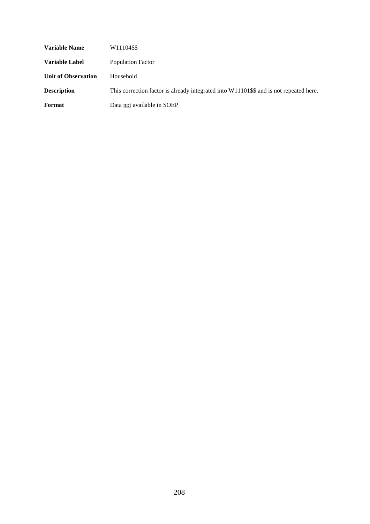| <b>Variable Name</b>       | W11104\$\$                                                                             |
|----------------------------|----------------------------------------------------------------------------------------|
| Variable Label             | Population Factor                                                                      |
| <b>Unit of Observation</b> | Household                                                                              |
| <b>Description</b>         | This correction factor is already integrated into W11101\$\$ and is not repeated here. |
| Format                     | Data not available in SOEP                                                             |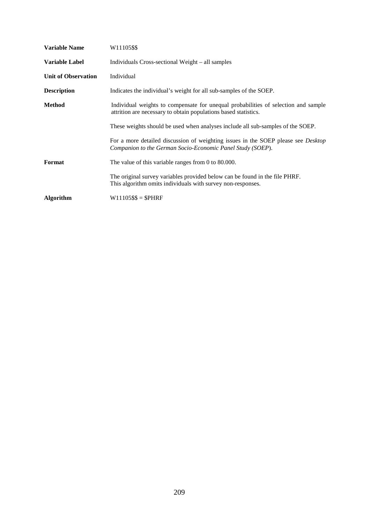| Variable Name              | W11105\$\$                                                                                                                                             |  |
|----------------------------|--------------------------------------------------------------------------------------------------------------------------------------------------------|--|
| Variable Label             | Individuals Cross-sectional Weight – all samples                                                                                                       |  |
| <b>Unit of Observation</b> | Individual                                                                                                                                             |  |
| <b>Description</b>         | Indicates the individual's weight for all sub-samples of the SOEP.                                                                                     |  |
| Method                     | Individual weights to compensate for unequal probabilities of selection and sample<br>attrition are necessary to obtain populations based statistics.  |  |
|                            | These weights should be used when analyses include all sub-samples of the SOEP.                                                                        |  |
|                            | For a more detailed discussion of weighting issues in the SOEP please see <i>Desktop</i><br>Companion to the German Socio-Economic Panel Study (SOEP). |  |
| Format                     | The value of this variable ranges from 0 to $80.000$ .                                                                                                 |  |
|                            | The original survey variables provided below can be found in the file PHRF.<br>This algorithm omits individuals with survey non-responses.             |  |
| Algorithm                  | $W11105$ \$\$ = \$PHRF                                                                                                                                 |  |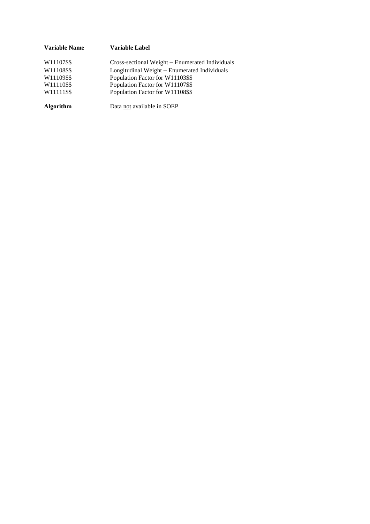| Variable Name    | Variable Label                                  |
|------------------|-------------------------------------------------|
| W11107\$\$       | Cross-sectional Weight – Enumerated Individuals |
| W11108\$\$       | Longitudinal Weight – Enumerated Individuals    |
| W11109\$\$       | Population Factor for W11103\$\$                |
| W11110\$\$       | Population Factor for W11107\$\$                |
| W11111\$\$       | Population Factor for W11108\$\$                |
| <b>Algorithm</b> | Data not available in SOEP                      |